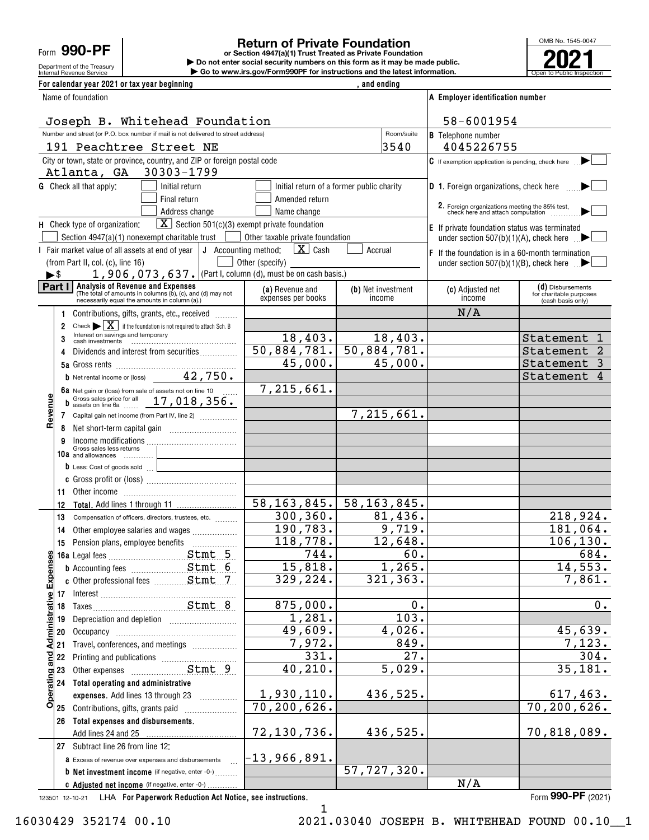Form **990-PF**

Department of the Treasury

# **Return of Private Foundation**

Internal Revenue Service **Number 19th Construction Constructions and the latest information.** The Service of Public Inspection **or Section 4947(a)(1) Trust Treated as Private Foundation | Do not enter social security numbers on this form as it may be made public. | Go to www.irs.gov/Form990PF for instructions and the latest information.**



| For calendar year 2021 or tax year beginning                                                                                                   |                                       | and ending                                            |                                                                                  |                                              |
|------------------------------------------------------------------------------------------------------------------------------------------------|---------------------------------------|-------------------------------------------------------|----------------------------------------------------------------------------------|----------------------------------------------|
| Name of foundation                                                                                                                             |                                       |                                                       | A Employer identification number                                                 |                                              |
| Joseph B. Whitehead Foundation                                                                                                                 |                                       |                                                       | 58-6001954                                                                       |                                              |
| Number and street (or P.O. box number if mail is not delivered to street address)                                                              |                                       | Room/suite                                            | <b>B</b> Telephone number                                                        |                                              |
| 191 Peachtree Street NE                                                                                                                        |                                       | 3540                                                  | 4045226755                                                                       |                                              |
| City or town, state or province, country, and ZIP or foreign postal code<br>30303-1799<br>Atlanta, GA                                          |                                       |                                                       | $\mathsf G$ If exemption application is pending, check here                      |                                              |
| <b>G</b> Check all that apply:<br>Initial return                                                                                               |                                       | Initial return of a former public charity             | <b>D</b> 1. Foreign organizations, check here                                    |                                              |
| Final return                                                                                                                                   | Amended return                        |                                                       |                                                                                  |                                              |
| Address change                                                                                                                                 | Name change                           |                                                       | 2. Foreign organizations meeting the 85% test, check here and attach computation |                                              |
| $\boxed{\mathbf{X}}$ Section 501(c)(3) exempt private foundation<br>H Check type of organization:                                              |                                       |                                                       | E If private foundation status was terminated                                    |                                              |
| Section $4947(a)(1)$ nonexempt charitable trust  <br>$\sim$ 1                                                                                  | Other taxable private foundation      |                                                       | under section 507(b)(1)(A), check here $\Box$                                    |                                              |
| I Fair market value of all assets at end of year $\vert \mathbf{J} \vert$ Accounting method:                                                   | $\mathbf{X}$ Cash                     | Accrual                                               | $F$ If the foundation is in a 60-month termination                               |                                              |
| (from Part II, col. (c), line 16)<br>1, 906, 073, 637. (Part I, column (d), must be on cash basis.)                                            | Other (specify)                       |                                                       | under section $507(b)(1)(B)$ , check here $\blacksquare$                         |                                              |
| ►\$<br>Analysis of Revenue and Expenses<br>Part I                                                                                              |                                       |                                                       |                                                                                  | (d) Disbursements                            |
| (The total of amounts in columns (b), (c), and (d) may not<br>necessarily equal the amounts in column (a).)                                    | (a) Revenue and<br>expenses per books | (b) Net investment<br>income                          | (c) Adjusted net<br>income                                                       | for charitable purposes<br>(cash basis only) |
| Contributions, gifts, grants, etc., received                                                                                                   |                                       |                                                       | N/A                                                                              |                                              |
| Check $\blacktriangleright$ $\mid$ $\mathbf{X}$   if the foundation is not required to attach Sch. B<br>2<br>Interest on savings and temporary |                                       |                                                       |                                                                                  |                                              |
| 3                                                                                                                                              | 18,403.                               | 18,403.                                               |                                                                                  | Statement<br>1                               |
| Dividends and interest from securities<br>4                                                                                                    | 50,884,781.<br>45,000.                | 50,884,781.<br>45,000.                                |                                                                                  | Statement                                    |
|                                                                                                                                                |                                       |                                                       |                                                                                  | Statement                                    |
| <b>b</b> Net rental income or (loss) $42, 750$ .                                                                                               | 7, 215, 661.                          |                                                       |                                                                                  | Statement<br>4                               |
| 6a Net gain or (loss) from sale of assets not on line 10<br>b Gross sales price for all $17,018,356.$                                          |                                       |                                                       |                                                                                  |                                              |
| Revenu<br>Capital gain net income (from Part IV, line 2)<br>$7^{\circ}$                                                                        |                                       | 7,215,661.                                            |                                                                                  |                                              |
| 8                                                                                                                                              |                                       |                                                       |                                                                                  |                                              |
| 9                                                                                                                                              |                                       |                                                       |                                                                                  |                                              |
| Income modifications<br>Gross sales less returns<br>10a and allowances                                                                         |                                       |                                                       |                                                                                  |                                              |
| <u> 1980 - Johann Barnett, fransk politiker</u><br>D Less: Cost of goods sold                                                                  |                                       |                                                       |                                                                                  |                                              |
|                                                                                                                                                |                                       |                                                       |                                                                                  |                                              |
| 11                                                                                                                                             |                                       |                                                       |                                                                                  |                                              |
| 12                                                                                                                                             |                                       | $\overline{58, 163, 845.}$ $\overline{58, 163, 845.}$ |                                                                                  |                                              |
| 13<br>Compensation of officers, directors, trustees, etc.                                                                                      | 300, 360.                             | 81,436.                                               |                                                                                  | 218,924.                                     |
| Other employee salaries and wages<br>14                                                                                                        | 190, 783.                             | 9,719.                                                |                                                                                  | 181,064.                                     |
| 15                                                                                                                                             | 118,778.                              | 12,648.                                               |                                                                                  | 106, 130.                                    |
| Stmt 5<br>ဖာျ                                                                                                                                  | 744.                                  | 60.                                                   |                                                                                  | 684.                                         |
| <b>b</b> Accounting fees <b>Stmt</b> 6                                                                                                         | 15,818.                               | 1,265.                                                |                                                                                  | 14,553.                                      |
| Expense                                                                                                                                        | 329,224.                              | 321, 363.                                             |                                                                                  | 7,861.                                       |
|                                                                                                                                                |                                       |                                                       |                                                                                  |                                              |
|                                                                                                                                                | 875,000.                              | 0.                                                    |                                                                                  | 0.                                           |
| Depreciation and depletion [11] [11] Depreciation and depletion<br>19                                                                          | 1,281.                                | 103.                                                  |                                                                                  |                                              |
| <b>Administrative</b><br>20                                                                                                                    | 49,609.                               | 4,026.                                                |                                                                                  | 45,639.                                      |
| Travel, conferences, and meetings<br>21                                                                                                        | 7,972.                                | 849.                                                  |                                                                                  | 7,123.                                       |
| and.<br>22                                                                                                                                     | 331.<br>40, 210.                      | 27.                                                   |                                                                                  | 304.                                         |
| Stmt 9<br>23<br><b>Operating</b><br>Other expenses                                                                                             |                                       | 5,029.                                                |                                                                                  | 35,181.                                      |
| 24 Total operating and administrative                                                                                                          |                                       | 436,525.                                              |                                                                                  |                                              |
| expenses. Add lines 13 through 23                                                                                                              | 1,930,110.<br>70,200,626.             |                                                       |                                                                                  | <u>617,463.</u><br>70, 200, 626.             |
| 25 Contributions, gifts, grants paid<br>Total expenses and disbursements.                                                                      |                                       |                                                       |                                                                                  |                                              |
| 26                                                                                                                                             | 72,130,736.                           | 436,525.                                              |                                                                                  | 70,818,089.                                  |
| 27 Subtract line 26 from line 12:                                                                                                              |                                       |                                                       |                                                                                  |                                              |
| <b>a</b> Excess of revenue over expenses and disbursements                                                                                     | $-13,966,891.$                        |                                                       |                                                                                  |                                              |
| <b>b</b> Net investment income (if negative, enter -0-)                                                                                        |                                       | 57,727,320.                                           |                                                                                  |                                              |
| C Adjusted net income (if negative, enter -0-)                                                                                                 |                                       |                                                       | N/A                                                                              |                                              |
|                                                                                                                                                |                                       |                                                       |                                                                                  |                                              |

123501 12-10-21 **For Paperwork Reduction Act Notice, see instructions.** LHA Form (2021)

**990-PF**

1

16030429 352174 00.10 2021.03040 JOSEPH B. WHITEHEAD FOUND 00.10\_\_1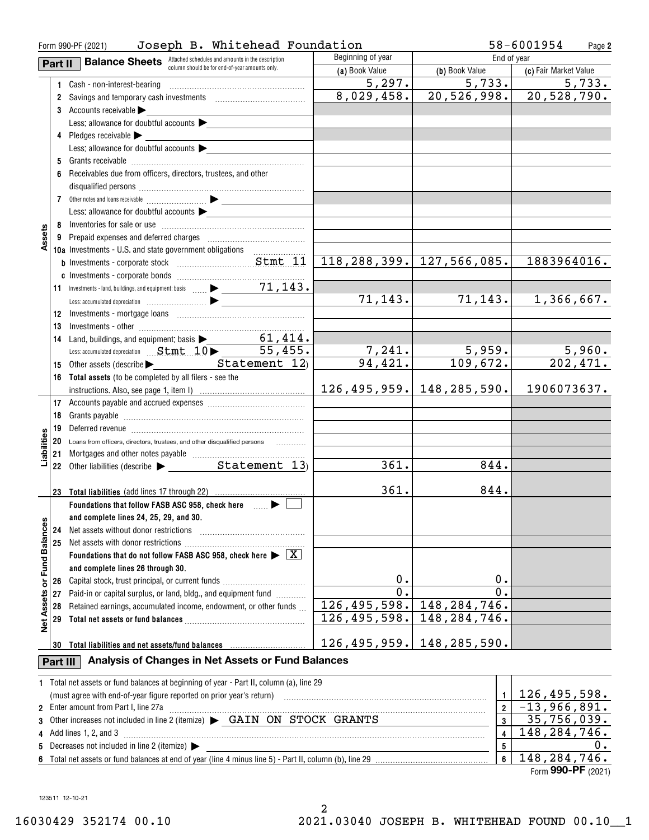|                            | Joseph B. Whitehead Foundation<br>Form 990-PF (2021) |                                                                                                |                       |                                   | 58-6001954<br>Page 2          |
|----------------------------|------------------------------------------------------|------------------------------------------------------------------------------------------------|-----------------------|-----------------------------------|-------------------------------|
|                            | Part II                                              | <b>Balance Sheets</b> Attached schedules and amounts in the description                        | Beginning of year     | End of year                       |                               |
|                            |                                                      | column should be for end-of-year amounts only.                                                 | (a) Book Value        | (b) Book Value                    | (c) Fair Market Value         |
|                            |                                                      | 1 Cash - non-interest-bearing                                                                  | $\overline{5}$ , 297. | 5,733.                            | $\overline{5}$ , 733.         |
|                            |                                                      | 2 Savings and temporary cash investments [11] [11] Savings and temporary cash investments      | 8,029,458.            |                                   | $20, 526, 998.$ 20, 528, 790. |
|                            |                                                      | 3 Accounts receivable                                                                          |                       |                                   |                               |
|                            |                                                      | Less: allowance for doubtful accounts                                                          |                       |                                   |                               |
|                            |                                                      | 4 Pledges receivable                                                                           |                       |                                   |                               |
|                            |                                                      | Less: allowance for doubtful accounts                                                          |                       |                                   |                               |
|                            |                                                      |                                                                                                |                       |                                   |                               |
|                            | 6                                                    | Receivables due from officers, directors, trustees, and other                                  |                       |                                   |                               |
|                            |                                                      |                                                                                                |                       |                                   |                               |
|                            |                                                      |                                                                                                |                       |                                   |                               |
|                            |                                                      | Less: allowance for doubtful accounts                                                          |                       |                                   |                               |
|                            |                                                      |                                                                                                |                       |                                   |                               |
| Assets                     |                                                      |                                                                                                |                       |                                   |                               |
|                            |                                                      | 10a Investments - U.S. and state government obligations                                        |                       |                                   |                               |
|                            |                                                      |                                                                                                |                       | $\vert$ 118,288,399. 127,566,085. | 1883964016.                   |
|                            |                                                      |                                                                                                |                       |                                   |                               |
|                            |                                                      |                                                                                                |                       |                                   |                               |
|                            |                                                      |                                                                                                | 71, 143.              | 71, 143.                          | 1,366,667.                    |
|                            |                                                      |                                                                                                |                       |                                   |                               |
|                            | 13                                                   |                                                                                                |                       |                                   |                               |
|                            | 14                                                   | Land, buildings, and equipment: basis > 61, 414.                                               |                       |                                   |                               |
|                            |                                                      | Less: accumulated depreciation Stmt 10 > 55,455.                                               | <u>7,241.</u>         |                                   |                               |
|                            |                                                      | 15 Other assets (describe Denteral Control of Statement 12)                                    | 94,421.               | $\frac{5,959.}{109,672.}$         | $\frac{5,960}{202,471}$       |
|                            |                                                      | 16 Total assets (to be completed by all filers - see the                                       |                       |                                   |                               |
|                            |                                                      |                                                                                                |                       | $126, 495, 959.$ 148, 285, 590.   | 1906073637.                   |
|                            |                                                      |                                                                                                |                       |                                   |                               |
|                            |                                                      |                                                                                                |                       |                                   |                               |
|                            |                                                      |                                                                                                |                       |                                   |                               |
| Liabilities                |                                                      | 20 Loans from officers, directors, trustees, and other disqualified persons                    |                       |                                   |                               |
|                            |                                                      |                                                                                                |                       |                                   |                               |
|                            |                                                      |                                                                                                | 361.                  | 844.                              |                               |
|                            |                                                      |                                                                                                |                       |                                   |                               |
|                            |                                                      | 23 Total liabilities (add lines 17 through 22)                                                 | 361.                  | 844.                              |                               |
|                            |                                                      | Foundations that follow FASB ASC 958, check here <b>Fig.</b>                                   |                       |                                   |                               |
|                            |                                                      | and complete lines 24, 25, 29, and 30.                                                         |                       |                                   |                               |
|                            | 24                                                   | Net assets without donor restrictions                                                          |                       |                                   |                               |
|                            | 25                                                   |                                                                                                |                       |                                   |                               |
| <b>Fund Balances</b>       |                                                      | Foundations that do not follow FASB ASC 958, check here $\blacktriangleright \boxed{\text{X}}$ |                       |                                   |                               |
|                            |                                                      | and complete lines 26 through 30.                                                              |                       |                                   |                               |
| ৯                          | 26                                                   | Capital stock, trust principal, or current funds                                               | $\mathbf 0$ .         | Ο.                                |                               |
|                            | 27                                                   | Paid-in or capital surplus, or land, bldg., and equipment fund                                 | $\mathbf 0$ .         | 0.                                |                               |
| Assets                     | 28                                                   | Retained earnings, accumulated income, endowment, or other funds                               | 126,495,598.          | 148, 284, 746.                    |                               |
| $\frac{\ddot{\bullet}}{2}$ | 29                                                   |                                                                                                | 126,495,598.          | 148, 284, 746.                    |                               |
|                            |                                                      |                                                                                                |                       |                                   |                               |
|                            | 30                                                   | Total liabilities and net assets/fund balances                                                 | 126, 495, 959.        | 148,285,590.                      |                               |
|                            | Part III                                             | Analysis of Changes in Net Assets or Fund Balances                                             |                       |                                   |                               |
|                            |                                                      | 1 Total net assets or fund balances at beginning of year - Part II, column (a), line 29        |                       |                                   |                               |
|                            |                                                      |                                                                                                | $\mathbf{1}$          | 126, 495, 598.                    |                               |
|                            |                                                      | 2 Enter amount from Part I, line 27a                                                           | $\overline{2}$        | $-13,966,891.$                    |                               |
| 3                          |                                                      | Other increases not included in line 2 (itemize) > GAIN ON STOCK GRANTS                        | $\mathbf{3}$          | 35,756,039.                       |                               |
| 4                          |                                                      | Add lines 1, 2, and 3                                                                          |                       | $\overline{\mathbf{4}}$           | 148, 284, 746.                |
| 5                          |                                                      | Decreases not included in line 2 (itemize) $\blacktriangleright$                               |                       | 5                                 | 0.                            |
|                            |                                                      |                                                                                                |                       | 6                                 | 148, 284, 746.                |

Form (2021) **990-PF**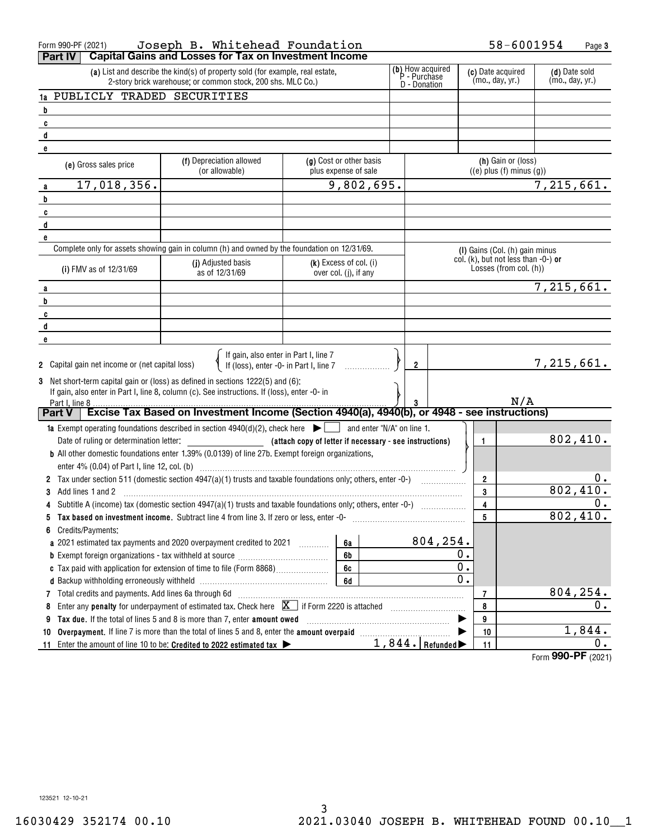| Form 990-PF (2021)                                                                                                                                                               | Joseph B. Whitehead Foundation                                                                                                                                                                                                           |                                                         |  |                   |                                                               | 58-6001954         | Page 3                           |
|----------------------------------------------------------------------------------------------------------------------------------------------------------------------------------|------------------------------------------------------------------------------------------------------------------------------------------------------------------------------------------------------------------------------------------|---------------------------------------------------------|--|-------------------|---------------------------------------------------------------|--------------------|----------------------------------|
| <b>Part IV</b>                                                                                                                                                                   | <b>Capital Gains and Losses for Tax on Investment Income</b>                                                                                                                                                                             |                                                         |  |                   |                                                               |                    |                                  |
|                                                                                                                                                                                  | (b) How acquired<br>P - Purchase<br>(c) Date acquired<br>(a) List and describe the kind(s) of property sold (for example, real estate,<br>(mo., day, yr.)<br>2-story brick warehouse; or common stock, 200 shs. MLC Co.)<br>D - Donation |                                                         |  |                   |                                                               |                    | (d) Date sold<br>(mo., day, yr.) |
| 1a PUBLICLY TRADED SECURITIES                                                                                                                                                    |                                                                                                                                                                                                                                          |                                                         |  |                   |                                                               |                    |                                  |
| $\overline{\mathbf{b}}$                                                                                                                                                          |                                                                                                                                                                                                                                          |                                                         |  |                   |                                                               |                    |                                  |
| C                                                                                                                                                                                |                                                                                                                                                                                                                                          |                                                         |  |                   |                                                               |                    |                                  |
| d                                                                                                                                                                                |                                                                                                                                                                                                                                          |                                                         |  |                   |                                                               |                    |                                  |
| e                                                                                                                                                                                |                                                                                                                                                                                                                                          |                                                         |  |                   |                                                               |                    |                                  |
| (e) Gross sales price                                                                                                                                                            | (f) Depreciation allowed<br>(or allowable)                                                                                                                                                                                               | (g) Cost or other basis<br>plus expense of sale         |  |                   | (h) Gain or (loss)<br>$((e)$ plus $(f)$ minus $(g)$ )         |                    |                                  |
| 17,018,356.<br>a                                                                                                                                                                 |                                                                                                                                                                                                                                          | 9,802,695.                                              |  |                   |                                                               | 7,215,661.         |                                  |
| b                                                                                                                                                                                |                                                                                                                                                                                                                                          |                                                         |  |                   |                                                               |                    |                                  |
| C                                                                                                                                                                                |                                                                                                                                                                                                                                          |                                                         |  |                   |                                                               |                    |                                  |
| d                                                                                                                                                                                |                                                                                                                                                                                                                                          |                                                         |  |                   |                                                               |                    |                                  |
| e                                                                                                                                                                                |                                                                                                                                                                                                                                          |                                                         |  |                   |                                                               |                    |                                  |
|                                                                                                                                                                                  | Complete only for assets showing gain in column (h) and owned by the foundation on 12/31/69.                                                                                                                                             |                                                         |  |                   | (I) Gains (Col. (h) gain minus                                |                    |                                  |
| (i) FMV as of 12/31/69                                                                                                                                                           | (j) Adjusted basis<br>as of 12/31/69                                                                                                                                                                                                     | $(k)$ Excess of col. (i)<br>over col. (j), if any       |  |                   | col. (k), but not less than -0-) or<br>Losses (from col. (h)) |                    |                                  |
| a                                                                                                                                                                                |                                                                                                                                                                                                                                          |                                                         |  |                   |                                                               | 7,215,661.         |                                  |
| b                                                                                                                                                                                |                                                                                                                                                                                                                                          |                                                         |  |                   |                                                               |                    |                                  |
| C                                                                                                                                                                                |                                                                                                                                                                                                                                          |                                                         |  |                   |                                                               |                    |                                  |
| d                                                                                                                                                                                |                                                                                                                                                                                                                                          |                                                         |  |                   |                                                               |                    |                                  |
| e                                                                                                                                                                                |                                                                                                                                                                                                                                          |                                                         |  |                   |                                                               |                    |                                  |
| 2 Capital gain net income or (net capital loss)                                                                                                                                  | If gain, also enter in Part I, line 7<br>If (loss), enter -0- in Part I, line 7                                                                                                                                                          |                                                         |  | $\overline{2}$    |                                                               | 7,215,661.         |                                  |
| Part I, line 8                                                                                                                                                                   | 3 Net short-term capital gain or (loss) as defined in sections 1222(5) and (6):<br>If gain, also enter in Part I, line 8, column (c). See instructions. If (loss), enter -0- in                                                          |                                                         |  |                   |                                                               | N/A                |                                  |
| <b>Part V</b>                                                                                                                                                                    | Excise Tax Based on Investment Income (Section 4940(a), 4940(b), or 4948 - see instructions)                                                                                                                                             |                                                         |  |                   |                                                               |                    |                                  |
|                                                                                                                                                                                  | <b>1a</b> Exempt operating foundations described in section $4940(d)(2)$ , check here $\blacktriangleright \Box$                                                                                                                         | $\Box$ and enter "N/A" on line 1.                       |  |                   |                                                               |                    |                                  |
|                                                                                                                                                                                  |                                                                                                                                                                                                                                          | (attach copy of letter if necessary - see instructions) |  |                   | 1                                                             |                    | 802,410.                         |
|                                                                                                                                                                                  | <b>b</b> All other domestic foundations enter 1.39% (0.0139) of line 27b. Exempt foreign organizations,                                                                                                                                  |                                                         |  |                   |                                                               |                    |                                  |
|                                                                                                                                                                                  |                                                                                                                                                                                                                                          |                                                         |  |                   |                                                               |                    |                                  |
|                                                                                                                                                                                  | 2 Tax under section 511 (domestic section 4947(a)(1) trusts and taxable foundations only; others, enter -0-)                                                                                                                             |                                                         |  |                   | $\overline{2}$                                                |                    | 0.                               |
| Add lines 1 and 2                                                                                                                                                                |                                                                                                                                                                                                                                          |                                                         |  |                   | 3                                                             |                    | 802,410.                         |
|                                                                                                                                                                                  |                                                                                                                                                                                                                                          |                                                         |  |                   | 4                                                             |                    | 0.                               |
| 5                                                                                                                                                                                | Tax based on investment income. Subtract line 4 from line 3. If zero or less, enter -0-                                                                                                                                                  |                                                         |  |                   | 5                                                             |                    | 802,410.                         |
| Credits/Payments:<br>6                                                                                                                                                           |                                                                                                                                                                                                                                          |                                                         |  |                   |                                                               |                    |                                  |
|                                                                                                                                                                                  | a 2021 estimated tax payments and 2020 overpayment credited to 2021 [100]                                                                                                                                                                | 6a                                                      |  | 804,254.          |                                                               |                    |                                  |
|                                                                                                                                                                                  |                                                                                                                                                                                                                                          | 6b                                                      |  | 0.                |                                                               |                    |                                  |
|                                                                                                                                                                                  |                                                                                                                                                                                                                                          | 6c                                                      |  |                   | 0.                                                            |                    |                                  |
|                                                                                                                                                                                  |                                                                                                                                                                                                                                          | 6d                                                      |  |                   | 0.                                                            |                    |                                  |
| 7                                                                                                                                                                                |                                                                                                                                                                                                                                          |                                                         |  |                   | 7                                                             |                    | 804, 254.                        |
| Total credits and payments. Add lines 6a through 6d<br>Enter any <b>penalty</b> for underpayment of estimated tax. Check here $\boxed{\mathbf{X}}$ if Form 2220 is attached<br>8 |                                                                                                                                                                                                                                          |                                                         |  |                   | 8                                                             |                    | 0.                               |
| 9                                                                                                                                                                                | Tax due. If the total of lines 5 and 8 is more than 7, enter amount owed                                                                                                                                                                 |                                                         |  |                   | 9                                                             |                    |                                  |
| 10                                                                                                                                                                               | Overpayment. If line 7 is more than the total of lines 5 and 8, enter the amount overpaid manufactured.                                                                                                                                  |                                                         |  |                   | 10                                                            |                    | 1,844.                           |
| 11                                                                                                                                                                               | Enter the amount of line 10 to be: Credited to 2022 estimated tax $\blacktriangleright$                                                                                                                                                  |                                                         |  | $1,844.$ Refunded | 11                                                            |                    | 0.                               |
|                                                                                                                                                                                  |                                                                                                                                                                                                                                          |                                                         |  |                   |                                                               | Form 990-PF (2021) |                                  |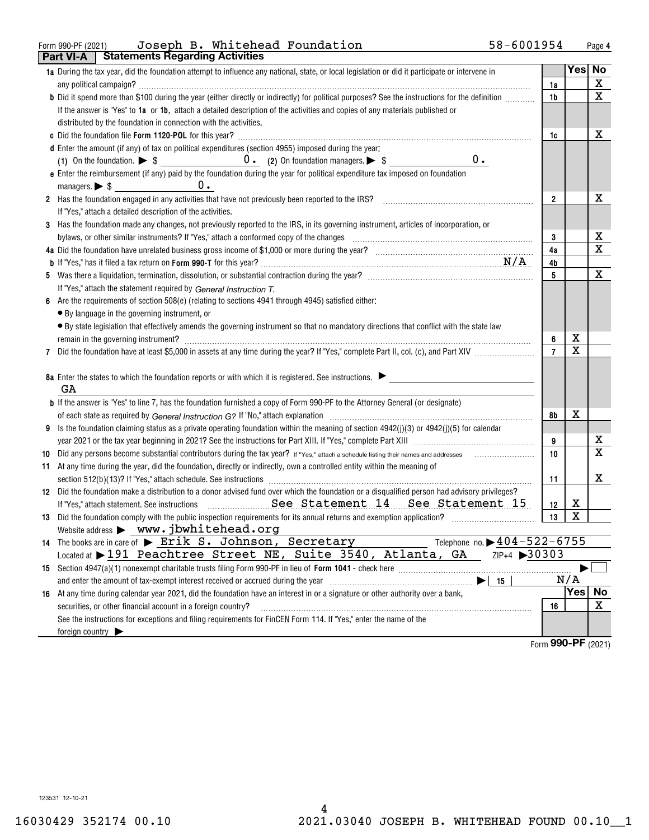### Form 990-PF (2021) Page Joseph B. Whitehead Foundation 58-6001954

|    | Part VI-A       | <b>Statements Regarding Activities</b>                                                                                                                                             |                                         |                  |             |
|----|-----------------|------------------------------------------------------------------------------------------------------------------------------------------------------------------------------------|-----------------------------------------|------------------|-------------|
|    |                 | 1a During the tax year, did the foundation attempt to influence any national, state, or local legislation or did it participate or intervene in                                    |                                         |                  | Yes No      |
|    |                 |                                                                                                                                                                                    | 1a                                      |                  | X           |
|    |                 | b Did it spend more than \$100 during the year (either directly or indirectly) for political purposes? See the instructions for the definition                                     | 1b                                      |                  | $\mathbf X$ |
|    |                 | If the answer is "Yes" to 1a or 1b, attach a detailed description of the activities and copies of any materials published or                                                       |                                         |                  |             |
|    |                 | distributed by the foundation in connection with the activities.                                                                                                                   |                                         |                  |             |
|    |                 |                                                                                                                                                                                    | 1c                                      |                  | х           |
|    |                 | d Enter the amount (if any) of tax on political expenditures (section 4955) imposed during the year:                                                                               |                                         |                  |             |
|    |                 | $0$ .                                                                                                                                                                              |                                         |                  |             |
|    |                 | e Enter the reimbursement (if any) paid by the foundation during the year for political expenditure tax imposed on foundation                                                      |                                         |                  |             |
|    |                 | managers. $\triangleright$ \$ $\_\_\_\_\_\_\_\_\_\_\_\_\_$<br>$0$ .                                                                                                                |                                         |                  |             |
|    |                 | 2 Has the foundation engaged in any activities that have not previously been reported to the IRS?                                                                                  | $\overline{2}$                          |                  | x           |
|    |                 | If "Yes," attach a detailed description of the activities.                                                                                                                         |                                         |                  |             |
| 3  |                 | Has the foundation made any changes, not previously reported to the IRS, in its governing instrument, articles of incorporation, or                                                |                                         |                  |             |
|    |                 | bylaws, or other similar instruments? If "Yes," attach a conformed copy of the changes                                                                                             | 3                                       |                  | х           |
|    |                 |                                                                                                                                                                                    | 4a                                      |                  | X           |
|    |                 |                                                                                                                                                                                    | 4b                                      |                  |             |
|    |                 |                                                                                                                                                                                    | 5                                       |                  | Х           |
|    |                 | If "Yes," attach the statement required by General Instruction T.                                                                                                                  |                                         |                  |             |
| 6  |                 | Are the requirements of section 508(e) (relating to sections 4941 through 4945) satisfied either:                                                                                  |                                         |                  |             |
|    |                 | • By language in the governing instrument, or                                                                                                                                      |                                         |                  |             |
|    |                 | • By state legislation that effectively amends the governing instrument so that no mandatory directions that conflict with the state law                                           |                                         |                  |             |
|    |                 |                                                                                                                                                                                    | 6                                       | х<br>X           |             |
| 7  |                 |                                                                                                                                                                                    |                                         |                  |             |
|    |                 | 8a Enter the states to which the foundation reports or with which it is registered. See instructions.                                                                              |                                         |                  |             |
|    | GA              |                                                                                                                                                                                    |                                         |                  |             |
|    |                 | <b>b</b> If the answer is "Yes" to line 7, has the foundation furnished a copy of Form 990-PF to the Attorney General (or designate)                                               |                                         |                  |             |
|    |                 |                                                                                                                                                                                    | 8b                                      | х                |             |
| 9  |                 | Is the foundation claiming status as a private operating foundation within the meaning of section 4942(j)(3) or 4942(j)(5) for calendar                                            |                                         |                  |             |
|    |                 |                                                                                                                                                                                    | 9                                       |                  | х           |
| 10 |                 |                                                                                                                                                                                    | 10                                      |                  | X           |
|    |                 | 11 At any time during the year, did the foundation, directly or indirectly, own a controlled entity within the meaning of                                                          |                                         |                  |             |
|    |                 |                                                                                                                                                                                    | 11                                      |                  | х           |
|    |                 | 12 Did the foundation make a distribution to a donor advised fund over which the foundation or a disqualified person had advisory privileges?                                      |                                         |                  |             |
|    |                 | If "Yes," attach statement. See instructions <b>Example 2018</b> See Statement 14 See Statement 15                                                                                 | 12                                      | х                |             |
|    |                 |                                                                                                                                                                                    | 13                                      | X                |             |
|    |                 | Website address > www.jbwhitehead.org                                                                                                                                              |                                         |                  |             |
|    |                 | Telephone no. $\triangleright$ 404 - 522 - 6755<br>14 The books are in care of $\triangleright$ Erik S. Johnson, Secretary                                                         |                                         |                  |             |
|    |                 | Located at 191 Peachtree Street NE, Suite 3540, Atlanta, GA<br>ZIP+4 30303                                                                                                         |                                         |                  |             |
|    |                 |                                                                                                                                                                                    |                                         |                  |             |
|    |                 | and enter the amount of tax-exempt interest received or accrued during the year manufactured and enter the amount of tax-exempt interest received or accrued during the year<br>15 |                                         | N/A              |             |
|    |                 | 16 At any time during calendar year 2021, did the foundation have an interest in or a signature or other authority over a bank,                                                    |                                         | Yes <sub>1</sub> | <b>No</b>   |
|    |                 | securities, or other financial account in a foreign country?                                                                                                                       | 16                                      |                  | х           |
|    |                 | See the instructions for exceptions and filing requirements for FinCEN Form 114. If "Yes," enter the name of the                                                                   |                                         |                  |             |
|    | foreign country |                                                                                                                                                                                    |                                         |                  |             |
|    |                 |                                                                                                                                                                                    | $F_{\text{arm}}$ QQ $\Omega$ -DF (2021) |                  |             |

Form (2021) **990-PF**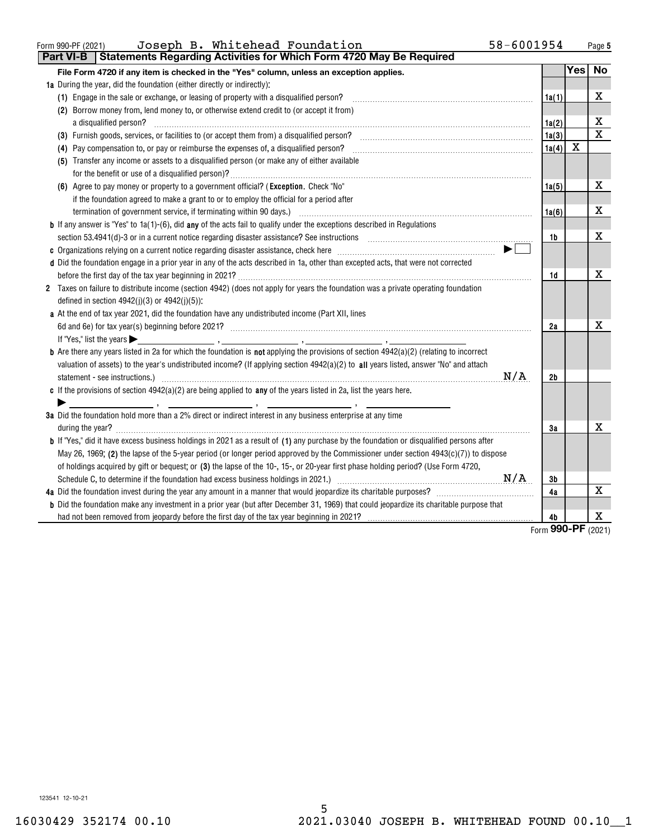| Form 990-PF (2021) | Joseph B. Whitehead Foundation                                                       | 58-6001954 | Page 5 |
|--------------------|--------------------------------------------------------------------------------------|------------|--------|
|                    | <b>Part VI-B Statements Regarding Activities for Which Form 4720 May Be Required</b> |            |        |

| File Form 4720 if any item is checked in the "Yes" column, unless an exception applies.                                                                                                                                        |                        | Yes | No                           |
|--------------------------------------------------------------------------------------------------------------------------------------------------------------------------------------------------------------------------------|------------------------|-----|------------------------------|
| <b>1a</b> During the year, did the foundation (either directly or indirectly):                                                                                                                                                 |                        |     |                              |
| (1) Engage in the sale or exchange, or leasing of property with a disqualified person?                                                                                                                                         | 1a(1)                  |     | X                            |
| (2) Borrow money from, lend money to, or otherwise extend credit to (or accept it from)                                                                                                                                        |                        |     |                              |
| a disqualified person?                                                                                                                                                                                                         | 1a(2)                  |     | х                            |
| (3) Furnish goods, services, or facilities to (or accept them from) a disqualified person?                                                                                                                                     | 1a(3)                  |     | $\mathbf x$                  |
| (4) Pay compensation to, or pay or reimburse the expenses of, a disqualified person?                                                                                                                                           | 1a(4)                  | X   |                              |
| (5) Transfer any income or assets to a disqualified person (or make any of either available                                                                                                                                    |                        |     |                              |
|                                                                                                                                                                                                                                |                        |     |                              |
| (6) Agree to pay money or property to a government official? (Exception. Check "No"                                                                                                                                            | 1a(5)                  |     | х                            |
| if the foundation agreed to make a grant to or to employ the official for a period after                                                                                                                                       |                        |     |                              |
| termination of government service, if terminating within 90 days.) [11] manufactured and the service of government service, if terminating within 90 days.) [12] manufactured and the service of the service of the service of | 1a(6)                  |     | х                            |
| <b>b</b> If any answer is "Yes" to 1a(1)-(6), did any of the acts fail to qualify under the exceptions described in Regulations                                                                                                |                        |     |                              |
| section 53.4941(d)-3 or in a current notice regarding disaster assistance? See instructions [100] and the section 53.4941(d)-3 or in a current notice regarding disaster assistance? See instructions                          | 1b                     |     | x                            |
|                                                                                                                                                                                                                                |                        |     |                              |
| d Did the foundation engage in a prior year in any of the acts described in 1a, other than excepted acts, that were not corrected                                                                                              |                        |     |                              |
|                                                                                                                                                                                                                                | 1d                     |     | X                            |
| 2 Taxes on failure to distribute income (section 4942) (does not apply for years the foundation was a private operating foundation<br>defined in section $4942(j)(3)$ or $4942(j)(5)$ :                                        |                        |     |                              |
| a At the end of tax year 2021, did the foundation have any undistributed income (Part XII, lines                                                                                                                               |                        |     |                              |
|                                                                                                                                                                                                                                | 2a                     |     | x                            |
|                                                                                                                                                                                                                                |                        |     |                              |
| <b>b</b> Are there any years listed in 2a for which the foundation is <b>not</b> applying the provisions of section $4942(a)(2)$ (relating to incorrect                                                                        |                        |     |                              |
| valuation of assets) to the year's undistributed income? (If applying section $4942(a)(2)$ to all years listed, answer "No" and attach                                                                                         |                        |     |                              |
| N/A                                                                                                                                                                                                                            | 2b                     |     |                              |
| c If the provisions of section $4942(a)(2)$ are being applied to any of the years listed in 2a, list the years here.                                                                                                           |                        |     |                              |
|                                                                                                                                                                                                                                |                        |     |                              |
| 3a Did the foundation hold more than a 2% direct or indirect interest in any business enterprise at any time                                                                                                                   |                        |     |                              |
| during the year?                                                                                                                                                                                                               | 3a                     |     | х                            |
| <b>b</b> If "Yes," did it have excess business holdings in 2021 as a result of (1) any purchase by the foundation or disqualified persons after                                                                                |                        |     |                              |
| May 26, 1969; (2) the lapse of the 5-year period (or longer period approved by the Commissioner under section 4943(c)(7)) to dispose                                                                                           |                        |     |                              |
| of holdings acquired by gift or bequest; or (3) the lapse of the 10-, 15-, or 20-year first phase holding period? (Use Form 4720,                                                                                              |                        |     |                              |
|                                                                                                                                                                                                                                | 3b                     |     |                              |
|                                                                                                                                                                                                                                | 4a                     |     | х                            |
| <b>b</b> Did the foundation make any investment in a prior year (but after December 31, 1969) that could jeopardize its charitable purpose that                                                                                |                        |     |                              |
|                                                                                                                                                                                                                                | 4b<br>$r_{\text{arm}}$ |     | x<br>$QQ$ $Q$ $QQ$ $QQ$ $QQ$ |

Form (2021) **990-PF**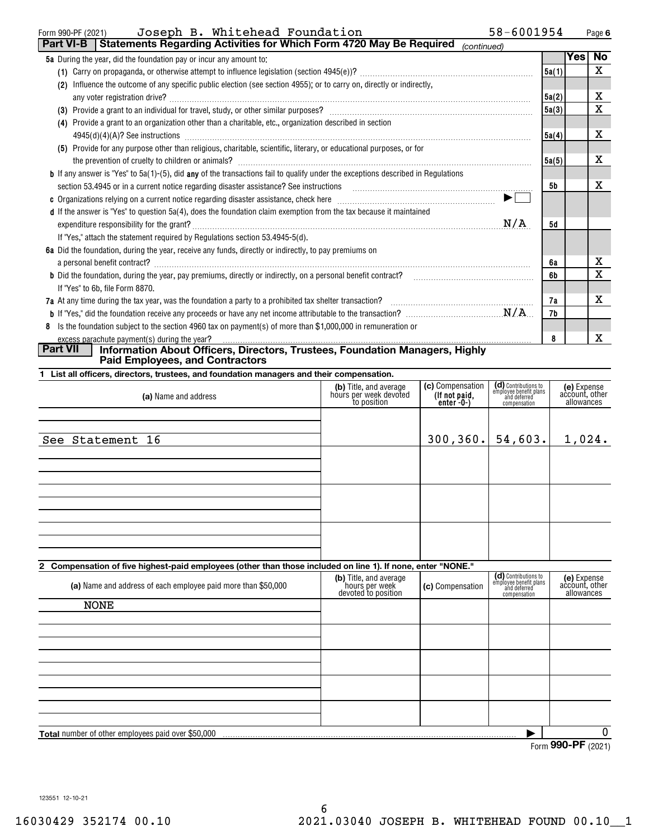| Joseph B. Whitehead Foundation<br>Form 990-PF (2021)                                                                                    | 58-6001954 |       |     | Page 6 |
|-----------------------------------------------------------------------------------------------------------------------------------------|------------|-------|-----|--------|
| Statements Regarding Activities for Which Form 4720 May Be Required<br>  Part VI-B  <br>(continued)                                     |            |       |     |        |
| <b>5a</b> During the year, did the foundation pay or incur any amount to:                                                               |            |       | Yes | No     |
|                                                                                                                                         |            | 5a(1) |     | X      |
| Influence the outcome of any specific public election (see section 4955); or to carry on, directly or indirectly,<br>(2)                |            |       |     |        |
|                                                                                                                                         |            | 5a(2) |     | х      |
|                                                                                                                                         |            | 5a(3) |     | X      |
| Provide a grant to an organization other than a charitable, etc., organization described in section<br>(4)                              |            |       |     |        |
| $4945(d)(4)(A)?$ See instructions                                                                                                       |            | 5a(4) |     | x      |
| (5) Provide for any purpose other than religious, charitable, scientific, literary, or educational purposes, or for                     |            |       |     |        |
|                                                                                                                                         |            | 5a(5) |     | х      |
| <b>b</b> If any answer is "Yes" to 5a(1)-(5), did any of the transactions fail to qualify under the exceptions described in Regulations |            |       |     |        |
| section 53.4945 or in a current notice regarding disaster assistance? See instructions                                                  |            | 5b    |     | х      |
|                                                                                                                                         | ▶          |       |     |        |
| d If the answer is "Yes" to question 5a(4), does the foundation claim exemption from the tax because it maintained                      |            |       |     |        |
|                                                                                                                                         | N/A        | 5d    |     |        |
| If "Yes," attach the statement required by Regulations section 53.4945-5(d).                                                            |            |       |     |        |
| 6a Did the foundation, during the year, receive any funds, directly or indirectly, to pay premiums on                                   |            |       |     |        |
| a personal benefit contract?                                                                                                            |            | 6a    |     | х      |
| <b>b</b> Did the foundation, during the year, pay premiums, directly or indirectly, on a personal benefit contract?                     |            | 6b    |     | X      |
| If "Yes" to 6b, file Form 8870.                                                                                                         |            |       |     |        |
| 7a At any time during the tax year, was the foundation a party to a prohibited tax shelter transaction?                                 |            | 7а    |     | x      |
|                                                                                                                                         |            | 7b    |     |        |
| Is the foundation subject to the section 4960 tax on payment(s) of more than \$1,000,000 in remuneration or<br>8                        |            |       |     |        |
|                                                                                                                                         |            | 8     |     | X      |

# excess parachute payment(s) during the year? **Part VII Information About Officers, Directors, Trustees, Foundation Managers, Highly Paid Employees, and Contractors**

| 1 List all officers, directors, trustees, and foundation managers and their compensation. |  |
|-------------------------------------------------------------------------------------------|--|
|                                                                                           |  |

| (a) Name and address                                                                                           | (b) Title, and average<br>hours per week devoted<br>to position | (c) Compensation<br>(If not paid,<br>enter -0-) | (d) Contributions to<br>employee benefit plans<br>and deferred<br>compensation | (e) Expense<br>account, other<br>allowances |
|----------------------------------------------------------------------------------------------------------------|-----------------------------------------------------------------|-------------------------------------------------|--------------------------------------------------------------------------------|---------------------------------------------|
| See Statement 16                                                                                               |                                                                 | $300, 360.$ 54,603.                             |                                                                                | 1,024.                                      |
|                                                                                                                |                                                                 |                                                 |                                                                                |                                             |
|                                                                                                                |                                                                 |                                                 |                                                                                |                                             |
| A According of the body of contract (and contract the state of the contract of the at the contract that in the |                                                                 |                                                 |                                                                                |                                             |

### **2 Compensation of five highest-paid employees (other than those included on line 1). If none, enter "NONE."**

| (a) Name and address of each employee paid more than \$50,000 | (b) Title, and average<br>hours per week<br>devoted to position | (c) Compensation | (d) Contributions to<br>employee benefit plans<br>and deferred<br>compensation | (e) Expense<br>account, other<br>allowances |  |  |
|---------------------------------------------------------------|-----------------------------------------------------------------|------------------|--------------------------------------------------------------------------------|---------------------------------------------|--|--|
| <b>NONE</b>                                                   |                                                                 |                  |                                                                                |                                             |  |  |
|                                                               |                                                                 |                  |                                                                                |                                             |  |  |
|                                                               |                                                                 |                  |                                                                                |                                             |  |  |
|                                                               |                                                                 |                  |                                                                                |                                             |  |  |
|                                                               |                                                                 |                  |                                                                                |                                             |  |  |
|                                                               |                                                                 |                  |                                                                                |                                             |  |  |
|                                                               |                                                                 |                  |                                                                                |                                             |  |  |
| <b>Total</b> number of other employees paid over \$50,000     |                                                                 |                  |                                                                                |                                             |  |  |
| $0.00 \, \text{P}$                                            |                                                                 |                  |                                                                                |                                             |  |  |

Form (2021) **990-PF**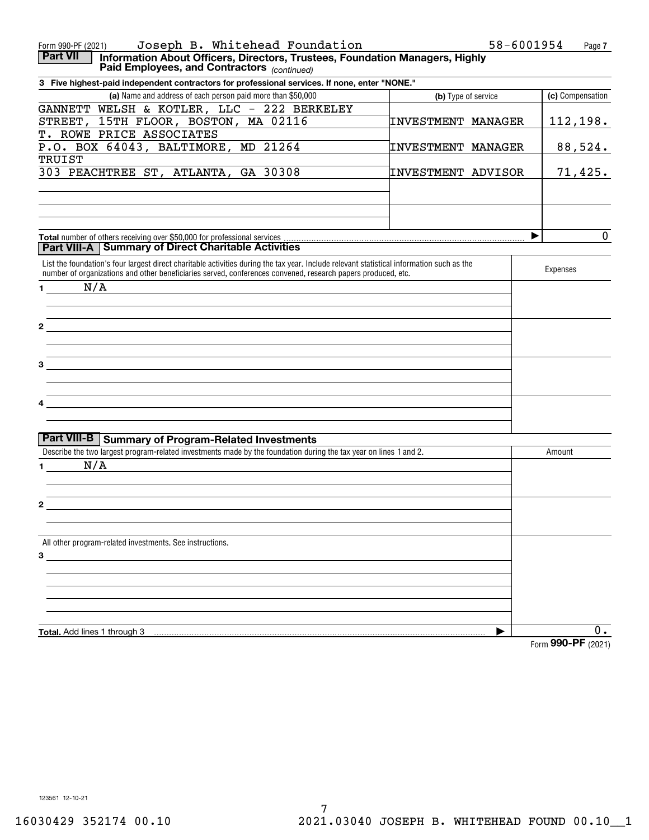| Joseph B. Whitehead Foundation<br>Form 990-PF (2021)                                                                                                                                                                               |                           | 58-6001954<br>Page 7 |
|------------------------------------------------------------------------------------------------------------------------------------------------------------------------------------------------------------------------------------|---------------------------|----------------------|
| <b>Part VII</b><br>Information About Officers, Directors, Trustees, Foundation Managers, Highly<br>Paid Employees, and Contractors (continued)                                                                                     |                           |                      |
| 3 Five highest-paid independent contractors for professional services. If none, enter "NONE."                                                                                                                                      |                           |                      |
| (a) Name and address of each person paid more than \$50,000                                                                                                                                                                        | (b) Type of service       | (c) Compensation     |
| GANNETT WELSH & KOTLER, LLC - 222 BERKELEY                                                                                                                                                                                         |                           |                      |
| STREET, 15TH FLOOR, BOSTON, MA 02116                                                                                                                                                                                               | <b>INVESTMENT MANAGER</b> | <u>112,198.</u>      |
| T. ROWE PRICE ASSOCIATES                                                                                                                                                                                                           |                           |                      |
| P.O. BOX 64043, BALTIMORE, MD 21264                                                                                                                                                                                                | <b>INVESTMENT MANAGER</b> | 88,524.              |
| <b>TRUIST</b>                                                                                                                                                                                                                      |                           |                      |
| 303 PEACHTREE ST, ATLANTA, GA 30308                                                                                                                                                                                                | <b>INVESTMENT ADVISOR</b> | 71,425.              |
|                                                                                                                                                                                                                                    |                           |                      |
|                                                                                                                                                                                                                                    |                           |                      |
|                                                                                                                                                                                                                                    |                           |                      |
|                                                                                                                                                                                                                                    |                           |                      |
| Total number of others receiving over \$50,000 for professional services                                                                                                                                                           |                           | 0<br>▶               |
| <b>Part VIII-A   Summary of Direct Charitable Activities</b>                                                                                                                                                                       |                           |                      |
| List the foundation's four largest direct charitable activities during the tax year. Include relevant statistical information such as the                                                                                          |                           |                      |
| number of organizations and other beneficiaries served, conferences convened, research papers produced, etc.                                                                                                                       |                           | Expenses             |
| N/A<br>$1 \qquad \qquad$                                                                                                                                                                                                           |                           |                      |
|                                                                                                                                                                                                                                    |                           |                      |
|                                                                                                                                                                                                                                    |                           |                      |
| 2                                                                                                                                                                                                                                  |                           |                      |
|                                                                                                                                                                                                                                    |                           |                      |
|                                                                                                                                                                                                                                    |                           |                      |
| З<br>the control of the control of the control of the control of the control of the control of the control of the control of the control of the control of the control of the control of the control of the control of the control |                           |                      |
|                                                                                                                                                                                                                                    |                           |                      |
|                                                                                                                                                                                                                                    |                           |                      |
|                                                                                                                                                                                                                                    |                           |                      |
|                                                                                                                                                                                                                                    |                           |                      |
|                                                                                                                                                                                                                                    |                           |                      |
| Part VIII-B   Summary of Program-Related Investments                                                                                                                                                                               |                           |                      |
| Describe the two largest program-related investments made by the foundation during the tax year on lines 1 and 2.                                                                                                                  |                           | Amount               |
| N/A<br>$\mathbf 1$                                                                                                                                                                                                                 |                           |                      |
|                                                                                                                                                                                                                                    |                           |                      |
|                                                                                                                                                                                                                                    |                           |                      |
| 2                                                                                                                                                                                                                                  |                           |                      |
|                                                                                                                                                                                                                                    |                           |                      |
|                                                                                                                                                                                                                                    |                           |                      |
| All other program-related investments. See instructions.                                                                                                                                                                           |                           |                      |
| 3                                                                                                                                                                                                                                  |                           |                      |
|                                                                                                                                                                                                                                    |                           |                      |
|                                                                                                                                                                                                                                    |                           |                      |
|                                                                                                                                                                                                                                    |                           |                      |
|                                                                                                                                                                                                                                    |                           |                      |
|                                                                                                                                                                                                                                    |                           |                      |
| Total. Add lines 1 through 3                                                                                                                                                                                                       |                           | 0.                   |
|                                                                                                                                                                                                                                    |                           | Form 990-PF (2021)   |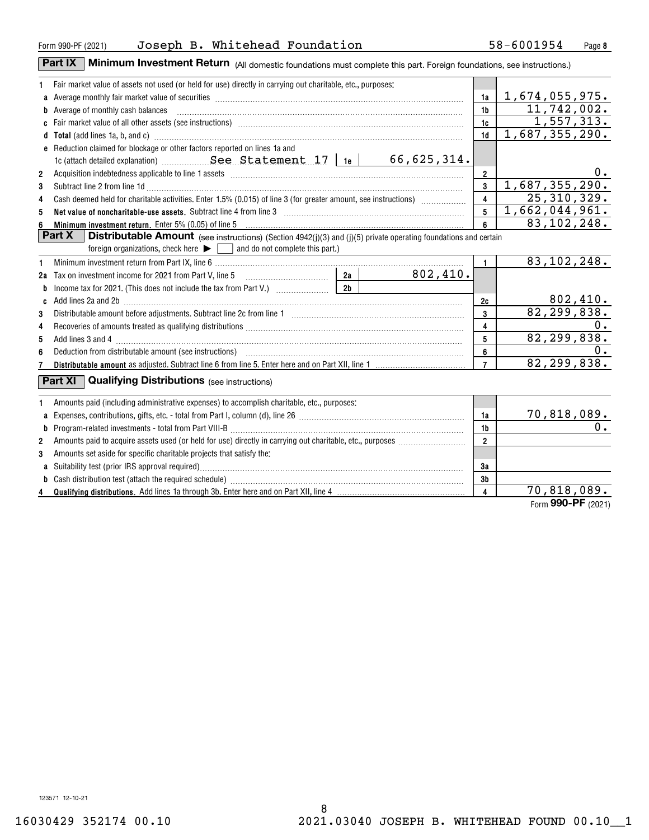**4**

**ab**

# Form 990-PF(2021)  $\,$  Joseph B. Whitehead Foundation  $\,$  58-6001954  $\,$  Page  $\,$

**1abcdTotal**  (add lines 1a, b, and c) ~~~~~~~~~~~~~~~~~~~~~~~~~~~~~~~~~~~~~~~~~**e1a1b1c1d234561e** 1c (attach detailed explanation) ~~~~~~~~~~~~~~~~~~~~~~ See Statement 17 **23455** Net value of noncharitable-use assets. Subtract line 4 from line 3  $\ldots$   $\ldots$   $\ldots$   $\ldots$   $\ldots$   $\ldots$   $\ldots$   $\ldots$   $\ldots$   $\ldots$   $\ldots$   $\ldots$   $\ldots$   $\ldots$ **66 Minimum investment return.** Enter 5% (0.05) of line 5 manual contains contained a contained a contained a conta **12a345612c34567bc2a2b**Income tax for 2021. (This does not include the tax from Part V.) **7 Distributable amount**  as adjusted. Subtract line 6 from line 5. Enter here and on Part XII, line 1 **123a**Expenses, contributions, gifts, etc. - total from Part I, column (d), line 26 ~~~~~~~~~~~~~~~~~~~~~~ **b1a1b2**Fair market value of assets not used (or held for use) directly in carrying out charitable, etc., purposes: Average monthly fair market value of securities ~~~~~~~~~~~~~~~~~~~~~~~~~~~~~~~~~ Average of monthly cash balances ~~~~~~~~~~~~~~~~~~~~~~~~~~~~~~~~~~~~~~ Fair market value of all other assets (see instructions) ~~~~~~~~~~~~~~~~~~~~~~~~~~~~~~Reduction claimed for blockage or other factors reported on lines 1a and Acquisition indebtedness applicable to line 1 assets ~~~~~~~~~~~~~~~~~~~~~~~~~~~~~~~ Subtract line 2 from line 1d ~~~~~~~~~~~~~~~~~~~~~~~~~~~~~~~~~~~~~~~~~~ Cash deemed held for charitable activities. Enter 1.5% (0.015) of line 3 (for greater amount, see instructions) **Part X Distributable Amount** (see instructions) (Section 4942(j)(3) and (j)(5) private operating foundations and certain foreign organizations, check here  $\blacktriangleright \ \blacksquare$  and do not complete this part.) Minimum investment return from Part IX, line 6 Tax on investment income for 2021 from Part V, line 5 ~~~~~~~~~~~ Add lines 2a and 2b ~~~~~~~~~~~~~~~~~~~~~~~~~~~~~~~~~~~~~~~~~~~~~Distributable amount before adjustments. Subtract line 2c from line 1 ~~~~~~~~~~~~~~~~~~~~~~~Recoveries of amounts treated as qualifying distributions ………………………………………………………………………… Add lines 3 and 4 ~~~~~~~~~~~~~~~~~~~~~~~~~~~~~~~~~~~~~~~~~~~~~~ Deduction from distributable amount (see instructions) ……………………………………………………………… Amounts paid (including administrative expenses) to accomplish charitable, etc., purposes: Program-related investments - total from Part VIII-B ~~~~~~~~~~~~~~~~~~~~~~~~~~~~~~~ Amounts paid to acquire assets used (or held for use) directly in carrying out charitable, etc., purposes www.www.ww. Amounts set aside for specific charitable projects that satisfy the: **Part XI** Qualifying Distributions (see instructions) 70,818,089. 66,625,314. 1,674,055,975. 11,742,002. 1,557,313. 1,687,355,290.  $0$  . 1,687,355,290. 25,310,329. 1,662,044,961. 83,102,248. 83,102,248. 802,410. 802,410. 82,299,838.  $\Omega$ . 82,299,838. 0. 82,299,838. 0.

**Part IX** | Minimum Investment Return (All domestic foundations must complete this part. Foreign foundations, see instructions.)

**Qualifying distributions.**  Add lines 1a through 3b. Enter here and on Part XII, line 4

Suitability test (prior IRS approval required)………………………………………………………………………………………… Cash distribution test (attach the required schedule) ~~~~~~~~~~~~~~~~~~~~~~~~~~~~~~~

70,818,089.

**3a3b4**

Form (2021) **990-PF**

8 16030429 352174 00.10 2021.03040 JOSEPH B. WHITEHEAD FOUND 00.10\_\_1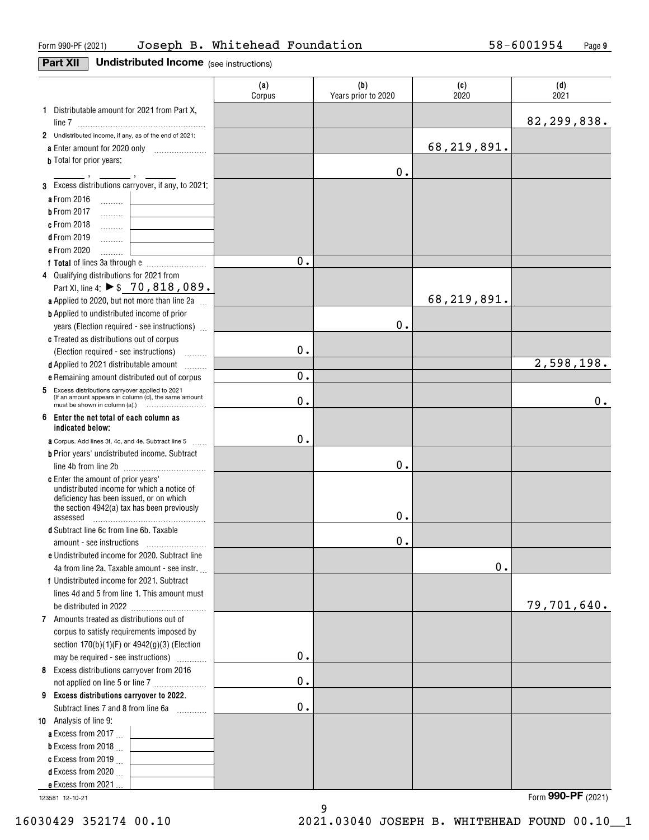# **Part XII Undistributed Income** (see instructions)

|                                                                                                                                                                                               | (a)<br>Corpus | (b)<br>Years prior to 2020 | (c)<br>2020 | (d)<br>2021 |
|-----------------------------------------------------------------------------------------------------------------------------------------------------------------------------------------------|---------------|----------------------------|-------------|-------------|
| 1 Distributable amount for 2021 from Part X,                                                                                                                                                  |               |                            |             |             |
|                                                                                                                                                                                               |               |                            |             | 82,299,838. |
| 2 Undistributed income, if any, as of the end of 2021:                                                                                                                                        |               |                            |             |             |
| a Enter amount for 2020 only                                                                                                                                                                  |               |                            | 68,219,891. |             |
| <b>b</b> Total for prior years:                                                                                                                                                               |               |                            |             |             |
|                                                                                                                                                                                               |               | 0.                         |             |             |
| 3 Excess distributions carryover, if any, to 2021:                                                                                                                                            |               |                            |             |             |
| a From 2016<br>1.1.1.1.1.1                                                                                                                                                                    |               |                            |             |             |
| <b>b</b> From 2017<br>.                                                                                                                                                                       |               |                            |             |             |
| <b>c</b> From 2018                                                                                                                                                                            |               |                            |             |             |
| $d$ From 2019<br>.                                                                                                                                                                            |               |                            |             |             |
| e From 2020<br>.                                                                                                                                                                              |               |                            |             |             |
|                                                                                                                                                                                               | 0.            |                            |             |             |
| 4 Qualifying distributions for 2021 from                                                                                                                                                      |               |                            |             |             |
| Part XI, line 4: ▶ \$ 70, 818, 089.                                                                                                                                                           |               |                            |             |             |
| a Applied to 2020, but not more than line 2a                                                                                                                                                  |               |                            | 68,219,891. |             |
| <b>b</b> Applied to undistributed income of prior                                                                                                                                             |               |                            |             |             |
| years (Election required - see instructions)                                                                                                                                                  |               | $0$ .                      |             |             |
| c Treated as distributions out of corpus                                                                                                                                                      |               |                            |             |             |
| (Election required - see instructions)                                                                                                                                                        | 0.            |                            |             |             |
| d Applied to 2021 distributable amount<br>.                                                                                                                                                   |               |                            |             | 2,598,198.  |
| e Remaining amount distributed out of corpus                                                                                                                                                  | 0.            |                            |             |             |
| 5 Excess distributions carryover applied to 2021<br>(If an amount appears in column (d), the same amount                                                                                      | 0.            |                            |             | 0.          |
| 6 Enter the net total of each column as<br>indicated below;                                                                                                                                   |               |                            |             |             |
|                                                                                                                                                                                               | 0.            |                            |             |             |
| a Corpus. Add lines 3f, 4c, and 4e. Subtract line 5                                                                                                                                           |               |                            |             |             |
| <b>b</b> Prior years' undistributed income. Subtract                                                                                                                                          |               | $0$ .                      |             |             |
| <b>c</b> Enter the amount of prior years'<br>undistributed income for which a notice of<br>deficiency has been issued, or on which<br>the section 4942(a) tax has been previously<br>assessed |               | 0.                         |             |             |
| d Subtract line 6c from line 6b. Taxable                                                                                                                                                      |               |                            |             |             |
|                                                                                                                                                                                               |               | 0.                         |             |             |
| e Undistributed income for 2020. Subtract line                                                                                                                                                |               |                            |             |             |
| 4a from line 2a. Taxable amount - see instr.                                                                                                                                                  |               |                            | 0.          |             |
| f Undistributed income for 2021. Subtract                                                                                                                                                     |               |                            |             |             |
| lines 4d and 5 from line 1. This amount must                                                                                                                                                  |               |                            |             |             |
|                                                                                                                                                                                               |               |                            |             | 79,701,640. |
| 7 Amounts treated as distributions out of                                                                                                                                                     |               |                            |             |             |
| corpus to satisfy requirements imposed by                                                                                                                                                     |               |                            |             |             |
| section $170(b)(1)(F)$ or $4942(g)(3)$ (Election                                                                                                                                              |               |                            |             |             |
| may be required - see instructions)                                                                                                                                                           | 0.            |                            |             |             |
| 8 Excess distributions carryover from 2016                                                                                                                                                    |               |                            |             |             |
| not applied on line 5 or line 7                                                                                                                                                               | $\mathbf 0$ . |                            |             |             |
| 9 Excess distributions carryover to 2022.                                                                                                                                                     |               |                            |             |             |
| Subtract lines 7 and 8 from line 6a                                                                                                                                                           | $0$ .         |                            |             |             |
| 10 Analysis of line 9:                                                                                                                                                                        |               |                            |             |             |
| a Excess from 2017 $\ldots$                                                                                                                                                                   |               |                            |             |             |
| <b>b</b> Excess from 2018 $\ldots$                                                                                                                                                            |               |                            |             |             |
| c Excess from 2019 $\ldots$                                                                                                                                                                   |               |                            |             |             |
| <b>d</b> Excess from 2020 $\ldots$                                                                                                                                                            |               |                            |             |             |
| e Excess from 2021                                                                                                                                                                            |               |                            |             |             |

9

123581 12-10-21

Form (2021) **990-PF**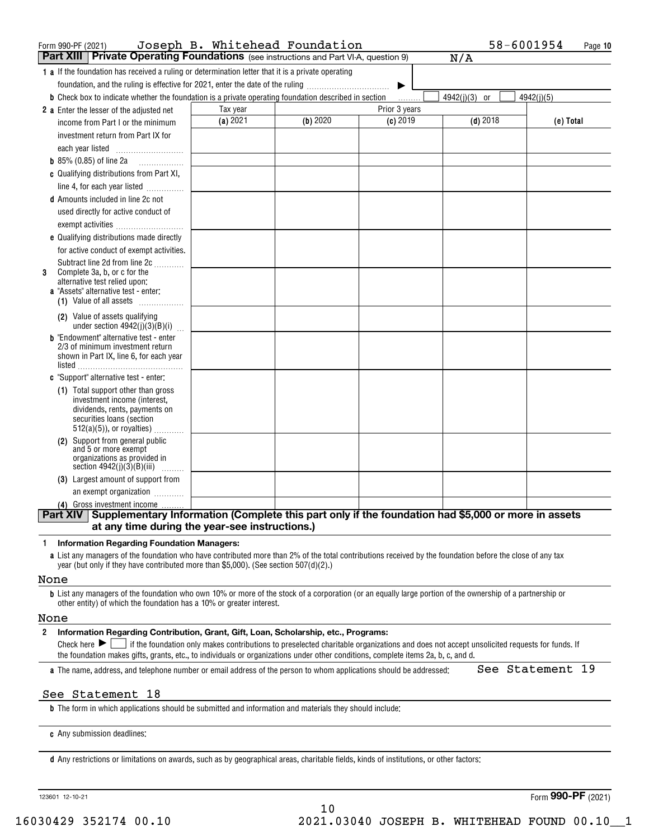| Form 990-PF (2021)                                                                                                                                        |          | Joseph B. Whitehead Foundation |               | 58-6001954    | Page 10    |
|-----------------------------------------------------------------------------------------------------------------------------------------------------------|----------|--------------------------------|---------------|---------------|------------|
| <b>Part XIII Private Operating Foundations</b> (see instructions and Part VI-A, question 9)                                                               |          |                                |               | N/A           |            |
| <b>1 a</b> If the foundation has received a ruling or determination letter that it is a private operating                                                 |          |                                |               |               |            |
| foundation, and the ruling is effective for 2021, enter the date of the ruling                                                                            |          |                                | ▶             |               |            |
| <b>b</b> Check box to indicate whether the foundation is a private operating foundation described in section                                              |          |                                | .             | 4942(j)(3) or | 4942(i)(5) |
| 2 a Enter the lesser of the adjusted net                                                                                                                  | Tax year |                                | Prior 3 years |               |            |
| income from Part I or the minimum                                                                                                                         | (a) 2021 | (b) 2020                       | $(c)$ 2019    | $(d)$ 2018    | (e) Total  |
| investment return from Part IX for                                                                                                                        |          |                                |               |               |            |
| each year listed                                                                                                                                          |          |                                |               |               |            |
| <b>b</b> $85\%$ (0.85) of line 2a                                                                                                                         |          |                                |               |               |            |
| c Qualifying distributions from Part XI,                                                                                                                  |          |                                |               |               |            |
| line 4, for each year listed                                                                                                                              |          |                                |               |               |            |
| <b>d</b> Amounts included in line 2c not                                                                                                                  |          |                                |               |               |            |
| used directly for active conduct of                                                                                                                       |          |                                |               |               |            |
| exempt activities                                                                                                                                         |          |                                |               |               |            |
| e Qualifying distributions made directly                                                                                                                  |          |                                |               |               |            |
| for active conduct of exempt activities.                                                                                                                  |          |                                |               |               |            |
| Subtract line 2d from line 2c                                                                                                                             |          |                                |               |               |            |
| Complete 3a, b, or c for the<br>3                                                                                                                         |          |                                |               |               |            |
| alternative test relied upon:<br>a "Assets" alternative test - enter:                                                                                     |          |                                |               |               |            |
| (1) Value of all assets                                                                                                                                   |          |                                |               |               |            |
| (2) Value of assets qualifying<br>under section $4942(j)(3)(B)(i)$                                                                                        |          |                                |               |               |            |
| <b>b</b> "Endowment" alternative test - enter                                                                                                             |          |                                |               |               |            |
| 2/3 of minimum investment return<br>shown in Part IX, line 6, for each year                                                                               |          |                                |               |               |            |
|                                                                                                                                                           |          |                                |               |               |            |
| c "Support" alternative test - enter:                                                                                                                     |          |                                |               |               |            |
| (1) Total support other than gross                                                                                                                        |          |                                |               |               |            |
| investment income (interest,                                                                                                                              |          |                                |               |               |            |
| dividends, rents, payments on<br>securities loans (section                                                                                                |          |                                |               |               |            |
| $512(a)(5)$ , or royalties)                                                                                                                               |          |                                |               |               |            |
| (2) Support from general public                                                                                                                           |          |                                |               |               |            |
| and 5 or more exempt<br>organizations as provided in                                                                                                      |          |                                |               |               |            |
| section $4942(j)(3)(B)(iii)$                                                                                                                              |          |                                |               |               |            |
| (3) Largest amount of support from                                                                                                                        |          |                                |               |               |            |
| an exempt organization                                                                                                                                    |          |                                |               |               |            |
| (4) Gross investment income                                                                                                                               |          |                                |               |               |            |
| Part XIV Supplementary Information (Complete this part only if the foundation had \$5,000 or more in assets                                               |          |                                |               |               |            |
| at any time during the year-see instructions.)                                                                                                            |          |                                |               |               |            |
| <b>Information Regarding Foundation Managers:</b><br>$\mathbf{1}$                                                                                         |          |                                |               |               |            |
| a List any managers of the foundation who have contributed more than 2% of the total contributions received by the foundation before the close of any tax |          |                                |               |               |            |
| year (but only if they have contributed more than \$5,000). (See section $507(d)(2)$ .)                                                                   |          |                                |               |               |            |

### None

**b**List any managers of the foundation who own 10% or more of the stock of a corporation (or an equally large portion of the ownership of a partnership or other entity) of which the foundation has a 10% or greater interest.

### None

### **2Information Regarding Contribution, Grant, Gift, Loan, Scholarship, etc., Programs:**

Check here  $\blacktriangleright\Box$  if the foundation only makes contributions to preselected charitable organizations and does not accept unsolicited requests for funds. If the foundation makes gifts, grants, etc., to individuals or organizations under other conditions, complete items 2a, b, c, and d.

**a**The name, address, and telephone number or email address of the person to whom applications should be addressed:

See Statement 19

## See Statement 18

**b**The form in which applications should be submitted and information and materials they should include:

**c**Any submission deadlines:

**d** Any restrictions or limitations on awards, such as by geographical areas, charitable fields, kinds of institutions, or other factors:

123601 12-10-21

Form (2021) **990-PF**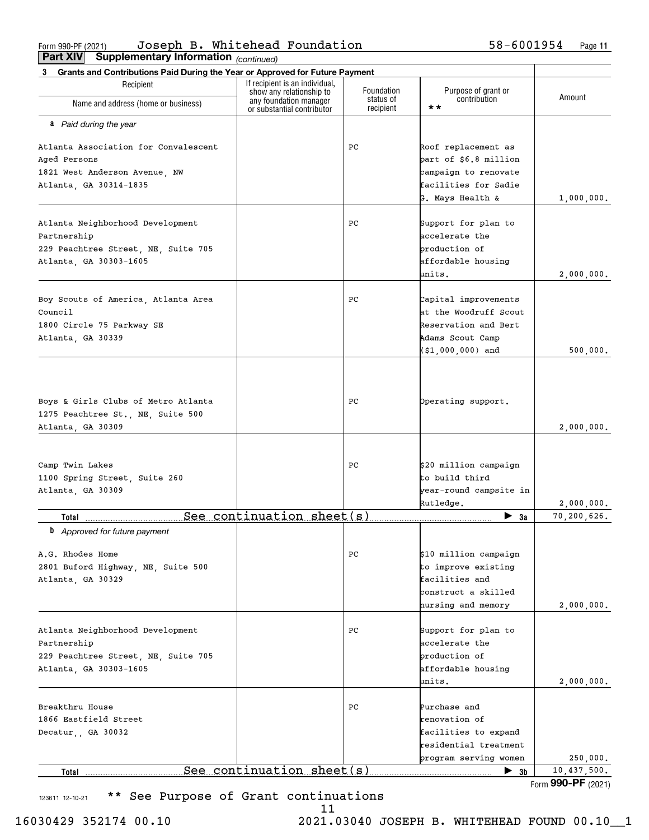$_{\rm Form}$ 990-PF(2021) Joseph B. Whitehead Foundation  $58-6001954$  Page **Part XIV Supplementary Information** Joseph B. Whitehead Foundation 58-6001954

| Part VIV<br>Supplementary information (continued)                                                                |                                                                                  |                                      |                                                                                                             |                           |
|------------------------------------------------------------------------------------------------------------------|----------------------------------------------------------------------------------|--------------------------------------|-------------------------------------------------------------------------------------------------------------|---------------------------|
| Grants and Contributions Paid During the Year or Approved for Future Payment<br>3                                | If recipient is an individual,                                                   |                                      |                                                                                                             |                           |
| Recipient<br>Name and address (home or business)                                                                 | show any relationship to<br>any foundation manager<br>or substantial contributor | Foundation<br>status of<br>recipient | Purpose of grant or<br>contribution<br>$\star\star$                                                         | Amount                    |
| a Paid during the year                                                                                           |                                                                                  |                                      |                                                                                                             |                           |
| Atlanta Association for Convalescent<br>Aged Persons                                                             |                                                                                  | PC.                                  | Roof replacement as<br>part of \$6.8 million                                                                |                           |
| 1821 West Anderson Avenue, NW<br>Atlanta, GA 30314-1835                                                          |                                                                                  |                                      | campaign to renovate<br>facilities for Sadie                                                                |                           |
|                                                                                                                  |                                                                                  |                                      | G. Mays Health &                                                                                            | 1,000,000.                |
| Atlanta Neighborhood Development<br>Partnership<br>229 Peachtree Street, NE, Suite 705                           |                                                                                  | PC                                   | Support for plan to<br>accelerate the<br>production of                                                      |                           |
| Atlanta, GA 30303-1605                                                                                           |                                                                                  |                                      | affordable housing<br>units.                                                                                | 2,000,000.                |
| Boy Scouts of America, Atlanta Area<br>Council<br>1800 Circle 75 Parkway SE                                      |                                                                                  | PС                                   | Capital improvements<br>at the Woodruff Scout<br>Reservation and Bert                                       |                           |
| Atlanta, GA 30339                                                                                                |                                                                                  |                                      | Adams Scout Camp<br>(\$1,000,000) and                                                                       | 500,000.                  |
| Boys & Girls Clubs of Metro Atlanta<br>1275 Peachtree St., NE, Suite 500<br>Atlanta, GA 30309                    |                                                                                  | PC.                                  | Operating support.                                                                                          | 2,000,000.                |
|                                                                                                                  |                                                                                  |                                      |                                                                                                             |                           |
| Camp Twin Lakes<br>1100 Spring Street, Suite 260<br>Atlanta, GA 30309                                            |                                                                                  | РC                                   | \$20 million campaign<br>to build third<br>year-round campsite in                                           |                           |
|                                                                                                                  | See continuation sheet(s)                                                        |                                      | Rutledge.                                                                                                   | 2,000,000.<br>70,200,626. |
| Total<br><b>b</b> Approved for future payment                                                                    |                                                                                  |                                      | $\blacktriangleright$ 3a                                                                                    |                           |
| A.G. Rhodes Home<br>2801 Buford Highway, NE, Suite 500<br>Atlanta, GA 30329                                      |                                                                                  | РC                                   | \$10 million campaign<br>to improve existing<br>facilities and<br>construct a skilled<br>nursing and memory | 2,000,000.                |
| Atlanta Neighborhood Development<br>Partnership<br>229 Peachtree Street, NE, Suite 705<br>Atlanta, GA 30303-1605 |                                                                                  | PС                                   | Support for plan to<br>accelerate the<br>production of<br>affordable housing<br>units.                      | 2,000,000.                |
| Breakthru House<br>1866 Eastfield Street<br>Decatur,, GA 30032                                                   |                                                                                  | PС                                   | Purchase and<br>renovation of<br>facilities to expand<br>residential treatment<br>program serving women     | 250,000.                  |
| Total                                                                                                            | See continuation sheet (s)                                                       |                                      | $\blacktriangleright$ 3b                                                                                    | 10,437,500.               |
|                                                                                                                  |                                                                                  |                                      |                                                                                                             | Form 990-PF (2021)        |

123611 12-10-21 \*\* See Purpose of Grant continuations

Form **990-PF** (2021)

16030429 352174 00.10 2021.03040 JOSEPH B. WHITEHEAD FOUND 00.10\_\_1

11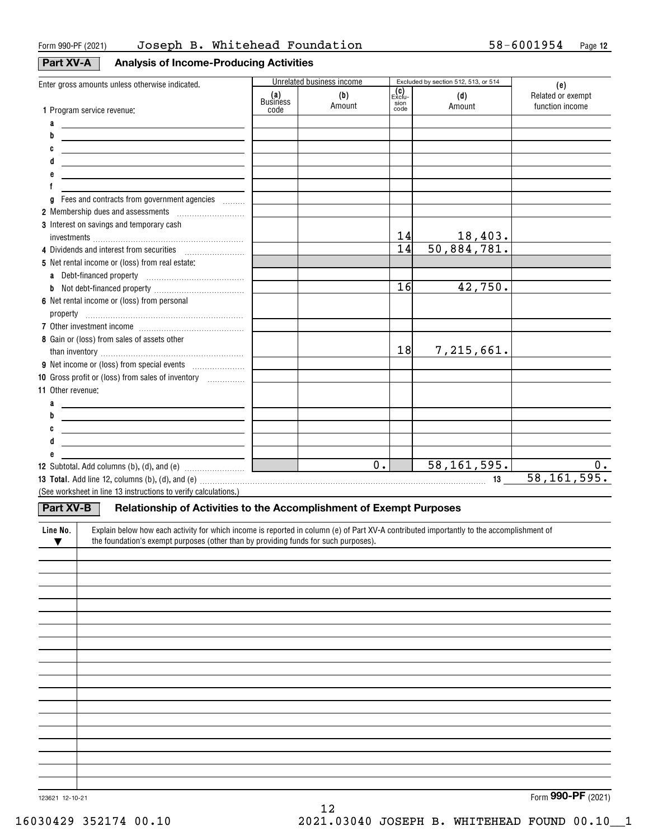# **Part XV-A Analysis of Income-Producing Activities**

| Enter gross amounts unless otherwise indicated.                                                                                                                                                                                |                 | Unrelated business income |                      | Excluded by section 512, 513, or 514 | (e)               |
|--------------------------------------------------------------------------------------------------------------------------------------------------------------------------------------------------------------------------------|-----------------|---------------------------|----------------------|--------------------------------------|-------------------|
|                                                                                                                                                                                                                                | (a)<br>Business | (b)                       | <b>(C)</b><br>Exclu- | (d)                                  | Related or exempt |
| 1 Program service revenue:                                                                                                                                                                                                     | code            | Amount                    | sion<br>code         | Amount                               | function income   |
|                                                                                                                                                                                                                                |                 |                           |                      |                                      |                   |
| a<br><u> 1980 - John Stein, marking and de Britain and de Britain and de Britain and de Britain and de Britain and de</u><br>b                                                                                                 |                 |                           |                      |                                      |                   |
| <u> 1989 - Johann Barn, mars ann an t-Amhain ann an t-Amhain ann an t-Amhain ann an t-Amhain ann an t-Amhain ann </u>                                                                                                          |                 |                           |                      |                                      |                   |
| C<br><u> 1989 - Johann Barn, amerikansk politiker (d. 1989)</u>                                                                                                                                                                |                 |                           |                      |                                      |                   |
| <u> 1989 - Johann Stoff, deutscher Stoffen und der Stoffen und der Stoffen und der Stoffen und der Stoffen und der</u>                                                                                                         |                 |                           |                      |                                      |                   |
| <u> 1989 - Johann Barn, mars and de Brasilian (b. 1989)</u>                                                                                                                                                                    |                 |                           |                      |                                      |                   |
| f                                                                                                                                                                                                                              |                 |                           |                      |                                      |                   |
| g Fees and contracts from government agencies                                                                                                                                                                                  |                 |                           |                      |                                      |                   |
|                                                                                                                                                                                                                                |                 |                           |                      |                                      |                   |
| 3 Interest on savings and temporary cash                                                                                                                                                                                       |                 |                           |                      |                                      |                   |
|                                                                                                                                                                                                                                |                 |                           | 14                   | $\frac{18,403.}{50,884,781.}$        |                   |
| 4 Dividends and interest from securities                                                                                                                                                                                       |                 |                           | $\overline{14}$      |                                      |                   |
| 5 Net rental income or (loss) from real estate:                                                                                                                                                                                |                 |                           |                      |                                      |                   |
|                                                                                                                                                                                                                                |                 |                           |                      |                                      |                   |
|                                                                                                                                                                                                                                |                 |                           | 16                   | 42,750.                              |                   |
| 6 Net rental income or (loss) from personal                                                                                                                                                                                    |                 |                           |                      |                                      |                   |
|                                                                                                                                                                                                                                |                 |                           |                      |                                      |                   |
|                                                                                                                                                                                                                                |                 |                           |                      |                                      |                   |
| 8 Gain or (loss) from sales of assets other                                                                                                                                                                                    |                 |                           |                      |                                      |                   |
|                                                                                                                                                                                                                                |                 |                           | 18                   | 7,215,661.                           |                   |
|                                                                                                                                                                                                                                |                 |                           |                      |                                      |                   |
| 10 Gross profit or (loss) from sales of inventory <i></i>                                                                                                                                                                      |                 |                           |                      |                                      |                   |
| 11 Other revenue:                                                                                                                                                                                                              |                 |                           |                      |                                      |                   |
|                                                                                                                                                                                                                                |                 |                           |                      |                                      |                   |
| a<br><u> 1989 - Johann Barn, fransk politik amerikansk politik (</u>                                                                                                                                                           |                 |                           |                      |                                      |                   |
| b<br><u> 1989 - Johann Barn, mars and de Brasilian (b. 1989)</u>                                                                                                                                                               |                 |                           |                      |                                      |                   |
| <u> 1989 - Johann John Stein, mars and de British and de British and de British and de British and de British an</u>                                                                                                           |                 |                           |                      |                                      |                   |
| <u> 1989 - Johann Barn, mars and de Brasilian (b. 1989)</u>                                                                                                                                                                    |                 |                           |                      |                                      |                   |
|                                                                                                                                                                                                                                |                 |                           |                      |                                      |                   |
|                                                                                                                                                                                                                                |                 | $\overline{0.}$           |                      | 58, 161, 595.                        | 0.                |
| 13 Total. Add line 12, columns (b), (d), and (e) with an accordingle contained and according to the contained and the control of the control of the control of the control of the control of the control of the control of the |                 |                           |                      | 13                                   | 58, 161, 595.     |
| (See worksheet in line 13 instructions to verify calculations.)                                                                                                                                                                |                 |                           |                      |                                      |                   |
| Part XV-B<br>Relationship of Activities to the Accomplishment of Exempt Purposes                                                                                                                                               |                 |                           |                      |                                      |                   |
|                                                                                                                                                                                                                                |                 |                           |                      |                                      |                   |
| Explain below how each activity for which income is reported in column (e) of Part XV-A contributed importantly to the accomplishment of<br>Line No.                                                                           |                 |                           |                      |                                      |                   |
| the foundation's exempt purposes (other than by providing funds for such purposes).<br>$\blacktriangledown$                                                                                                                    |                 |                           |                      |                                      |                   |
|                                                                                                                                                                                                                                |                 |                           |                      |                                      |                   |
|                                                                                                                                                                                                                                |                 |                           |                      |                                      |                   |
|                                                                                                                                                                                                                                |                 |                           |                      |                                      |                   |
|                                                                                                                                                                                                                                |                 |                           |                      |                                      |                   |
|                                                                                                                                                                                                                                |                 |                           |                      |                                      |                   |
|                                                                                                                                                                                                                                |                 |                           |                      |                                      |                   |
|                                                                                                                                                                                                                                |                 |                           |                      |                                      |                   |
|                                                                                                                                                                                                                                |                 |                           |                      |                                      |                   |
|                                                                                                                                                                                                                                |                 |                           |                      |                                      |                   |
|                                                                                                                                                                                                                                |                 |                           |                      |                                      |                   |
|                                                                                                                                                                                                                                |                 |                           |                      |                                      |                   |
|                                                                                                                                                                                                                                |                 |                           |                      |                                      |                   |
|                                                                                                                                                                                                                                |                 |                           |                      |                                      |                   |
|                                                                                                                                                                                                                                |                 |                           |                      |                                      |                   |
|                                                                                                                                                                                                                                |                 |                           |                      |                                      |                   |
|                                                                                                                                                                                                                                |                 |                           |                      |                                      |                   |
|                                                                                                                                                                                                                                |                 |                           |                      |                                      |                   |

Form (2021) **990-PF**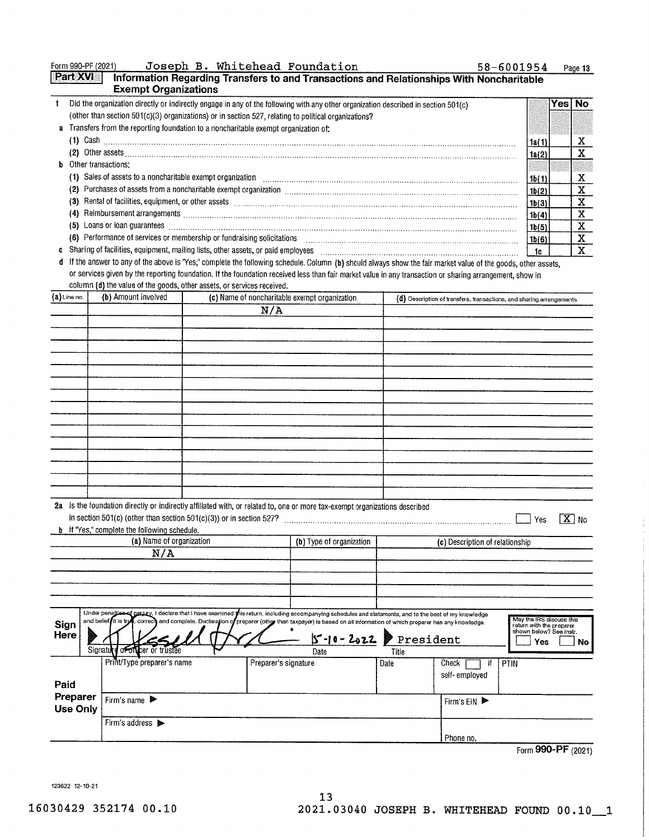| Form 990-PF (2021) |                                                                                                                                                                                                                                                                                                                                                                                    |  | Joseph B. Whitehead Foundation                                                                                                                                                                                                                                                                                         |                                                                                                                                                                                                                                     | 58-6001954               | Page 13          |
|--------------------|------------------------------------------------------------------------------------------------------------------------------------------------------------------------------------------------------------------------------------------------------------------------------------------------------------------------------------------------------------------------------------|--|------------------------------------------------------------------------------------------------------------------------------------------------------------------------------------------------------------------------------------------------------------------------------------------------------------------------|-------------------------------------------------------------------------------------------------------------------------------------------------------------------------------------------------------------------------------------|--------------------------|------------------|
| <b>Part XVI</b>    | <b>Exempt Organizations</b>                                                                                                                                                                                                                                                                                                                                                        |  |                                                                                                                                                                                                                                                                                                                        | Information Regarding Transfers to and Transactions and Relationships With Noncharitable                                                                                                                                            |                          |                  |
| 1.                 |                                                                                                                                                                                                                                                                                                                                                                                    |  | Did the organization directly or indirectly engage in any of the following with any other organization described in section 501(c)                                                                                                                                                                                     |                                                                                                                                                                                                                                     |                          | Yes∣ No          |
|                    |                                                                                                                                                                                                                                                                                                                                                                                    |  | (other than section 501(c)(3) organizations) or in section 527, relating to political organizations?                                                                                                                                                                                                                   |                                                                                                                                                                                                                                     |                          |                  |
|                    | a Transfers from the reporting foundation to a noncharitable exempt organization of:                                                                                                                                                                                                                                                                                               |  |                                                                                                                                                                                                                                                                                                                        |                                                                                                                                                                                                                                     |                          |                  |
|                    |                                                                                                                                                                                                                                                                                                                                                                                    |  |                                                                                                                                                                                                                                                                                                                        |                                                                                                                                                                                                                                     | 1a(1)                    | X                |
|                    |                                                                                                                                                                                                                                                                                                                                                                                    |  |                                                                                                                                                                                                                                                                                                                        | (2) Other assets <b>Commission Commission Commission Commission Commission Commission Commission</b>                                                                                                                                | 1a(2)                    | X                |
|                    | <b>b</b> Other transactions:                                                                                                                                                                                                                                                                                                                                                       |  |                                                                                                                                                                                                                                                                                                                        |                                                                                                                                                                                                                                     | 1b(1)                    | X                |
|                    | (1) Sales of assets to a noncharitable exempt organization with contained and contained account of assets to a noncharitable exempt organization<br>(2) Purchases of assets from a noncharitable exempt organization [11] manufacture contraction contraction contraction contraction of the state of the state of the state of the state of the state of the state of the state o |  |                                                                                                                                                                                                                                                                                                                        |                                                                                                                                                                                                                                     |                          |                  |
|                    |                                                                                                                                                                                                                                                                                                                                                                                    |  |                                                                                                                                                                                                                                                                                                                        | (3) Rental of facilities, equipment, or other assets with an intervention of the continuum continuum continuum contracts and contact the contract of the contract of the contract of the contract of the contract of the contr      | 1b(2)                    | X<br>$\mathbf X$ |
|                    |                                                                                                                                                                                                                                                                                                                                                                                    |  |                                                                                                                                                                                                                                                                                                                        | (4) Reimbursement arrangements <b>Constitution and Constitution Constitution</b> Constitution Constitution Constitution Constitution Constitution Constitution Constitution Constitution Constitution Constitution Constitution Con | 1b(3)<br>1b(4)           | X                |
|                    |                                                                                                                                                                                                                                                                                                                                                                                    |  |                                                                                                                                                                                                                                                                                                                        | (5) Loans or loan guarantees (11) contains a construction of the container contains and container and container and contains a container and container and contains a containing of the contains and contains a containing of       | 1b(5)                    | X                |
|                    | (6) Performance of services or membership or fundraising solicitations                                                                                                                                                                                                                                                                                                             |  |                                                                                                                                                                                                                                                                                                                        |                                                                                                                                                                                                                                     | 1b(6)                    | X                |
| c                  | Sharing of facilities, equipment, mailing lists, other assets, or paid employees                                                                                                                                                                                                                                                                                                   |  |                                                                                                                                                                                                                                                                                                                        | $\ddotsc$ . The contract contract of the contract of the contract of the contract of the contract of the contract of $\ddotsc$                                                                                                      | - 1c                     | $\mathbf{x}$     |
|                    |                                                                                                                                                                                                                                                                                                                                                                                    |  |                                                                                                                                                                                                                                                                                                                        | d If the answer to any of the above is "Yes," complete the following schedule. Column (b) should always show the fair market value of the goods, other assets,                                                                      |                          |                  |
|                    | column (d) the value of the goods, other assets, or services received.                                                                                                                                                                                                                                                                                                             |  |                                                                                                                                                                                                                                                                                                                        | or services given by the reporting foundation. If the foundation received less than fair market value in any transaction or sharing arrangement, show in                                                                            |                          |                  |
| (a) Line no.       | (b) Amount involved                                                                                                                                                                                                                                                                                                                                                                |  | (c) Name of noncharitable exempt organization                                                                                                                                                                                                                                                                          | (d) Description of transfers, transactions, and sharing arrangements                                                                                                                                                                |                          |                  |
|                    |                                                                                                                                                                                                                                                                                                                                                                                    |  | N/A                                                                                                                                                                                                                                                                                                                    |                                                                                                                                                                                                                                     |                          |                  |
|                    |                                                                                                                                                                                                                                                                                                                                                                                    |  |                                                                                                                                                                                                                                                                                                                        |                                                                                                                                                                                                                                     |                          |                  |
|                    |                                                                                                                                                                                                                                                                                                                                                                                    |  |                                                                                                                                                                                                                                                                                                                        |                                                                                                                                                                                                                                     |                          |                  |
|                    |                                                                                                                                                                                                                                                                                                                                                                                    |  |                                                                                                                                                                                                                                                                                                                        |                                                                                                                                                                                                                                     |                          |                  |
|                    |                                                                                                                                                                                                                                                                                                                                                                                    |  |                                                                                                                                                                                                                                                                                                                        |                                                                                                                                                                                                                                     |                          |                  |
|                    |                                                                                                                                                                                                                                                                                                                                                                                    |  |                                                                                                                                                                                                                                                                                                                        |                                                                                                                                                                                                                                     |                          |                  |
|                    |                                                                                                                                                                                                                                                                                                                                                                                    |  |                                                                                                                                                                                                                                                                                                                        |                                                                                                                                                                                                                                     |                          |                  |
|                    |                                                                                                                                                                                                                                                                                                                                                                                    |  |                                                                                                                                                                                                                                                                                                                        |                                                                                                                                                                                                                                     |                          |                  |
|                    |                                                                                                                                                                                                                                                                                                                                                                                    |  |                                                                                                                                                                                                                                                                                                                        |                                                                                                                                                                                                                                     |                          |                  |
|                    |                                                                                                                                                                                                                                                                                                                                                                                    |  |                                                                                                                                                                                                                                                                                                                        |                                                                                                                                                                                                                                     |                          |                  |
|                    |                                                                                                                                                                                                                                                                                                                                                                                    |  |                                                                                                                                                                                                                                                                                                                        |                                                                                                                                                                                                                                     |                          |                  |
|                    |                                                                                                                                                                                                                                                                                                                                                                                    |  |                                                                                                                                                                                                                                                                                                                        |                                                                                                                                                                                                                                     |                          |                  |
|                    |                                                                                                                                                                                                                                                                                                                                                                                    |  |                                                                                                                                                                                                                                                                                                                        |                                                                                                                                                                                                                                     |                          |                  |
|                    |                                                                                                                                                                                                                                                                                                                                                                                    |  |                                                                                                                                                                                                                                                                                                                        |                                                                                                                                                                                                                                     |                          |                  |
|                    |                                                                                                                                                                                                                                                                                                                                                                                    |  |                                                                                                                                                                                                                                                                                                                        |                                                                                                                                                                                                                                     |                          |                  |
|                    |                                                                                                                                                                                                                                                                                                                                                                                    |  |                                                                                                                                                                                                                                                                                                                        |                                                                                                                                                                                                                                     |                          |                  |
|                    |                                                                                                                                                                                                                                                                                                                                                                                    |  | 2a Is the foundation directly or indirectly affiliated with, or related to, one or more tax-exempt organizations described                                                                                                                                                                                             |                                                                                                                                                                                                                                     |                          |                  |
|                    |                                                                                                                                                                                                                                                                                                                                                                                    |  |                                                                                                                                                                                                                                                                                                                        | in section 501(c) (other than section 501(c)(3)) or in section 527?                                                                                                                                                                 | Yes                      | $X$ No           |
|                    | <b>b</b> If "Yes," complete the following schedule.                                                                                                                                                                                                                                                                                                                                |  |                                                                                                                                                                                                                                                                                                                        |                                                                                                                                                                                                                                     |                          |                  |
|                    | (a) Name of organization                                                                                                                                                                                                                                                                                                                                                           |  | (b) Type of organization                                                                                                                                                                                                                                                                                               | (c) Description of relationship                                                                                                                                                                                                     |                          |                  |
|                    | N/A                                                                                                                                                                                                                                                                                                                                                                                |  |                                                                                                                                                                                                                                                                                                                        |                                                                                                                                                                                                                                     |                          |                  |
|                    |                                                                                                                                                                                                                                                                                                                                                                                    |  |                                                                                                                                                                                                                                                                                                                        |                                                                                                                                                                                                                                     |                          |                  |
|                    |                                                                                                                                                                                                                                                                                                                                                                                    |  |                                                                                                                                                                                                                                                                                                                        |                                                                                                                                                                                                                                     |                          |                  |
|                    |                                                                                                                                                                                                                                                                                                                                                                                    |  |                                                                                                                                                                                                                                                                                                                        |                                                                                                                                                                                                                                     |                          |                  |
|                    |                                                                                                                                                                                                                                                                                                                                                                                    |  |                                                                                                                                                                                                                                                                                                                        |                                                                                                                                                                                                                                     |                          |                  |
|                    |                                                                                                                                                                                                                                                                                                                                                                                    |  | Under penaltice of periury, I declare that I have examined this return, including accompanying schedules and statements, and to the best of my knowledge<br>and belief it is true, correct and complete. Declaration of preparer (other than taxpayer) is based on all information of which preparer has any knowledne |                                                                                                                                                                                                                                     | May the IRS discuss this |                  |

| Sign<br>Here         | Critical periappears periuty, I declare that I have examined gris return, including accompanying schedules and statements, and to the best of my knowledge<br>and belief it is true, correct and complete. Declaration of preparer (other than taxpayer) is based on all information of which preparer has any knowledge.<br>Signature of on cer or trustee | $5 - 10 - 2022$<br>Date | Title | President               | May the IRS discuss this<br>return with the preparer<br>shown below? See instr.<br>Yes<br>No |
|----------------------|-------------------------------------------------------------------------------------------------------------------------------------------------------------------------------------------------------------------------------------------------------------------------------------------------------------------------------------------------------------|-------------------------|-------|-------------------------|----------------------------------------------------------------------------------------------|
| Paid                 | Print/Type preparer's name                                                                                                                                                                                                                                                                                                                                  | Preparer's signature    | Date  | Check<br>self- employed | <b>PTIN</b>                                                                                  |
| Preparer<br>Use Only | Firm's name $\blacktriangleright$                                                                                                                                                                                                                                                                                                                           |                         |       | Firm's $EN$             |                                                                                              |
|                      | Firm's address >                                                                                                                                                                                                                                                                                                                                            |                         |       | Phone no.               |                                                                                              |

Form 990-PF (2021)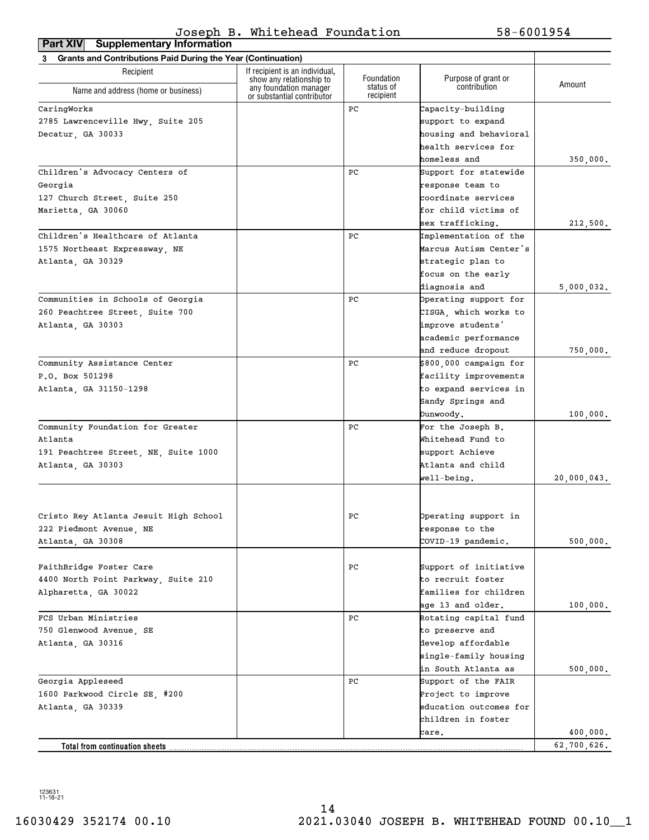**Part XIV Supplementary Information**

| <b>Grants and Contributions Paid During the Year (Continuation)</b><br>3 |                                                                                  |                                      |                                     |             |  |
|--------------------------------------------------------------------------|----------------------------------------------------------------------------------|--------------------------------------|-------------------------------------|-------------|--|
| Recipient                                                                | If recipient is an individual.                                                   |                                      |                                     |             |  |
| Name and address (home or business)                                      | show any relationship to<br>any foundation manager<br>or substantial contributor | Foundation<br>status of<br>recipient | Purpose of grant or<br>contribution | Amount      |  |
| CaringWorks                                                              |                                                                                  | PC                                   | Capacity-building                   |             |  |
| 2785 Lawrenceville Hwy, Suite 205                                        |                                                                                  |                                      | support to expand                   |             |  |
| Decatur, GA 30033                                                        |                                                                                  |                                      | housing and behavioral              |             |  |
|                                                                          |                                                                                  |                                      | health services for                 |             |  |
|                                                                          |                                                                                  |                                      | homeless and                        | 350,000.    |  |
| Children's Advocacy Centers of                                           |                                                                                  | PC                                   | Support for statewide               |             |  |
| Georgia                                                                  |                                                                                  |                                      | response team to                    |             |  |
| 127 Church Street, Suite 250                                             |                                                                                  |                                      | coordinate services                 |             |  |
| Marietta, GA 30060                                                       |                                                                                  |                                      | for child victims of                |             |  |
|                                                                          |                                                                                  |                                      | sex trafficking.                    | 212,500.    |  |
| Children's Healthcare of Atlanta                                         |                                                                                  | PC                                   | Implementation of the               |             |  |
| 1575 Northeast Expressway, NE                                            |                                                                                  |                                      | Marcus Autism Center's              |             |  |
| Atlanta, GA 30329                                                        |                                                                                  |                                      | strategic plan to                   |             |  |
|                                                                          |                                                                                  |                                      | focus on the early                  |             |  |
|                                                                          |                                                                                  |                                      | diagnosis and                       | 5,000,032.  |  |
| Communities in Schools of Georgia                                        |                                                                                  | PC                                   | Operating support for               |             |  |
| 260 Peachtree Street, Suite 700                                          |                                                                                  |                                      | CISGA, which works to               |             |  |
| Atlanta, GA 30303                                                        |                                                                                  |                                      | improve students'                   |             |  |
|                                                                          |                                                                                  |                                      | academic performance                |             |  |
|                                                                          |                                                                                  |                                      | and reduce dropout                  | 750,000.    |  |
| Community Assistance Center                                              |                                                                                  | PC                                   | \$800,000 campaign for              |             |  |
| P.O. Box 501298                                                          |                                                                                  |                                      | facility improvements               |             |  |
| Atlanta, GA 31150-1298                                                   |                                                                                  |                                      | to expand services in               |             |  |
|                                                                          |                                                                                  |                                      | Sandy Springs and                   |             |  |
|                                                                          |                                                                                  |                                      | Dunwoody.                           | 100,000.    |  |
| Community Foundation for Greater                                         |                                                                                  | PC                                   | For the Joseph B.                   |             |  |
| Atlanta                                                                  |                                                                                  |                                      | Whitehead Fund to                   |             |  |
| 191 Peachtree Street, NE, Suite 1000                                     |                                                                                  |                                      | support Achieve                     |             |  |
| Atlanta, GA 30303                                                        |                                                                                  |                                      | Atlanta and child                   |             |  |
|                                                                          |                                                                                  |                                      | well-being.                         | 20,000,043. |  |
|                                                                          |                                                                                  |                                      |                                     |             |  |
| Cristo Rey Atlanta Jesuit High School                                    |                                                                                  | PС                                   | Operating support in                |             |  |
| 222 Piedmont Avenue, NE                                                  |                                                                                  |                                      | response to the                     |             |  |
| Atlanta, GA 30308                                                        |                                                                                  |                                      | COVID-19 pandemic.                  | 500,000.    |  |
|                                                                          |                                                                                  |                                      |                                     |             |  |
| FaithBridge Foster Care                                                  |                                                                                  | PС                                   | Support of initiative               |             |  |
| 4400 North Point Parkway, Suite 210                                      |                                                                                  |                                      | to recruit foster                   |             |  |
| Alpharetta, GA 30022                                                     |                                                                                  |                                      | families for children               |             |  |
|                                                                          |                                                                                  |                                      | age 13 and older.                   | 100,000.    |  |
| FCS Urban Ministries                                                     |                                                                                  | PC                                   | Rotating capital fund               |             |  |
| 750 Glenwood Avenue, SE                                                  |                                                                                  |                                      | to preserve and                     |             |  |
| Atlanta, GA 30316                                                        |                                                                                  |                                      | develop affordable                  |             |  |
|                                                                          |                                                                                  |                                      | single-family housing               |             |  |
|                                                                          |                                                                                  |                                      | in South Atlanta as                 | 500,000.    |  |
| Georgia Appleseed                                                        |                                                                                  | PC                                   | Support of the FAIR                 |             |  |
| 1600 Parkwood Circle SE, #200                                            |                                                                                  |                                      | Project to improve                  |             |  |
| Atlanta, GA 30339                                                        |                                                                                  |                                      | education outcomes for              |             |  |
|                                                                          |                                                                                  |                                      | children in foster                  |             |  |
|                                                                          |                                                                                  |                                      | care.                               | 400,000.    |  |
| Total from continuation sheets                                           |                                                                                  |                                      |                                     | 62,700,626. |  |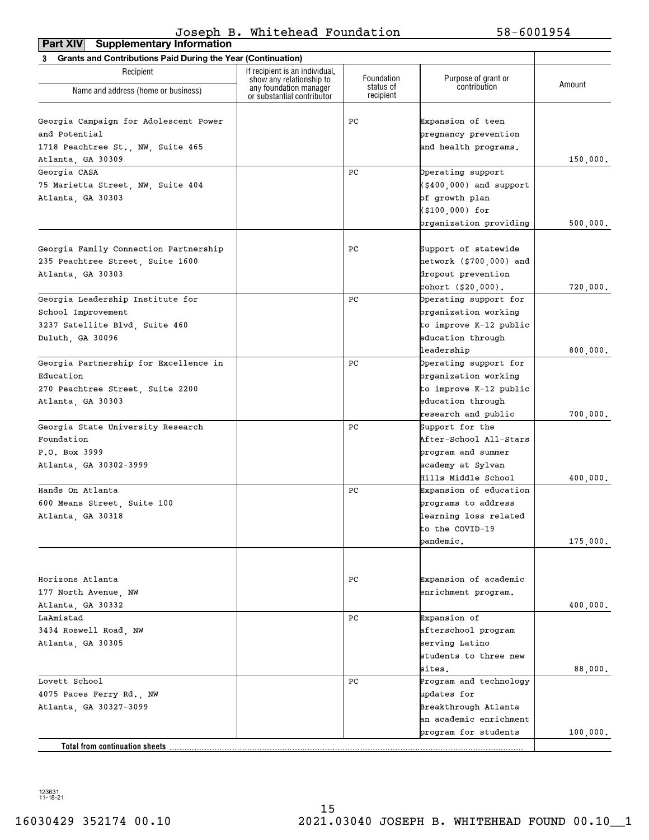| <b>Grants and Contributions Paid During the Year (Continuation)</b><br>3<br>If recipient is an individual,<br>Recipient<br>Foundation<br>Purpose of grant or<br>show any relationship to<br>Amount<br>contribution<br>status of<br>any foundation manager<br>Name and address (home or business)<br>recipient<br>or substantial contributor<br>Georgia Campaign for Adolescent Power<br>PС<br>Expansion of teen<br>and Potential<br>pregnancy prevention<br>1718 Peachtree St., NW, Suite 465<br>and health programs.<br>150,000.<br>Atlanta, GA 30309<br>Georgia CASA<br>PС<br>Operating support<br>(\$400,000) and support<br>75 Marietta Street, NW, Suite 404<br>of growth plan<br>Atlanta, GA 30303<br>$( $100,000)$ for<br>organization providing<br>500,000.<br>Georgia Family Connection Partnership<br>PС<br>Support of statewide<br>235 Peachtree Street, Suite 1600<br>hetwork (\$700,000) and<br>dropout prevention<br>Atlanta, GA 30303<br>cohort (\$20,000).<br>720,000.<br>Georgia Leadership Institute for<br>PС<br>Operating support for<br>School Improvement<br>organization working<br>to improve K-12 public<br>3237 Satellite Blvd, Suite 460<br>education through<br>leadership<br>800,000.<br>Georgia Partnership for Excellence in<br>PС<br>Operating support for<br>Education<br>organization working<br>to improve K-12 public<br>270 Peachtree Street, Suite 2200<br>education through<br>Atlanta, GA 30303<br>research and public<br>700,000.<br>Georgia State University Research<br>PС<br>Support for the<br>Foundation<br>After-School All-Stars<br>P.O. Box 3999<br>program and summer<br>academy at Sylvan<br>Hills Middle School<br>400,000.<br>Hands On Atlanta<br>PС<br>Expansion of education<br>600 Means Street, Suite 100<br>programs to address<br>Atlanta, GA 30318<br>learning loss related<br>to the COVID-19<br>pandemic.<br>175,000.<br>Expansion of academic<br>Horizons Atlanta<br>PС<br>enrichment program.<br>177 North Avenue, NW<br>Atlanta, GA 30332<br>400,000.<br>LaAmistad<br>PС<br>Expansion of<br>afterschool program<br>3434 Roswell Road, NW<br>serving Latino<br>Atlanta, GA 30305<br>students to three new<br>88,000.<br>sites.<br>Lovett School<br>PС<br>Program and technology<br>updates for<br>4075 Paces Ferry Rd., NW<br>Breakthrough Atlanta<br>Atlanta, GA 30327-3099<br>an academic enrichment<br>program for students<br>100,000.<br>Total from continuation sheets. | <b>Supplementary Information</b><br><b>Part XIV</b> |  |  |
|-----------------------------------------------------------------------------------------------------------------------------------------------------------------------------------------------------------------------------------------------------------------------------------------------------------------------------------------------------------------------------------------------------------------------------------------------------------------------------------------------------------------------------------------------------------------------------------------------------------------------------------------------------------------------------------------------------------------------------------------------------------------------------------------------------------------------------------------------------------------------------------------------------------------------------------------------------------------------------------------------------------------------------------------------------------------------------------------------------------------------------------------------------------------------------------------------------------------------------------------------------------------------------------------------------------------------------------------------------------------------------------------------------------------------------------------------------------------------------------------------------------------------------------------------------------------------------------------------------------------------------------------------------------------------------------------------------------------------------------------------------------------------------------------------------------------------------------------------------------------------------------------------------------------------------------------------------------------------------------------------------------------------------------------------------------------------------------------------------------------------------------------------------------------------------------------------------------------------------------------------------------------------------------------------------------------------------------------------------------------------------------------------------------------------------------------------|-----------------------------------------------------|--|--|
|                                                                                                                                                                                                                                                                                                                                                                                                                                                                                                                                                                                                                                                                                                                                                                                                                                                                                                                                                                                                                                                                                                                                                                                                                                                                                                                                                                                                                                                                                                                                                                                                                                                                                                                                                                                                                                                                                                                                                                                                                                                                                                                                                                                                                                                                                                                                                                                                                                               |                                                     |  |  |
|                                                                                                                                                                                                                                                                                                                                                                                                                                                                                                                                                                                                                                                                                                                                                                                                                                                                                                                                                                                                                                                                                                                                                                                                                                                                                                                                                                                                                                                                                                                                                                                                                                                                                                                                                                                                                                                                                                                                                                                                                                                                                                                                                                                                                                                                                                                                                                                                                                               |                                                     |  |  |
|                                                                                                                                                                                                                                                                                                                                                                                                                                                                                                                                                                                                                                                                                                                                                                                                                                                                                                                                                                                                                                                                                                                                                                                                                                                                                                                                                                                                                                                                                                                                                                                                                                                                                                                                                                                                                                                                                                                                                                                                                                                                                                                                                                                                                                                                                                                                                                                                                                               |                                                     |  |  |
|                                                                                                                                                                                                                                                                                                                                                                                                                                                                                                                                                                                                                                                                                                                                                                                                                                                                                                                                                                                                                                                                                                                                                                                                                                                                                                                                                                                                                                                                                                                                                                                                                                                                                                                                                                                                                                                                                                                                                                                                                                                                                                                                                                                                                                                                                                                                                                                                                                               |                                                     |  |  |
|                                                                                                                                                                                                                                                                                                                                                                                                                                                                                                                                                                                                                                                                                                                                                                                                                                                                                                                                                                                                                                                                                                                                                                                                                                                                                                                                                                                                                                                                                                                                                                                                                                                                                                                                                                                                                                                                                                                                                                                                                                                                                                                                                                                                                                                                                                                                                                                                                                               |                                                     |  |  |
|                                                                                                                                                                                                                                                                                                                                                                                                                                                                                                                                                                                                                                                                                                                                                                                                                                                                                                                                                                                                                                                                                                                                                                                                                                                                                                                                                                                                                                                                                                                                                                                                                                                                                                                                                                                                                                                                                                                                                                                                                                                                                                                                                                                                                                                                                                                                                                                                                                               |                                                     |  |  |
|                                                                                                                                                                                                                                                                                                                                                                                                                                                                                                                                                                                                                                                                                                                                                                                                                                                                                                                                                                                                                                                                                                                                                                                                                                                                                                                                                                                                                                                                                                                                                                                                                                                                                                                                                                                                                                                                                                                                                                                                                                                                                                                                                                                                                                                                                                                                                                                                                                               |                                                     |  |  |
|                                                                                                                                                                                                                                                                                                                                                                                                                                                                                                                                                                                                                                                                                                                                                                                                                                                                                                                                                                                                                                                                                                                                                                                                                                                                                                                                                                                                                                                                                                                                                                                                                                                                                                                                                                                                                                                                                                                                                                                                                                                                                                                                                                                                                                                                                                                                                                                                                                               |                                                     |  |  |
|                                                                                                                                                                                                                                                                                                                                                                                                                                                                                                                                                                                                                                                                                                                                                                                                                                                                                                                                                                                                                                                                                                                                                                                                                                                                                                                                                                                                                                                                                                                                                                                                                                                                                                                                                                                                                                                                                                                                                                                                                                                                                                                                                                                                                                                                                                                                                                                                                                               |                                                     |  |  |
|                                                                                                                                                                                                                                                                                                                                                                                                                                                                                                                                                                                                                                                                                                                                                                                                                                                                                                                                                                                                                                                                                                                                                                                                                                                                                                                                                                                                                                                                                                                                                                                                                                                                                                                                                                                                                                                                                                                                                                                                                                                                                                                                                                                                                                                                                                                                                                                                                                               |                                                     |  |  |
|                                                                                                                                                                                                                                                                                                                                                                                                                                                                                                                                                                                                                                                                                                                                                                                                                                                                                                                                                                                                                                                                                                                                                                                                                                                                                                                                                                                                                                                                                                                                                                                                                                                                                                                                                                                                                                                                                                                                                                                                                                                                                                                                                                                                                                                                                                                                                                                                                                               |                                                     |  |  |
|                                                                                                                                                                                                                                                                                                                                                                                                                                                                                                                                                                                                                                                                                                                                                                                                                                                                                                                                                                                                                                                                                                                                                                                                                                                                                                                                                                                                                                                                                                                                                                                                                                                                                                                                                                                                                                                                                                                                                                                                                                                                                                                                                                                                                                                                                                                                                                                                                                               |                                                     |  |  |
|                                                                                                                                                                                                                                                                                                                                                                                                                                                                                                                                                                                                                                                                                                                                                                                                                                                                                                                                                                                                                                                                                                                                                                                                                                                                                                                                                                                                                                                                                                                                                                                                                                                                                                                                                                                                                                                                                                                                                                                                                                                                                                                                                                                                                                                                                                                                                                                                                                               |                                                     |  |  |
|                                                                                                                                                                                                                                                                                                                                                                                                                                                                                                                                                                                                                                                                                                                                                                                                                                                                                                                                                                                                                                                                                                                                                                                                                                                                                                                                                                                                                                                                                                                                                                                                                                                                                                                                                                                                                                                                                                                                                                                                                                                                                                                                                                                                                                                                                                                                                                                                                                               |                                                     |  |  |
|                                                                                                                                                                                                                                                                                                                                                                                                                                                                                                                                                                                                                                                                                                                                                                                                                                                                                                                                                                                                                                                                                                                                                                                                                                                                                                                                                                                                                                                                                                                                                                                                                                                                                                                                                                                                                                                                                                                                                                                                                                                                                                                                                                                                                                                                                                                                                                                                                                               |                                                     |  |  |
|                                                                                                                                                                                                                                                                                                                                                                                                                                                                                                                                                                                                                                                                                                                                                                                                                                                                                                                                                                                                                                                                                                                                                                                                                                                                                                                                                                                                                                                                                                                                                                                                                                                                                                                                                                                                                                                                                                                                                                                                                                                                                                                                                                                                                                                                                                                                                                                                                                               |                                                     |  |  |
|                                                                                                                                                                                                                                                                                                                                                                                                                                                                                                                                                                                                                                                                                                                                                                                                                                                                                                                                                                                                                                                                                                                                                                                                                                                                                                                                                                                                                                                                                                                                                                                                                                                                                                                                                                                                                                                                                                                                                                                                                                                                                                                                                                                                                                                                                                                                                                                                                                               |                                                     |  |  |
|                                                                                                                                                                                                                                                                                                                                                                                                                                                                                                                                                                                                                                                                                                                                                                                                                                                                                                                                                                                                                                                                                                                                                                                                                                                                                                                                                                                                                                                                                                                                                                                                                                                                                                                                                                                                                                                                                                                                                                                                                                                                                                                                                                                                                                                                                                                                                                                                                                               |                                                     |  |  |
|                                                                                                                                                                                                                                                                                                                                                                                                                                                                                                                                                                                                                                                                                                                                                                                                                                                                                                                                                                                                                                                                                                                                                                                                                                                                                                                                                                                                                                                                                                                                                                                                                                                                                                                                                                                                                                                                                                                                                                                                                                                                                                                                                                                                                                                                                                                                                                                                                                               |                                                     |  |  |
|                                                                                                                                                                                                                                                                                                                                                                                                                                                                                                                                                                                                                                                                                                                                                                                                                                                                                                                                                                                                                                                                                                                                                                                                                                                                                                                                                                                                                                                                                                                                                                                                                                                                                                                                                                                                                                                                                                                                                                                                                                                                                                                                                                                                                                                                                                                                                                                                                                               | Duluth, GA 30096                                    |  |  |
|                                                                                                                                                                                                                                                                                                                                                                                                                                                                                                                                                                                                                                                                                                                                                                                                                                                                                                                                                                                                                                                                                                                                                                                                                                                                                                                                                                                                                                                                                                                                                                                                                                                                                                                                                                                                                                                                                                                                                                                                                                                                                                                                                                                                                                                                                                                                                                                                                                               |                                                     |  |  |
|                                                                                                                                                                                                                                                                                                                                                                                                                                                                                                                                                                                                                                                                                                                                                                                                                                                                                                                                                                                                                                                                                                                                                                                                                                                                                                                                                                                                                                                                                                                                                                                                                                                                                                                                                                                                                                                                                                                                                                                                                                                                                                                                                                                                                                                                                                                                                                                                                                               |                                                     |  |  |
|                                                                                                                                                                                                                                                                                                                                                                                                                                                                                                                                                                                                                                                                                                                                                                                                                                                                                                                                                                                                                                                                                                                                                                                                                                                                                                                                                                                                                                                                                                                                                                                                                                                                                                                                                                                                                                                                                                                                                                                                                                                                                                                                                                                                                                                                                                                                                                                                                                               |                                                     |  |  |
|                                                                                                                                                                                                                                                                                                                                                                                                                                                                                                                                                                                                                                                                                                                                                                                                                                                                                                                                                                                                                                                                                                                                                                                                                                                                                                                                                                                                                                                                                                                                                                                                                                                                                                                                                                                                                                                                                                                                                                                                                                                                                                                                                                                                                                                                                                                                                                                                                                               |                                                     |  |  |
|                                                                                                                                                                                                                                                                                                                                                                                                                                                                                                                                                                                                                                                                                                                                                                                                                                                                                                                                                                                                                                                                                                                                                                                                                                                                                                                                                                                                                                                                                                                                                                                                                                                                                                                                                                                                                                                                                                                                                                                                                                                                                                                                                                                                                                                                                                                                                                                                                                               |                                                     |  |  |
|                                                                                                                                                                                                                                                                                                                                                                                                                                                                                                                                                                                                                                                                                                                                                                                                                                                                                                                                                                                                                                                                                                                                                                                                                                                                                                                                                                                                                                                                                                                                                                                                                                                                                                                                                                                                                                                                                                                                                                                                                                                                                                                                                                                                                                                                                                                                                                                                                                               |                                                     |  |  |
|                                                                                                                                                                                                                                                                                                                                                                                                                                                                                                                                                                                                                                                                                                                                                                                                                                                                                                                                                                                                                                                                                                                                                                                                                                                                                                                                                                                                                                                                                                                                                                                                                                                                                                                                                                                                                                                                                                                                                                                                                                                                                                                                                                                                                                                                                                                                                                                                                                               |                                                     |  |  |
|                                                                                                                                                                                                                                                                                                                                                                                                                                                                                                                                                                                                                                                                                                                                                                                                                                                                                                                                                                                                                                                                                                                                                                                                                                                                                                                                                                                                                                                                                                                                                                                                                                                                                                                                                                                                                                                                                                                                                                                                                                                                                                                                                                                                                                                                                                                                                                                                                                               |                                                     |  |  |
|                                                                                                                                                                                                                                                                                                                                                                                                                                                                                                                                                                                                                                                                                                                                                                                                                                                                                                                                                                                                                                                                                                                                                                                                                                                                                                                                                                                                                                                                                                                                                                                                                                                                                                                                                                                                                                                                                                                                                                                                                                                                                                                                                                                                                                                                                                                                                                                                                                               |                                                     |  |  |
|                                                                                                                                                                                                                                                                                                                                                                                                                                                                                                                                                                                                                                                                                                                                                                                                                                                                                                                                                                                                                                                                                                                                                                                                                                                                                                                                                                                                                                                                                                                                                                                                                                                                                                                                                                                                                                                                                                                                                                                                                                                                                                                                                                                                                                                                                                                                                                                                                                               | Atlanta, GA 30302-3999                              |  |  |
|                                                                                                                                                                                                                                                                                                                                                                                                                                                                                                                                                                                                                                                                                                                                                                                                                                                                                                                                                                                                                                                                                                                                                                                                                                                                                                                                                                                                                                                                                                                                                                                                                                                                                                                                                                                                                                                                                                                                                                                                                                                                                                                                                                                                                                                                                                                                                                                                                                               |                                                     |  |  |
|                                                                                                                                                                                                                                                                                                                                                                                                                                                                                                                                                                                                                                                                                                                                                                                                                                                                                                                                                                                                                                                                                                                                                                                                                                                                                                                                                                                                                                                                                                                                                                                                                                                                                                                                                                                                                                                                                                                                                                                                                                                                                                                                                                                                                                                                                                                                                                                                                                               |                                                     |  |  |
|                                                                                                                                                                                                                                                                                                                                                                                                                                                                                                                                                                                                                                                                                                                                                                                                                                                                                                                                                                                                                                                                                                                                                                                                                                                                                                                                                                                                                                                                                                                                                                                                                                                                                                                                                                                                                                                                                                                                                                                                                                                                                                                                                                                                                                                                                                                                                                                                                                               |                                                     |  |  |
|                                                                                                                                                                                                                                                                                                                                                                                                                                                                                                                                                                                                                                                                                                                                                                                                                                                                                                                                                                                                                                                                                                                                                                                                                                                                                                                                                                                                                                                                                                                                                                                                                                                                                                                                                                                                                                                                                                                                                                                                                                                                                                                                                                                                                                                                                                                                                                                                                                               |                                                     |  |  |
|                                                                                                                                                                                                                                                                                                                                                                                                                                                                                                                                                                                                                                                                                                                                                                                                                                                                                                                                                                                                                                                                                                                                                                                                                                                                                                                                                                                                                                                                                                                                                                                                                                                                                                                                                                                                                                                                                                                                                                                                                                                                                                                                                                                                                                                                                                                                                                                                                                               |                                                     |  |  |
|                                                                                                                                                                                                                                                                                                                                                                                                                                                                                                                                                                                                                                                                                                                                                                                                                                                                                                                                                                                                                                                                                                                                                                                                                                                                                                                                                                                                                                                                                                                                                                                                                                                                                                                                                                                                                                                                                                                                                                                                                                                                                                                                                                                                                                                                                                                                                                                                                                               |                                                     |  |  |
|                                                                                                                                                                                                                                                                                                                                                                                                                                                                                                                                                                                                                                                                                                                                                                                                                                                                                                                                                                                                                                                                                                                                                                                                                                                                                                                                                                                                                                                                                                                                                                                                                                                                                                                                                                                                                                                                                                                                                                                                                                                                                                                                                                                                                                                                                                                                                                                                                                               |                                                     |  |  |
|                                                                                                                                                                                                                                                                                                                                                                                                                                                                                                                                                                                                                                                                                                                                                                                                                                                                                                                                                                                                                                                                                                                                                                                                                                                                                                                                                                                                                                                                                                                                                                                                                                                                                                                                                                                                                                                                                                                                                                                                                                                                                                                                                                                                                                                                                                                                                                                                                                               |                                                     |  |  |
|                                                                                                                                                                                                                                                                                                                                                                                                                                                                                                                                                                                                                                                                                                                                                                                                                                                                                                                                                                                                                                                                                                                                                                                                                                                                                                                                                                                                                                                                                                                                                                                                                                                                                                                                                                                                                                                                                                                                                                                                                                                                                                                                                                                                                                                                                                                                                                                                                                               |                                                     |  |  |
|                                                                                                                                                                                                                                                                                                                                                                                                                                                                                                                                                                                                                                                                                                                                                                                                                                                                                                                                                                                                                                                                                                                                                                                                                                                                                                                                                                                                                                                                                                                                                                                                                                                                                                                                                                                                                                                                                                                                                                                                                                                                                                                                                                                                                                                                                                                                                                                                                                               |                                                     |  |  |
|                                                                                                                                                                                                                                                                                                                                                                                                                                                                                                                                                                                                                                                                                                                                                                                                                                                                                                                                                                                                                                                                                                                                                                                                                                                                                                                                                                                                                                                                                                                                                                                                                                                                                                                                                                                                                                                                                                                                                                                                                                                                                                                                                                                                                                                                                                                                                                                                                                               |                                                     |  |  |
|                                                                                                                                                                                                                                                                                                                                                                                                                                                                                                                                                                                                                                                                                                                                                                                                                                                                                                                                                                                                                                                                                                                                                                                                                                                                                                                                                                                                                                                                                                                                                                                                                                                                                                                                                                                                                                                                                                                                                                                                                                                                                                                                                                                                                                                                                                                                                                                                                                               |                                                     |  |  |
|                                                                                                                                                                                                                                                                                                                                                                                                                                                                                                                                                                                                                                                                                                                                                                                                                                                                                                                                                                                                                                                                                                                                                                                                                                                                                                                                                                                                                                                                                                                                                                                                                                                                                                                                                                                                                                                                                                                                                                                                                                                                                                                                                                                                                                                                                                                                                                                                                                               |                                                     |  |  |
|                                                                                                                                                                                                                                                                                                                                                                                                                                                                                                                                                                                                                                                                                                                                                                                                                                                                                                                                                                                                                                                                                                                                                                                                                                                                                                                                                                                                                                                                                                                                                                                                                                                                                                                                                                                                                                                                                                                                                                                                                                                                                                                                                                                                                                                                                                                                                                                                                                               |                                                     |  |  |
|                                                                                                                                                                                                                                                                                                                                                                                                                                                                                                                                                                                                                                                                                                                                                                                                                                                                                                                                                                                                                                                                                                                                                                                                                                                                                                                                                                                                                                                                                                                                                                                                                                                                                                                                                                                                                                                                                                                                                                                                                                                                                                                                                                                                                                                                                                                                                                                                                                               |                                                     |  |  |
|                                                                                                                                                                                                                                                                                                                                                                                                                                                                                                                                                                                                                                                                                                                                                                                                                                                                                                                                                                                                                                                                                                                                                                                                                                                                                                                                                                                                                                                                                                                                                                                                                                                                                                                                                                                                                                                                                                                                                                                                                                                                                                                                                                                                                                                                                                                                                                                                                                               |                                                     |  |  |
|                                                                                                                                                                                                                                                                                                                                                                                                                                                                                                                                                                                                                                                                                                                                                                                                                                                                                                                                                                                                                                                                                                                                                                                                                                                                                                                                                                                                                                                                                                                                                                                                                                                                                                                                                                                                                                                                                                                                                                                                                                                                                                                                                                                                                                                                                                                                                                                                                                               |                                                     |  |  |
|                                                                                                                                                                                                                                                                                                                                                                                                                                                                                                                                                                                                                                                                                                                                                                                                                                                                                                                                                                                                                                                                                                                                                                                                                                                                                                                                                                                                                                                                                                                                                                                                                                                                                                                                                                                                                                                                                                                                                                                                                                                                                                                                                                                                                                                                                                                                                                                                                                               |                                                     |  |  |
|                                                                                                                                                                                                                                                                                                                                                                                                                                                                                                                                                                                                                                                                                                                                                                                                                                                                                                                                                                                                                                                                                                                                                                                                                                                                                                                                                                                                                                                                                                                                                                                                                                                                                                                                                                                                                                                                                                                                                                                                                                                                                                                                                                                                                                                                                                                                                                                                                                               |                                                     |  |  |
|                                                                                                                                                                                                                                                                                                                                                                                                                                                                                                                                                                                                                                                                                                                                                                                                                                                                                                                                                                                                                                                                                                                                                                                                                                                                                                                                                                                                                                                                                                                                                                                                                                                                                                                                                                                                                                                                                                                                                                                                                                                                                                                                                                                                                                                                                                                                                                                                                                               |                                                     |  |  |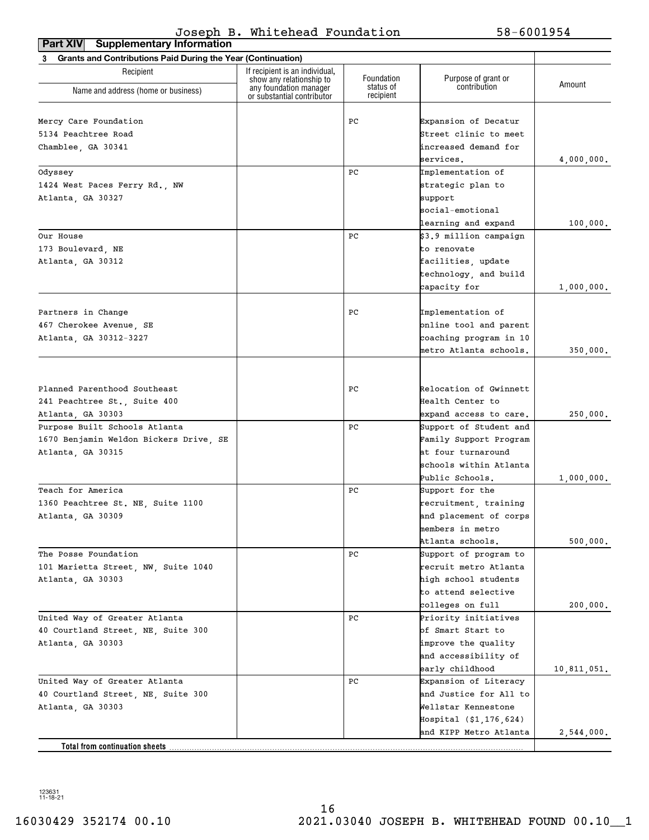| <b>Supplementary Information</b><br>Part XIV                      |                                                            |                         |                                     |             |
|-------------------------------------------------------------------|------------------------------------------------------------|-------------------------|-------------------------------------|-------------|
| Grants and Contributions Paid During the Year (Continuation)<br>3 |                                                            |                         |                                     |             |
| Recipient                                                         | If recipient is an individual,<br>show any relationship to | Foundation<br>status of | Purpose of grant or<br>contribution | Amount      |
| Name and address (home or business)                               | any foundation manager<br>or substantial contributor       | recipient               |                                     |             |
| Mercy Care Foundation                                             |                                                            | РC                      | Expansion of Decatur                |             |
| 5134 Peachtree Road                                               |                                                            |                         | Street clinic to meet               |             |
|                                                                   |                                                            |                         | lincreased demand for               |             |
| Chamblee, GA 30341                                                |                                                            |                         | services.                           | 4,000,000.  |
| Odyssey                                                           |                                                            | РC                      | Implementation of                   |             |
| 1424 West Paces Ferry Rd., NW                                     |                                                            |                         | strategic plan to                   |             |
| Atlanta, GA 30327                                                 |                                                            |                         | support                             |             |
|                                                                   |                                                            |                         | social-emotional                    |             |
|                                                                   |                                                            |                         | learning and expand                 | 100,000.    |
| Our House                                                         |                                                            | РC                      | \$3.9 million campaign              |             |
| 173 Boulevard, NE                                                 |                                                            |                         | to renovate                         |             |
| Atlanta, GA 30312                                                 |                                                            |                         | facilities, update                  |             |
|                                                                   |                                                            |                         | technology, and build               |             |
|                                                                   |                                                            |                         | capacity for                        | 1,000,000.  |
|                                                                   |                                                            |                         | Implementation of                   |             |
| Partners in Change                                                |                                                            | РC                      |                                     |             |
| 467 Cherokee Avenue, SE                                           |                                                            |                         | online tool and parent              |             |
| Atlanta, GA 30312-3227                                            |                                                            |                         | coaching program in 10              |             |
|                                                                   |                                                            |                         | metro Atlanta schools.              | 350,000.    |
|                                                                   |                                                            |                         |                                     |             |
| Planned Parenthood Southeast                                      |                                                            | РC                      | Relocation of Gwinnett              |             |
| 241 Peachtree St., Suite 400                                      |                                                            |                         | Health Center to                    |             |
| Atlanta, GA 30303                                                 |                                                            |                         | expand access to care.              | 250,000.    |
| Purpose Built Schools Atlanta                                     |                                                            | РC                      | Support of Student and              |             |
| 1670 Benjamin Weldon Bickers Drive, SE                            |                                                            |                         | Family Support Program              |             |
| Atlanta, GA 30315                                                 |                                                            |                         | at four turnaround                  |             |
|                                                                   |                                                            |                         | schools within Atlanta              |             |
|                                                                   |                                                            |                         | Public Schools.                     | 1,000,000.  |
| Teach for America                                                 |                                                            | РC                      | Support for the                     |             |
| 1360 Peachtree St. NE, Suite 1100                                 |                                                            |                         | recruitment, training               |             |
| Atlanta, GA 30309                                                 |                                                            |                         | and placement of corps              |             |
|                                                                   |                                                            |                         | members in metro                    |             |
|                                                                   |                                                            |                         | Atlanta schools.                    | 500,000.    |
| The Posse Foundation                                              |                                                            | РC                      | Support of program to               |             |
| 101 Marietta Street, NW, Suite 1040                               |                                                            |                         | recruit metro Atlanta               |             |
| Atlanta, GA 30303                                                 |                                                            |                         | high school students                |             |
|                                                                   |                                                            |                         | to attend selective                 |             |
|                                                                   |                                                            |                         | colleges on full                    | 200,000.    |
| United Way of Greater Atlanta                                     |                                                            | РC                      | Priority initiatives                |             |
| 40 Courtland Street, NE, Suite 300                                |                                                            |                         | of Smart Start to                   |             |
| Atlanta, GA 30303                                                 |                                                            |                         | improve the quality                 |             |
|                                                                   |                                                            |                         | and accessibility of                |             |
|                                                                   |                                                            |                         | early childhood                     | 10,811,051. |
| United Way of Greater Atlanta                                     |                                                            | РC                      | Expansion of Literacy               |             |
| 40 Courtland Street, NE, Suite 300                                |                                                            |                         | and Justice for All to              |             |
| Atlanta, GA 30303                                                 |                                                            |                         | Wellstar Kennestone                 |             |
|                                                                   |                                                            |                         | Hospital (\$1,176,624)              |             |
|                                                                   |                                                            |                         | and KIPP Metro Atlanta              | 2,544,000.  |
| Total from continuation sheets                                    |                                                            |                         |                                     |             |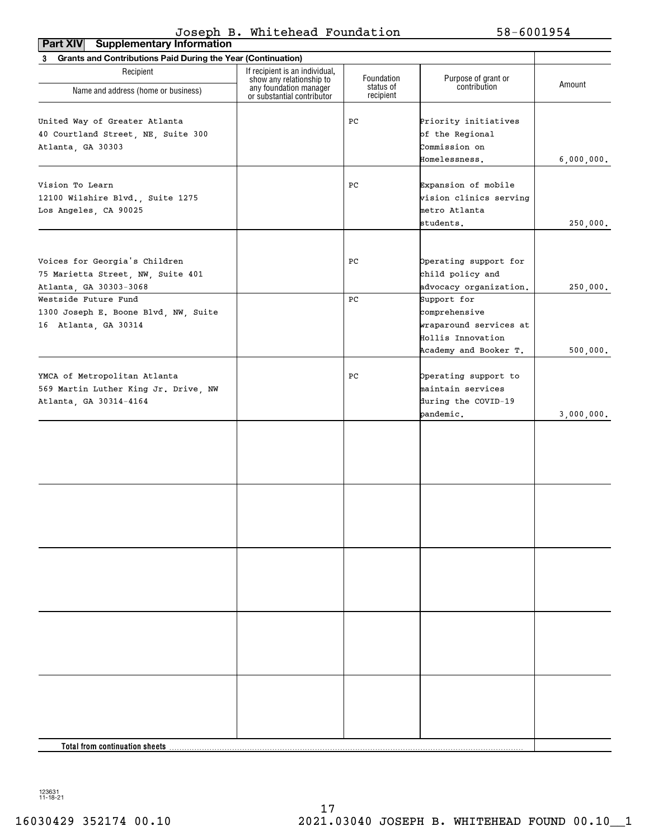| <b>Supplementary Information</b><br>Part XIV                                                   |                                                            |                         |                                                                                                        |                        |
|------------------------------------------------------------------------------------------------|------------------------------------------------------------|-------------------------|--------------------------------------------------------------------------------------------------------|------------------------|
| 3 Grants and Contributions Paid During the Year (Continuation)                                 |                                                            |                         |                                                                                                        |                        |
| Recipient                                                                                      | If recipient is an individual,<br>show any relationship to | Foundation<br>status of | Purpose of grant or<br>contribution                                                                    | Amount                 |
| Name and address (home or business)                                                            | any foundation manager<br>or substantial contributor       | recipient               |                                                                                                        |                        |
| United Way of Greater Atlanta<br>40 Courtland Street, NE, Suite 300<br>Atlanta, GA 30303       |                                                            | PС                      | Priority initiatives<br>of the Regional<br>Commission on<br>Homelessness.                              | 6,000,000.             |
| Vision To Learn<br>12100 Wilshire Blvd., Suite 1275<br>Los Angeles, CA 90025                   |                                                            | PС                      | Expansion of mobile<br>vision clinics serving<br>metro Atlanta                                         |                        |
|                                                                                                |                                                            |                         | students.                                                                                              | 250,000.               |
| Voices for Georgia's Children<br>75 Marietta Street, NW, Suite 401<br>Atlanta, GA 30303-3068   |                                                            | PС                      | Operating support for<br>child policy and<br>advocacy organization.                                    | 250,000.               |
| Westside Future Fund<br>1300 Joseph E. Boone Blvd, NW, Suite<br>16 Atlanta, GA 30314           |                                                            | PС                      | Support for<br>comprehensive<br>wraparound services at<br>Hollis Innovation                            |                        |
| YMCA of Metropolitan Atlanta<br>569 Martin Luther King Jr. Drive, NW<br>Atlanta, GA 30314-4164 |                                                            | PС                      | Academy and Booker T.<br>Operating support to<br>maintain services<br>during the COVID-19<br>pandemic. | 500,000.<br>3,000,000. |
|                                                                                                |                                                            |                         |                                                                                                        |                        |
|                                                                                                |                                                            |                         |                                                                                                        |                        |
|                                                                                                |                                                            |                         |                                                                                                        |                        |
|                                                                                                |                                                            |                         |                                                                                                        |                        |
|                                                                                                |                                                            |                         |                                                                                                        |                        |
| Total from continuation sheets.                                                                |                                                            |                         |                                                                                                        |                        |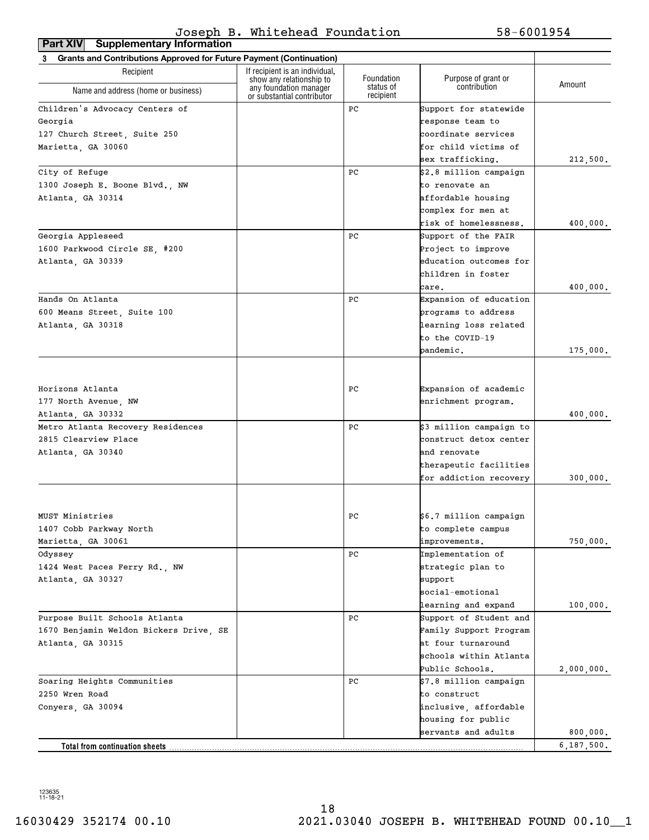**Part XIV Supplementary Information**

| <b>Grants and Contributions Approved for Future Payment (Continuation)</b><br>3 |                                                                                  |                                      |                                              |            |
|---------------------------------------------------------------------------------|----------------------------------------------------------------------------------|--------------------------------------|----------------------------------------------|------------|
| Recipient                                                                       | If recipient is an individual,                                                   |                                      |                                              |            |
| Name and address (home or business)                                             | show any relationship to<br>any foundation manager<br>or substantial contributor | Foundation<br>status of<br>recipient | Purpose of grant or<br>contribution          | Amount     |
| Children's Advocacy Centers of                                                  |                                                                                  | PC                                   | Support for statewide                        |            |
| Georgia                                                                         |                                                                                  |                                      | response team to                             |            |
| 127 Church Street, Suite 250                                                    |                                                                                  |                                      | coordinate services                          |            |
| Marietta, GA 30060                                                              |                                                                                  |                                      | for child victims of                         |            |
|                                                                                 |                                                                                  |                                      | sex trafficking.                             | 212,500.   |
| City of Refuge                                                                  |                                                                                  | PC                                   | \$2.8 million campaign                       |            |
| 1300 Joseph E. Boone Blvd., NW                                                  |                                                                                  |                                      | to renovate an                               |            |
| Atlanta, GA 30314                                                               |                                                                                  |                                      | affordable housing                           |            |
|                                                                                 |                                                                                  |                                      | complex for men at                           |            |
|                                                                                 |                                                                                  |                                      | risk of homelessness.                        | 400,000.   |
| Georgia Appleseed                                                               |                                                                                  | PC                                   | Support of the FAIR                          |            |
| 1600 Parkwood Circle SE, #200                                                   |                                                                                  |                                      | Project to improve                           |            |
| Atlanta, GA 30339                                                               |                                                                                  |                                      | education outcomes for                       |            |
|                                                                                 |                                                                                  |                                      | children in foster                           |            |
|                                                                                 |                                                                                  |                                      | care.                                        | 400,000.   |
| Hands On Atlanta                                                                |                                                                                  | PC                                   | Expansion of education                       |            |
| 600 Means Street, Suite 100                                                     |                                                                                  |                                      | programs to address                          |            |
| Atlanta, GA 30318                                                               |                                                                                  |                                      | learning loss related                        |            |
|                                                                                 |                                                                                  |                                      | to the COVID-19                              |            |
|                                                                                 |                                                                                  |                                      | pandemic.                                    | 175,000.   |
|                                                                                 |                                                                                  |                                      |                                              |            |
| Horizons Atlanta                                                                |                                                                                  | PC.                                  | Expansion of academic                        |            |
|                                                                                 |                                                                                  |                                      |                                              |            |
| 177 North Avenue, NW                                                            |                                                                                  |                                      | enrichment program.                          |            |
| Atlanta, GA 30332                                                               |                                                                                  | PC                                   |                                              | 400,000.   |
| Metro Atlanta Recovery Residences                                               |                                                                                  |                                      | \$3 million campaign to                      |            |
| 2815 Clearview Place                                                            |                                                                                  |                                      | construct detox center                       |            |
| Atlanta, GA 30340                                                               |                                                                                  |                                      | and renovate                                 |            |
|                                                                                 |                                                                                  |                                      | therapeutic facilities                       |            |
|                                                                                 |                                                                                  |                                      | for addiction recovery                       | 300,000.   |
| MUST Ministries                                                                 |                                                                                  | PC                                   | \$6.7 million campaign                       |            |
| 1407 Cobb Parkway North                                                         |                                                                                  |                                      | to complete campus                           |            |
| Marietta, GA 30061                                                              |                                                                                  |                                      | improvements.                                | 750,000.   |
| Odyssey                                                                         |                                                                                  | PС                                   | Implementation of                            |            |
|                                                                                 |                                                                                  |                                      | strategic plan to                            |            |
| 1424 West Paces Ferry Rd., NW                                                   |                                                                                  |                                      |                                              |            |
| Atlanta, GA 30327                                                               |                                                                                  |                                      | support<br>social-emotional                  |            |
|                                                                                 |                                                                                  |                                      |                                              |            |
|                                                                                 |                                                                                  |                                      | learning and expand                          | 100,000.   |
| Purpose Built Schools Atlanta                                                   |                                                                                  | PС                                   | Support of Student and                       |            |
| 1670 Benjamin Weldon Bickers Drive, SE                                          |                                                                                  |                                      | Family Support Program<br>at four turnaround |            |
| Atlanta, GA 30315                                                               |                                                                                  |                                      |                                              |            |
|                                                                                 |                                                                                  |                                      | schools within Atlanta                       |            |
|                                                                                 |                                                                                  |                                      | Public Schools.                              | 2,000,000. |
| Soaring Heights Communities                                                     |                                                                                  | PС                                   | \$7.8 million campaign                       |            |
| 2250 Wren Road                                                                  |                                                                                  |                                      | to construct                                 |            |
| Conyers, GA 30094                                                               |                                                                                  |                                      | inclusive, affordable                        |            |
|                                                                                 |                                                                                  |                                      | housing for public                           |            |
|                                                                                 |                                                                                  |                                      | servants and adults                          | 800,000.   |
| Total from continuation sheets                                                  |                                                                                  |                                      |                                              | 6,187,500. |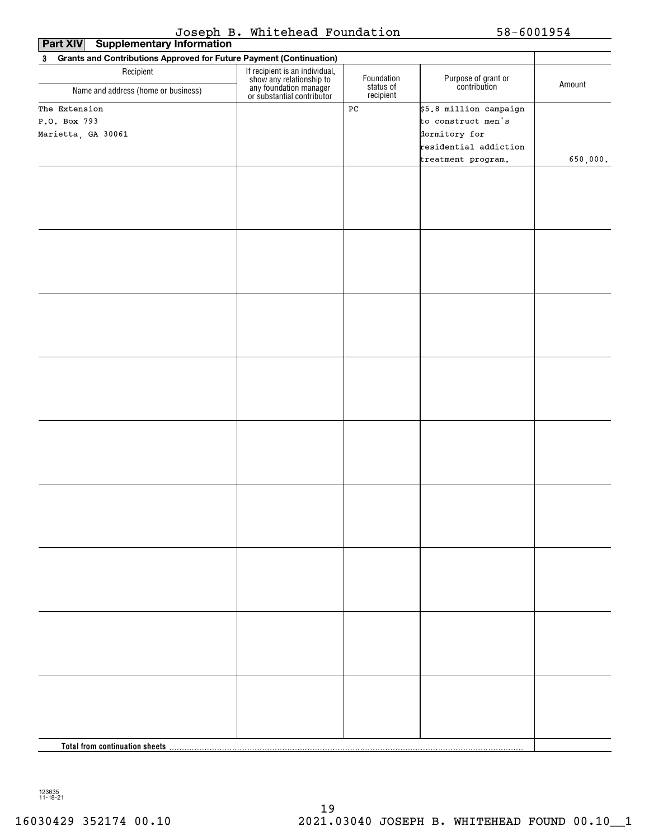|  |  | Joseph B. Whitehead Foundation |
|--|--|--------------------------------|
|--|--|--------------------------------|

 $58 - 6001954$ 

| ---<br><br>. <i>.</i><br><b>Supplementary Information</b><br>Part XIV                      |                                                                                                                    |                        |                                     |          |  |
|--------------------------------------------------------------------------------------------|--------------------------------------------------------------------------------------------------------------------|------------------------|-------------------------------------|----------|--|
| <b>Grants and Contributions Approved for Future Payment (Continuation)</b><br>$\mathbf{3}$ |                                                                                                                    |                        |                                     |          |  |
| Recipient                                                                                  | If recipient is an individual,<br>show any relationship to<br>any foundation manager<br>or substantial contributor | Foundation             | Purpose of grant or<br>contribution | Amount   |  |
| Name and address (home or business)                                                        |                                                                                                                    | status of<br>recipient |                                     |          |  |
| The Extension                                                                              |                                                                                                                    | $_{\rm PC}$            | \$5.8 million campaign              |          |  |
| P.O. Box 793                                                                               |                                                                                                                    |                        | to construct men's                  |          |  |
| Marietta, GA 30061                                                                         |                                                                                                                    |                        | dormitory for                       |          |  |
|                                                                                            |                                                                                                                    |                        | residential addiction               |          |  |
|                                                                                            |                                                                                                                    |                        | treatment program.                  | 650,000. |  |
|                                                                                            |                                                                                                                    |                        |                                     |          |  |
|                                                                                            |                                                                                                                    |                        |                                     |          |  |
|                                                                                            |                                                                                                                    |                        |                                     |          |  |
|                                                                                            |                                                                                                                    |                        |                                     |          |  |
|                                                                                            |                                                                                                                    |                        |                                     |          |  |
|                                                                                            |                                                                                                                    |                        |                                     |          |  |
|                                                                                            |                                                                                                                    |                        |                                     |          |  |
|                                                                                            |                                                                                                                    |                        |                                     |          |  |
|                                                                                            |                                                                                                                    |                        |                                     |          |  |
|                                                                                            |                                                                                                                    |                        |                                     |          |  |
|                                                                                            |                                                                                                                    |                        |                                     |          |  |
|                                                                                            |                                                                                                                    |                        |                                     |          |  |
|                                                                                            |                                                                                                                    |                        |                                     |          |  |
|                                                                                            |                                                                                                                    |                        |                                     |          |  |
|                                                                                            |                                                                                                                    |                        |                                     |          |  |
|                                                                                            |                                                                                                                    |                        |                                     |          |  |
|                                                                                            |                                                                                                                    |                        |                                     |          |  |
|                                                                                            |                                                                                                                    |                        |                                     |          |  |
|                                                                                            |                                                                                                                    |                        |                                     |          |  |
|                                                                                            |                                                                                                                    |                        |                                     |          |  |
|                                                                                            |                                                                                                                    |                        |                                     |          |  |
|                                                                                            |                                                                                                                    |                        |                                     |          |  |
|                                                                                            |                                                                                                                    |                        |                                     |          |  |
|                                                                                            |                                                                                                                    |                        |                                     |          |  |
|                                                                                            |                                                                                                                    |                        |                                     |          |  |
|                                                                                            |                                                                                                                    |                        |                                     |          |  |
|                                                                                            |                                                                                                                    |                        |                                     |          |  |
|                                                                                            |                                                                                                                    |                        |                                     |          |  |
|                                                                                            |                                                                                                                    |                        |                                     |          |  |
|                                                                                            |                                                                                                                    |                        |                                     |          |  |
|                                                                                            |                                                                                                                    |                        |                                     |          |  |
|                                                                                            |                                                                                                                    |                        |                                     |          |  |
|                                                                                            |                                                                                                                    |                        |                                     |          |  |
|                                                                                            |                                                                                                                    |                        |                                     |          |  |
|                                                                                            |                                                                                                                    |                        |                                     |          |  |
|                                                                                            |                                                                                                                    |                        |                                     |          |  |
|                                                                                            |                                                                                                                    |                        |                                     |          |  |
|                                                                                            |                                                                                                                    |                        |                                     |          |  |
|                                                                                            |                                                                                                                    |                        |                                     |          |  |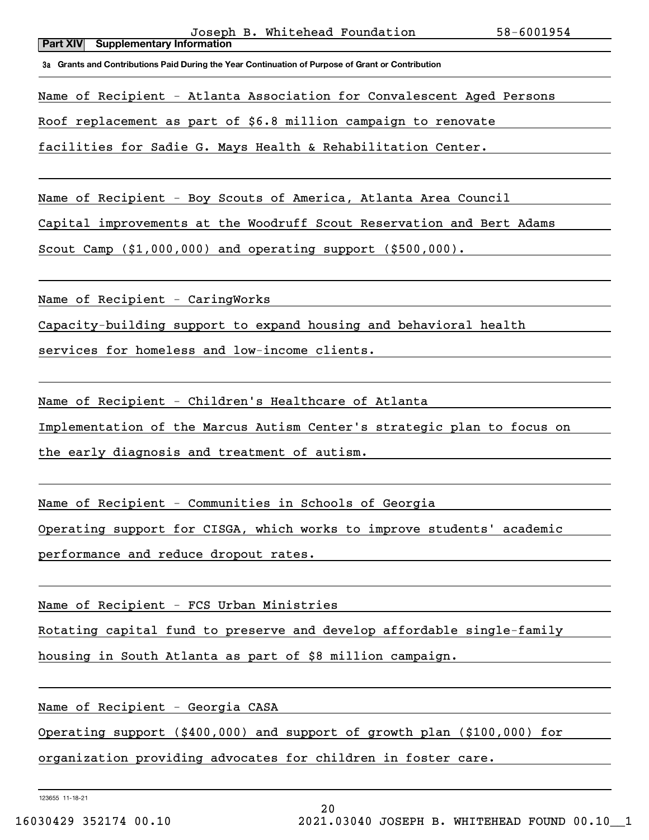**3a Grants and Contributions Paid During the Year Continuation of Purpose of Grant or Contribution**

Name of Recipient - Atlanta Association for Convalescent Aged Persons

Roof replacement as part of \$6.8 million campaign to renovate

facilities for Sadie G. Mays Health & Rehabilitation Center.

Name of Recipient - Boy Scouts of America, Atlanta Area Council

Capital improvements at the Woodruff Scout Reservation and Bert Adams

Scout Camp (\$1,000,000) and operating support (\$500,000).

Name of Recipient - CaringWorks

Capacity-building support to expand housing and behavioral health

services for homeless and low-income clients.

Name of Recipient - Children's Healthcare of Atlanta

Implementation of the Marcus Autism Center's strategic plan to focus on

the early diagnosis and treatment of autism.

Name of Recipient - Communities in Schools of Georgia

Operating support for CISGA, which works to improve students' academic

performance and reduce dropout rates.

Name of Recipient - FCS Urban Ministries

Rotating capital fund to preserve and develop affordable single-family

housing in South Atlanta as part of \$8 million campaign.

Name of Recipient - Georgia CASA

Operating support (\$400,000) and support of growth plan (\$100,000) for

organization providing advocates for children in foster care.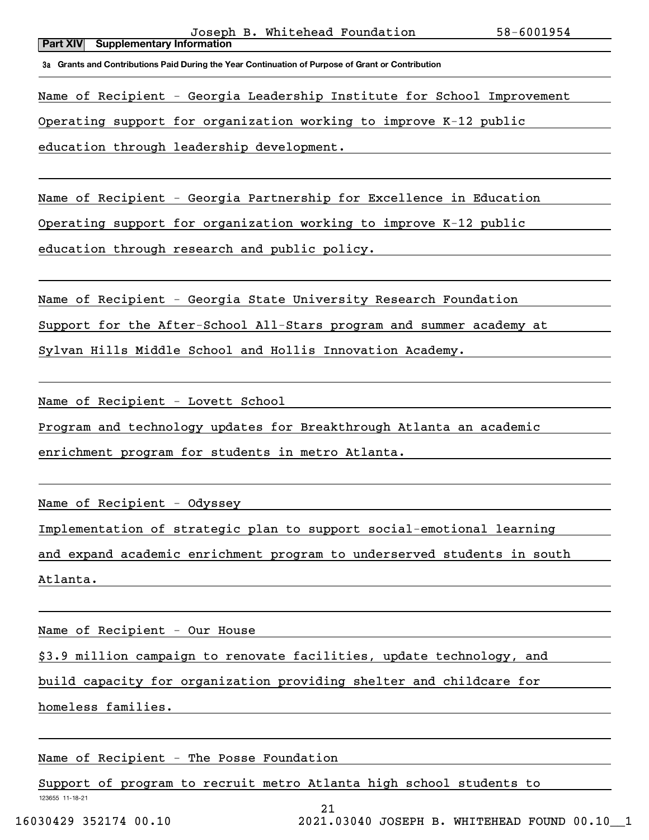### **Part XIV Supplementary Information** Joseph B. Whitehead Foundation 58-6001954

**3a Grants and Contributions Paid During the Year Continuation of Purpose of Grant or Contribution**

Name of Recipient - Georgia Leadership Institute for School Improvement

Operating support for organization working to improve K-12 public

education through leadership development.

Name of Recipient - Georgia Partnership for Excellence in Education

Operating support for organization working to improve K-12 public

education through research and public policy.

Name of Recipient - Georgia State University Research Foundation

Support for the After-School All-Stars program and summer academy at

Sylvan Hills Middle School and Hollis Innovation Academy.

Name of Recipient - Lovett School

Program and technology updates for Breakthrough Atlanta an academic

enrichment program for students in metro Atlanta.

Name of Recipient - Odyssey

Implementation of strategic plan to support social-emotional learning

and expand academic enrichment program to underserved students in south

Atlanta.

Name of Recipient - Our House

\$3.9 million campaign to renovate facilities, update technology, and

build capacity for organization providing shelter and childcare for

homeless families.

Name of Recipient - The Posse Foundation

Support of program to recruit metro Atlanta high school students to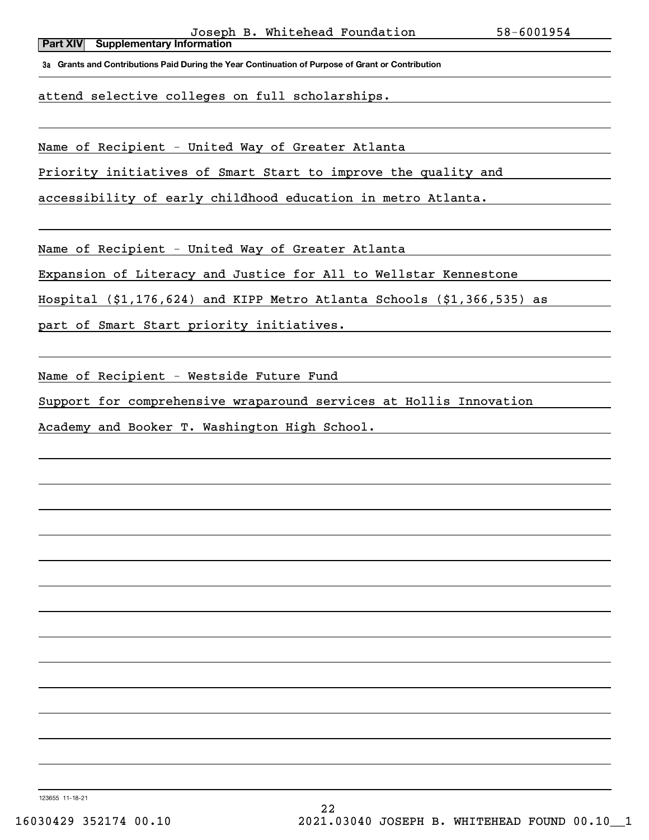**3a Grants and Contributions Paid During the Year Continuation of Purpose of Grant or Contribution**

attend selective colleges on full scholarships.

Name of Recipient - United Way of Greater Atlanta

Priority initiatives of Smart Start to improve the quality and

accessibility of early childhood education in metro Atlanta.

Name of Recipient - United Way of Greater Atlanta

Expansion of Literacy and Justice for All to Wellstar Kennestone

Hospital (\$1,176,624) and KIPP Metro Atlanta Schools (\$1,366,535) as

part of Smart Start priority initiatives.

Name of Recipient - Westside Future Fund

Support for comprehensive wraparound services at Hollis Innovation

Academy and Booker T. Washington High School.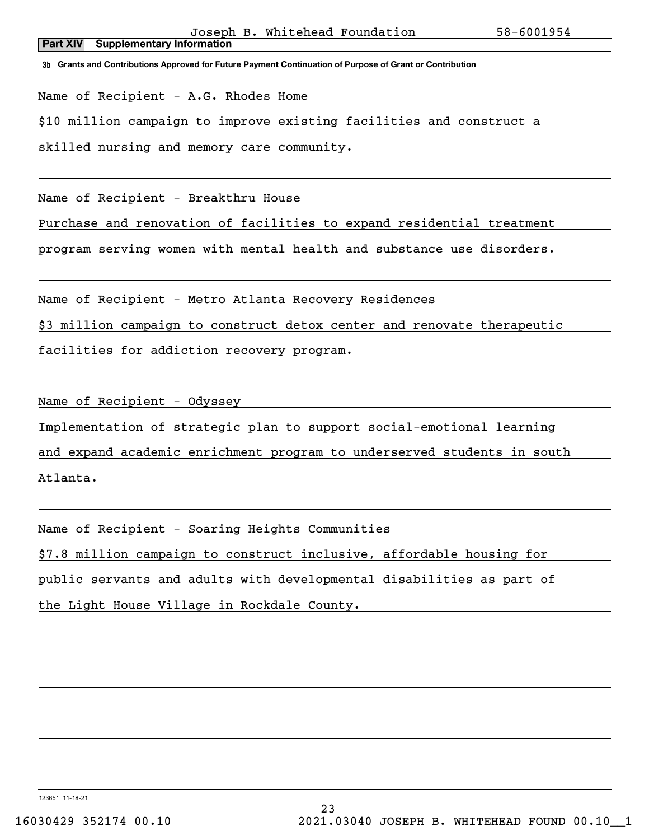**3b Grants and Contributions Approved for Future Payment Continuation of Purpose of Grant or Contribution**

Name of Recipient - A.G. Rhodes Home

\$10 million campaign to improve existing facilities and construct a

skilled nursing and memory care community.

Name of Recipient - Breakthru House

Purchase and renovation of facilities to expand residential treatment

program serving women with mental health and substance use disorders.

Name of Recipient - Metro Atlanta Recovery Residences

\$3 million campaign to construct detox center and renovate therapeutic

facilities for addiction recovery program.

Name of Recipient - Odyssey

Implementation of strategic plan to support social-emotional learning

and expand academic enrichment program to underserved students in south

Atlanta.

Name of Recipient - Soaring Heights Communities

\$7.8 million campaign to construct inclusive, affordable housing for

public servants and adults with developmental disabilities as part of

the Light House Village in Rockdale County.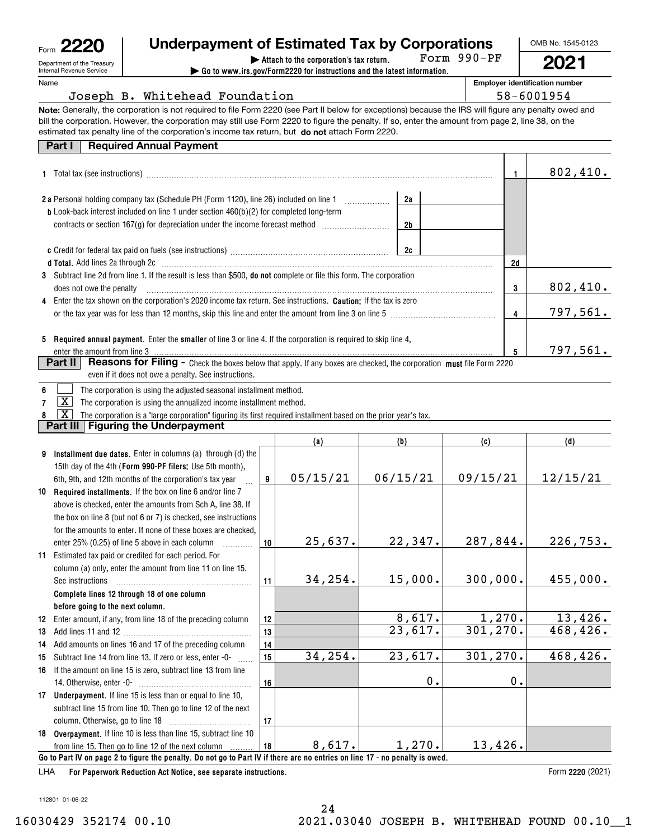| Form | உ                          |
|------|----------------------------|
|      | Department of the Treasury |
|      | Internal Devenue Convice   |

# **Underpayment of Estimated Tax by Corporations**

Form 990-PF

**2021**

OMB No. 1545-0123

Internal Revenue Service Name

| FOrm YYU-PF<br>Attach to the corporation's tax return.                                   |             |
|------------------------------------------------------------------------------------------|-------------|
| $\triangleright$ Go to www.irs.gov/Form2220 for instructions and the latest information. |             |
|                                                                                          | Employer is |
|                                                                                          |             |

**dentification number** 58-6001954

|  |  | Joseph B. Whitehead Foundation |
|--|--|--------------------------------|
|  |  |                                |

**Note:** Generally, the corporation is not required to file Form 2220 (see Part II below for exceptions) because the IRS will figure any penalty owed and estimated tax penalty line of the corporation's income tax return, but **do not** attach Form 2220. bill the corporation. However, the corporation may still use Form 2220 to figure the penalty. If so, enter the amount from page 2, line 38, on the

| <b>Part I Required Annual Payment</b> |
|---------------------------------------|
|---------------------------------------|

|                                                                                                                                                                                                                                   |    |          | 802,410. |          |
|-----------------------------------------------------------------------------------------------------------------------------------------------------------------------------------------------------------------------------------|----|----------|----------|----------|
| 2 a Personal holding company tax (Schedule PH (Form 1120), line 26) included on line 1                                                                                                                                            | 2a |          |          |          |
| <b>b</b> Look-back interest included on line 1 under section $460(b)(2)$ for completed long-term<br>contracts or section 167(g) for depreciation under the income forecast method <i>manufacture</i>                              | 2b |          |          |          |
|                                                                                                                                                                                                                                   | 2c |          |          |          |
| d Total. Add lines 2a through 2c [11] Martin Martin Martin Martin Martin Martin Martin Martin Martin Martin Ma                                                                                                                    |    |          | 2d       |          |
| 3 Subtract line 2d from line 1. If the result is less than \$500, do not complete or file this form. The corporation<br>does not owe the penalty                                                                                  |    |          | 3        | 802,410. |
| 4 Enter the tax shown on the corporation's 2020 income tax return. See instructions. <b>Caution:</b> If the tax is zero<br>or the tax year was for less than 12 months, skip this line and enter the amount from line 3 on line 5 | 4  | 797,561. |          |          |
| 5 Required annual payment. Enter the smaller of line 3 or line 4. If the corporation is required to skip line 4,                                                                                                                  |    |          |          |          |
|                                                                                                                                                                                                                                   |    |          | 5        | 797,561. |
| Reasons for Filing - Check the boxes below that apply. If any boxes are checked, the corporation must file Form 2220<br><b>Part II</b><br>even if it does not owe a penalty. See instructions.                                    |    |          |          |          |

|  | . The corporation is using the adjusted seasonal installment method. |  |
|--|----------------------------------------------------------------------|--|
|  |                                                                      |  |

**7** $\boxed{\mathbf{X}}$  The corporation is using the annualized income installment method.

**8**The corporation is a "large corporation" figuring its first required installment based on the prior year's tax.  $\boxed{\text{X}}$ 

**Part III Figuring the Underpayment**

|    |                                                                                                                              |    | (a)      | (b)           | (c)       | (d)      |
|----|------------------------------------------------------------------------------------------------------------------------------|----|----------|---------------|-----------|----------|
| 9  | Installment due dates. Enter in columns (a) through (d) the                                                                  |    |          |               |           |          |
|    | 15th day of the 4th (Form 990-PF filers; Use 5th month),                                                                     |    |          |               |           |          |
|    | 6th, 9th, and 12th months of the corporation's tax year                                                                      | 9  | 05/15/21 | 06/15/21      | 09/15/21  | 12/15/21 |
|    | 10 Required installments. If the box on line 6 and/or line 7                                                                 |    |          |               |           |          |
|    | above is checked, enter the amounts from Sch A, line 38. If                                                                  |    |          |               |           |          |
|    | the box on line 8 (but not 6 or 7) is checked, see instructions                                                              |    |          |               |           |          |
|    | for the amounts to enter. If none of these boxes are checked.                                                                |    |          |               |           |          |
|    | enter 25% (0.25) of line 5 above in each column                                                                              | 10 | 25,637.  | 22,347.       | 287,844.  | 226,753. |
| 11 | Estimated tax paid or credited for each period. For                                                                          |    |          |               |           |          |
|    | column (a) only, enter the amount from line 11 on line 15.                                                                   |    |          |               |           |          |
|    | See instructions                                                                                                             | 11 | 34,254.  | 15,000.       | 300,000.  | 455,000. |
|    | Complete lines 12 through 18 of one column                                                                                   |    |          |               |           |          |
|    | before going to the next column.                                                                                             |    |          |               |           |          |
| 12 | Enter amount, if any, from line 18 of the preceding column                                                                   | 12 |          | 8,617.        | 1,270.    | 13,426.  |
| 13 |                                                                                                                              | 13 |          | 23,617.       | 301, 270. | 468,426. |
| 14 | Add amounts on lines 16 and 17 of the preceding column                                                                       | 14 |          |               |           |          |
| 15 | Subtract line 14 from line 13. If zero or less, enter -0-                                                                    | 15 | 34,254.  | 23,617.       | 301, 270. | 468,426. |
| 16 | If the amount on line 15 is zero, subtract line 13 from line                                                                 |    |          |               |           |          |
|    | 14. Otherwise, enter -0-                                                                                                     | 16 |          | $\mathbf 0$ . | 0.        |          |
| 17 | <b>Underpayment.</b> If line 15 is less than or equal to line 10,                                                            |    |          |               |           |          |
|    | subtract line 15 from line 10. Then go to line 12 of the next                                                                |    |          |               |           |          |
|    |                                                                                                                              | 17 |          |               |           |          |
| 18 | <b>Overpayment.</b> If line 10 is less than line 15, subtract line 10                                                        |    |          |               |           |          |
|    | from line 15. Then go to line 12 of the next column                                                                          | 18 | 8,617.   | 1,270.        | 13,426.   |          |
|    | Go to Part IV on page 2 to figure the penalty. Do not go to Part IV if there are no entries on line 17 - no penalty is owed. |    |          |               |           |          |
|    | $\mathbf{r}$ , and $\mathbf{r}$ , and $\mathbf{r}$ , and $\mathbf{r}$ , and $\mathbf{r}$ , and $\mathbf{r}$                  |    |          |               |           |          |

**For Paperwork Reduction Act Notice, see separate instructions.** LHA

Form 2220 (2021)

112801 01-06-22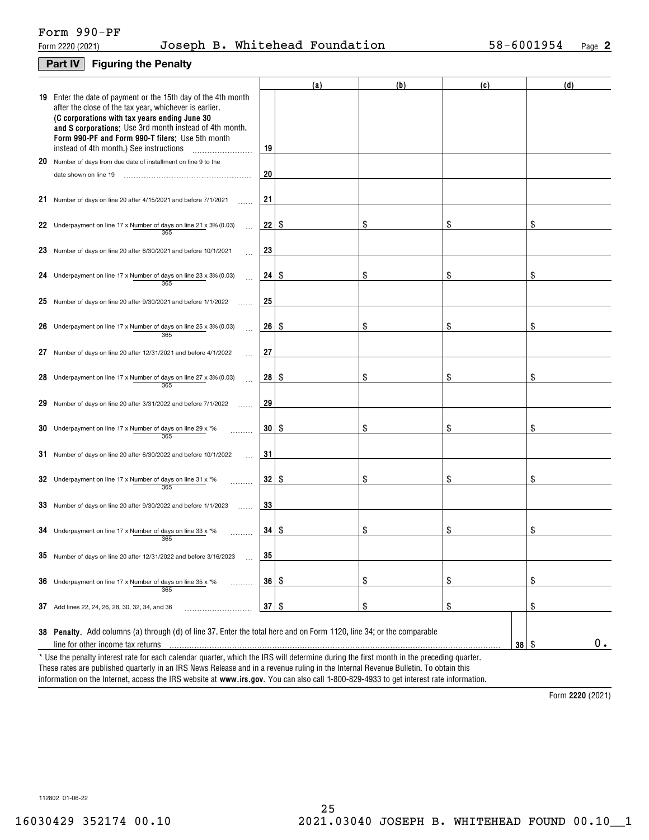# Form 990-PF

# **Part IV Figuring the Penalty**

|    |                                                                                                                                                                                                                                                                                                                                    |           | (a) | (b) | (c)               | (d)   |
|----|------------------------------------------------------------------------------------------------------------------------------------------------------------------------------------------------------------------------------------------------------------------------------------------------------------------------------------|-----------|-----|-----|-------------------|-------|
|    | 19 Enter the date of payment or the 15th day of the 4th month<br>after the close of the tax year, whichever is earlier.<br>(C corporations with tax years ending June 30<br>and S corporations: Use 3rd month instead of 4th month.<br>Form 990-PF and Form 990-T filers: Use 5th month<br>instead of 4th month.) See instructions | 19        |     |     |                   |       |
| 20 | Number of days from due date of installment on line 9 to the                                                                                                                                                                                                                                                                       |           |     |     |                   |       |
|    | date shown on line 19                                                                                                                                                                                                                                                                                                              | 20        |     |     |                   |       |
|    | 21 Number of days on line 20 after 4/15/2021 and before 7/1/2021                                                                                                                                                                                                                                                                   | 21        |     |     |                   |       |
|    | 22 Underpayment on line 17 x Number of days on line 21 x 3% (0.03)<br>365                                                                                                                                                                                                                                                          | 22        | \$  | \$  | \$                |       |
| 23 | Number of days on line 20 after 6/30/2021 and before 10/1/2021                                                                                                                                                                                                                                                                     | 23        |     |     |                   |       |
|    | 24 Underpayment on line 17 x Number of days on line 23 x 3% (0.03)<br>365                                                                                                                                                                                                                                                          | 24        | \$  | \$  | \$                | \$    |
| 25 | Number of days on line 20 after 9/30/2021 and before 1/1/2022                                                                                                                                                                                                                                                                      | 25        |     |     |                   |       |
| 26 | Underpayment on line 17 x Number of days on line 25 x 3% (0.03)<br>365                                                                                                                                                                                                                                                             | 26        | \$  | \$  | \$                | \$    |
| 27 | Number of days on line 20 after 12/31/2021 and before 4/1/2022                                                                                                                                                                                                                                                                     | 27        |     |     |                   |       |
| 28 | Underpayment on line 17 x Number of days on line 27 x 3% (0.03)<br>365                                                                                                                                                                                                                                                             | 28        | \$  | S   | \$                | \$    |
| 29 | Number of days on line 20 after 3/31/2022 and before 7/1/2022                                                                                                                                                                                                                                                                      | 29        |     |     |                   |       |
| 30 | Underpayment on line 17 x Number of days on line 29 x *%<br>365                                                                                                                                                                                                                                                                    | 30        | \$  | \$  | \$                | \$    |
|    | 31 Number of days on line 20 after 6/30/2022 and before 10/1/2022                                                                                                                                                                                                                                                                  | 31        |     |     |                   |       |
|    | 32 Underpayment on line 17 x Number of days on line 31 x $*$ %<br>365                                                                                                                                                                                                                                                              | 32        | \$  | \$  | \$                | \$    |
| 33 | Number of days on line 20 after 9/30/2022 and before 1/1/2023                                                                                                                                                                                                                                                                      | 33        |     |     |                   |       |
|    | 34 Underpayment on line 17 x Number of days on line 33 x $*$ %<br>365                                                                                                                                                                                                                                                              | 34        | -S  | \$  | \$                | \$    |
|    | 35 Number of days on line 20 after 12/31/2022 and before 3/16/2023                                                                                                                                                                                                                                                                 | 35        |     |     |                   |       |
| 36 | Underpayment on line 17 x Number of days on line 35 x *%<br>.<br>365                                                                                                                                                                                                                                                               | 36        | \$  | \$  | \$                | \$    |
| 37 | Add lines 22, 24, 26, 28, 30, 32, 34, and 36                                                                                                                                                                                                                                                                                       | $37$ \ \$ |     | \$  | \$                | \$    |
|    | 38 Penalty. Add columns (a) through (d) of line 37. Enter the total here and on Form 1120, line 34; or the comparable<br>line for other income tax returns<br>* Use the penalty interest rate for each calendar quarter, which the IRS will determine during the first month in the preceding quarter.                             |           |     |     | $38$ \ $\sqrt{3}$ | $0$ . |
|    |                                                                                                                                                                                                                                                                                                                                    |           |     |     |                   |       |

information on the Internet, access the IRS website at **www.irs.gov**. You can also call 1-800-829-4933 to get interest rate information. These rates are published quarterly in an IRS News Release and in a revenue ruling in the Internal Revenue Bulletin. To obtain this

**2220**  Form (2021)

112802 01-06-22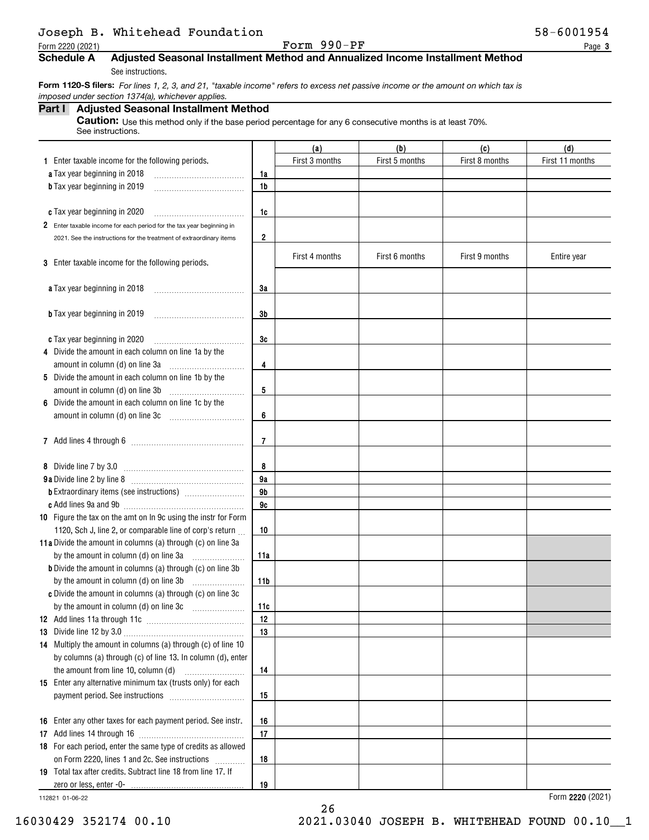# Joseph B. Whitehead Foundation 58-6001954

Form 2220 (2021) Page Form 990-PF

**3**

## **Schedule A Adjusted Seasonal Installment Method and Annualized Income Installment Method**

See instructions.

 **Form 1120-S filers:** *For lines 1, 2, 3, and 21, "taxable income" refers to excess net passive income or the amount on which tax is imposed under section 1374(a), whichever applies.*

# **Part I Adjusted Seasonal Installment Method**

**Caution:** Use this method only if the base period percentage for any 6 consecutive months is at least 70%. See instructions.

|                                                                      |                | (a)            | (b)            | (c)            | (d)             |
|----------------------------------------------------------------------|----------------|----------------|----------------|----------------|-----------------|
| 1 Enter taxable income for the following periods.                    |                | First 3 months | First 5 months | First 8 months | First 11 months |
| a Tax year beginning in 2018                                         | 1a             |                |                |                |                 |
| <b>b</b> Tax year beginning in 2019                                  | 1b             |                |                |                |                 |
|                                                                      |                |                |                |                |                 |
| c Tax year beginning in 2020                                         | 1c             |                |                |                |                 |
| 2 Enter taxable income for each period for the tax year beginning in |                |                |                |                |                 |
| 2021. See the instructions for the treatment of extraordinary items  | 2              |                |                |                |                 |
|                                                                      |                | First 4 months | First 6 months | First 9 months | Entire year     |
| 3 Enter taxable income for the following periods.                    |                |                |                |                |                 |
|                                                                      |                |                |                |                |                 |
| a Tax year beginning in 2018                                         | 3a             |                |                |                |                 |
|                                                                      |                |                |                |                |                 |
| <b>b</b> Tax year beginning in 2019                                  | 3b             |                |                |                |                 |
|                                                                      |                |                |                |                |                 |
| c Tax year beginning in 2020                                         | 3c             |                |                |                |                 |
| 4 Divide the amount in each column on line 1a by the                 |                |                |                |                |                 |
| amount in column (d) on line 3a                                      | 4              |                |                |                |                 |
| 5 Divide the amount in each column on line 1b by the                 |                |                |                |                |                 |
| amount in column (d) on line 3b                                      | 5              |                |                |                |                 |
| 6 Divide the amount in each column on line 1c by the                 |                |                |                |                |                 |
| amount in column (d) on line 3c                                      | 6              |                |                |                |                 |
|                                                                      |                |                |                |                |                 |
|                                                                      | $\overline{7}$ |                |                |                |                 |
|                                                                      |                |                |                |                |                 |
| 8 Divide line 7 by 3.0                                               | 8              |                |                |                |                 |
|                                                                      | 9a<br>9b       |                |                |                |                 |
|                                                                      | 9c             |                |                |                |                 |
| 10 Figure the tax on the amt on In 9c using the instr for Form       |                |                |                |                |                 |
| 1120, Sch J, line 2, or comparable line of corp's return             | 10             |                |                |                |                 |
| 11a Divide the amount in columns (a) through (c) on line 3a          |                |                |                |                |                 |
| by the amount in column (d) on line 3a                               | 11a            |                |                |                |                 |
| <b>b</b> Divide the amount in columns (a) through (c) on line 3b     |                |                |                |                |                 |
| by the amount in column (d) on line 3b                               | 11b            |                |                |                |                 |
| c Divide the amount in columns (a) through (c) on line 3c            |                |                |                |                |                 |
|                                                                      | 11c            |                |                |                |                 |
|                                                                      | 12             |                |                |                |                 |
|                                                                      | 13             |                |                |                |                 |
| 14 Multiply the amount in columns (a) through (c) of line 10         |                |                |                |                |                 |
| by columns (a) through (c) of line 13. In column (d), enter          |                |                |                |                |                 |
| the amount from line 10, column (d)                                  | 14             |                |                |                |                 |
| 15 Enter any alternative minimum tax (trusts only) for each          |                |                |                |                |                 |
|                                                                      | 15             |                |                |                |                 |
|                                                                      |                |                |                |                |                 |
| 16 Enter any other taxes for each payment period. See instr.         | 16             |                |                |                |                 |
|                                                                      | 17             |                |                |                |                 |
| 18 For each period, enter the same type of credits as allowed        |                |                |                |                |                 |
| on Form 2220, lines 1 and 2c. See instructions                       | 18             |                |                |                |                 |
| 19 Total tax after credits. Subtract line 18 from line 17. If        |                |                |                |                |                 |
|                                                                      | 19             |                |                |                |                 |

26

112821 01-06-22

**2220**  Form (2021)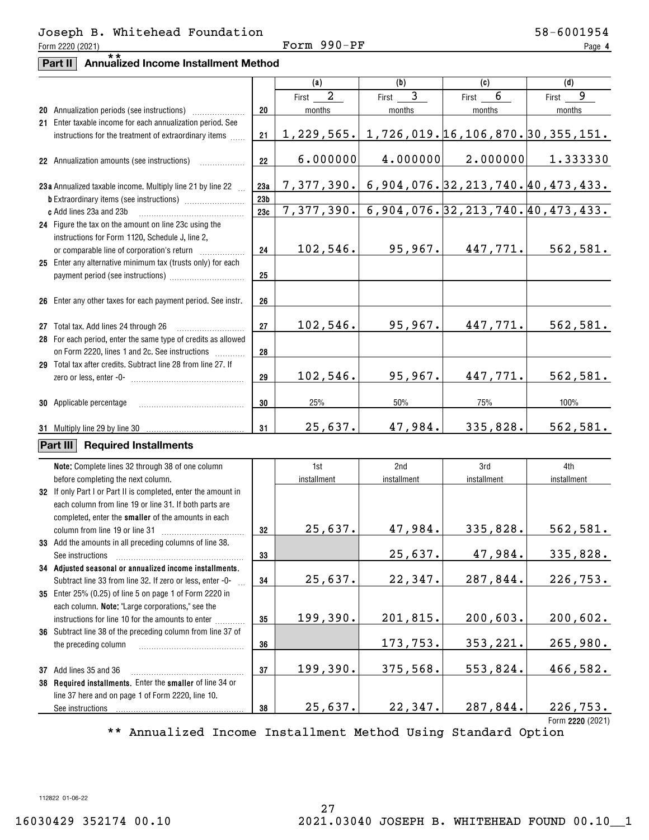## Form 2220 (2021) Page Form 990-PF Joseph B. Whitehead Foundation 58-6001954

**4**

# **Part II Annualized Income Installment Method** \*\*

|                                                                |                 | (a)                     | (b)         | (c)                                                     | (d)                                                   |
|----------------------------------------------------------------|-----------------|-------------------------|-------------|---------------------------------------------------------|-------------------------------------------------------|
|                                                                |                 | $\overline{a}$<br>First | 3<br>First  | 6<br>First                                              | 9<br>First                                            |
|                                                                | 20              |                         |             |                                                         | months                                                |
| 20 Annualization periods (see instructions)                    |                 | months                  | months      | months                                                  |                                                       |
| 21 Enter taxable income for each annualization period. See     |                 |                         |             | $1, 229, 565.$ 1, 726, 019. 16, 106, 870. 30, 355, 151. |                                                       |
| instructions for the treatment of extraordinary items          | 21              |                         |             |                                                         |                                                       |
|                                                                |                 | 6.000000                | 4.000000    | 2.000000                                                | 1.333330                                              |
| 22 Annualization amounts (see instructions)                    | 22              |                         |             |                                                         |                                                       |
|                                                                |                 |                         |             |                                                         |                                                       |
| 23a Annualized taxable income. Multiply line 21 by line 22     | 23a             |                         |             |                                                         | <u>7,377,390. 6,904,076. 32,213,740. 40,473,433.</u>  |
|                                                                | 23 <sub>b</sub> |                         |             |                                                         |                                                       |
| c Add lines 23a and 23b                                        | 23c             |                         |             |                                                         | 7, 377, 390. 6, 904, 076. 32, 213, 740. 40, 473, 433. |
| 24 Figure the tax on the amount on line 23c using the          |                 |                         |             |                                                         |                                                       |
| instructions for Form 1120, Schedule J, line 2,                |                 |                         |             |                                                         |                                                       |
|                                                                | 24              | 102, 546.               | 95,967.     | 447,771.                                                | 562,581.                                              |
| 25 Enter any alternative minimum tax (trusts only) for each    |                 |                         |             |                                                         |                                                       |
|                                                                | 25              |                         |             |                                                         |                                                       |
|                                                                |                 |                         |             |                                                         |                                                       |
| 26 Enter any other taxes for each payment period. See instr.   | 26              |                         |             |                                                         |                                                       |
|                                                                |                 |                         |             |                                                         |                                                       |
| 27 Total tax. Add lines 24 through 26                          | 27              | 102,546.                | 95,967.     | 447,771.                                                | 562,581.                                              |
| 28 For each period, enter the same type of credits as allowed  |                 |                         |             |                                                         |                                                       |
| on Form 2220, lines 1 and 2c. See instructions                 | 28              |                         |             |                                                         |                                                       |
| 29 Total tax after credits. Subtract line 28 from line 27. If  |                 |                         |             |                                                         |                                                       |
|                                                                | 29              | 102,546.                | 95,967.     | 447,771.                                                | 562,581.                                              |
|                                                                |                 |                         |             |                                                         |                                                       |
| <b>30</b> Applicable percentage                                | 30              | 25%                     | $50\%$      | 75%                                                     | 100%                                                  |
|                                                                |                 |                         |             |                                                         |                                                       |
|                                                                | 31              | 25,637.                 | 47,984.     | 335,828.                                                | 562,581.                                              |
| <b>Part III Required Installments</b>                          |                 |                         |             |                                                         |                                                       |
|                                                                |                 |                         |             |                                                         |                                                       |
| Note: Complete lines 32 through 38 of one column               |                 | 1st                     | 2nd         | 3rd                                                     | 4th                                                   |
| before completing the next column.                             |                 | installment             | installment | installment                                             | installment                                           |
| 32 If only Part I or Part II is completed, enter the amount in |                 |                         |             |                                                         |                                                       |
| each column from line 19 or line 31. If both parts are         |                 |                         |             |                                                         |                                                       |
| completed, enter the smaller of the amounts in each            |                 |                         |             |                                                         |                                                       |
| column from line 19 or line 31                                 | 32              | 25,637.                 | 47,984.     | 335,828.                                                | 562,581.                                              |
| 33 Add the amounts in all preceding columns of line 38.        |                 |                         |             |                                                         |                                                       |
| See instructions                                               | 33              |                         | 25,637.     | 47,984.                                                 | 335,828.                                              |
| 34 Adjusted seasonal or annualized income installments.        |                 |                         |             |                                                         |                                                       |
| Subtract line 33 from line 32. If zero or less, enter -0-      | 34              | 25,637.                 | 22,347.     | 287,844.                                                | 226,753.                                              |
| 35 Enter 25% (0.25) of line 5 on page 1 of Form 2220 in        |                 |                         |             |                                                         |                                                       |
| each column. Note: "Large corporations," see the               |                 |                         |             |                                                         |                                                       |
| instructions for line 10 for the amounts to enter              | 35              | 199,390.                | 201,815.    | 200,603.                                                | 200,602.                                              |
| 36 Subtract line 38 of the preceding column from line 37 of    |                 |                         |             |                                                         |                                                       |
| the preceding column                                           | 36              |                         | 173,753.    | 353,221.                                                | 265,980.                                              |
|                                                                |                 |                         |             |                                                         |                                                       |
| 37 Add lines 35 and 36                                         | 37              | 199,390.                | 375,568.    | 553,824.                                                | 466,582.                                              |
| 38 Required installments. Enter the smaller of line 34 or      |                 |                         |             |                                                         |                                                       |
| line 37 here and on page 1 of Form 2220, line 10.              |                 |                         |             |                                                         |                                                       |
| See instructions                                               | 38              | 25,637.                 | 22,347.     | 287,844.                                                | 226,753.                                              |
|                                                                |                 |                         |             |                                                         | Form 2220 (2021)                                      |

\*\* Annualized Income Installment Method Using Standard Option

112822 01-06-22

# 16030429 352174 00.10 2021.03040 JOSEPH B. WHITEHEAD FOUND 00.10\_\_1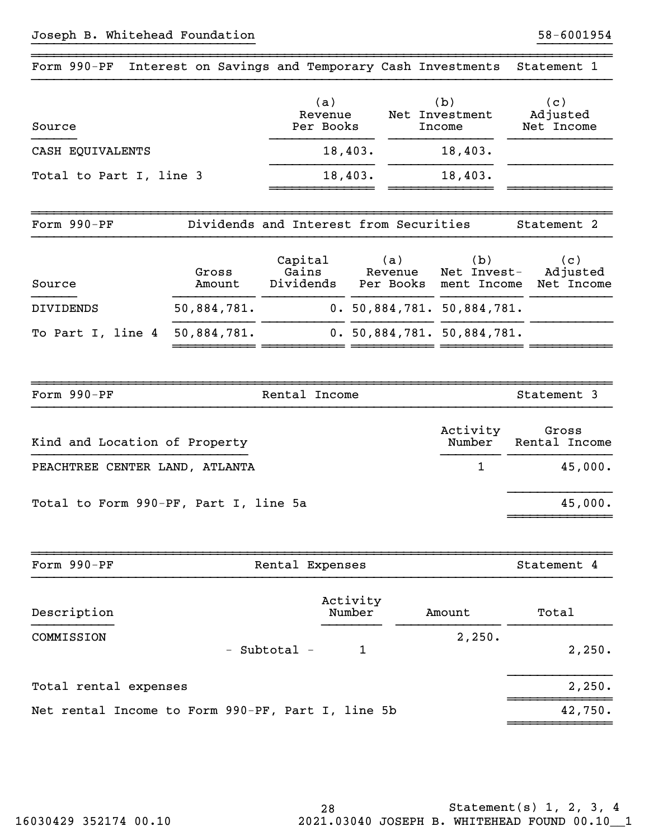| Form 990-PF Interest on Savings and Temporary Cash Investments |                 |                                        |                             |                                   | Statement 1                   |
|----------------------------------------------------------------|-----------------|----------------------------------------|-----------------------------|-----------------------------------|-------------------------------|
| Source                                                         |                 | (a)<br>Revenue<br>Per Books            |                             | (b)<br>Net Investment<br>Income   | (c)<br>Adjusted<br>Net Income |
| CASH EQUIVALENTS                                               |                 | 18,403.                                | 18,403.                     |                                   |                               |
| Total to Part I, line 3                                        |                 | 18,403.                                | 18,403.                     |                                   |                               |
| Form 990-PF                                                    |                 | Dividends and Interest from Securities |                             |                                   | Statement <sub>2</sub>        |
| Source                                                         | Gross<br>Amount | Capital<br>Gains<br>Dividends          | (a)<br>Revenue<br>Per Books | (b)<br>Net Invest-<br>ment Income | (c)<br>Adjusted<br>Net Income |
| <b>DIVIDENDS</b>                                               | 50,884,781.     |                                        |                             | 0.50,884,781.50,884,781.          |                               |
| To Part I, line 4                                              | 50,884,781.     |                                        |                             | 0.50,884,781.50,884,781.          |                               |
| Form 990-PF                                                    |                 | Rental Income                          |                             |                                   | Statement 3                   |
| Kind and Location of Property                                  |                 |                                        |                             | Activity<br>Number                | Gross<br>Rental Income        |
| PEACHTREE CENTER LAND, ATLANTA                                 |                 |                                        |                             | 1                                 | 45,000.                       |

}}}}}}}}}}}}}}}}}}}}}}}}}}}}}} }}}}}}}}}}

~~~~~~~~~~~~~~~~~~~~~~~~~~~~~~~~~~~~~~~~~~~~~~~~~~~~~~~~~~~~~~~~~~~~~~~~~~~~~~

Total to Form 990-PF, Part I, line 5a 45,000.

| Form 990-PF                                       | Rental Expenses              | Statement 4      |
|---------------------------------------------------|------------------------------|------------------|
| Description                                       | Activity<br>Number<br>Amount | Total            |
| COMMISSION<br>- Subtotal -                        |                              | 2,250.<br>2,250. |
| Total rental expenses                             |                              | 2,250.           |
| Net rental Income to Form 990-PF, Part I, line 5b |                              | 42,750.          |

}}}}}}}}}}}}}}

~~~~~~~~~~~~~~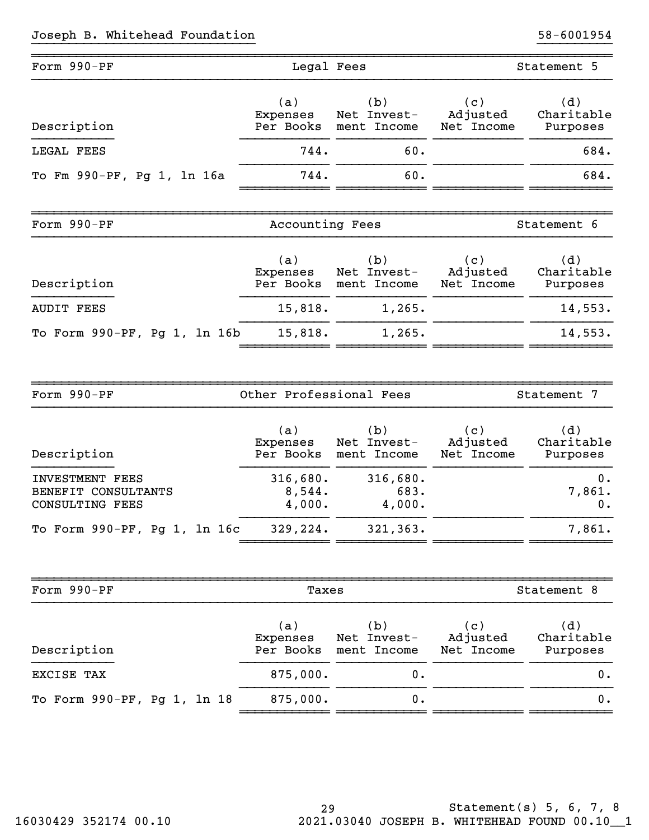# Joseph B. Whitehead Foundation 58-6001954

| Form 990-PF                  | Legal Fees                   |                                   |                               | Statement 5                   |
|------------------------------|------------------------------|-----------------------------------|-------------------------------|-------------------------------|
| Description                  | (a)<br>Expenses<br>Per Books | (b)<br>Net Invest-<br>ment Income | (c)<br>Adjusted<br>Net Income | (d)<br>Charitable<br>Purposes |
| LEGAL FEES                   | 744.                         | 60.                               |                               | 684.                          |
| To Fm 990-PF, Pg 1, 1n 16a   | 744.                         | 60.                               |                               | 684.                          |
|                              |                              |                                   |                               |                               |
| Form 990-PF                  | Accounting Fees              |                                   |                               | Statement 6                   |
| Description                  | (a)<br>Expenses<br>Per Books | (b)<br>Net Invest-<br>ment Income | (c)<br>Adjusted<br>Net Income | (d)<br>Charitable<br>Purposes |
| <b>AUDIT FEES</b>            | 15,818.                      | 1,265.                            |                               | 14,553.                       |
| To Form 990-PF, Pg 1, 1n 16b | 15,818.                      | 1,265.                            |                               | 14,553.                       |
|                              |                              |                                   |                               |                               |

}}}}}}}}}}}}}}}}}}}}}}}}}}}}}} }}}}}}}}}}

| Form 990-PF                  | Other Professional Fees |             |            | Statement 7 |
|------------------------------|-------------------------|-------------|------------|-------------|
| Description                  | (a)                     | (b)         | (c)        | (d)         |
|                              | Expenses                | Net Invest- | Adjusted   | Charitable  |
|                              | Per Books               | ment Income | Net Income | Purposes    |
| INVESTMENT FEES              | 316,680.                | 316,680.    |            | $0$ .       |
| BENEFIT CONSULTANTS          | 8,544.                  | 683.        |            | 7,861.      |
| CONSULTING FEES              | 4,000.                  | 4,000.      |            | $0$ .       |
| To Form 990-PF, Pg 1, 1n 16c | 329, 224.               | 321, 363.   |            | 7,861.      |

| Form 990-PF                 | Taxes                        |                                   | Statement 8                   |                               |
|-----------------------------|------------------------------|-----------------------------------|-------------------------------|-------------------------------|
| Description                 | (a)<br>Expenses<br>Per Books | (b)<br>Net Invest-<br>ment Income | (c)<br>Adjusted<br>Net Income | (d)<br>Charitable<br>Purposes |
| EXCISE TAX                  | 875,000.                     | Ο.                                |                               | 0.                            |
| To Form 990-PF, Pg 1, 1n 18 | 875,000.                     | Ο.                                |                               | 0.                            |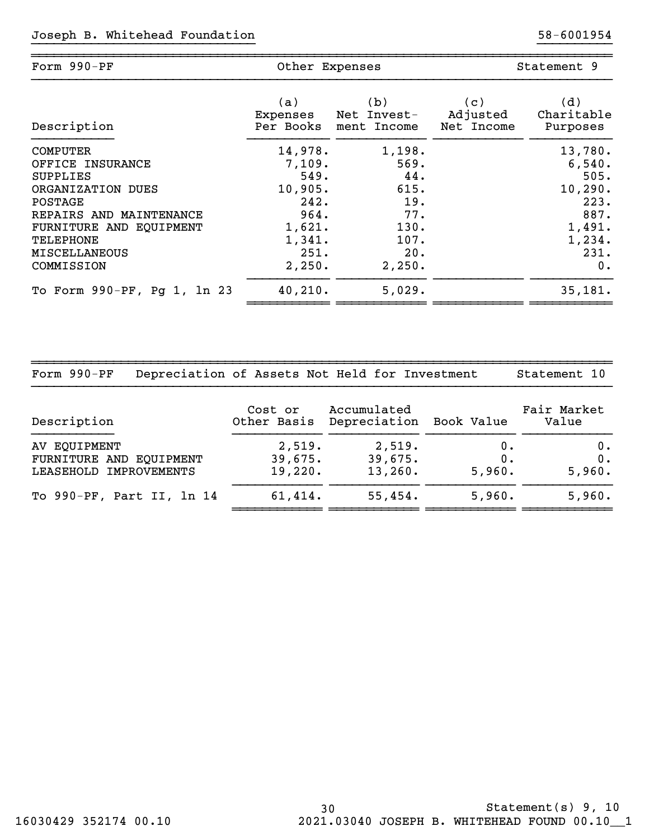| Form 990-PF                 | Other Expenses |             |            | Statement 9 |
|-----------------------------|----------------|-------------|------------|-------------|
| Description                 | (a)            | (b)         | (c)        | (d)         |
|                             | Expenses       | Net Invest- | Adjusted   | Charitable  |
|                             | Per Books      | ment Income | Net Income | Purposes    |
| <b>COMPUTER</b>             | 14,978.        | 1,198.      |            | 13,780.     |
| OFFICE INSURANCE            | 7,109.         | 569.        |            | 6,540.      |
| <b>SUPPLIES</b>             | 549.           | 44.         |            | 505.        |
| ORGANIZATION DUES           | 10,905.        | 615.        |            | 10, 290.    |
| POSTAGE                     | 242.           | 19.         |            | 223.        |
| REPAIRS AND MAINTENANCE     | 964.           | 77.         |            | 887.        |
| FURNITURE AND EQUIPMENT     | 1,621.         | 130.        |            | 1,491.      |
| TELEPHONE                   | 1,341.         | 107.        |            | 1,234.      |
| <b>MISCELLANEOUS</b>        | 251.           | 20.         |            | 231.        |
| COMMISSION                  | 2,250.         | 2,250.      |            | 0.          |
| To Form 990-PF, Pg 1, 1n 23 | 40, 210.       | 5,029.      |            | 35,181.     |

}}}}}}}}}}}}}}}}}}}}}}}}}}}}}} }}}}}}}}}}

~~~~~~~~~~~~~~~~~~~~~~~~~~~~~~~~~~~~~~~~~~~~~~~~~~~~~~~~~~~~~~~~~~~~~~~~~~~~~~

| Form 990-PF                                                       |                              | Depreciation of Assets Not Held for Investment |                       | Statement 10          |
|-------------------------------------------------------------------|------------------------------|------------------------------------------------|-----------------------|-----------------------|
| Description                                                       | Cost or<br>Other Basis       | Accumulated<br>Depreciation                    | Book Value            | Fair Market<br>Value  |
| AV EQUIPMENT<br>FURNITURE AND EQUIPMENT<br>LEASEHOLD IMPROVEMENTS | 2,519.<br>39,675.<br>19,220. | 2,519.<br>39,675.<br>13,260.                   | 0.<br>$0$ .<br>5,960. | 0.<br>$0$ .<br>5,960. |
| To 990-PF, Part II, 1n 14                                         | 61,414.                      | 55,454.                                        | 5,960.                | 5,960.                |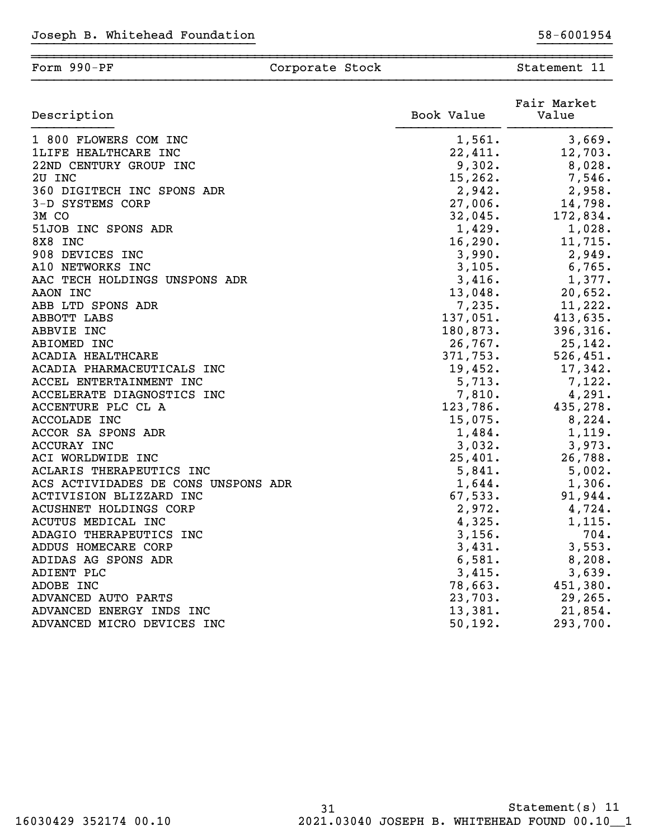| Description                   | Book Value | Fair Market<br>Value |
|-------------------------------|------------|----------------------|
| 1 800 FLOWERS COM INC         | 1,561.     | 3,669.               |
| 1LIFE HEALTHCARE INC          | 22,411.    | 12,703.              |
| 22ND CENTURY GROUP INC        | 9,302.     | 8,028.               |
| 2U INC                        | 15,262.    | $7,546$ .            |
| 360 DIGITECH INC SPONS ADR    | 2,942.     | 2,958.               |
| 3-D SYSTEMS CORP              |            | $27,006.$ 14,798.    |
| 3M CO                         |            | $32,045.$ 172,834.   |
| 51JOB INC SPONS ADR           | 1,429.     | 1,028.               |
| 8X8 INC                       | 16,290.    | 11,715.              |
| 908<br>DEVICES INC            | 3,990.     | 2,949.               |
| A10 NETWORKS INC              | 3,105.     | 6,765.               |
| AAC TECH HOLDINGS UNSPONS ADR | 3,416.     | 1,377.               |
| AAON INC                      | 13,048.    | 20,652.              |
| ABB LTD SPONS ADR             | 7,235.     | $11,222$ .           |
| ABBOTT LABS                   |            | $137,051.$ 413,635.  |
| ABBVIE INC                    | 180,873.   | 396,316.             |
| ABIOMED INC                   |            | $26,767.$ 25,142.    |
| ACADIA HEALTHCARE             | 371,753.   | 526,451.             |
| ACADIA PHARMACEUTICALS INC    | 19,452.    | 17,342.              |
| ACCEL ENTERTAINMENT INC       | 5,713.     | 7,122.               |
| ACCELERATE DIAGNOSTICS INC    | 7,810.     | 4,291.               |
| ACCENTURE PLC CL A            | 123,786.   | 435,278.             |

| ACADIA HEALTHCARE                   | 371,753.   | 526,451.   |
|-------------------------------------|------------|------------|
| ACADIA PHARMACEUTICALS INC          | 19,452.    | 17,342.    |
| ACCEL ENTERTAINMENT INC             | 5,713.     | 7,122.     |
| ACCELERATE DIAGNOSTICS INC          | 7,810.     | 4,291.     |
| ACCENTURE PLC CL A                  | 123,786.   | 435,278.   |
| <b>ACCOLADE INC</b>                 | $15,075$ . | 8,224.     |
| ACCOR SA SPONS ADR                  | 1,484.     | 1,119.     |
| ACCURAY INC                         | 3,032.     | 3,973.     |
| ACI WORLDWIDE INC                   | 25,401.    | 26,788.    |
| ACLARIS THERAPEUTICS INC            | 5,841.     | 5,002.     |
| ACS ACTIVIDADES DE CONS UNSPONS ADR | 1,644.     | 1,306.     |
| ACTIVISION BLIZZARD INC             | 67,533.    | 91,944.    |
| <b>ACUSHNET HOLDINGS CORP</b>       | 2,972.     | 4,724.     |
| ACUTUS MEDICAL INC                  | 4,325.     | 1,115.     |
| ADAGIO THERAPEUTICS INC             | 3,156.     | 704.       |
| ADDUS HOMECARE CORP                 | 3,431.     | 3,553.     |
| ADIDAS AG SPONS ADR                 | 6,581.     | 8,208.     |
| ADIENT PLC                          | 3,415.     | 3,639.     |
| ADOBE INC                           | 78,663.    | 451,380.   |
| ADVANCED AUTO PARTS                 | 23,703.    | 29, 265.   |
| ADVANCED ENERGY INDS INC            | 13,381.    | $21,854$ . |
| ADVANCED MICRO DEVICES INC          | 50,192.    | 293,700.   |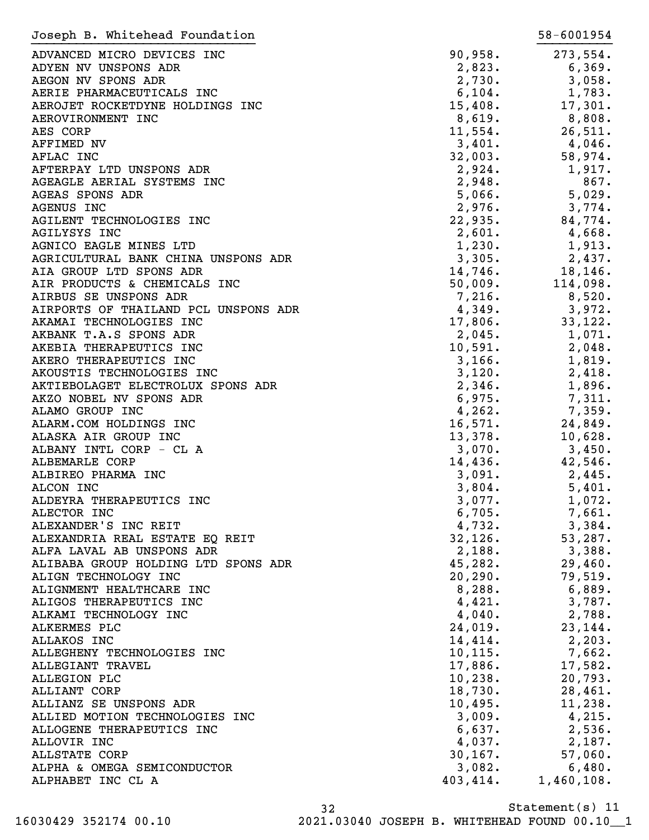| Joseph B. Whitehead Foundation       |           | 58-6001954 |
|--------------------------------------|-----------|------------|
| ADVANCED MICRO DEVICES INC           | 90,958.   | 273,554.   |
| ADYEN NV UNSPONS ADR                 | 2,823.    | 6,369.     |
| AEGON NV SPONS ADR                   | 2,730.    | 3,058.     |
| AERIE PHARMACEUTICALS INC            | 6,104.    | 1,783.     |
| AEROJET ROCKETDYNE HOLDINGS INC      | 15,408.   | 17,301.    |
| AEROVIRONMENT INC                    | 8,619.    | 8,808.     |
| AES CORP                             | 11,554.   | 26,511.    |
| AFFIMED NV                           | 3,401.    | 4,046.     |
| AFLAC INC                            | 32,003.   | 58,974.    |
| AFTERPAY LTD UNSPONS ADR             | 2,924.    | 1,917.     |
| AGEAGLE AERIAL SYSTEMS INC           | 2,948.    | 867.       |
| <b>AGEAS SPONS ADR</b>               | 5,066.    | 5,029.     |
| AGENUS INC                           | 2,976.    | 3,774.     |
| AGILENT TECHNOLOGIES INC             | 22,935.   | 84,774.    |
| <b>AGILYSYS INC</b>                  | 2,601.    | 4,668.     |
| AGNICO EAGLE MINES LTD               | 1,230.    | 1,913.     |
| AGRICULTURAL BANK CHINA UNSPONS ADR  | 3,305.    | 2,437.     |
| AIA GROUP LTD SPONS ADR              | 14,746.   | 18,146.    |
| AIR PRODUCTS & CHEMICALS INC         | 50,009.   | 114,098.   |
| AIRBUS SE UNSPONS ADR                | 7,216.    | 8,520.     |
| AIRPORTS OF THAILAND PCL UNSPONS ADR | 4,349.    | 3,972.     |
| AKAMAI TECHNOLOGIES INC              | 17,806.   | 33,122.    |
| AKBANK T.A.S SPONS ADR               | 2,045.    | 1,071.     |
| AKEBIA THERAPEUTICS INC              | 10,591.   | 2,048.     |
| AKERO THERAPEUTICS INC               | 3,166.    | 1,819.     |
| AKOUSTIS TECHNOLOGIES INC            | 3,120.    | 2,418.     |
| AKTIEBOLAGET ELECTROLUX SPONS ADR    | 2,346.    | 1,896.     |
| AKZO NOBEL NV SPONS ADR              | 6,975.    | 7,311.     |
| ALAMO GROUP INC                      | 4, 262.   | 7,359.     |
| ALARM.COM HOLDINGS INC               | 16,571.   | 24,849.    |
| ALASKA AIR GROUP INC                 | 13,378.   | 10,628.    |
| ALBANY INTL CORP - CL A              | 3,070.    | 3,450.     |
| ALBEMARLE CORP                       | 14,436.   | 42,546.    |
| ALBIREO PHARMA INC                   | 3,091.    | 2,445.     |
| ALCON INC                            | 3,804.    | 5,401.     |
| ALDEYRA THERAPEUTICS INC             | 3,077.    | 1,072.     |
| ALECTOR INC                          | 6,705.    | 7,661.     |
| ALEXANDER'S INC REIT                 | 4,732.    | 3,384.     |
| ALEXANDRIA REAL ESTATE EQ REIT       | 32,126.   | 53,287.    |
| ALFA LAVAL AB UNSPONS ADR            | 2,188.    | 3,388.     |
| ALIBABA GROUP HOLDING LTD SPONS ADR  | 45,282.   | 29,460.    |
| ALIGN TECHNOLOGY INC                 | 20, 290.  | 79,519.    |
| ALIGNMENT HEALTHCARE INC             | 8,288.    | 6,889.     |
| ALIGOS THERAPEUTICS INC              | 4,421.    | 3,787.     |
| ALKAMI TECHNOLOGY INC                | 4,040.    | 2,788.     |
| ALKERMES PLC                         | 24,019.   | 23, 144.   |
| ALLAKOS INC                          | 14,414.   | 2, 203.    |
| ALLEGHENY TECHNOLOGIES INC           | 10, 115.  | 7,662.     |
| ALLEGIANT TRAVEL                     | 17,886.   | 17,582.    |
| <b>ALLEGION PLC</b>                  | 10, 238.  | 20,793.    |
| <b>ALLIANT CORP</b>                  | 18,730.   | 28,461.    |
| ALLIANZ SE UNSPONS ADR               | 10,495.   | 11,238.    |
| ALLIED MOTION TECHNOLOGIES INC       | 3,009.    | 4,215.     |
| ALLOGENE THERAPEUTICS INC            | 6,637.    | 2,536.     |
| ALLOVIR INC                          | 4,037.    | 2,187.     |
| ALLSTATE CORP                        | 30, 167.  | 57,060.    |
| ALPHA & OMEGA SEMICONDUCTOR          | 3,082.    | 6,480.     |
| ALPHABET INC CL A                    | 403, 414. | 1,460,108. |
|                                      |           |            |

32 16030429 352174 00.10 2021.03040 JOSEPH B. WHITEHEAD FOUND 00.10\_\_1

Statement(s) 11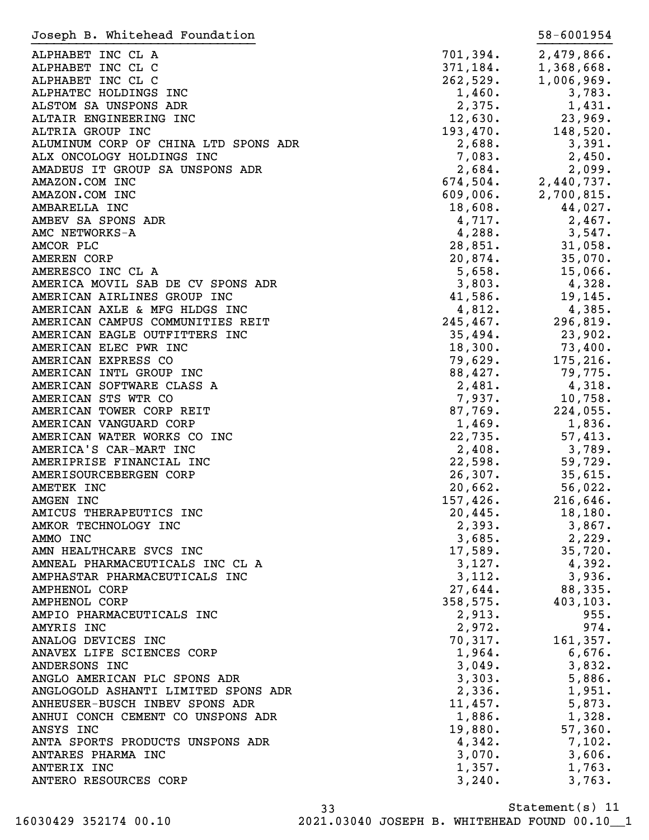| Joseph B. Whitehead Foundation       |           | 58-6001954 |
|--------------------------------------|-----------|------------|
| ALPHABET INC CL A                    | 701,394.  | 2,479,866. |
| ALPHABET INC CL C                    | 371,184.  | 1,368,668. |
| ALPHABET INC CL C                    | 262,529.  | 1,006,969. |
| ALPHATEC HOLDINGS INC                | 1,460.    | 3,783.     |
| ALSTOM SA UNSPONS ADR                | 2,375.    | 1,431.     |
| ALTAIR ENGINEERING INC               | 12,630.   | 23,969.    |
| ALTRIA GROUP INC                     | 193,470.  | 148,520.   |
| ALUMINUM CORP OF CHINA LTD SPONS ADR | 2,688.    | 3,391.     |
| ALX ONCOLOGY HOLDINGS INC            | 7,083.    | 2,450.     |
| AMADEUS IT GROUP SA UNSPONS ADR      | 2,684.    | 2,099.     |
| AMAZON.COM INC                       | 674,504.  | 2,440,737. |
| AMAZON.COM INC                       | 609,006.  | 2,700,815. |
| AMBARELLA INC                        | 18,608.   | 44,027.    |
| AMBEV SA SPONS ADR                   | 4,717.    | 2,467.     |
| AMC NETWORKS-A                       | 4,288.    | 3,547.     |
| AMCOR PLC                            | 28,851.   | 31,058.    |
| <b>AMEREN CORP</b>                   | 20,874.   | 35,070.    |
| AMERESCO INC CL A                    | 5,658.    | 15,066.    |
| AMERICA MOVIL SAB DE CV SPONS ADR    | 3,803.    | 4,328.     |
| AMERICAN AIRLINES GROUP INC          | 41,586.   | 19,145.    |
| AMERICAN AXLE & MFG HLDGS INC        | 4,812.    | 4,385.     |
| AMERICAN CAMPUS COMMUNITIES REIT     | 245, 467. | 296,819.   |
| AMERICAN EAGLE OUTFITTERS INC        | 35,494.   | 23,902.    |
| AMERICAN ELEC PWR INC                | 18,300.   | 73,400.    |
| AMERICAN EXPRESS CO                  | 79,629.   | 175,216.   |
| AMERICAN INTL GROUP INC              | 88,427.   | 79,775.    |
| AMERICAN SOFTWARE CLASS A            | 2,481.    | 4,318.     |
| AMERICAN STS WTR CO                  | 7,937.    | 10,758.    |
| AMERICAN TOWER CORP REIT             | 87,769.   | 224,055.   |
| AMERICAN VANGUARD CORP               | 1,469.    | 1,836.     |
| AMERICAN WATER WORKS CO INC          | 22,735.   | 57,413.    |
| AMERICA'S CAR-MART INC               | 2,408.    | 3,789.     |
| AMERIPRISE FINANCIAL INC             | 22,598.   | 59,729.    |
| AMERISOURCEBERGEN CORP               | 26, 307.  | 35,615.    |
| AMETEK INC                           | 20,662.   | 56,022.    |
| AMGEN INC                            | 157,426.  | 216,646.   |
| AMICUS THERAPEUTICS INC              | 20,445.   | 18, 180.   |
| AMKOR TECHNOLOGY INC                 | 2,393.    | 3,867.     |
| AMMO INC                             | 3,685.    | 2,229.     |
| AMN HEALTHCARE SVCS INC              | 17,589.   | 35,720.    |
| AMNEAL PHARMACEUTICALS INC CL A      | 3,127.    | 4,392.     |
| AMPHASTAR PHARMACEUTICALS INC        | 3,112.    | 3,936.     |
| <b>AMPHENOL CORP</b>                 | 27,644.   | 88,335.    |
| <b>AMPHENOL CORP</b>                 | 358,575.  | 403, 103.  |
| AMPIO PHARMACEUTICALS INC            | 2,913.    | 955.       |
| AMYRIS INC                           | 2,972.    | 974.       |
| ANALOG DEVICES INC                   | 70,317.   | 161, 357.  |
| ANAVEX LIFE SCIENCES CORP            | 1,964.    | 6,676.     |
| ANDERSONS INC                        | 3,049.    | 3,832.     |
| ANGLO AMERICAN PLC SPONS ADR         | 3,303.    | 5,886.     |
| ANGLOGOLD ASHANTI LIMITED SPONS ADR  | 2,336.    | 1,951.     |
| ANHEUSER-BUSCH INBEV SPONS ADR       | 11,457.   | 5,873.     |
| ANHUI CONCH CEMENT CO UNSPONS ADR    | 1,886.    | 1,328.     |
| ANSYS INC                            | 19,880.   | 57,360.    |
| ANTA SPORTS PRODUCTS UNSPONS ADR     | 4,342.    | 7,102.     |
| ANTARES PHARMA INC                   | 3,070.    | 3,606.     |
| ANTERIX INC                          | 1,357.    | 1,763.     |
| ANTERO RESOURCES CORP                | 3,240.    | 3,763.     |

Statement(s) 11 33 16030429 352174 00.10 2021.03040 JOSEPH B. WHITEHEAD FOUND 00.10\_\_1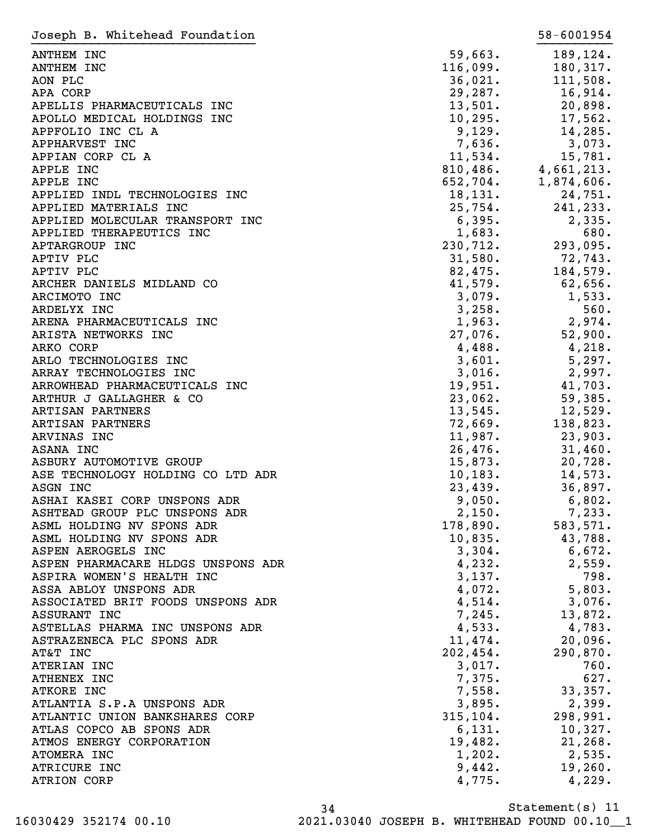| Joseph B. Whitehead Foundation     |                      | 58-6001954                       |
|------------------------------------|----------------------|----------------------------------|
| ANTHEM INC                         | 59,663.              | 189,124.                         |
| <b>ANTHEM INC</b>                  | 116,099.             | 180,317.                         |
| AON PLC                            | 36,021.              | 111,508.                         |
| APA CORP                           | 29, 287.             | 16,914.                          |
| APELLIS PHARMACEUTICALS INC        | 13,501.              | 20,898.                          |
| APOLLO MEDICAL HOLDINGS INC        | 10, 295.             | 17,562.                          |
| APPFOLIO INC CL A                  | 9,129.               | 14,285.                          |
| APPHARVEST INC                     | 7,636.               |                                  |
|                                    |                      | 3,073.                           |
| APPIAN CORP CL A                   | 11,534.              | 15,781.<br>$810,486.$ 4,661,213. |
| APPLE INC                          | 810,400.<br>652,704. |                                  |
| APPLE INC                          |                      | 1,874,606.                       |
| APPLIED INDL TECHNOLOGIES INC      | 18, 131.             | 24,751.                          |
| APPLIED MATERIALS INC              | 25,754.              | 241,233.                         |
| APPLIED MOLECULAR TRANSPORT INC    | 6,395.               | 2,335.                           |
| APPLIED THERAPEUTICS INC           | 1,683.               | 680.                             |
| APTARGROUP INC                     | 230,712.             | 293,095.                         |
| APTIV PLC                          | 31,580.              | 72,743.                          |
| APTIV PLC                          | 82,475.              | 184,579.                         |
| ARCHER DANIELS MIDLAND CO          | 41,579.              | $62,656$ .                       |
| ARCIMOTO INC                       | 3,079.               | 1,533.                           |
| ARDELYX INC                        | 3,258.               | 560.                             |
| ARENA PHARMACEUTICALS INC          | 1,963.               | 2,974.                           |
| ARISTA NETWORKS INC                | 27,076.              | 52,900.                          |
| ARKO CORP                          | 4,488.               | 4,218.                           |
| ARLO TECHNOLOGIES INC              | 3,601.               | 5,297.                           |
| ARRAY TECHNOLOGIES INC             | 3,016.               | 2,997.                           |
| ARROWHEAD PHARMACEUTICALS INC      | 19,951.              | 41,703.                          |
| ARTHUR J GALLAGHER & CO            | 23,062.              | 59,385.                          |
| ARTISAN PARTNERS                   | 13,545.              | 12,529.                          |
| ARTISAN PARTNERS                   | 72,669.              | 138,823.                         |
| ARVINAS INC                        | 11,987.              | 23,903.                          |
| ASANA INC                          | 26,476.              | 31,460.                          |
| ASBURY AUTOMOTIVE GROUP            | 15,873.              | 20,728.                          |
| ASE TECHNOLOGY HOLDING CO LTD ADR  | 10, 183.             | 14,573.                          |
| ASGN INC                           | 23,439.              | 36,897.                          |
| ASHAI KASEI CORP UNSPONS ADR       | 9,050.               | 6,802.                           |
| ASHTEAD GROUP PLC UNSPONS ADR      | 2,150.               | 7,233.                           |
| ASML HOLDING NV SPONS ADR          | 178,890.             | 583,571.                         |
| ASML HOLDING NV SPONS ADR          | 10,835.              | 43,788.                          |
| ASPEN AEROGELS INC                 | 3,304.               | 6,672.                           |
| ASPEN PHARMACARE HLDGS UNSPONS ADR | 4,232.               | 2,559.                           |
| ASPIRA WOMEN'S HEALTH INC          | 3,137.               | 798.                             |
| ASSA ABLOY UNSPONS ADR             | 4,072.               | 5,803.                           |
| ASSOCIATED BRIT FOODS UNSPONS ADR  | 4,514.               | 3,076.                           |
| ASSURANT INC                       | 7,245.               | 13,872.                          |
|                                    | 4,533.               | 4,783.                           |
| ASTELLAS PHARMA INC UNSPONS ADR    | 11,474.              |                                  |
| ASTRAZENECA PLC SPONS ADR          |                      | 20,096.                          |
| AT&T INC                           | 202,454.             | 290,870.                         |
| ATERIAN INC                        | 3,017.               | 760.                             |
| ATHENEX INC                        | 7,375.               | 627.                             |
| ATKORE INC                         | 7,558.               | 33,357.                          |
| ATLANTIA S.P.A UNSPONS ADR         | 3,895.               | 2,399.                           |
| ATLANTIC UNION BANKSHARES CORP     | 315, 104.            | 298,991.                         |
| ATLAS COPCO AB SPONS ADR           | 6,131.               | 10,327.                          |
| ATMOS ENERGY CORPORATION           | 19,482.              | 21, 268.                         |
| ATOMERA INC                        | 1,202.               | 2,535.                           |
| ATRICURE INC                       | 9,442.               | 19,260.                          |
| ATRION CORP                        | 4,775.               | 4,229.                           |

Statement(s) 11 34 16030429 352174 00.10 2021.03040 JOSEPH B. WHITEHEAD FOUND 00.10\_\_1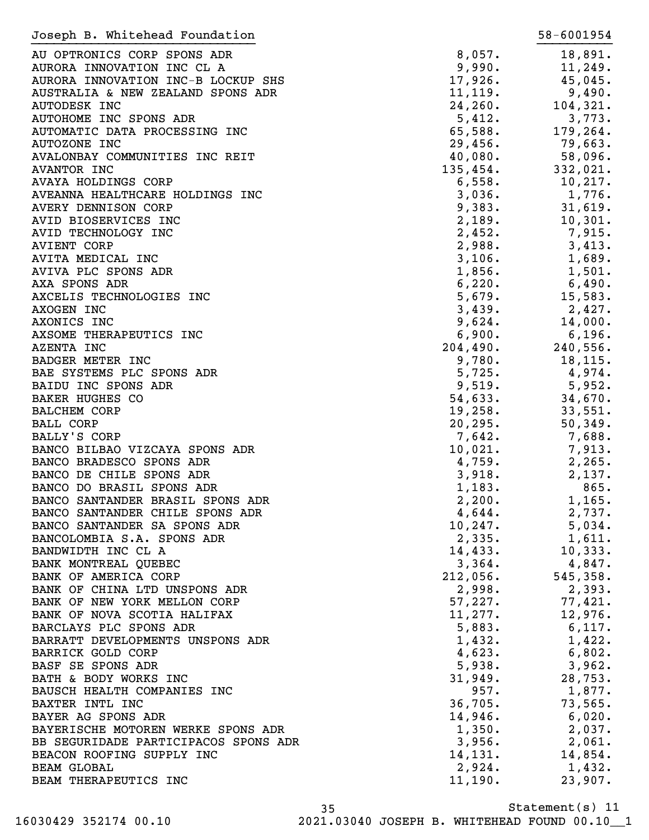| Joseph B. Whitehead Foundation       |          | 58-6001954 |
|--------------------------------------|----------|------------|
| AU OPTRONICS CORP SPONS ADR          | 8,057.   | 18,891.    |
| AURORA INNOVATION INC CL A           | 9,990.   | 11,249.    |
| AURORA INNOVATION INC-B LOCKUP SHS   | 17,926.  | 45,045.    |
| AUSTRALIA & NEW ZEALAND SPONS ADR    | 11, 119. | 9,490.     |
| AUTODESK INC                         | 24, 260. |            |
|                                      |          | 104,321.   |
| AUTOHOME INC SPONS ADR               | 5,412.   | 3,773.     |
| AUTOMATIC DATA PROCESSING INC        | 65,588.  | 179,264.   |
| AUTOZONE INC                         | 29,456.  | 79,663.    |
| AVALONBAY COMMUNITIES INC REIT       | 40,080.  | 58,096.    |
| AVANTOR INC                          | 135,454. | 332,021.   |
| AVAYA HOLDINGS CORP                  | 6,558.   | 10, 217.   |
| AVEANNA HEALTHCARE HOLDINGS INC      | 3,036.   | 1,776.     |
| AVERY DENNISON CORP                  | 9,383.   | 31,619.    |
| AVID BIOSERVICES INC                 | 2,189.   | 10,301.    |
| AVID TECHNOLOGY INC                  | 2,452.   | 7,915.     |
| <b>AVIENT CORP</b>                   | 2,988.   | 3,413.     |
| AVITA MEDICAL INC                    | 3,106.   | 1,689.     |
| AVIVA PLC SPONS ADR                  | 1,856.   | 1,501.     |
| AXA SPONS ADR                        | 6,220.   | 6,490.     |
| AXCELIS TECHNOLOGIES INC             | 5,679.   | 15,583.    |
| AXOGEN INC                           | 3,439.   | 2,427.     |
|                                      |          |            |
| AXONICS INC                          | 9,624.   | 14,000.    |
| AXSOME THERAPEUTICS INC              | 6,900.   | 6,196.     |
| AZENTA INC                           | 204,490. | 240,556.   |
| BADGER METER INC                     | 9,780.   | 18,115.    |
| BAE SYSTEMS PLC SPONS ADR            | 5,725.   | 4,974.     |
| BAIDU INC SPONS ADR                  | 9,519.   | 5,952.     |
| BAKER HUGHES CO                      | 54,633.  | 34,670.    |
| <b>BALCHEM CORP</b>                  | 19,258.  | 33,551.    |
| <b>BALL CORP</b>                     | 20, 295. | 50,349.    |
| BALLY'S CORP                         | 7,642.   | 7,688.     |
| BANCO BILBAO VIZCAYA SPONS ADR       | 10,021.  | 7,913.     |
| BANCO BRADESCO SPONS ADR             | 4,759.   | 2,265.     |
| BANCO DE CHILE SPONS ADR             | 3,918.   | 2,137.     |
| BANCO DO BRASIL SPONS ADR            | 1,183.   | 865.       |
| BANCO SANTANDER BRASIL SPONS ADR     | 2,200.   | 1,165.     |
| BANCO SANTANDER CHILE SPONS ADR      | 4,644.   | 2,737.     |
| BANCO SANTANDER SA SPONS ADR         | 10, 247. | 5,034.     |
| BANCOLOMBIA S.A. SPONS ADR           |          |            |
|                                      | 2,335.   | 1,611.     |
| BANDWIDTH INC CL A                   | 14,433.  | 10,333.    |
| BANK MONTREAL QUEBEC                 | 3,364.   | 4,847.     |
| BANK OF AMERICA CORP                 | 212,056. | 545, 358.  |
| BANK OF CHINA LTD UNSPONS ADR        | 2,998.   | 2,393.     |
| BANK OF NEW YORK MELLON CORP         | 57,227.  | 77,421.    |
| BANK OF NOVA SCOTIA HALIFAX          | 11,277.  | 12,976.    |
| BARCLAYS PLC SPONS ADR               | 5,883.   | 6,117.     |
| BARRATT DEVELOPMENTS UNSPONS ADR     | 1,432.   | 1,422.     |
| <b>BARRICK GOLD CORP</b>             | 4,623.   | 6,802.     |
| BASF SE SPONS ADR                    | 5,938.   | 3,962.     |
| BATH & BODY WORKS INC                | 31,949.  | 28,753.    |
| BAUSCH HEALTH COMPANIES INC          | 957.     | 1,877.     |
| BAXTER INTL INC                      | 36,705.  | 73,565.    |
| BAYER AG SPONS ADR                   | 14,946.  | 6,020.     |
| BAYERISCHE MOTOREN WERKE SPONS ADR   | 1,350.   | 2,037.     |
| BB SEGURIDADE PARTICIPACOS SPONS ADR |          |            |
|                                      | 3,956.   | 2,061.     |
| BEACON ROOFING SUPPLY INC            | 14,131.  | 14,854.    |
| <b>BEAM GLOBAL</b>                   | 2,924.   | 1,432.     |
| BEAM THERAPEUTICS INC                | 11,190.  | 23,907.    |

Statement(s) 11 35 16030429 352174 00.10 2021.03040 JOSEPH B. WHITEHEAD FOUND 00.10\_\_1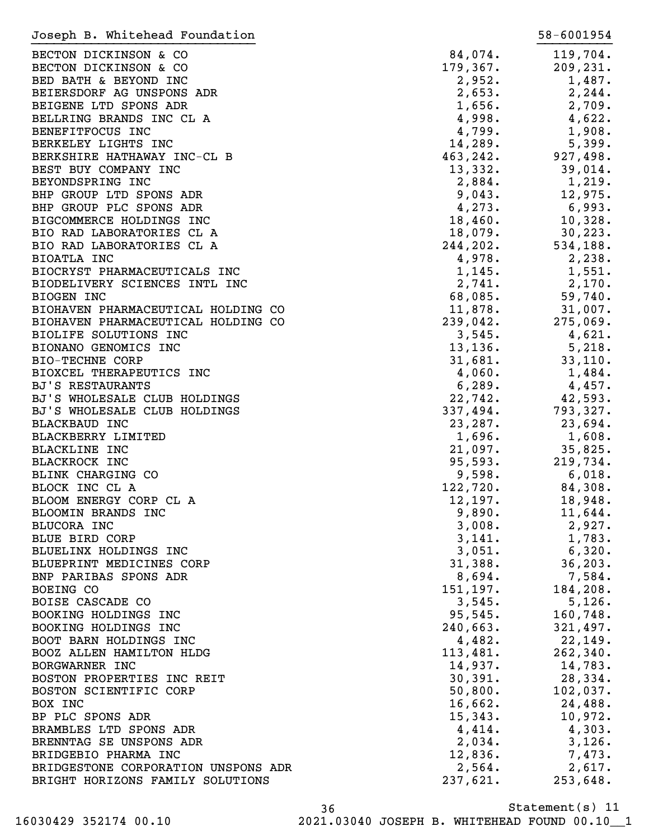| Joseph B. Whitehead Foundation      |           | 58-6001954 |
|-------------------------------------|-----------|------------|
| BECTON DICKINSON & CO               | 84,074.   | 119,704.   |
| BECTON DICKINSON & CO               | 179,367.  | 209, 231.  |
| BED BATH & BEYOND INC               | 2,952.    | 1,487.     |
| BEIERSDORF AG UNSPONS ADR           | 2,653.    | 2, 244.    |
| BEIGENE LTD SPONS ADR               | 1,656.    | 2,709.     |
| BELLRING BRANDS INC CL A            | 4,998.    | 4,622.     |
| BENEFITFOCUS INC                    | 4,799.    | 1,908.     |
| BERKELEY LIGHTS INC                 | 14,289.   | 5,399.     |
| BERKSHIRE HATHAWAY INC-CL B         | 463,242.  | 927,498.   |
| BEST BUY COMPANY INC                | 13,332.   | 39,014.    |
| BEYONDSPRING INC                    | 2,884.    | 1,219.     |
| BHP GROUP LTD SPONS ADR             | 9,043.    | 12,975.    |
| BHP GROUP PLC SPONS ADR             | 4,273.    | 6,993.     |
| BIGCOMMERCE HOLDINGS INC            | 18,460.   | 10,328.    |
| BIO RAD LABORATORIES CL A           | 18,079.   | 30, 223.   |
| BIO RAD LABORATORIES CL A           | 244, 202. | 534,188.   |
| BIOATLA INC                         | 4,978.    | 2,238.     |
| BIOCRYST PHARMACEUTICALS INC        | 1,145.    | 1,551.     |
| BIODELIVERY SCIENCES INTL INC       | 2,741.    | 2,170.     |
| BIOGEN INC                          | 68,085.   | 59,740.    |
| BIOHAVEN PHARMACEUTICAL HOLDING CO  | 11,878.   | 31,007.    |
| BIOHAVEN PHARMACEUTICAL HOLDING CO  | 239,042.  | 275,069.   |
| BIOLIFE SOLUTIONS INC               | 3,545.    | 4,621.     |
|                                     |           |            |
| BIONANO GENOMICS INC                | 13, 136.  | 5,218.     |
| <b>BIO-TECHNE CORP</b>              | 31,681.   | 33,110.    |
| BIOXCEL THERAPEUTICS INC            | 4,060.    | 1,484.     |
| <b>BJ'S RESTAURANTS</b>             | 6, 289.   | 4,457.     |
| BJ'S WHOLESALE CLUB HOLDINGS        | 22,742.   | 42,593.    |
| BJ'S WHOLESALE CLUB HOLDINGS        | 337,494.  | 793,327.   |
| <b>BLACKBAUD INC</b>                | 23, 287.  | 23,694.    |
| BLACKBERRY LIMITED                  | 1,696.    | 1,608.     |
| <b>BLACKLINE INC</b>                | 21,097.   | 35,825.    |
| <b>BLACKROCK INC</b>                | 95,593.   | 219,734.   |
| BLINK CHARGING CO                   | 9,598.    | 6,018.     |
| BLOCK INC CL A                      | 122,720.  | 84,308.    |
| BLOOM ENERGY CORP CL A              | 12,197.   | 18,948.    |
| BLOOMIN BRANDS INC                  | 9,890.    | 11,644.    |
| BLUCORA INC                         | 3,008.    | 2,927.     |
| BLUE BIRD CORP                      | 3,141.    | 1,783.     |
| BLUELINX HOLDINGS INC               | 3,051.    | 6,320.     |
| BLUEPRINT MEDICINES CORP            | 31,388.   | 36, 203.   |
| BNP PARIBAS SPONS ADR               | 8,694.    | 7,584.     |
| BOEING CO                           | 151,197.  | 184,208.   |
| BOISE CASCADE CO                    | 3,545.    | 5,126.     |
| BOOKING HOLDINGS INC                | 95,545.   | 160,748.   |
| BOOKING HOLDINGS INC                | 240,663.  | 321,497.   |
| BOOT BARN HOLDINGS INC              | 4,482.    | 22,149.    |
| BOOZ ALLEN HAMILTON HLDG            | 113,481.  | 262, 340.  |
| BORGWARNER INC                      | 14,937.   | 14,783.    |
| BOSTON PROPERTIES INC REIT          | 30,391.   | 28,334.    |
| BOSTON SCIENTIFIC CORP              | 50,800.   | 102,037.   |
| BOX INC                             | 16,662.   | 24,488.    |
| BP PLC SPONS ADR                    | 15,343.   | 10,972.    |
| BRAMBLES LTD SPONS ADR              | 4,414.    | 4,303.     |
| BRENNTAG SE UNSPONS ADR             | 2,034.    | 3,126.     |
| BRIDGEBIO PHARMA INC                | 12,836.   | 7,473.     |
| BRIDGESTONE CORPORATION UNSPONS ADR | 2,564.    | 2,617.     |
| BRIGHT HORIZONS FAMILY SOLUTIONS    | 237,621.  | 253,648.   |

Statement(s) 11 36 16030429 352174 00.10 2021.03040 JOSEPH B. WHITEHEAD FOUND 00.10\_\_1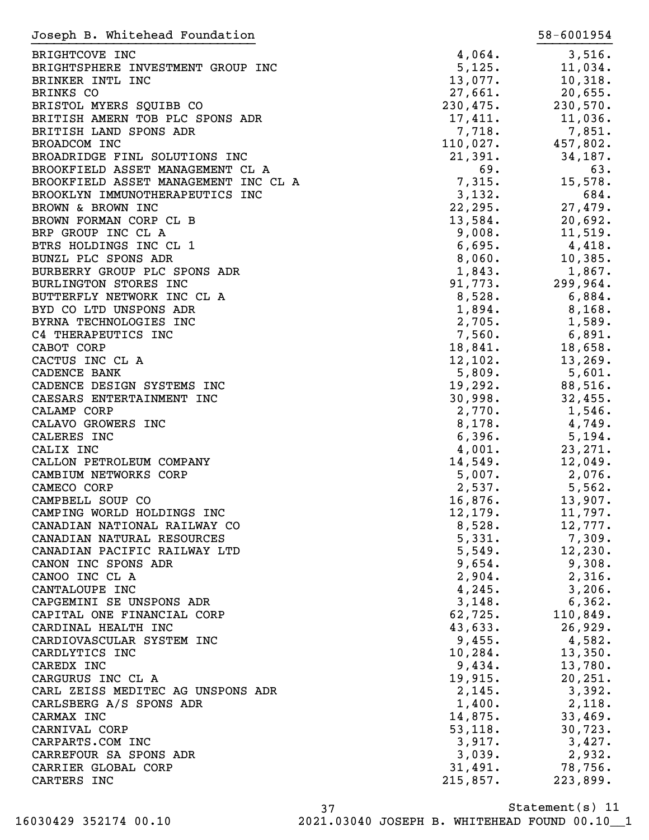| Joseph B. Whitehead Foundation       |          | 58-6001954 |
|--------------------------------------|----------|------------|
| BRIGHTCOVE INC                       | 4,064.   | 3,516.     |
| BRIGHTSPHERE INVESTMENT GROUP INC    | 5,125.   | 11,034.    |
| BRINKER INTL INC                     | 13,077.  | 10,318.    |
| BRINKS CO                            | 27,661.  | 20,655.    |
| BRISTOL MYERS SQUIBB CO              | 230,475. | 230,570.   |
|                                      |          |            |
| BRITISH AMERN TOB PLC SPONS ADR      | 17,411.  | 11,036.    |
| BRITISH LAND SPONS ADR               | 7,718.   | 7,851.     |
| BROADCOM INC                         | 110,027. | 457,802.   |
| BROADRIDGE FINL SOLUTIONS INC        | 21,391.  | 34,187.    |
| BROOKFIELD ASSET MANAGEMENT CL A     | 69.      | 63.        |
| BROOKFIELD ASSET MANAGEMENT INC CL A | 7,315.   | 15,578.    |
| BROOKLYN IMMUNOTHERAPEUTICS INC      | 3,132.   | 684.       |
| BROWN & BROWN INC                    | 22, 295. | 27,479.    |
| BROWN FORMAN CORP CL B               | 13,584.  | 20,692.    |
| BRP GROUP INC CL A                   | 9,008.   | 11,519.    |
| BTRS HOLDINGS INC CL 1               | 6,695.   | 4,418.     |
| BUNZL PLC SPONS ADR                  | 8,060.   | 10,385.    |
| BURBERRY GROUP PLC SPONS ADR         | 1,843.   | 1,867.     |
| BURLINGTON STORES INC                | 91,773.  | 299,964.   |
| BUTTERFLY NETWORK INC CL A           | 8,528.   | 6,884.     |
| BYD CO LTD UNSPONS ADR               | 1,894.   | 8,168.     |
| BYRNA TECHNOLOGIES INC               | 2,705.   | 1,589.     |
| C4 THERAPEUTICS INC                  | 7,560.   | 6,891.     |
| CABOT CORP                           | 18,841.  | 18,658.    |
| CACTUS INC CL A                      | 12,102.  | 13,269.    |
| CADENCE BANK                         | 5,809.   | 5,601.     |
| CADENCE DESIGN SYSTEMS INC           | 19,292.  | 88,516.    |
|                                      |          |            |
| CAESARS ENTERTAINMENT INC            | 30,998.  | 32,455.    |
| CALAMP CORP                          | 2,770.   | 1,546.     |
| CALAVO GROWERS INC                   | 8,178.   | 4,749.     |
| CALERES INC                          | 6,396.   | 5,194.     |
| CALIX INC                            | 4,001.   | 23, 271.   |
| CALLON PETROLEUM COMPANY             | 14,549.  | 12,049.    |
| CAMBIUM NETWORKS CORP                | 5,007.   | 2,076.     |
| CAMECO CORP                          | 2,537.   | 5,562.     |
| CAMPBELL SOUP CO                     | 16,876.  | 13,907.    |
| CAMPING WORLD HOLDINGS INC           | 12,179.  | 11,797.    |
| CANADIAN NATIONAL RAILWAY CO         | 8,528.   | 12,777.    |
| CANADIAN NATURAL RESOURCES           | 5,331.   | 7,309.     |
| CANADIAN PACIFIC RAILWAY LTD         | 5,549.   | 12, 230.   |
| CANON INC SPONS ADR                  | 9,654.   | 9,308.     |
| CANOO INC CL A                       | 2,904.   | 2,316.     |
| CANTALOUPE INC                       | 4, 245.  | 3,206.     |
| CAPGEMINI SE UNSPONS ADR             | 3,148.   | 6,362.     |
| CAPITAL ONE FINANCIAL CORP           | 62, 725. | 110,849.   |
| CARDINAL HEALTH INC                  | 43,633.  | 26,929.    |
| CARDIOVASCULAR SYSTEM INC            | 9,455.   | 4,582.     |
| CARDLYTICS INC                       | 10, 284. | 13,350.    |
| CAREDX INC                           | 9,434.   | 13,780.    |
| CARGURUS INC CL A                    | 19,915.  | 20, 251.   |
| CARL ZEISS MEDITEC AG UNSPONS ADR    | 2,145.   | 3,392.     |
|                                      |          |            |
| CARLSBERG A/S SPONS ADR              | 1,400.   | 2,118.     |
| CARMAX INC                           | 14,875.  | 33,469.    |
| CARNIVAL CORP                        | 53, 118. | 30, 723.   |
| CARPARTS.COM INC                     | 3,917.   | 3,427.     |
| CARREFOUR SA SPONS ADR               | 3,039.   | 2,932.     |
| CARRIER GLOBAL CORP                  | 31,491.  | 78,756.    |
| CARTERS INC                          | 215,857. | 223,899.   |

Statement(s) 11 37 16030429 352174 00.10 2021.03040 JOSEPH B. WHITEHEAD FOUND 00.10\_\_1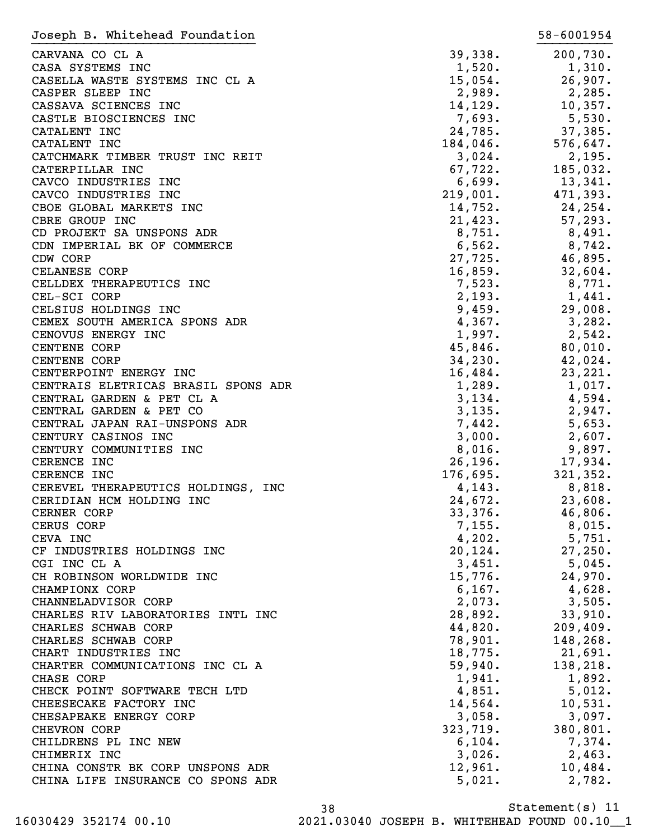| Joseph B. Whitehead Foundation                   |                   | 58-6001954        |
|--------------------------------------------------|-------------------|-------------------|
| CARVANA CO CL A                                  | 39,338.           | 200,730.          |
| CASA SYSTEMS INC                                 | 1,520.            | 1,310.            |
| CASELLA WASTE SYSTEMS INC CL A                   | 15,054.           | 26,907.           |
| CASPER SLEEP INC                                 | 2,989.            | 2,285.            |
| CASSAVA SCIENCES INC                             | 14,129.           | 10,357.           |
| CASTLE BIOSCIENCES INC                           | 7,693.            | 5,530.            |
| CATALENT INC                                     | 24,785.           | 37,385.           |
| CATALENT INC                                     | $184,046$ .       | 576,647.          |
| CATCHMARK TIMBER TRUST INC REIT                  | 3,024.            | 2,195.            |
| CATERPILLAR INC                                  | 67,722.           | 185,032.          |
| CAVCO INDUSTRIES INC                             | 6,699.            | 13,341.           |
| CAVCO INDUSTRIES INC                             | 219,001.          | 471,393.          |
| CBOE GLOBAL MARKETS INC                          | 14,752.           | 24,254.           |
| CBRE GROUP INC                                   | 21,423.           | 57, 293.          |
| CD PROJEKT SA UNSPONS ADR                        | 8,751.            | 8,491.            |
| CDN IMPERIAL BK OF COMMERCE                      | 6,562.            | 8,742.            |
| CDW CORP                                         | 27,725.           | 46,895.           |
| CELANESE CORP                                    | 16,859.           | 32,604.           |
| CELLDEX THERAPEUTICS INC                         | 7,523.            | 8,771.            |
| CEL-SCI CORP                                     | 2,193.            | 1,441.            |
| CELSIUS HOLDINGS INC                             | 9,459.            | 29,008.           |
| CEMEX SOUTH AMERICA SPONS ADR                    | 4,367.            | 3,282.            |
| CENOVUS ENERGY INC                               | 1,997.            | 2,542.            |
| <b>CENTENE CORP</b>                              | 45,846.           | 80,010.           |
| CENTENE CORP                                     | 34,230.           | 42,024.           |
| CENTERPOINT ENERGY INC                           | 16,484.           | 23, 221.          |
| CENTRAIS ELETRICAS BRASIL SPONS ADR              | 1,289.            | 1,017.            |
| CENTRAL GARDEN & PET CL A                        | 3,134.            | 4,594.            |
| CENTRAL GARDEN & PET CO                          | 3,135.            | 2,947.            |
| CENTRAL JAPAN RAI-UNSPONS ADR                    | 7,442.            | 5,653.            |
| CENTURY CASINOS INC                              | 3,000.            | 2,607.            |
| CENTURY COMMUNITIES INC                          | 8,016.            | 9,897.            |
| CERENCE INC                                      | 26, 196.          | 17,934.           |
| CERENCE INC                                      | 176,695.          | 321, 352.         |
| CEREVEL THERAPEUTICS HOLDINGS, INC               | 4,143.            | 8,818.            |
| CERIDIAN HCM HOLDING INC                         | 24,672.           | 23,608.           |
| CERNER CORP                                      | 33,376.           | 46,806.           |
| CERUS CORP                                       | 7,155.            | $8,015$ .         |
| CEVA INC                                         | 4,202.            | 5,751.            |
| CF INDUSTRIES HOLDINGS INC                       | 20, 124.          | 27,250.           |
| CGI INC CL A                                     | 3,451.            | $5,045$ .         |
| CH ROBINSON WORLDWIDE INC                        | 15,776.           | 24,970.           |
| CHAMPIONX CORP                                   | 6, 167.           | 4,628.            |
| CHANNELADVISOR CORP                              | 2,073.            | 3,505.            |
| CHARLES RIV LABORATORIES INTL INC                | 28,892.           | 33,910.           |
| CHARLES SCHWAB CORP                              | 44,820.           | 209,409.          |
| CHARLES SCHWAB CORP                              | 78,901.           | 148,268.          |
| CHART INDUSTRIES INC                             | 18,775.           | 21,691.           |
| CHARTER COMMUNICATIONS INC CL A                  | 59,940.           | 138,218.          |
| CHASE CORP                                       | 1,941.            | 1,892.            |
| CHECK POINT SOFTWARE TECH LTD                    | 4,851.            | 5,012.            |
| CHEESECAKE FACTORY INC                           | 14,564.           | 10,531.           |
| CHESAPEAKE ENERGY CORP                           | 3,058.            | 3,097.            |
| CHEVRON CORP                                     | 323,719.          | 380, 801.         |
| CHILDRENS PL INC NEW                             | 6, 104.           | 7,374.            |
| CHIMERIX INC<br>CHINA CONSTR BK CORP UNSPONS ADR | 3,026.            | 2,463.            |
| CHINA LIFE INSURANCE CO SPONS ADR                | 12,961.<br>5,021. | 10,484.<br>2,782. |
|                                                  |                   |                   |

Statement(s) 11 38 16030429 352174 00.10 2021.03040 JOSEPH B. WHITEHEAD FOUND 00.10\_\_1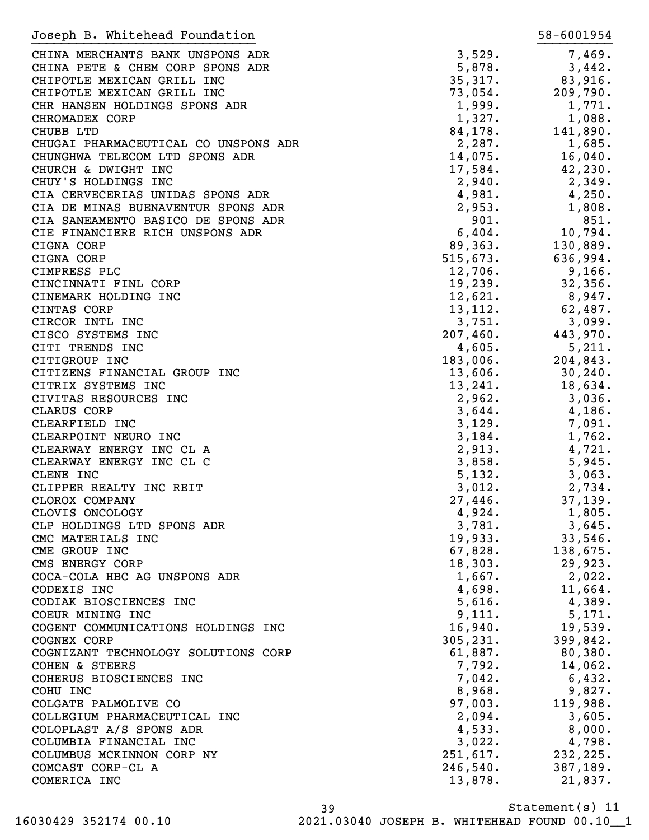| Joseph B. Whitehead Foundation                |                   | 58-6001954        |
|-----------------------------------------------|-------------------|-------------------|
| CHINA MERCHANTS BANK UNSPONS ADR              | 3,529.            | 7,469.            |
| CHINA PETE & CHEM CORP SPONS ADR              | 5,878.            | 3,442.            |
| CHIPOTLE MEXICAN GRILL INC                    | 35,317.           | 83,916.           |
| CHIPOTLE MEXICAN GRILL INC                    | 73,054.           | 209,790.          |
| CHR HANSEN HOLDINGS SPONS ADR                 | 1,999.            | 1,771.            |
| CHROMADEX CORP                                | 1,327.            | 1,088.            |
| CHUBB LTD                                     | 84,178.           | 141,890.          |
| CHUGAI PHARMACEUTICAL CO UNSPONS ADR          | 2,287.            | 1,685.            |
| CHUNGHWA TELECOM LTD SPONS ADR                | 14,075.           | 16,040.           |
| CHURCH & DWIGHT INC                           | 17,584.           | 42,230.           |
| CHUY'S HOLDINGS INC                           | 2,940.            | 2,349.            |
| CIA CERVECERIAS UNIDAS SPONS ADR              | 4,981.            | 4,250.            |
| CIA DE MINAS BUENAVENTUR SPONS ADR            | 2,953.            | 1,808.            |
| CIA SANEAMENTO BASICO DE SPONS ADR            | 901.              | 851.              |
| CIE FINANCIERE RICH UNSPONS ADR               | 6,404.            | 10,794.           |
| CIGNA CORP                                    | 89,363.           | 130,889.          |
| CIGNA CORP                                    | 515,673.          | 636,994.          |
| CIMPRESS PLC                                  | 12,706.           | 9,166.            |
| CINCINNATI FINL CORP                          | 19,239.           | 32,356.           |
| CINEMARK HOLDING INC                          | 12,621.           | 8,947.            |
| CINTAS CORP                                   | 13, 112.          | 62,487.           |
| CIRCOR INTL INC                               | 3,751.            | 3,099.            |
| CISCO SYSTEMS INC                             | 207,460.          | 443,970.          |
| CITI TRENDS INC                               | 4,605.            | 5,211.            |
| CITIGROUP INC                                 | 183,006.          | 204,843.          |
| CITIZENS FINANCIAL GROUP INC                  | 13,606.           | 30, 240.          |
| CITRIX SYSTEMS INC                            | 13,241.           | 18,634.           |
| CIVITAS RESOURCES INC                         | 2,962.            | 3,036.            |
| CLARUS CORP                                   | 3,644.            | 4,186.            |
| CLEARFIELD INC                                | 3,129.            | 7,091.            |
| CLEARPOINT NEURO INC                          | 3,184.            | 1,762.            |
| CLEARWAY ENERGY INC CL A                      | 2,913.            | 4,721.            |
| CLEARWAY ENERGY INC CL C                      | 3,858.            | 5,945.            |
| CLENE INC                                     | 5,132.            | 3,063.            |
| CLIPPER REALTY INC REIT                       | 3,012.            | 2,734.            |
| CLOROX COMPANY                                | 27,446.<br>4,924. | 37,139.<br>1,805. |
| CLOVIS ONCOLOGY<br>CLP HOLDINGS LTD SPONS ADR | 3,781.            | 3,645.            |
| CMC MATERIALS INC                             | 19,933.           | 33,546.           |
| CME GROUP INC                                 | 67,828.           | 138,675.          |
| CMS ENERGY CORP                               | 18,303.           | 29,923.           |
| COCA-COLA HBC AG UNSPONS ADR                  | 1,667.            | $2,022$ .         |
| CODEXIS INC                                   | 4,698.            | 11,664.           |
| CODIAK BIOSCIENCES INC                        | 5,616.            | 4,389.            |
| COEUR MINING INC                              | 9,111.            | 5,171.            |
| COGENT COMMUNICATIONS HOLDINGS INC            | 16,940.           | 19,539.           |
| COGNEX CORP                                   | 305, 231.         | 399,842.          |
| COGNIZANT TECHNOLOGY SOLUTIONS CORP           | 61,887.           | 80,380.           |
| <b>COHEN &amp; STEERS</b>                     | 7,792.            | 14,062.           |
| COHERUS BIOSCIENCES INC                       | 7,042.            | 6,432.            |
| COHU INC                                      | 8,968.            | 9,827.            |
| COLGATE PALMOLIVE CO                          | 97,003.           | 119,988.          |
| COLLEGIUM PHARMACEUTICAL INC                  | 2,094.            | 3,605.            |
| COLOPLAST A/S SPONS ADR                       | 4,533.            | 8,000.            |
| COLUMBIA FINANCIAL INC                        | 3,022.            | 4,798.            |
| COLUMBUS MCKINNON CORP NY                     | 251,617.          | 232,225.          |
| COMCAST CORP-CL A                             | 246,540.          | 387,189.          |
| COMERICA INC                                  | 13,878.           | 21,837.           |
|                                               |                   |                   |

Statement(s) 11 39 16030429 352174 00.10 2021.03040 JOSEPH B. WHITEHEAD FOUND 00.10\_\_1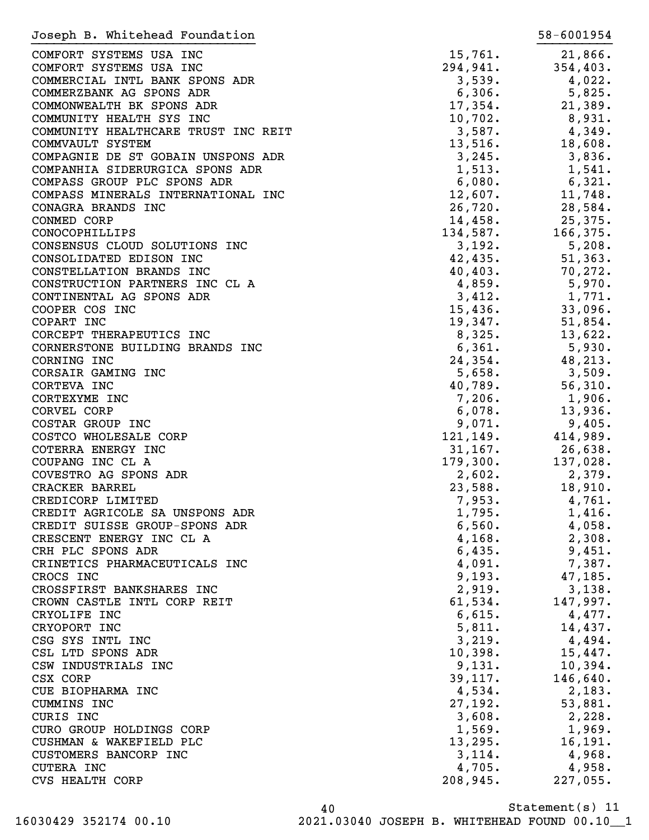| Joseph B. Whitehead Foundation                      |                      | 58-6001954         |
|-----------------------------------------------------|----------------------|--------------------|
| COMFORT SYSTEMS USA INC                             | 15,761.              | 21,866.            |
| COMFORT SYSTEMS USA INC                             | 294,941.             | 354,403.           |
| COMMERCIAL INTL BANK SPONS ADR                      | 3,539.               | 4,022.             |
| COMMERZBANK AG SPONS ADR                            | 6,306.               | 5,825.             |
| COMMONWEALTH BK SPONS ADR                           | 17,354.              | 21,389.            |
| COMMUNITY HEALTH SYS INC                            | 10,702.              | 8,931.             |
| COMMUNITY HEALTHCARE TRUST INC REIT                 | 3,587.               | 4,349.             |
| COMMVAULT SYSTEM                                    | 13,516.              | 18,608.            |
| COMPAGNIE DE ST GOBAIN UNSPONS ADR                  | 3,245.               | 3,836.             |
| COMPANHIA SIDERURGICA SPONS ADR                     | 1,513.               | 1,541.             |
| COMPASS GROUP PLC SPONS ADR                         | 6,080.               | 6,321.             |
| COMPASS MINERALS INTERNATIONAL INC                  | 12,607.              | 11,748.            |
| CONAGRA BRANDS INC                                  | 26,720.              | 28,584.            |
| CONMED CORP                                         | 14,458.              | 25,375.            |
| CONOCOPHILLIPS                                      | 134,587.             | 166, 375.          |
| CONSENSUS CLOUD SOLUTIONS INC                       | 3,192.               | 5,208.             |
| CONSOLIDATED EDISON INC                             | 42,435.              | 51,363.            |
| CONSTELLATION BRANDS INC                            | 40,403.              | 70, 272.           |
| CONSTRUCTION PARTNERS INC CL A                      | 4,859.               | 5,970.             |
| CONTINENTAL AG SPONS ADR                            | 3,412.               | 1,771.             |
| COOPER COS INC                                      | 15,436.              | 33,096.            |
| COPART INC                                          | 19,347.              | 51,854.            |
| CORCEPT THERAPEUTICS INC                            | 8,325.               | 13,622.            |
| CORNERSTONE BUILDING BRANDS INC                     | 6,361.               | 5,930.             |
| CORNING INC                                         | 24,354.              | 48,213.            |
| CORSAIR GAMING INC                                  | 5,658.               | 3,509.             |
| CORTEVA INC                                         | 40,789.              | 56,310.            |
| CORTEXYME INC                                       | 7,206.               | 1,906.             |
| CORVEL CORP                                         | 6,078.               | 13,936.            |
| COSTAR GROUP INC                                    | 9,071.               |                    |
|                                                     |                      | 9,405.             |
| COSTCO WHOLESALE CORP<br>COTERRA ENERGY INC         | 121,149.             | 414,989.           |
| COUPANG INC CL A                                    | 31, 167.<br>179,300. | 26,638.            |
| COVESTRO AG SPONS ADR                               |                      | 137,028.           |
| CRACKER BARREL                                      | 2,602.               | 2,379.             |
| CREDICORP LIMITED                                   | 23,588.<br>7,953.    | 18,910.            |
| CREDIT AGRICOLE SA UNSPONS ADR                      | 1,795.               | 4,761.<br>1,416.   |
| CREDIT SUISSE GROUP-SPONS ADR                       | 6,560.               | 4,058.             |
| CRESCENT ENERGY INC CL A                            | 4,168.               | 2,308.             |
| CRH PLC SPONS ADR                                   | 6,435.               | 9,451.             |
| CRINETICS PHARMACEUTICALS INC                       | 4,091.               | 7,387.             |
| CROCS INC                                           | 9,193.               | 47,185.            |
| CROSSFIRST BANKSHARES INC                           | 2,919.               | 3,138.             |
| CROWN CASTLE INTL CORP REIT                         | 61,534.              | 147,997.           |
| CRYOLIFE INC                                        | 6,615.               | 4,477.             |
| CRYOPORT INC                                        | 5,811.               | 14,437.            |
| CSG SYS INTL INC                                    | 3,219.               | 4,494.             |
| CSL LTD SPONS ADR                                   | 10,398.              | 15,447.            |
| CSW INDUSTRIALS INC                                 | 9,131.               | 10,394.            |
| CSX CORP                                            | 39,117.              | 146,640.           |
|                                                     |                      |                    |
| CUE BIOPHARMA INC<br>CUMMINS INC                    | 4,534.<br>27,192.    | 2,183.<br>53,881.  |
| CURIS INC                                           | 3,608.               |                    |
|                                                     |                      | 2,228.<br>1,969.   |
| CURO GROUP HOLDINGS CORP<br>CUSHMAN & WAKEFIELD PLC | 1,569.               |                    |
|                                                     | 13,295.              | 16, 191.           |
| CUSTOMERS BANCORP INC                               | 3,114.               | 4,968.             |
| <b>CUTERA INC</b><br><b>CVS HEALTH CORP</b>         | 4,705.<br>208,945.   | 4,958.<br>227,055. |
|                                                     |                      |                    |

Statement(s) 11 40 16030429 352174 00.10 2021.03040 JOSEPH B. WHITEHEAD FOUND 00.10\_\_1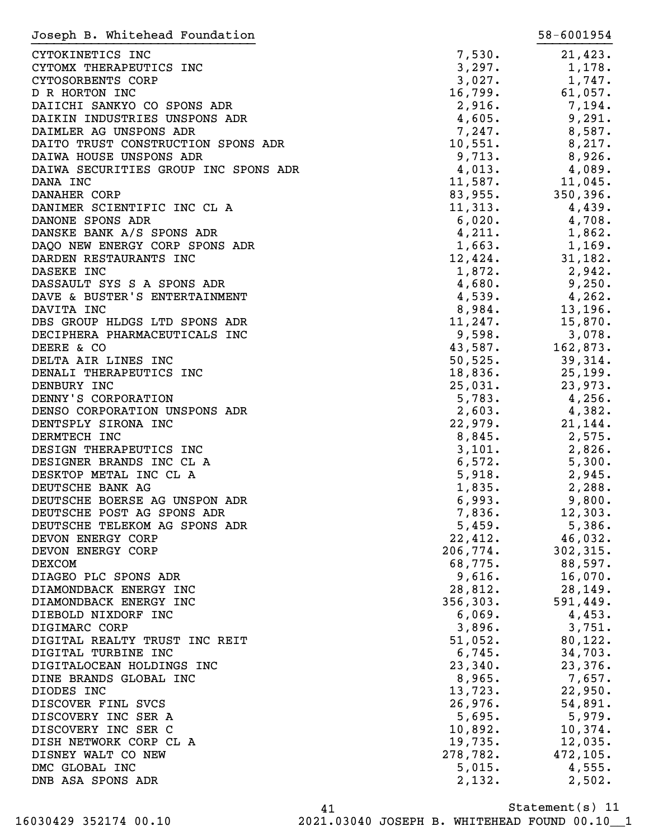| Joseph B. Whitehead Foundation       |           | 58-6001954   |
|--------------------------------------|-----------|--------------|
| CYTOKINETICS INC                     | 7,530.    | 21,423.      |
| CYTOMX THERAPEUTICS INC              | 3,297.    | 1,178.       |
| CYTOSORBENTS CORP                    | 3,027.    | 1,747.       |
| D R HORTON INC                       | 16,799.   | 61,057.      |
| DAIICHI SANKYO CO SPONS ADR          | 2,916.    | 7,194.       |
| DAIKIN INDUSTRIES UNSPONS ADR        |           | 9,291.       |
|                                      | 4,605.    |              |
| DAIMLER AG UNSPONS ADR               | 7,247.    | 8,587.       |
| DAITO TRUST CONSTRUCTION SPONS ADR   | 10,551.   | 8,217.       |
| DAIWA HOUSE UNSPONS ADR              | 9,713.    | 8,926.       |
| DAIWA SECURITIES GROUP INC SPONS ADR | 4,013.    | 4,089.       |
| DANA INC                             | 11,587.   | $11,045$ .   |
| DANAHER CORP                         | 83,955.   | 350, 396.    |
| DANIMER SCIENTIFIC INC CL A          | 11,313.   | 4,439.       |
| DANONE SPONS ADR                     | 6,020.    | 4,708.       |
| DANSKE BANK A/S SPONS ADR            | 4,211.    | 1,862.       |
| DAQO NEW ENERGY CORP SPONS ADR       | 1,663.    | 1,169.       |
| DARDEN RESTAURANTS INC               | 12,424.   | 31,182.      |
| DASEKE INC                           | 1,872.    | 2,942.       |
| DASSAULT SYS S A SPONS ADR           | 4,680.    | 9,250.       |
| DAVE & BUSTER'S ENTERTAINMENT        | 4,539.    | 4,262.       |
| DAVITA INC                           | 8,984.    | 13,196.      |
| DBS GROUP HLDGS LTD SPONS ADR        | 11,247.   | 15,870.      |
| DECIPHERA PHARMACEUTICALS INC        | 9,598.    | 3,078.       |
| DEERE & CO                           | 43,587.   | 162,873.     |
| DELTA AIR LINES INC                  | 50, 525.  | 39,314.      |
| DENALI THERAPEUTICS INC              | 18,836.   | 25, 199.     |
| DENBURY INC                          | 25,031.   | 23,973.      |
| DENNY'S CORPORATION                  | 5,783.    | 4,256.       |
| DENSO CORPORATION UNSPONS ADR        | 2,603.    | 4,382.       |
| DENTSPLY SIRONA INC                  | 22,979.   | 21, 144.     |
| DERMTECH INC                         | 8,845.    | 2,575.       |
| DESIGN THERAPEUTICS INC              | 3,101.    | $2,826$<br>5 |
| DESIGNER BRANDS INC CL A             | 6,572.    |              |
| DESKTOP METAL INC CL A               | 5,918.    | 2,945.       |
| DEUTSCHE BANK AG                     | 1,835.    | 2,288.       |
| DEUTSCHE BOERSE AG UNSPON ADR        | 6,993.    | 9,800.       |
| DEUTSCHE POST AG SPONS ADR           | 7,836.    | 12,303.      |
| DEUTSCHE TELEKOM AG SPONS ADR        | 5,459.    | 5,386.       |
| DEVON ENERGY CORP                    | 22,412.   | 46,032.      |
| DEVON ENERGY CORP                    | 206,774.  | 302, 315.    |
| <b>DEXCOM</b>                        | 68,775.   | 88,597.      |
| DIAGEO PLC SPONS ADR                 | 9,616.    | 16,070.      |
| DIAMONDBACK ENERGY INC               | 28,812.   | 28, 149.     |
| DIAMONDBACK ENERGY INC               | 356, 303. | 591,449.     |
| DIEBOLD NIXDORF INC                  | 6,069.    | 4,453.       |
| DIGIMARC CORP                        | 3,896.    | 3,751.       |
|                                      |           |              |
| DIGITAL REALTY TRUST INC REIT        | 51,052.   | 80, 122.     |
| DIGITAL TURBINE INC                  | 6,745.    | 34,703.      |
| DIGITALOCEAN HOLDINGS INC            | 23,340.   | 23,376.      |
| DINE BRANDS GLOBAL INC               | 8,965.    | 7,657.       |
| DIODES INC                           | 13,723.   | 22,950.      |
| DISCOVER FINL SVCS                   | 26,976.   | 54,891.      |
| DISCOVERY INC SER A                  | 5,695.    | 5,979.       |
| DISCOVERY INC SER C                  | 10,892.   | 10,374.      |
| DISH NETWORK CORP CL A               | 19,735.   | 12,035.      |
| DISNEY WALT CO NEW                   | 278,782.  | 472, 105.    |
| DMC GLOBAL INC                       | 5,015.    | 4,555.       |
| DNB ASA SPONS ADR                    | 2,132.    | 2,502.       |
|                                      |           |              |

Statement(s) 11 41 16030429 352174 00.10 2021.03040 JOSEPH B. WHITEHEAD FOUND 00.10\_\_1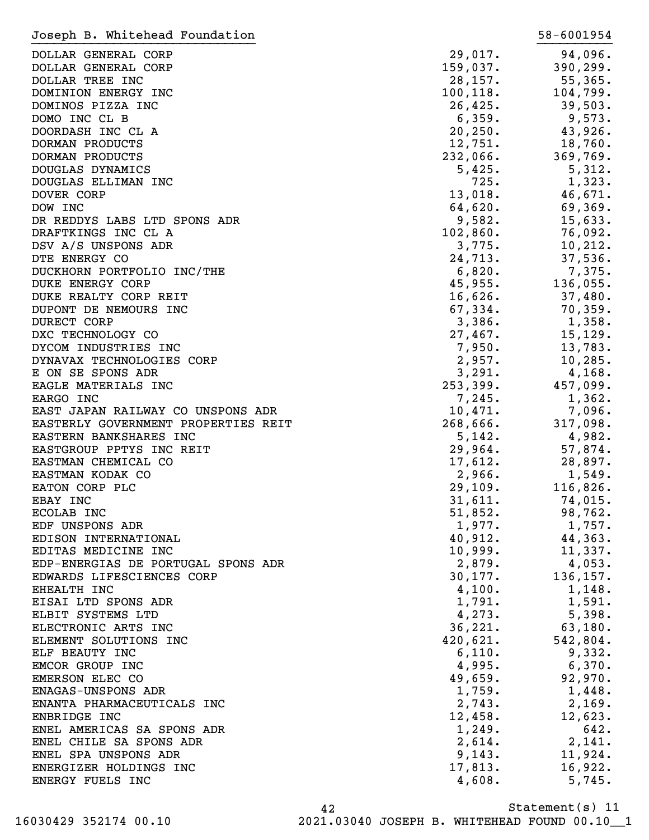| Joseph B. Whitehead Foundation      |            | 58-6001954 |
|-------------------------------------|------------|------------|
| DOLLAR GENERAL CORP                 | 29,017.    | 94,096.    |
| DOLLAR GENERAL CORP                 | 159,037.   | 390, 299.  |
| DOLLAR TREE INC                     | 28,157.    | 55,365.    |
| DOMINION ENERGY INC                 | 100, 118.  | 104,799.   |
| DOMINOS PIZZA INC                   | 26,425.    | 39,503.    |
| DOMO INC CL B                       | 6,359.     | 9,573.     |
| DOORDASH INC CL A                   | 20, 250.   | 43,926.    |
| DORMAN PRODUCTS                     | 12,751.    | 18,760.    |
| DORMAN PRODUCTS                     | 232,066.   | 369,769.   |
| DOUGLAS DYNAMICS                    | 5,425.     | 5,312.     |
| DOUGLAS ELLIMAN INC                 | 725.       | 1,323.     |
| DOVER CORP                          | 13,018.    | 46,671.    |
| DOW INC                             | 64,620.    | 69,369.    |
| DR REDDYS LABS LTD SPONS ADR        | 9,582.     | 15,633.    |
| DRAFTKINGS INC CL A                 | 102,860.   | 76,092.    |
| DSV A/S UNSPONS ADR                 | 3,775.     | 10, 212.   |
| DTE ENERGY CO                       | 24,713.    | 37,536.    |
| DUCKHORN PORTFOLIO INC/THE          | 6,820.     | 7,375.     |
| <b>DUKE ENERGY CORP</b>             | 45,955.    | 136,055.   |
| DUKE REALTY CORP REIT               | $16,626$ . | 37,480.    |
| DUPONT DE NEMOURS INC               | 67,334.    | 70,359.    |
| <b>DURECT CORP</b>                  | 3,386.     | 1,358.     |
| DXC TECHNOLOGY CO                   | 27,467.    | 15, 129.   |
| DYCOM INDUSTRIES INC                | 7,950.     | 13,783.    |
| DYNAVAX TECHNOLOGIES CORP           | 2,957.     | 10, 285.   |
| E ON SE SPONS ADR                   | 3,291.     | $4,168$ .  |
| EAGLE MATERIALS INC                 | 253,399.   | 457,099.   |
| EARGO INC                           | 7,245.     | 1,362.     |
| EAST JAPAN RAILWAY CO UNSPONS ADR   | 10,471.    | 7,096.     |
| EASTERLY GOVERNMENT PROPERTIES REIT | 268,666.   | 317,098.   |
| EASTERN BANKSHARES INC              | 5,142.     | 4,982.     |
| EASTGROUP PPTYS INC REIT            | 29,964.    | 57,874.    |
| EASTMAN CHEMICAL CO                 | 17,612.    | 28,897.    |
| EASTMAN KODAK CO                    | 2,966.     | 1,549.     |
| EATON CORP PLC                      | 29,109.    | 116,826.   |
| EBAY INC                            | 31,611.    | 74,015.    |
| ECOLAB INC                          | 51,852.    | 98,762.    |
| EDF UNSPONS ADR                     | 1,977.     | 1,757.     |
| EDISON INTERNATIONAL                | 40,912.    | 44,363.    |
| EDITAS MEDICINE INC                 | 10,999.    | 11,337.    |
| EDP-ENERGIAS DE PORTUGAL SPONS ADR  | 2,879.     | 4,053.     |
| EDWARDS LIFESCIENCES CORP           | 30,177.    | 136, 157.  |
| EHEALTH INC                         | 4,100.     | 1,148.     |
| EISAI LTD SPONS ADR                 | 1,791.     | 1,591.     |
| ELBIT SYSTEMS LTD                   | 4, 273.    | 5,398.     |
| ELECTRONIC ARTS INC                 | 36, 221.   | 63,180.    |
| ELEMENT SOLUTIONS INC               | 420,621.   | 542,804.   |
| ELF BEAUTY INC                      | 6,110.     | 9,332.     |
| EMCOR GROUP INC                     | 4,995.     | 6,370.     |
| EMERSON ELEC CO                     | 49,659.    | 92,970.    |
| ENAGAS-UNSPONS ADR                  | 1,759.     | 1,448.     |
| ENANTA PHARMACEUTICALS INC          | 2,743.     | 2,169.     |
| ENBRIDGE INC                        | 12,458.    | 12,623.    |
| ENEL AMERICAS SA SPONS ADR          | 1,249.     | 642.       |
| ENEL CHILE SA SPONS ADR             | 2,614.     | 2,141.     |
| ENEL SPA UNSPONS ADR                | 9,143.     | 11,924.    |
| ENERGIZER HOLDINGS INC              | 17,813.    | 16,922.    |
| ENERGY FUELS INC                    | 4,608.     | 5,745.     |
|                                     |            |            |

Statement(s) 11 42 16030429 352174 00.10 2021.03040 JOSEPH B. WHITEHEAD FOUND 00.10\_\_1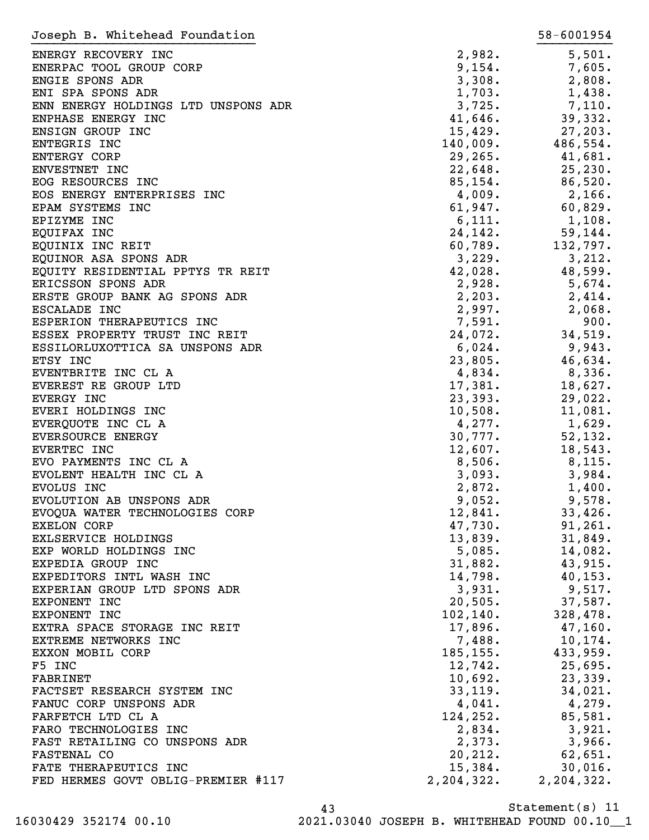| Joseph B. Whitehead Foundation      |            | 58-6001954 |
|-------------------------------------|------------|------------|
| ENERGY RECOVERY INC                 | 2,982.     | 5,501.     |
| ENERPAC TOOL GROUP CORP             | 9,154.     | 7,605.     |
| ENGIE SPONS ADR                     | 3,308.     | 2,808.     |
| ENI SPA SPONS ADR                   | 1,703.     | 1,438.     |
| ENN ENERGY HOLDINGS LTD UNSPONS ADR | 3,725.     | 7,110.     |
|                                     |            |            |
| ENPHASE ENERGY INC                  | 41,646.    | 39,332.    |
| ENSIGN GROUP INC                    | 15,429.    | 27,203.    |
| ENTEGRIS INC                        | 140,009.   | 486,554.   |
| <b>ENTERGY CORP</b>                 | 29, 265.   | 41,681.    |
| ENVESTNET INC                       | 22,648.    | 25, 230.   |
| EOG RESOURCES INC                   | 85, 154.   | 86,520.    |
| EOS ENERGY ENTERPRISES INC          | 4,009.     | 2,166.     |
| EPAM SYSTEMS INC                    | 61,947.    | 60,829.    |
| EPIZYME INC                         | 6,111.     | 1,108.     |
| EQUIFAX INC                         | 24,142.    | 59, 144.   |
| EQUINIX INC REIT                    | 60,789.    | 132,797.   |
| EQUINOR ASA SPONS ADR               | 3,229.     | 3,212.     |
| EQUITY RESIDENTIAL PPTYS TR REIT    | 42,028.    | 48,599.    |
| ERICSSON SPONS ADR                  | 2,928.     | 5,674.     |
| ERSTE GROUP BANK AG SPONS ADR       | 2, 203.    | 2,414.     |
| <b>ESCALADE INC</b>                 | 2,997.     | 2,068.     |
| ESPERION THERAPEUTICS INC           | 7,591.     | 900.       |
| ESSEX PROPERTY TRUST INC REIT       | 24,072.    | 34,519.    |
| ESSILORLUXOTTICA SA UNSPONS ADR     | 6,024.     | 9,943.     |
| ETSY INC                            | 23,805.    | 46,634.    |
| EVENTBRITE INC CL A                 | 4,834.     | 8,336.     |
| EVEREST RE GROUP LTD                | 17,381.    | 18,627.    |
| EVERGY INC                          | 23,393.    | 29,022.    |
| EVERI HOLDINGS INC                  | 10,508.    | 11,081.    |
| EVERQUOTE INC CL A                  | 4,277.     | 1,629.     |
| EVERSOURCE ENERGY                   | 30,777.    | 52,132.    |
| EVERTEC INC                         |            |            |
|                                     | 12,607.    | 18,543.    |
| EVO PAYMENTS INC CL A               | 8,506.     | 8,115.     |
| EVOLENT HEALTH INC CL A             | 3,093.     | 3,984.     |
| EVOLUS INC                          | 2,872.     | 1,400.     |
| EVOLUTION AB UNSPONS ADR            | 9,052.     | 9,578.     |
| EVOQUA WATER TECHNOLOGIES CORP      | 12,841.    | 33,426.    |
| <b>EXELON CORP</b>                  | 47,730.    | 91, 261.   |
| EXLSERVICE HOLDINGS                 | 13,839.    | 31,849.    |
| EXP WORLD HOLDINGS INC              | 5,085.     | 14,082.    |
| EXPEDIA GROUP INC                   | 31,882.    | 43,915.    |
| EXPEDITORS INTL WASH INC            | 14,798.    | 40, 153.   |
| EXPERIAN GROUP LTD SPONS ADR        | 3,931.     | 9,517.     |
| EXPONENT INC                        | 20,505.    | 37,587.    |
| EXPONENT INC                        | 102, 140.  | 328,478.   |
| EXTRA SPACE STORAGE INC REIT        | 17,896.    | 47,160.    |
| EXTREME NETWORKS INC                | 7,488.     | 10,174.    |
| EXXON MOBIL CORP                    | 185, 155.  | 433,959.   |
| F5 INC                              | 12,742.    | 25,695.    |
| <b>FABRINET</b>                     | 10,692.    | 23,339.    |
| FACTSET RESEARCH SYSTEM INC         | 33,119.    | 34,021.    |
| FANUC CORP UNSPONS ADR              | 4,041.     | 4,279.     |
| FARFETCH LTD CL A                   | 124,252.   | 85,581.    |
| FARO TECHNOLOGIES INC               | 2,834.     | 3,921.     |
| FAST RETAILING CO UNSPONS ADR       | 2,373.     | 3,966.     |
| FASTENAL CO                         | 20, 212.   | 62,651.    |
| FATE THERAPEUTICS INC               | 15,384.    | 30,016.    |
| FED HERMES GOVT OBLIG-PREMIER #117  | 2,204,322. | 2,204,322. |
|                                     |            |            |

Statement(s) 11 43 16030429 352174 00.10 2021.03040 JOSEPH B. WHITEHEAD FOUND 00.10\_\_1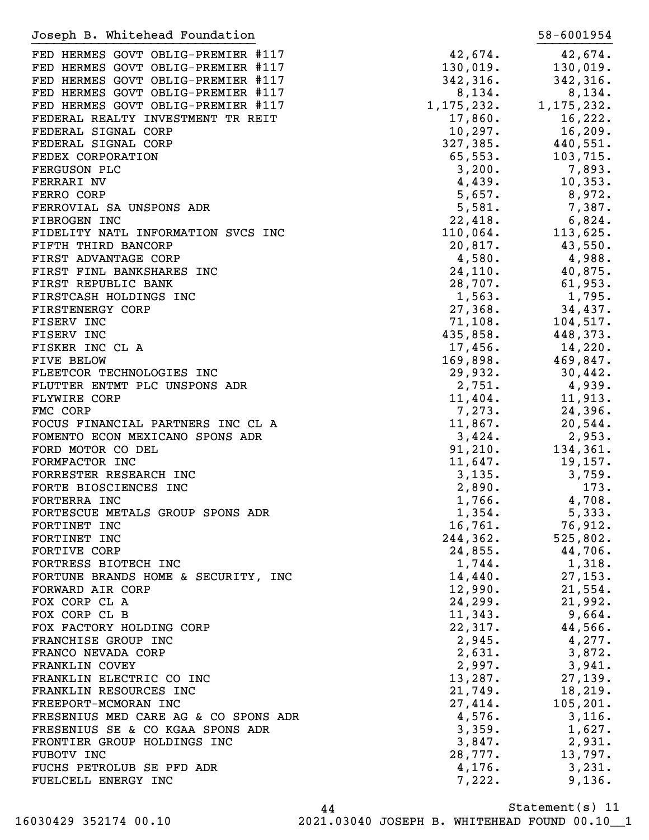| Joseph B. Whitehead Foundation       |              | 58-6001954   |
|--------------------------------------|--------------|--------------|
| FED HERMES GOVT OBLIG-PREMIER #117   | 42,674.      | 42,674.      |
| FED HERMES GOVT OBLIG-PREMIER #117   | 130,019.     | 130,019.     |
| FED HERMES GOVT OBLIG-PREMIER #117   | 342, 316.    | 342,316.     |
| FED HERMES GOVT OBLIG-PREMIER #117   | 8,134.       | 8,134.       |
| FED HERMES GOVT OBLIG-PREMIER #117   | 1, 175, 232. | 1, 175, 232. |
|                                      |              |              |
| FEDERAL REALTY INVESTMENT TR REIT    | 17,860.      | 16,222.      |
| FEDERAL SIGNAL CORP                  | 10, 297.     | 16, 209.     |
| FEDERAL SIGNAL CORP                  | 327,385.     | 440,551.     |
| FEDEX CORPORATION                    | 65, 553.     | 103,715.     |
| FERGUSON PLC                         | 3,200.       | 7,893.       |
| FERRARI NV                           | 4,439.       | 10, 353.     |
| FERRO CORP                           | 5,657.       | 8,972.       |
| FERROVIAL SA UNSPONS ADR             | 5,581.       | 7,387.       |
| FIBROGEN INC                         | 22,418.      | 6,824.       |
| FIDELITY NATL INFORMATION SVCS INC   | 110,064.     | 113,625.     |
| FIFTH THIRD BANCORP                  | 20,817.      | 43,550.      |
| FIRST ADVANTAGE CORP                 | 4,580.       | 4,988.       |
| FIRST FINL BANKSHARES INC            | 24, 110.     | 40,875.      |
| FIRST REPUBLIC BANK                  | 28,707.      | 61,953.      |
| FIRSTCASH HOLDINGS INC               | 1,563.       | 1,795.       |
| FIRSTENERGY CORP                     | 27,368.      | 34,437.      |
| FISERV INC                           | 71,108.      | 104,517.     |
| FISERV INC                           | 435,858.     | 448,373.     |
| FISKER INC CL A                      | 17,456.      | 14,220.      |
| FIVE BELOW                           | 169,898.     | 469,847.     |
| FLEETCOR TECHNOLOGIES INC            | 29,932.      | 30,442.      |
| FLUTTER ENTMT PLC UNSPONS ADR        | 2,751.       | 4,939.       |
| <b>FLYWIRE CORP</b>                  | 11,404.      | 11,913.      |
| FMC CORP                             | 7,273.       | 24,396.      |
| FOCUS FINANCIAL PARTNERS INC CL A    | 11,867.      | 20,544.      |
| FOMENTO ECON MEXICANO SPONS ADR      | 3,424.       | 2,953.       |
| FORD MOTOR CO DEL                    | 91,210.      | 134,361.     |
|                                      | 11,647.      |              |
| FORMFACTOR INC                       |              | 19, 157.     |
| FORRESTER RESEARCH INC               | 3,135.       | 3,759.       |
| FORTE BIOSCIENCES INC                | 2,890.       | 173.         |
| FORTERRA INC                         | 1,766.       | 4,708.       |
| FORTESCUE METALS GROUP SPONS ADR     | 1,354.       | 5,333.       |
| FORTINET INC                         | 16,761.      | 76,912.      |
| FORTINET INC                         | 244,362.     | 525,802.     |
| FORTIVE CORP                         | 24,855.      | 44,706.      |
| FORTRESS BIOTECH INC                 | 1,744.       | 1,318.       |
| FORTUNE BRANDS HOME & SECURITY, INC  | 14,440.      | 27, 153.     |
| FORWARD AIR CORP                     | 12,990.      | 21,554.      |
| FOX CORP CL A                        | 24, 299.     | 21,992.      |
| FOX CORP CL B                        | 11,343.      | 9,664.       |
| FOX FACTORY HOLDING CORP             | 22,317.      | 44,566.      |
| FRANCHISE GROUP INC                  | 2,945.       | 4,277.       |
| FRANCO NEVADA CORP                   | 2,631.       | 3,872.       |
| FRANKLIN COVEY                       | 2,997.       | 3,941.       |
| FRANKLIN ELECTRIC CO INC             | 13,287.      | 27,139.      |
| FRANKLIN RESOURCES INC               | 21,749.      | 18, 219.     |
| FREEPORT-MCMORAN INC                 | 27,414.      | 105, 201.    |
| FRESENIUS MED CARE AG & CO SPONS ADR | 4,576.       | 3,116.       |
| FRESENIUS SE & CO KGAA SPONS ADR     | 3,359.       | 1,627.       |
| FRONTIER GROUP HOLDINGS INC          | 3,847.       | 2,931.       |
| FUBOTV INC                           | 28,777.      | 13,797.      |
| FUCHS PETROLUB SE PFD ADR            | 4,176.       | 3,231.       |
| FUELCELL ENERGY INC                  | 7,222.       | 9,136.       |
|                                      |              |              |

Statement(s) 11 44 16030429 352174 00.10 2021.03040 JOSEPH B. WHITEHEAD FOUND 00.10\_\_1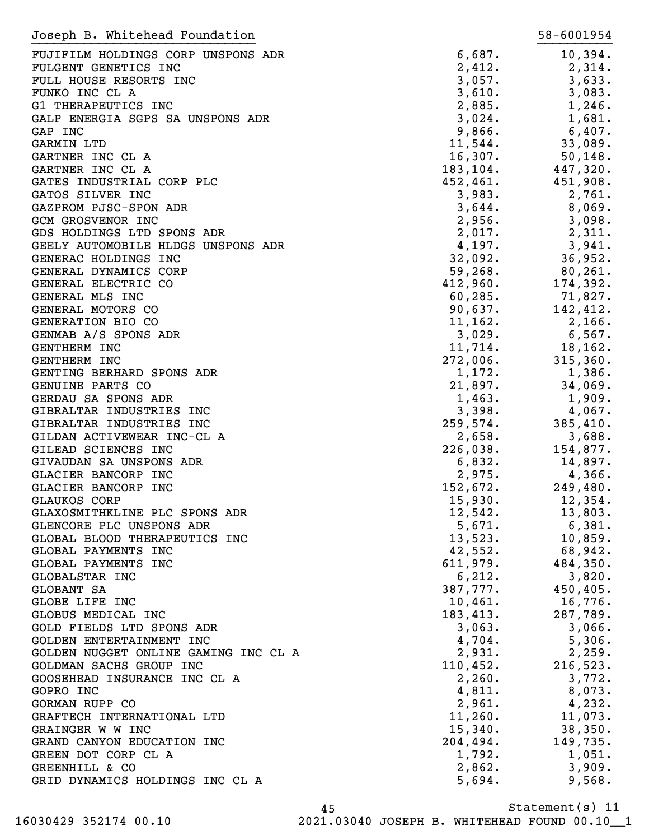| Joseph B. Whitehead Foundation       |           | 58-6001954 |
|--------------------------------------|-----------|------------|
| FUJIFILM HOLDINGS CORP UNSPONS ADR   | 6,687.    | 10,394.    |
| FULGENT GENETICS INC                 | 2,412.    | 2,314.     |
| FULL HOUSE RESORTS INC               | 3,057.    | 3,633.     |
| FUNKO INC CL A                       | 3,610.    | 3,083.     |
| G1 THERAPEUTICS INC                  | 2,885.    | 1,246.     |
| GALP ENERGIA SGPS SA UNSPONS ADR     | 3,024.    | 1,681.     |
| GAP INC                              | 9,866.    | $6,407$ .  |
| <b>GARMIN LTD</b>                    | 11,544.   | 33,089.    |
| GARTNER INC CL A                     | 16,307.   | 50, 148.   |
| GARTNER INC CL A                     | 183, 104. | 447,320.   |
| GATES INDUSTRIAL CORP PLC            | 452, 461. | 451,908.   |
| GATOS SILVER INC                     | 3,983.    | 2,761.     |
| GAZPROM PJSC-SPON ADR                | 3,644.    | 8,069.     |
| <b>GCM GROSVENOR INC</b>             | 2,956.    | 3,098.     |
| GDS HOLDINGS LTD SPONS ADR           | 2,017.    | 2,311.     |
| GEELY AUTOMOBILE HLDGS UNSPONS ADR   | 4,197.    | 3,941.     |
| GENERAC HOLDINGS INC                 | 32,092.   | 36,952.    |
| GENERAL DYNAMICS CORP                | 59, 268.  | $80,261$ . |
| GENERAL ELECTRIC CO                  | 412,960.  | 174,392.   |
| GENERAL MLS INC                      | 60, 285.  | 71,827.    |
| GENERAL MOTORS CO                    | 90,637.   | 142,412.   |
| GENERATION BIO CO                    | 11, 162.  | 2,166.     |
| GENMAB A/S SPONS ADR                 | 3,029.    | $6,567$ .  |
| <b>GENTHERM INC</b>                  | 11,714.   | 18,162.    |
| <b>GENTHERM INC</b>                  | 272,006.  | 315,360.   |
| GENTING BERHARD SPONS ADR            | 1,172.    | 1,386.     |
| GENUINE PARTS CO                     | 21,897.   | 34,069.    |
| GERDAU SA SPONS ADR                  | 1,463.    | 1,909.     |
| GIBRALTAR INDUSTRIES INC             | 3,398.    | 4,067.     |
| GIBRALTAR INDUSTRIES INC             | 259,574.  | 385,410.   |
| GILDAN ACTIVEWEAR INC-CL A           | 2,658.    | 3,688.     |
| GILEAD SCIENCES INC                  | 226,038.  | 154,877.   |
| GIVAUDAN SA UNSPONS ADR              | 6,832.    | 14,897.    |
| GLACIER BANCORP INC                  | 2,975.    | 4,366.     |
| GLACIER BANCORP INC                  | 152,672.  | 249,480.   |
| <b>GLAUKOS CORP</b>                  | 15,930.   | 12,354.    |
| GLAXOSMITHKLINE PLC SPONS ADR        | 12,542.   | 13,803.    |
| GLENCORE PLC UNSPONS ADR             | 5,671.    | 6,381.     |
| GLOBAL BLOOD THERAPEUTICS INC        | 13,523.   | 10,859.    |
| GLOBAL PAYMENTS INC                  | 42,552.   | 68,942.    |
| GLOBAL PAYMENTS INC                  | 611,979.  | 484,350.   |
| GLOBALSTAR INC                       | 6,212.    | 3,820.     |
| GLOBANT SA                           | 387,777.  | 450,405.   |
| GLOBE LIFE INC                       | 10,461.   | 16,776.    |
| GLOBUS MEDICAL INC                   | 183,413.  | 287,789.   |
| GOLD FIELDS LTD SPONS ADR            | 3,063.    | 3,066.     |
| GOLDEN ENTERTAINMENT INC             | 4,704.    | 5,306.     |
| GOLDEN NUGGET ONLINE GAMING INC CL A | 2,931.    | 2,259.     |
| GOLDMAN SACHS GROUP INC              | 110,452.  | 216,523.   |
| GOOSEHEAD INSURANCE INC CL A         | 2,260.    | 3,772.     |
| GOPRO INC                            | 4,811.    | 8,073.     |
| GORMAN RUPP CO                       | 2,961.    | 4,232.     |
| GRAFTECH INTERNATIONAL LTD           | 11,260.   | 11,073.    |
| GRAINGER W W INC                     | 15,340.   | 38,350.    |
| GRAND CANYON EDUCATION INC           | 204,494.  | 149,735.   |
| GREEN DOT CORP CL A                  | 1,792.    | 1,051.     |
| GREENHILL & CO                       | 2,862.    | 3,909.     |
| GRID DYNAMICS HOLDINGS INC CL A      | 5,694.    | 9,568.     |
|                                      |           |            |

Statement(s) 11 45 16030429 352174 00.10 2021.03040 JOSEPH B. WHITEHEAD FOUND 00.10\_\_1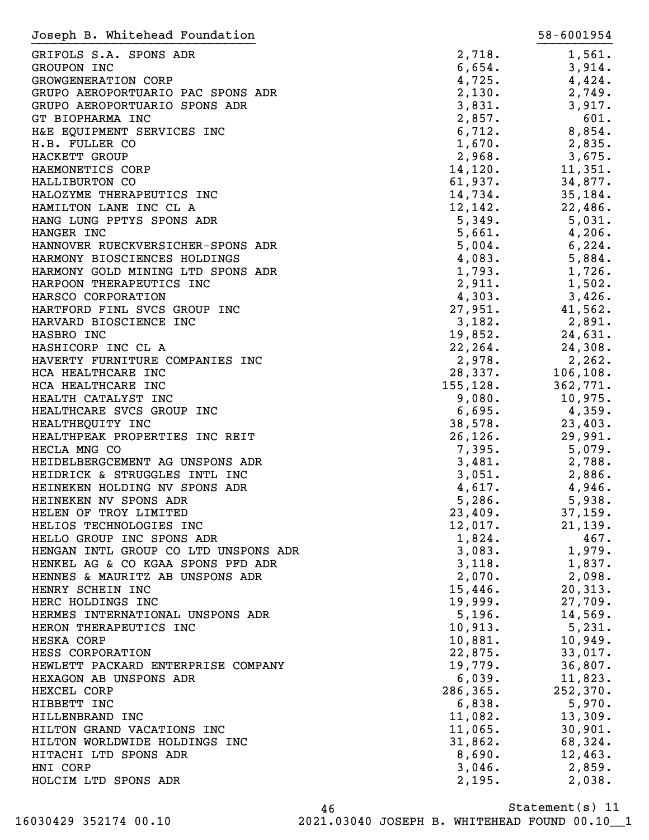| Joseph B. Whitehead Foundation                                 |                  | 58-6001954       |
|----------------------------------------------------------------|------------------|------------------|
| GRIFOLS S.A. SPONS ADR                                         | 2,718.           | 1,561.           |
| <b>GROUPON INC</b>                                             | 6,654.           | 3,914.           |
| GROWGENERATION CORP                                            | 4,725.           | 4,424.           |
| GRUPO AEROPORTUARIO PAC SPONS ADR                              | 2,130.           | 2,749.           |
| GRUPO AEROPORTUARIO SPONS ADR                                  | 3,831.           | 3,917.           |
| GT BIOPHARMA INC                                               | 2,857.           | 601.             |
| H&E EQUIPMENT SERVICES INC                                     | 6,712.           | 8,854.           |
| H.B. FULLER CO                                                 | 1,670.           | 2,835.           |
| HACKETT GROUP                                                  | 2,968.           | 3,675.           |
| HAEMONETICS CORP                                               | 14, 120.         | 11,351.          |
| HALLIBURTON CO                                                 | 61,937.          | 34,877.          |
| HALOZYME THERAPEUTICS INC                                      | 14,734.          | 35,184.          |
| HAMILTON LANE INC CL A                                         | 12, 142.         | 22,486.          |
| HANG LUNG PPTYS SPONS ADR                                      | 5,349.           | 5,031.           |
| HANGER INC                                                     | 5,661.           | 4,206.           |
| HANNOVER RUECKVERSICHER-SPONS ADR                              | 5,004.           | 6,224.           |
| HARMONY BIOSCIENCES HOLDINGS                                   | 4,083.           | 5,884.           |
| HARMONY GOLD MINING LTD SPONS ADR                              | 1,793.           | 1,726.           |
| HARPOON THERAPEUTICS INC                                       | 2,911.           | 1,502.           |
| HARSCO CORPORATION                                             | 4,303.           | 3,426.           |
| HARTFORD FINL SVCS GROUP INC                                   | 27,951.          | 41,562.          |
| HARVARD BIOSCIENCE INC                                         | 3,182.           | 2,891.           |
| HASBRO INC                                                     | 19,852.          | 24,631.          |
| HASHICORP INC CL A                                             | 22, 264.         | 24,308.          |
| HAVERTY FURNITURE COMPANIES INC                                | 2,978.           | 2, 262.          |
| HCA HEALTHCARE INC                                             | 28,337.          | 106, 108.        |
| HCA HEALTHCARE INC                                             | 155, 128.        | 362,771.         |
| HEALTH CATALYST INC                                            | 9,080.           | 10,975.          |
| HEALTHCARE SVCS GROUP INC                                      | 6,695.           | 4,359.           |
| HEALTHEQUITY INC                                               | 38,578.          | 23,403.          |
| HEALTHPEAK PROPERTIES INC REIT                                 | 26, 126.         | 29,991.          |
| HECLA MNG CO                                                   | 7,395.           | 5,079.           |
| HEIDELBERGCEMENT AG UNSPONS ADR                                | 3,481.           | 2,788.           |
| HEIDRICK & STRUGGLES INTL INC<br>HEINEKEN HOLDING NV SPONS ADR | 3,051.           | 2,886.           |
| HEINEKEN NV SPONS ADR                                          | 4,617.<br>5,286. | 4,946.<br>5,938. |
| HELEN OF TROY LIMITED                                          | 23,409.          | 37,159.          |
| HELIOS TECHNOLOGIES INC                                        | 12,017.          | 21, 139.         |
| HELLO GROUP INC SPONS ADR                                      | 1,824.           | 467.             |
| HENGAN INTL GROUP CO LTD UNSPONS ADR                           | 3,083.           | 1,979.           |
| HENKEL AG & CO KGAA SPONS PFD ADR                              | 3,118.           | 1,837.           |
| HENNES & MAURITZ AB UNSPONS ADR                                | 2,070.           | 2,098.           |
| HENRY SCHEIN INC                                               | 15,446.          | 20, 313.         |
| HERC HOLDINGS INC                                              | 19,999.          | 27,709.          |
| HERMES INTERNATIONAL UNSPONS ADR                               | 5,196.           | 14,569.          |
| HERON THERAPEUTICS INC                                         | 10,913.          | 5,231.           |
| HESKA CORP                                                     | 10,881.          | 10,949.          |
| HESS CORPORATION                                               | 22,875.          | 33,017.          |
| HEWLETT PACKARD ENTERPRISE COMPANY                             | 19,779.          | 36,807.          |
| HEXAGON AB UNSPONS ADR                                         | 6,039.           | 11,823.          |
| HEXCEL CORP                                                    | 286, 365.        | 252, 370.        |
| HIBBETT INC                                                    | 6,838.           | 5,970.           |
| HILLENBRAND INC                                                | 11,082.          | 13,309.          |
| HILTON GRAND VACATIONS INC                                     | 11,065.          | 30,901.          |
| HILTON WORLDWIDE HOLDINGS INC                                  | 31,862.          | 68,324.          |
| HITACHI LTD SPONS ADR                                          | 8,690.           | 12,463.          |
| HNI CORP                                                       | 3,046.           | 2,859.           |
| HOLCIM LTD SPONS ADR                                           | 2,195.           | 2,038.           |
|                                                                |                  |                  |

Statement(s) 11 46 16030429 352174 00.10 2021.03040 JOSEPH B. WHITEHEAD FOUND 00.10\_\_1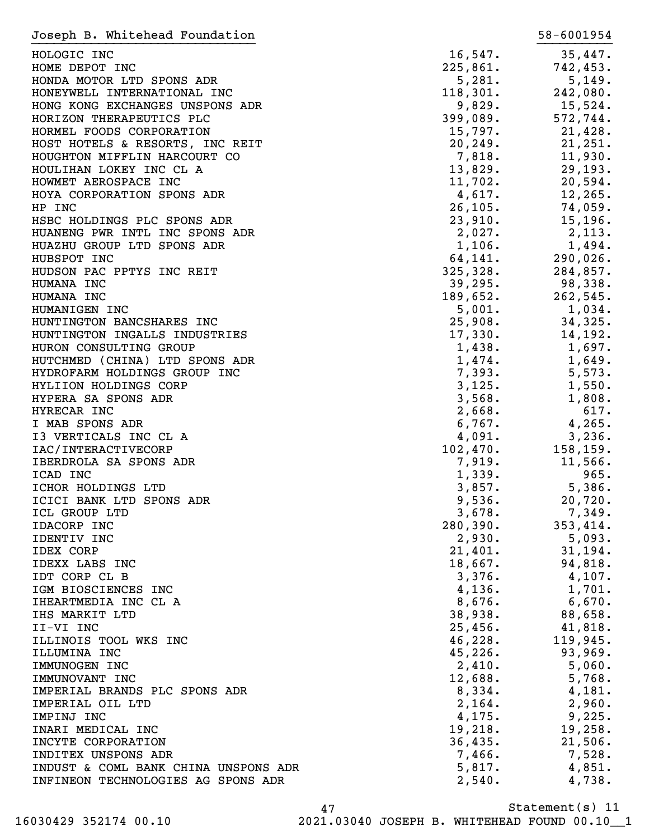| Joseph B. Whitehead Foundation       |                    | 58-6001954         |
|--------------------------------------|--------------------|--------------------|
| HOLOGIC INC                          | $16,547$ .         | 35,447.            |
| HOME DEPOT INC                       | 225,861.           | 742,453.           |
| HONDA MOTOR LTD SPONS ADR            | 5,281.             | 5,149.             |
| HONEYWELL INTERNATIONAL INC          | 118,301.           | 242,080.           |
| HONG KONG EXCHANGES UNSPONS ADR      | 9,829.             | $15,524$ .         |
| HORIZON THERAPEUTICS PLC             | 399,089.           | 572,744.           |
| HORMEL FOODS CORPORATION             | 15,797.            | 21,428.            |
| HOST HOTELS & RESORTS, INC REIT      | 20, 249.           | 21,251.            |
| HOUGHTON MIFFLIN HARCOURT CO         | 7,818.             | 11,930.            |
| HOULIHAN LOKEY INC CL A              | 13,829.            | 29, 193.           |
| HOWMET AEROSPACE INC                 | 11,702.            | 20,594.            |
| HOYA CORPORATION SPONS ADR           | 4,617.             | 12,265.            |
| HP INC                               | 26, 105.           | 74,059.            |
| HSBC HOLDINGS PLC SPONS ADR          | 23,910.            | 15, 196.           |
| HUANENG PWR INTL INC SPONS ADR       | 2,027.             | 2,113.             |
| HUAZHU GROUP LTD SPONS ADR           | 1,106.             | 1,494.             |
| HUBSPOT INC                          | 64,141.            | 290,026.           |
| HUDSON PAC PPTYS INC REIT            | 325,328.           | 284,857.           |
| HUMANA INC                           | 39,295.            | 98,338.            |
| HUMANA INC                           | 189,652.           | 262,545.           |
| HUMANIGEN INC                        | 5,001.             | 1,034.             |
| HUNTINGTON BANCSHARES INC            | 25,908.            | 34,325.            |
| HUNTINGTON INGALLS INDUSTRIES        | 17,330.            | 14,192.            |
| HURON CONSULTING GROUP               | 1,438.             | 1,697.             |
| HUTCHMED (CHINA) LTD SPONS ADR       | 1,474.             | 1,649.             |
| HYDROFARM HOLDINGS GROUP INC         | 7,393.             | 5,573.             |
| HYLIION HOLDINGS CORP                | 3,125.             | 1,550.             |
| HYPERA SA SPONS ADR                  | 3,568.             | 1,808.             |
| HYRECAR INC                          | 2,668.             | 617.               |
| I MAB SPONS ADR                      | 6,767.             | 4,265.             |
| I3 VERTICALS INC CL A                | 4,091.             | 3,236.             |
| IAC/INTERACTIVECORP                  | 102,470.           | 158, 159.          |
| IBERDROLA SA SPONS ADR               | 7,919.             | 11,566.            |
| ICAD INC                             | 1,339.             | 965.               |
| ICHOR HOLDINGS LTD                   | 3,857.             | 5,386.             |
| ICICI BANK LTD SPONS ADR             | 9,536.             | 20,720.            |
| ICL GROUP LTD                        | 3,678.             | 7,349.             |
| IDACORP INC<br>IDENTIV INC           | 280,390.<br>2,930. | 353,414.<br>5,093. |
| <b>IDEX CORP</b>                     | 21,401.            | 31,194.            |
| IDEXX LABS INC                       | 18,667.            | 94,818.            |
| IDT CORP CL B                        | 3,376.             | $4,107$ .          |
| IGM BIOSCIENCES INC                  | 4,136.             | 1,701.             |
| IHEARTMEDIA INC CL A                 | 8,676.             | 6,670.             |
| IHS MARKIT LTD                       | 38,938.            | 88,658.            |
| II-VI INC                            | 25,456.            | 41,818.            |
| ILLINOIS TOOL WKS INC                | 46,228.            | 119,945.           |
| ILLUMINA INC                         | 45,226.            | 93,969.            |
| IMMUNOGEN INC                        | 2,410.             | 5,060.             |
| IMMUNOVANT INC                       | 12,688.            | 5,768.             |
| IMPERIAL BRANDS PLC SPONS ADR        | 8,334.             | 4,181.             |
| IMPERIAL OIL LTD                     | 2,164.             | 2,960.             |
| IMPINJ INC                           | 4,175.             | 9,225.             |
| INARI MEDICAL INC                    | 19,218.            | 19,258.            |
| INCYTE CORPORATION                   | 36,435.            | 21,506.            |
| INDITEX UNSPONS ADR                  | 7,466.             | 7,528.             |
| INDUST & COML BANK CHINA UNSPONS ADR | 5,817.             | 4,851.             |
| INFINEON TECHNOLOGIES AG SPONS ADR   | 2,540.             | 4,738.             |
|                                      |                    |                    |

Statement(s) 11 47 16030429 352174 00.10 2021.03040 JOSEPH B. WHITEHEAD FOUND 00.10\_\_1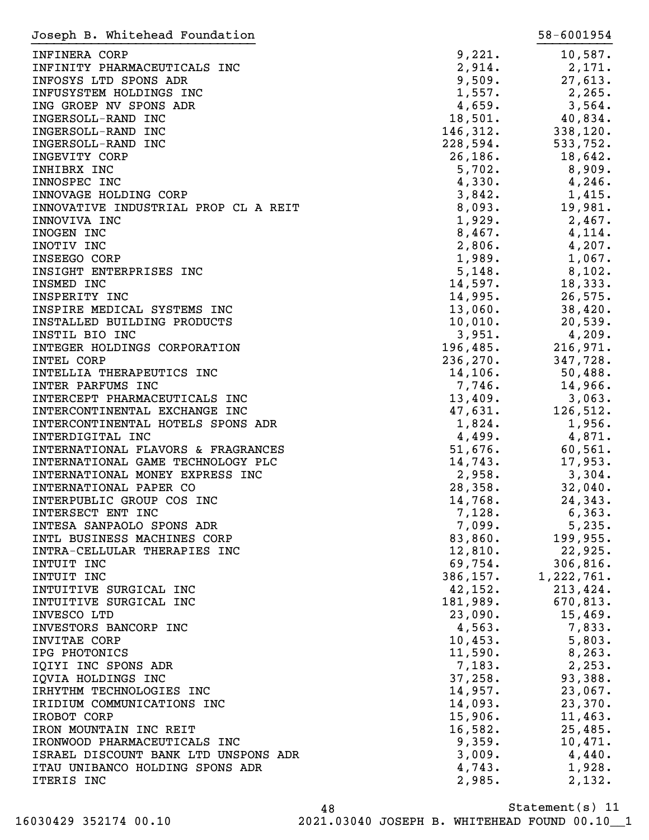| Joseph B. Whitehead Foundation       |           | 58-6001954 |
|--------------------------------------|-----------|------------|
| INFINERA CORP                        | 9,221.    | 10,587.    |
| INFINITY PHARMACEUTICALS INC         | 2,914.    | 2,171.     |
| INFOSYS LTD SPONS ADR                | 9,509.    | 27,613.    |
| INFUSYSTEM HOLDINGS INC              | 1,557.    | 2, 265.    |
| ING GROEP NV SPONS ADR               | 4,659.    | 3,564.     |
| INGERSOLL-RAND INC                   | 18,501.   | 40,834.    |
| INGERSOLL-RAND INC                   | 146,312.  | 338,120.   |
|                                      |           | 533,752.   |
| INGERSOLL-RAND INC                   | 228,594.  |            |
| INGEVITY CORP                        | 26, 186.  | 18,642.    |
| INHIBRX INC                          | 5,702.    | 8,909.     |
| INNOSPEC INC                         | 4,330.    | 4,246.     |
| INNOVAGE HOLDING CORP                | 3,842.    | 1,415.     |
| INNOVATIVE INDUSTRIAL PROP CL A REIT | 8,093.    | 19,981.    |
| INNOVIVA INC                         | 1,929.    | 2,467.     |
| INOGEN INC                           | 8,467.    | 4,114.     |
| INOTIV INC                           | 2,806.    | 4,207.     |
| INSEEGO CORP                         | 1,989.    | 1,067.     |
| INSIGHT ENTERPRISES INC              | 5,148.    | $8,102$ .  |
| INSMED INC                           | 14,597.   | 18,333.    |
| INSPERITY INC                        | 14,995.   | 26,575.    |
| INSPIRE MEDICAL SYSTEMS INC          | 13,060.   | 38,420.    |
| INSTALLED BUILDING PRODUCTS          | 10,010.   | 20,539.    |
| INSTIL BIO INC                       | 3,951.    | 4,209.     |
| INTEGER HOLDINGS CORPORATION         | 196,485.  | 216,971.   |
| INTEL CORP                           | 236, 270. | 347,728.   |
| INTELLIA THERAPEUTICS INC            | 14, 106.  | 50,488.    |
| INTER PARFUMS INC                    | 7,746.    | 14,966.    |
| INTERCEPT PHARMACEUTICALS INC        | 13,409.   | 3,063.     |
| INTERCONTINENTAL EXCHANGE INC        | 47,631.   | 126,512.   |
| INTERCONTINENTAL HOTELS SPONS ADR    | 1,824.    | 1,956.     |
| INTERDIGITAL INC                     | 4,499.    | 4,871.     |
| INTERNATIONAL FLAVORS & FRAGRANCES   | 51,676.   | 60, 561.   |
| INTERNATIONAL GAME TECHNOLOGY PLC    | 14,743.   | 17,953.    |
| INTERNATIONAL MONEY EXPRESS INC      | 2,958.    |            |
|                                      |           | 3,304.     |
| INTERNATIONAL PAPER CO               | 28,358.   | 32,040.    |
| INTERPUBLIC GROUP COS INC            | 14,768.   | 24,343.    |
| INTERSECT ENT INC                    | 7,128.    | 6,363.     |
| INTESA SANPAOLO SPONS ADR            | 7,099.    | 5,235.     |
| INTL BUSINESS MACHINES CORP          | 83,860.   | 199,955.   |
| INTRA-CELLULAR THERAPIES INC         | 12,810.   | 22,925.    |
| INTUIT INC                           | 69,754.   | 306, 816.  |
| INTUIT INC                           | 386,157.  | 1,222,761. |
| INTUITIVE SURGICAL INC               | 42,152.   | 213,424.   |
| INTUITIVE SURGICAL INC               | 181,989.  | 670,813.   |
| INVESCO LTD                          | 23,090.   | 15,469.    |
| INVESTORS BANCORP INC                | 4,563.    | 7,833.     |
| INVITAE CORP                         | 10,453.   | 5,803.     |
| IPG PHOTONICS                        | 11,590.   | 8, 263.    |
| IQIYI INC SPONS ADR                  | 7,183.    | 2,253.     |
| IQVIA HOLDINGS INC                   | 37,258.   | 93,388.    |
| IRHYTHM TECHNOLOGIES INC             | 14,957.   | 23,067.    |
| IRIDIUM COMMUNICATIONS INC           | 14,093.   | 23,370.    |
| IROBOT CORP                          | 15,906.   | 11,463.    |
| IRON MOUNTAIN INC REIT               | 16,582.   | 25,485.    |
| IRONWOOD PHARMACEUTICALS INC         | 9,359.    | 10,471.    |
| ISRAEL DISCOUNT BANK LTD UNSPONS ADR | 3,009.    | 4,440.     |
| ITAU UNIBANCO HOLDING SPONS ADR      | 4,743.    | 1,928.     |
| ITERIS INC                           | 2,985.    | 2,132.     |
|                                      |           |            |

Statement(s) 11 48 16030429 352174 00.10 2021.03040 JOSEPH B. WHITEHEAD FOUND 00.10\_\_1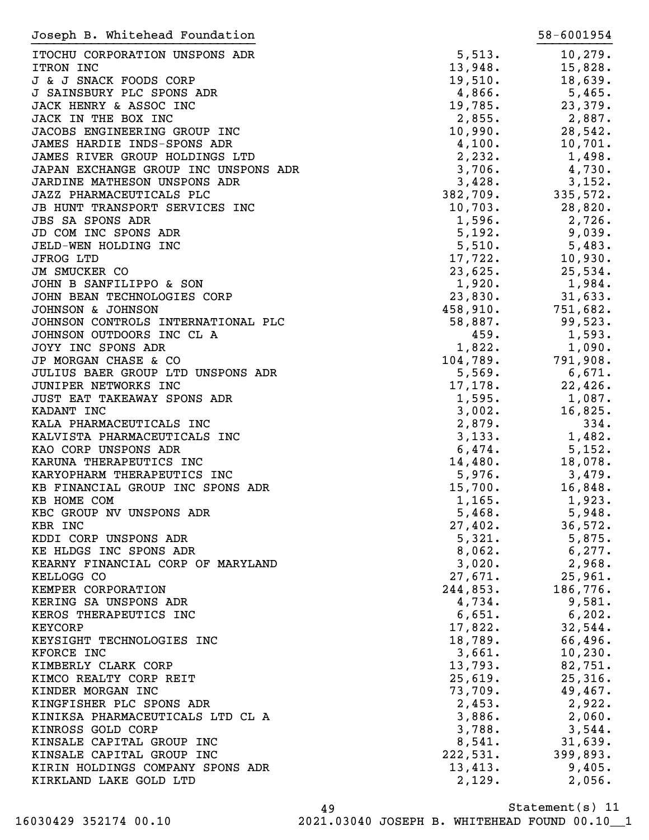| Joseph B. Whitehead Foundation                      |                   | 58-6001954        |
|-----------------------------------------------------|-------------------|-------------------|
| ITOCHU CORPORATION UNSPONS ADR                      | 5,513.            | 10, 279.          |
| ITRON INC                                           | 13,948.           | 15,828.           |
| J & J SNACK FOODS CORP                              | 19,510.           | 18,639.           |
| J SAINSBURY PLC SPONS ADR                           | 4,866.            | 5,465.            |
| JACK HENRY & ASSOC INC                              | 19,785.           | 23,379.           |
| JACK IN THE BOX INC                                 | 2,855.            | 2,887.            |
| JACOBS ENGINEERING GROUP INC                        | 10,990.           | 28,542.           |
| JAMES HARDIE INDS-SPONS ADR                         | 4,100.            | 10,701.           |
| JAMES RIVER GROUP HOLDINGS LTD                      | 2,232.            | 1,498.            |
| JAPAN EXCHANGE GROUP INC UNSPONS ADR                | 3,706.            | 4,730.            |
| JARDINE MATHESON UNSPONS ADR                        | 3,428.            | 3,152.            |
| JAZZ PHARMACEUTICALS PLC                            | 382,709.          | 335,572.          |
| JB HUNT TRANSPORT SERVICES INC                      | 10,703.           | 28,820.           |
| <b>JBS SA SPONS ADR</b>                             | 1,596.            | 2,726.            |
| JD COM INC SPONS ADR                                | 5,192.            | 9,039.            |
| JELD-WEN HOLDING INC                                | 5,510.            | 5,483.            |
| <b>JFROG LTD</b>                                    | 17,722.           | 10,930.           |
| JM SMUCKER CO                                       | 23,625.           | 25,534.           |
| JOHN B SANFILIPPO & SON                             | 1,920.            | 1,984.            |
| JOHN BEAN TECHNOLOGIES CORP                         | 23,830.           | 31,633.           |
| JOHNSON & JOHNSON                                   | 458,910.          | 751,682.          |
| JOHNSON CONTROLS INTERNATIONAL PLC                  | 58,887.           | 99,523.           |
| JOHNSON OUTDOORS INC CL A                           | 459.              | 1,593.            |
| JOYY INC SPONS ADR                                  | 1,822.            | 1,090.            |
| JP MORGAN CHASE & CO                                | 104,789.          | 791,908.          |
| JULIUS BAER GROUP LTD UNSPONS ADR                   | 5,569.            | 6,671.            |
| JUNIPER NETWORKS INC<br>JUST EAT TAKEAWAY SPONS ADR | 17,178.<br>1,595. | 22,426.<br>1,087. |
| KADANT INC                                          | 3,002.            | 16,825.           |
| KALA PHARMACEUTICALS INC                            | 2,879.            | 334.              |
| KALVISTA PHARMACEUTICALS INC                        | 3,133.            | 1,482.            |
| KAO CORP UNSPONS ADR                                | 6,474.            | 5,152.            |
| KARUNA THERAPEUTICS INC                             | 14,480.           | 18,078.           |
| KARYOPHARM THERAPEUTICS INC                         | 5,976.            | 3,479.            |
| KB FINANCIAL GROUP INC SPONS ADR                    | 15,700.           | 16,848.           |
| KB HOME COM                                         | 1,165.            | 1,923.            |
| KBC GROUP NV UNSPONS ADR                            | 5,468.            | 5,948.            |
| KBR INC                                             | 27,402.           | 36,572.           |
| KDDI CORP UNSPONS ADR                               | 5,321.            | 5,875.            |
| KE HLDGS INC SPONS ADR                              | 8,062.            | 6,277.            |
| KEARNY FINANCIAL CORP OF MARYLAND                   | 3,020.            | 2,968.            |
| KELLOGG CO                                          | 27,671.           | 25,961.           |
| KEMPER CORPORATION                                  | 244,853.          | 186,776.          |
| KERING SA UNSPONS ADR                               | 4,734.            | 9,581.            |
| KEROS THERAPEUTICS INC                              | 6,651.            | 6, 202.           |
| <b>KEYCORP</b>                                      | 17,822.           | 32,544.           |
| KEYSIGHT TECHNOLOGIES INC                           | 18,789.           | 66,496.           |
| KFORCE INC                                          | 3,661.            | 10, 230.          |
| KIMBERLY CLARK CORP                                 | 13,793.           | 82,751.           |
| KIMCO REALTY CORP REIT                              | 25,619.           | 25,316.           |
| KINDER MORGAN INC                                   | 73,709.           | 49,467.           |
| KINGFISHER PLC SPONS ADR                            | 2,453.            | 2,922.            |
| KINIKSA PHARMACEUTICALS LTD CL A                    | 3,886.            | 2,060.            |
| KINROSS GOLD CORP                                   | 3,788.            | 3,544.            |
| KINSALE CAPITAL GROUP INC                           | 8,541.            | 31,639.           |
| KINSALE CAPITAL GROUP INC                           | 222,531.          | 399,893.          |
| KIRIN HOLDINGS COMPANY SPONS ADR                    | 13,413.           | 9,405.            |
| KIRKLAND LAKE GOLD LTD                              | 2,129.            | 2,056.            |

Statement(s) 11 49 16030429 352174 00.10 2021.03040 JOSEPH B. WHITEHEAD FOUND 00.10\_\_1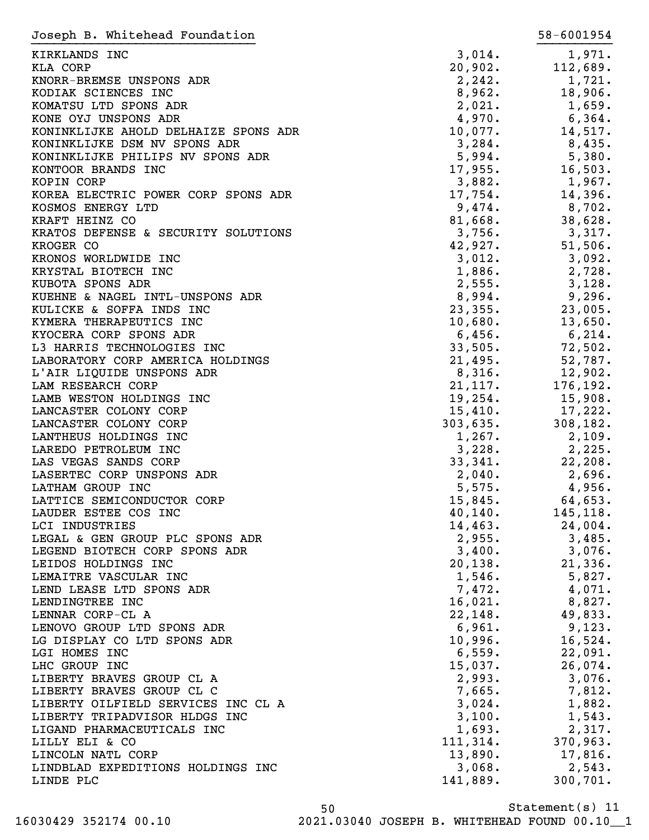| Joseph B. Whitehead Foundation                       |                    | 58-6001954        |
|------------------------------------------------------|--------------------|-------------------|
| KIRKLANDS INC                                        | 3,014.             | 1,971.            |
| KLA CORP                                             | 20,902.            | 112,689.          |
| KNORR-BREMSE UNSPONS ADR                             | 2, 242.            | 1,721.            |
| KODIAK SCIENCES INC                                  | 8,962.             | 18,906.           |
| KOMATSU LTD SPONS ADR                                | 2,021.             | 1,659.            |
| KONE OYJ UNSPONS ADR                                 | 4,970.             | 6,364.            |
| KONINKLIJKE AHOLD DELHAIZE SPONS ADR                 | 10,077.            | 14,517.           |
| KONINKLIJKE DSM NV SPONS ADR                         | 3,284.             | 8,435.            |
| KONINKLIJKE PHILIPS NV SPONS ADR                     | 5,994.             | 5,380.            |
| KONTOOR BRANDS INC                                   | 17,955.            | 16,503.           |
| KOPIN CORP                                           | 3,882.             | 1,967.            |
| KOREA ELECTRIC POWER CORP SPONS ADR                  | 17,754.            | 14,396.           |
| KOSMOS ENERGY LTD                                    | 9,474.             | 8,702.            |
| KRAFT HEINZ CO                                       | 81,668.            | 38,628.           |
| KRATOS DEFENSE & SECURITY SOLUTIONS                  | 3,756.             | 3,317.            |
| KROGER CO                                            | 42,927.            | 51,506.           |
| KRONOS WORLDWIDE INC                                 | 3,012.             | 3,092.            |
| KRYSTAL BIOTECH INC                                  | 1,886.             | 2,728.            |
| KUBOTA SPONS ADR                                     | 2,555.             | 3,128.            |
| KUEHNE & NAGEL INTL-UNSPONS ADR                      | 8,994.             | 9,296.            |
| KULICKE & SOFFA INDS INC                             | 23, 355.           | 23,005.           |
| KYMERA THERAPEUTICS INC                              | 10,680.            | 13,650.           |
| KYOCERA CORP SPONS ADR                               | 6,456.             | 6,214.            |
| L3 HARRIS TECHNOLOGIES INC                           | 33,505.            | 72,502.           |
| LABORATORY CORP AMERICA HOLDINGS                     | 21,495.            | 52,787.           |
| L'AIR LIQUIDE UNSPONS ADR                            | 8,316.             | 12,902.           |
| LAM RESEARCH CORP                                    | 21,117.            | 176,192.          |
| LAMB WESTON HOLDINGS INC                             | 19, 254.           | 15,908.           |
| LANCASTER COLONY CORP                                | 15,410.            | 17,222.           |
| LANCASTER COLONY CORP                                | 303,635.           | 308,182.          |
| LANTHEUS HOLDINGS INC                                | 1,267.             | 2,109.            |
| LAREDO PETROLEUM INC                                 | 3,228.             | 2,225.            |
| LAS VEGAS SANDS CORP                                 | 33,341.            | 22, 208.          |
| LASERTEC CORP UNSPONS ADR                            | 2,040.             | 2,696.            |
| LATHAM GROUP INC                                     | 5,575.             | 4,956.            |
| LATTICE SEMICONDUCTOR CORP                           | 15,845.            | 64,653.           |
| LAUDER ESTEE COS INC                                 | 40,140.            | 145,118.          |
| LCI INDUSTRIES                                       | 14,463.            | 24,004.           |
| LEGAL & GEN GROUP PLC SPONS ADR                      | 2,955.             | 3,485.            |
| LEGEND BIOTECH CORP SPONS ADR<br>LEIDOS HOLDINGS INC | 3,400.             | 3,076.            |
| LEMAITRE VASCULAR INC                                | 20, 138.<br>1,546. | 21,336.<br>5,827. |
| LEND LEASE LTD SPONS ADR                             | 7,472.             | 4,071.            |
| LENDINGTREE INC                                      | 16,021.            | 8,827.            |
| LENNAR CORP-CL A                                     | 22,148.            | 49,833.           |
| LENOVO GROUP LTD SPONS ADR                           | 6,961.             | 9,123.            |
| LG DISPLAY CO LTD SPONS ADR                          | 10,996.            | 16,524.           |
| LGI HOMES INC                                        | 6,559.             | 22,091.           |
| LHC GROUP INC                                        | 15,037.            | 26,074.           |
| LIBERTY BRAVES GROUP CL A                            | 2,993.             | 3,076.            |
| LIBERTY BRAVES GROUP CL C                            | 7,665.             | 7,812.            |
| LIBERTY OILFIELD SERVICES INC CL A                   | 3,024.             | 1,882.            |
| LIBERTY TRIPADVISOR HLDGS INC                        | 3,100.             | 1,543.            |
| LIGAND PHARMACEUTICALS INC                           | 1,693.             | 2,317.            |
| LILLY ELI & CO                                       | 111, 314.          | 370,963.          |
| LINCOLN NATL CORP                                    | 13,890.            | 17,816.           |
| LINDBLAD EXPEDITIONS HOLDINGS INC                    | 3,068.             | 2,543.            |
| LINDE PLC                                            | 141,889.           | 300,701.          |
|                                                      |                    |                   |

Statement(s) 11 50 16030429 352174 00.10 2021.03040 JOSEPH B. WHITEHEAD FOUND 00.10\_\_1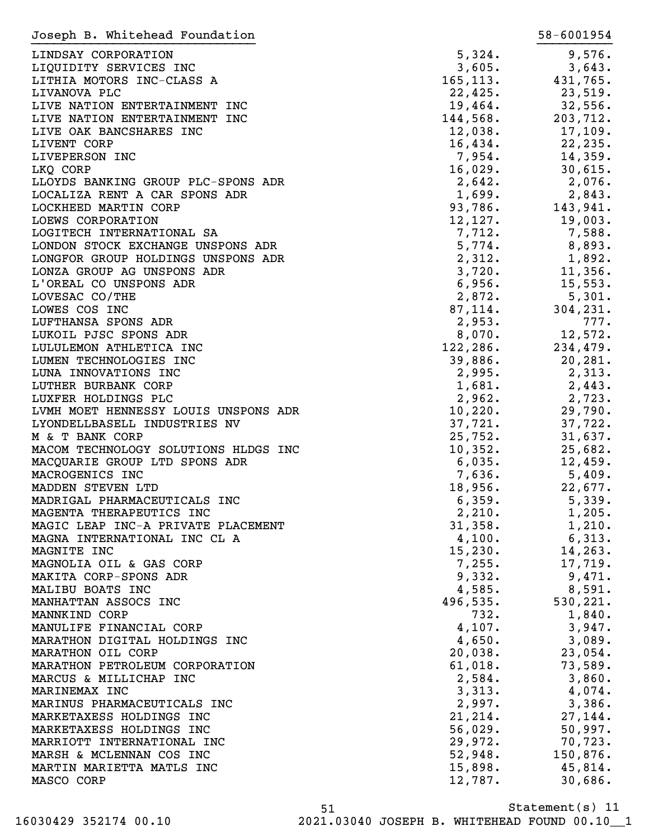| Joseph B. Whitehead Foundation       |           | 58-6001954 |
|--------------------------------------|-----------|------------|
| LINDSAY CORPORATION                  | 5,324.    | 9,576.     |
| LIQUIDITY SERVICES INC               | 3,605.    | 3,643.     |
| LITHIA MOTORS INC-CLASS A            | 165, 113. | 431,765.   |
| LIVANOVA PLC                         | 22,425.   | 23,519.    |
|                                      |           |            |
| LIVE NATION ENTERTAINMENT INC        | 19,464.   | 32,556.    |
| LIVE NATION ENTERTAINMENT INC        | 144,568.  | 203,712.   |
| LIVE OAK BANCSHARES INC              | 12,038.   | 17,109.    |
| LIVENT CORP                          | 16,434.   | 22, 235.   |
| LIVEPERSON INC                       | 7,954.    | 14,359.    |
| LKQ CORP                             | 16,029.   | 30,615.    |
| LLOYDS BANKING GROUP PLC-SPONS ADR   | 2,642.    | 2,076.     |
| LOCALIZA RENT A CAR SPONS ADR        | 1,699.    | 2,843.     |
| LOCKHEED MARTIN CORP                 | 93,786.   | 143,941.   |
| LOEWS CORPORATION                    | 12,127.   | 19,003.    |
| LOGITECH INTERNATIONAL SA            | 7,712.    | 7,588.     |
| LONDON STOCK EXCHANGE UNSPONS ADR    | 5,774.    | 8,893.     |
| LONGFOR GROUP HOLDINGS UNSPONS ADR   | 2,312.    | 1,892.     |
| LONZA GROUP AG UNSPONS ADR           | 3,720.    | 11,356.    |
| L'OREAL CO UNSPONS ADR               | 6,956.    | 15,553.    |
| LOVESAC CO/THE                       | 2,872.    | 5,301.     |
| LOWES COS INC                        | 87,114.   | 304, 231.  |
|                                      |           |            |
| LUFTHANSA SPONS ADR                  | 2,953.    | 777.       |
| LUKOIL PJSC SPONS ADR                | 8,070.    | 12,572.    |
| LULULEMON ATHLETICA INC              | 122, 286. | 234,479.   |
| LUMEN TECHNOLOGIES INC               | 39,886.   | 20, 281.   |
| LUNA INNOVATIONS INC                 | 2,995.    | 2,313.     |
| LUTHER BURBANK CORP                  | 1,681.    | 2,443.     |
| LUXFER HOLDINGS PLC                  | 2,962.    | 2,723.     |
| LVMH MOET HENNESSY LOUIS UNSPONS ADR | 10,220.   | 29,790.    |
| LYONDELLBASELL INDUSTRIES NV         | 37,721.   | 37,722.    |
| M & T BANK CORP                      | 25,752.   | 31,637.    |
| MACOM TECHNOLOGY SOLUTIONS HLDGS INC | 10,352.   | 25,682.    |
| MACQUARIE GROUP LTD SPONS ADR        | 6,035.    | 12,459.    |
| MACROGENICS INC                      | 7,636.    | 5,409.     |
| MADDEN STEVEN LTD                    | 18,956.   | 22,677.    |
| MADRIGAL PHARMACEUTICALS INC         | 6,359.    | 5,339.     |
| MAGENTA THERAPEUTICS INC             | 2,210.    | 1,205.     |
| MAGIC LEAP INC-A PRIVATE PLACEMENT   | 31,358.   | 1,210.     |
| MAGNA INTERNATIONAL INC CL A         | 4,100.    | 6,313.     |
| MAGNITE INC                          | 15,230.   | 14, 263.   |
|                                      | 7,255.    |            |
| MAGNOLIA OIL & GAS CORP              |           | 17,719.    |
| MAKITA CORP-SPONS ADR                | 9,332.    | 9,471.     |
| MALIBU BOATS INC                     | 4,585.    | 8,591.     |
| MANHATTAN ASSOCS INC                 | 496,535.  | 530,221.   |
| MANNKIND CORP                        | 732.      | 1,840.     |
| MANULIFE FINANCIAL CORP              | 4,107.    | 3,947.     |
| MARATHON DIGITAL HOLDINGS INC        | 4,650.    | 3,089.     |
| MARATHON OIL CORP                    | 20,038.   | 23,054.    |
| MARATHON PETROLEUM CORPORATION       | 61,018.   | 73,589.    |
| MARCUS & MILLICHAP INC               | 2,584.    | 3,860.     |
| MARINEMAX INC                        | 3,313.    | 4,074.     |
| MARINUS PHARMACEUTICALS INC          | 2,997.    | 3,386.     |
| MARKETAXESS HOLDINGS INC             | 21, 214.  | 27,144.    |
| MARKETAXESS HOLDINGS INC             | 56,029.   | 50,997.    |
| MARRIOTT INTERNATIONAL INC           | 29,972.   | 70, 723.   |
| MARSH & MCLENNAN COS INC             | 52,948.   | 150,876.   |
|                                      |           |            |
| MARTIN MARIETTA MATLS INC            | 15,898.   | 45,814.    |
| MASCO CORP                           | 12,787.   | 30,686.    |

Statement(s) 11 51 16030429 352174 00.10 2021.03040 JOSEPH B. WHITEHEAD FOUND 00.10\_\_1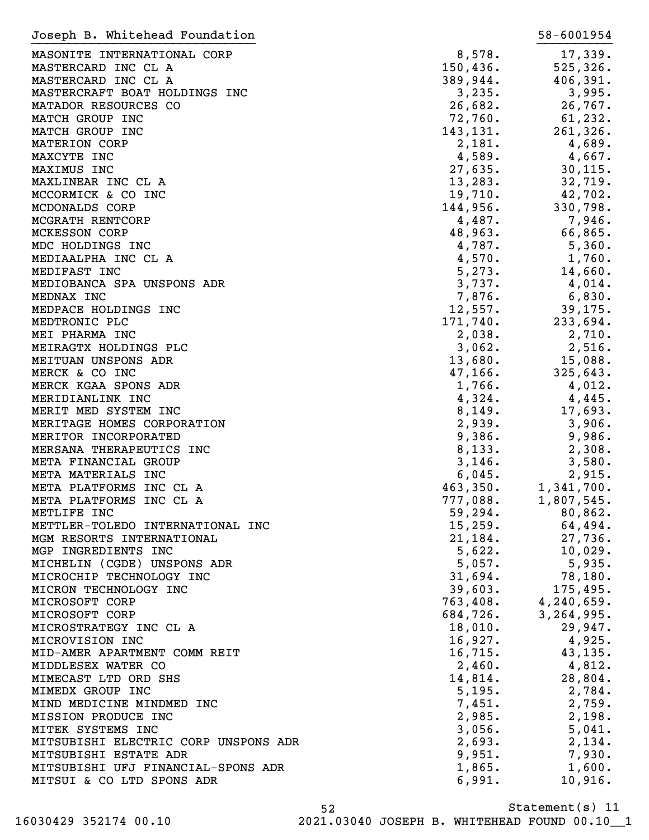| Joseph B. Whitehead Foundation       |           | 58-6001954   |
|--------------------------------------|-----------|--------------|
| MASONITE INTERNATIONAL CORP          | 8,578.    | 17,339.      |
| MASTERCARD INC CL A                  | 150, 436. | 525, 326.    |
| MASTERCARD INC CL A                  | 389,944.  | 406,391.     |
| MASTERCRAFT BOAT HOLDINGS INC        | 3,235.    | 3,995.       |
| MATADOR RESOURCES CO                 |           |              |
|                                      | 26,682.   | 26,767.      |
| MATCH GROUP INC                      | 72,760.   | 61,232.      |
| MATCH GROUP INC                      | 143, 131. | 261,326.     |
| <b>MATERION CORP</b>                 | 2,181.    | 4,689.       |
| MAXCYTE INC                          | 4,589.    | 4,667.       |
| MAXIMUS INC                          | 27,635.   | 30, 115.     |
| MAXLINEAR INC CL A                   | 13, 283.  | 32,719.      |
| MCCORMICK & CO INC                   | 19,710.   | 42,702.      |
| MCDONALDS CORP                       | 144,956.  | 330,798.     |
| MCGRATH RENTCORP                     | 4,487.    | 7,946.       |
| <b>MCKESSON CORP</b>                 | 48,963.   | 66,865.      |
| MDC HOLDINGS INC                     | 4,787.    | 5,360.       |
| MEDIAALPHA INC CL A                  | 4,570.    | 1,760.       |
| MEDIFAST INC                         | 5,273.    | 14,660.      |
| MEDIOBANCA SPA UNSPONS ADR           | 3,737.    | 4,014.       |
| MEDNAX INC                           | 7,876.    | 6,830.       |
| MEDPACE HOLDINGS INC                 | 12,557.   | 39, 175.     |
| MEDTRONIC PLC                        | 171,740.  | 233,694.     |
| MEI PHARMA INC                       | 2,038.    | 2,710.       |
| MEIRAGTX HOLDINGS PLC                | 3,062.    | 2,516.       |
| MEITUAN UNSPONS ADR                  | 13,680.   | 15,088.      |
| MERCK & CO INC                       | 47, 166.  | 325,643.     |
|                                      |           |              |
| MERCK KGAA SPONS ADR                 | 1,766.    | 4,012.       |
| MERIDIANLINK INC                     | 4,324.    | 4,445.       |
| MERIT MED SYSTEM INC                 | 8,149.    | 17,693.      |
| MERITAGE HOMES CORPORATION           | 2,939.    | 3,906.       |
| MERITOR INCORPORATED                 | 9,386.    | 9,986.       |
| MERSANA THERAPEUTICS INC             | 8,133.    | 2,308.       |
| META FINANCIAL GROUP                 | 3,146.    | 3,580.       |
| META MATERIALS INC                   | 6,045.    | 2,915.       |
| META PLATFORMS INC CL A              | 463,350.  | 1,341,700.   |
| META PLATFORMS INC CL A              | 777,088.  | 1,807,545.   |
| METLIFE INC                          | 59,294.   | 80,862.      |
| METTLER-TOLEDO INTERNATIONAL INC     | 15,259.   | 64,494.      |
| MGM RESORTS INTERNATIONAL            | 21,184.   | 27,736.      |
| MGP INGREDIENTS INC                  | 5,622.    | 10,029.      |
| MICHELIN (CGDE) UNSPONS ADR          | 5,057.    | 5,935.       |
| MICROCHIP TECHNOLOGY INC             | 31,694.   | 78,180.      |
| MICRON TECHNOLOGY INC                | 39,603.   | 175,495.     |
| MICROSOFT CORP                       | 763,408.  | 4, 240, 659. |
| MICROSOFT CORP                       | 684,726.  | 3,264,995.   |
| MICROSTRATEGY INC CL A               | 18,010.   | 29,947.      |
| MICROVISION INC                      | 16,927.   | 4,925.       |
| MID-AMER APARTMENT COMM REIT         | 16,715.   | 43,135.      |
| MIDDLESEX WATER CO                   | 2,460.    | 4,812.       |
| MIMECAST LTD ORD SHS                 | 14,814.   | 28,804.      |
| MIMEDX GROUP INC                     | 5,195.    | 2,784.       |
| MIND MEDICINE MINDMED INC            | 7,451.    | 2,759.       |
|                                      |           |              |
| MISSION PRODUCE INC                  | 2,985.    | 2,198.       |
| MITEK SYSTEMS INC                    | 3,056.    | 5,041.       |
| MITSUBISHI ELECTRIC CORP UNSPONS ADR | 2,693.    | 2,134.       |
| MITSUBISHI ESTATE ADR                | 9,951.    | 7,930.       |
| MITSUBISHI UFJ FINANCIAL-SPONS ADR   | 1,865.    | 1,600.       |
| MITSUI & CO LTD SPONS ADR            | 6,991.    | 10,916.      |

Statement(s) 11 52 16030429 352174 00.10 2021.03040 JOSEPH B. WHITEHEAD FOUND 00.10\_\_1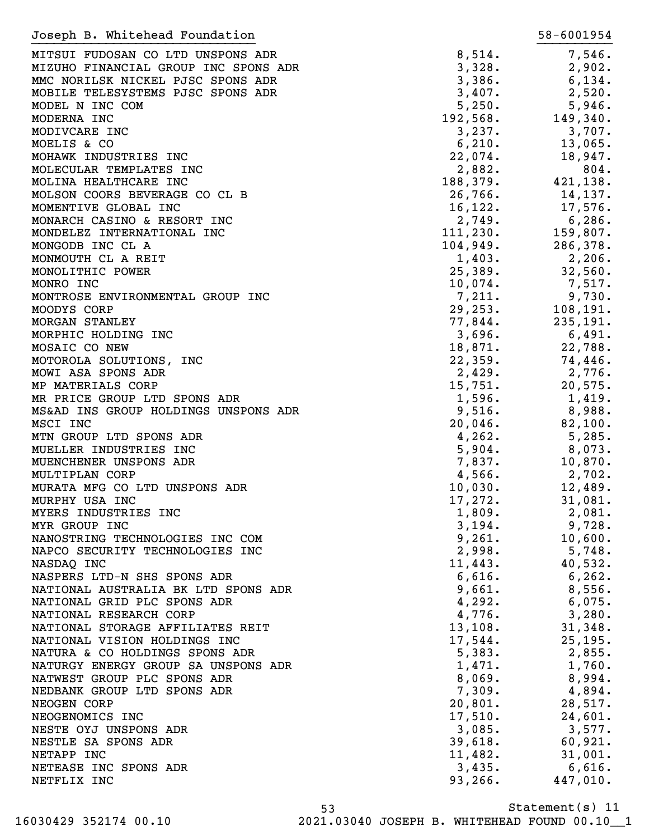| Joseph B. Whitehead Foundation       |            | 58-6001954 |
|--------------------------------------|------------|------------|
| MITSUI FUDOSAN CO LTD UNSPONS ADR    | 8,514.     | 7,546.     |
| MIZUHO FINANCIAL GROUP INC SPONS ADR | 3,328.     | 2,902.     |
| MMC NORILSK NICKEL PJSC SPONS ADR    | 3,386.     | 6,134.     |
| MOBILE TELESYSTEMS PJSC SPONS ADR    | 3,407.     | 2,520.     |
| MODEL N INC COM                      | 5,250.     | 5,946.     |
| MODERNA INC                          | 192,568.   | 149,340.   |
| MODIVCARE INC                        | 3,237.     | 3,707.     |
| MOELIS & CO                          | 6,210.     | 13,065.    |
| MOHAWK INDUSTRIES INC                | 22,074.    | 18,947.    |
| MOLECULAR TEMPLATES INC              |            |            |
|                                      | 2,882.     | 804.       |
| MOLINA HEALTHCARE INC                | 188,379.   | 421,138.   |
| MOLSON COORS BEVERAGE CO CL B        | 26,766.    | 14,137.    |
| MOMENTIVE GLOBAL INC                 | 16, 122.   | 17,576.    |
| MONARCH CASINO & RESORT INC          | 2,749.     | 6,286.     |
| MONDELEZ INTERNATIONAL INC           | 111, 230.  | 159,807.   |
| MONGODB INC CL A                     | 104,949.   | 286,378.   |
| MONMOUTH CL A REIT                   | 1,403.     | 2,206.     |
| MONOLITHIC POWER                     | 25,389.    | 32,560.    |
| MONRO INC                            | 10,074.    | 7,517.     |
| MONTROSE ENVIRONMENTAL GROUP INC     | 7,211.     | 9,730.     |
| MOODYS CORP                          | 29, 253.   | 108, 191.  |
| MORGAN STANLEY                       | 77,844.    | 235,191.   |
| MORPHIC HOLDING INC                  | 3,696.     | 6,491.     |
| MOSAIC CO NEW                        | 18,871.    | 22,788.    |
| MOTOROLA SOLUTIONS, INC              | 22,359.    | 74,446.    |
| MOWI ASA SPONS ADR                   | 2,429.     | 2,776.     |
| MP MATERIALS CORP                    | 15,751.    | 20,575.    |
| MR PRICE GROUP LTD SPONS ADR         | 1,596.     | 1,419.     |
| MS&AD INS GROUP HOLDINGS UNSPONS ADR | 9,516.     | 8,988.     |
| MSCI INC                             | $20,046$ . | 82,100.    |
| MTN GROUP LTD SPONS ADR              | 4, 262.    | 5,285.     |
| MUELLER INDUSTRIES INC               | 5,904.     | 8,073.     |
| MUENCHENER UNSPONS ADR               | 7,837.     | 10,870.    |
| MULTIPLAN CORP                       | 4,566.     | 2,702.     |
| MURATA MFG CO LTD UNSPONS ADR        | 10,030.    | 12,489.    |
| MURPHY USA INC                       | 17,272.    | 31,081.    |
| MYERS INDUSTRIES INC                 | 1,809.     | 2,081.     |
| MYR GROUP INC                        | 3,194.     | 9,728.     |
| NANOSTRING TECHNOLOGIES INC COM      | 9,261.     | 10,600.    |
| NAPCO SECURITY TECHNOLOGIES INC      | 2,998.     | 5,748.     |
| NASDAQ INC                           | 11,443.    | 40,532.    |
| NASPERS LTD-N SHS SPONS ADR          | 6,616.     | 6,262.     |
|                                      | 9,661.     | 8,556.     |
| NATIONAL AUSTRALIA BK LTD SPONS ADR  |            |            |
| NATIONAL GRID PLC SPONS ADR          | 4,292.     | $6,075$ .  |
| NATIONAL RESEARCH CORP               | 4,776.     | 3,280.     |
| NATIONAL STORAGE AFFILIATES REIT     | 13,108.    | 31,348.    |
| NATIONAL VISION HOLDINGS INC         | 17,544.    | 25, 195.   |
| NATURA & CO HOLDINGS SPONS ADR       | 5,383.     | 2,855.     |
| NATURGY ENERGY GROUP SA UNSPONS ADR  | 1,471.     | 1,760.     |
| NATWEST GROUP PLC SPONS ADR          | 8,069.     | 8,994.     |
| NEDBANK GROUP LTD SPONS ADR          | 7,309.     | 4,894.     |
| NEOGEN CORP                          | 20,801.    | 28,517.    |
| NEOGENOMICS INC                      | 17,510.    | 24,601.    |
| NESTE OYJ UNSPONS ADR                | 3,085.     | 3,577.     |
| NESTLE SA SPONS ADR                  | 39,618.    | 60,921.    |
| NETAPP INC                           | 11,482.    | 31,001.    |
| NETEASE INC SPONS ADR                | 3,435.     | $6,616$ .  |
| NETFLIX INC                          | 93, 266.   | 447,010.   |
|                                      |            |            |

Statement(s) 11 53 16030429 352174 00.10 2021.03040 JOSEPH B. WHITEHEAD FOUND 00.10\_\_1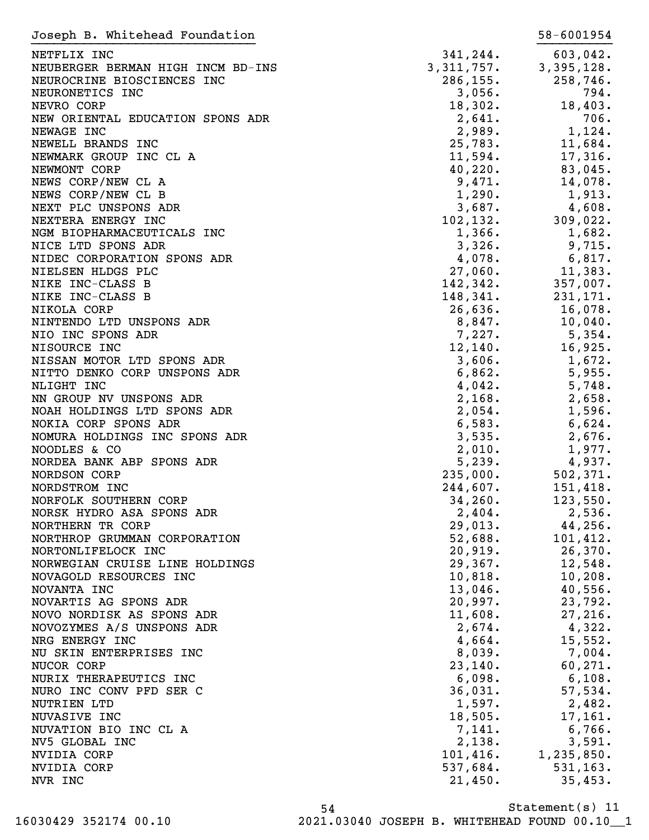| Joseph B. Whitehead Foundation    |            | 58-6001954   |
|-----------------------------------|------------|--------------|
| NETFLIX INC                       | 341,244.   | 603,042.     |
| NEUBERGER BERMAN HIGH INCM BD-INS | 3,311,757. | 3,395,128.   |
| NEUROCRINE BIOSCIENCES INC        | 286, 155.  | 258,746.     |
| NEURONETICS INC                   | 3,056.     | 794.         |
| NEVRO CORP                        | 18,302.    | 18,403.      |
| NEW ORIENTAL EDUCATION SPONS ADR  | 2,641.     | 706.         |
| NEWAGE INC                        | 2,989.     | 1,124.       |
| NEWELL BRANDS INC                 | 25,783.    | 11,684.      |
| NEWMARK GROUP INC CL A            | 11,594.    | 17,316.      |
| NEWMONT CORP                      | 40,220.    | 83,045.      |
| NEWS CORP/NEW CL A                | 9,471.     | 14,078.      |
| NEWS CORP/NEW CL B                | 1,290.     | 1,913.       |
| NEXT PLC UNSPONS ADR              | 3,687.     | 4,608.       |
| NEXTERA ENERGY INC                | 102, 132.  | 309,022.     |
| NGM BIOPHARMACEUTICALS INC        | 1,366.     | 1,682.       |
| NICE LTD SPONS ADR                | 3,326.     | 9,715.       |
| NIDEC CORPORATION SPONS ADR       | 4,078.     | 6,817.       |
| NIELSEN HLDGS PLC                 | 27,060.    | 11,383.      |
| NIKE INC-CLASS B                  | 142,342.   | 357,007.     |
| NIKE INC-CLASS B                  | 148,341.   | 231,171.     |
| NIKOLA CORP                       | 26,636.    | 16,078.      |
| NINTENDO LTD UNSPONS ADR          | 8,847.     | 10,040.      |
| NIO INC SPONS ADR                 | 7,227.     | 5,354.       |
| NISOURCE INC                      | 12,140.    | 16,925.      |
| NISSAN MOTOR LTD SPONS ADR        | 3,606.     | 1,672.       |
| NITTO DENKO CORP UNSPONS ADR      | 6,862.     | 5,955.       |
| NLIGHT INC                        | 4,042.     | 5,748.       |
| NN GROUP NV UNSPONS ADR           | 2,168.     | 2,658.       |
| NOAH HOLDINGS LTD SPONS ADR       | 2,054.     | 1,596.       |
| NOKIA CORP SPONS ADR              | 6,583.     | 6,624.       |
| NOMURA HOLDINGS INC SPONS ADR     | 3,535.     | 2,676.       |
| NOODLES & CO                      | 2,010.     | 1,977.       |
| NORDEA BANK ABP SPONS ADR         | 5,239.     | 4,937.       |
| NORDSON CORP                      | 235,000.   | 502, 371.    |
| NORDSTROM INC                     | 244,607.   | 151,418.     |
| NORFOLK SOUTHERN CORP             | 34,260.    | 123,550.     |
| NORSK HYDRO ASA SPONS ADR         | 2,404.     | 2,536.       |
| NORTHERN TR CORP                  | 29,013.    | 44,256.      |
| NORTHROP GRUMMAN CORPORATION      | 52,688.    | 101,412.     |
| NORTONLIFELOCK INC                | 20,919.    | 26,370.      |
| NORWEGIAN CRUISE LINE HOLDINGS    | 29,367.    | 12,548.      |
| NOVAGOLD RESOURCES INC            | 10,818.    | 10, 208.     |
| NOVANTA INC                       | 13,046.    | 40,556.      |
| NOVARTIS AG SPONS ADR             | 20,997.    | 23,792.      |
| NOVO NORDISK AS SPONS ADR         | 11,608.    | 27,216.      |
| NOVOZYMES A/S UNSPONS ADR         | 2,674.     | 4,322.       |
| NRG ENERGY INC                    | 4,664.     | 15,552.      |
| NU SKIN ENTERPRISES INC           | 8,039.     | 7,004.       |
| NUCOR CORP                        | 23,140.    | 60, 271.     |
| NURIX THERAPEUTICS INC            | 6,098.     | 6,108.       |
| NURO INC CONV PFD SER C           | 36,031.    | 57,534.      |
| NUTRIEN LTD                       | 1,597.     | 2,482.       |
| NUVASIVE INC                      | 18,505.    | 17,161.      |
| NUVATION BIO INC CL A             | 7,141.     | 6,766.       |
| NV5 GLOBAL INC                    | 2,138.     | 3,591.       |
| NVIDIA CORP                       | 101,416.   | 1, 235, 850. |
| NVIDIA CORP                       | 537,684.   | 531, 163.    |
| NVR INC                           | 21,450.    | 35,453.      |

Statement(s) 11 54 16030429 352174 00.10 2021.03040 JOSEPH B. WHITEHEAD FOUND 00.10\_\_1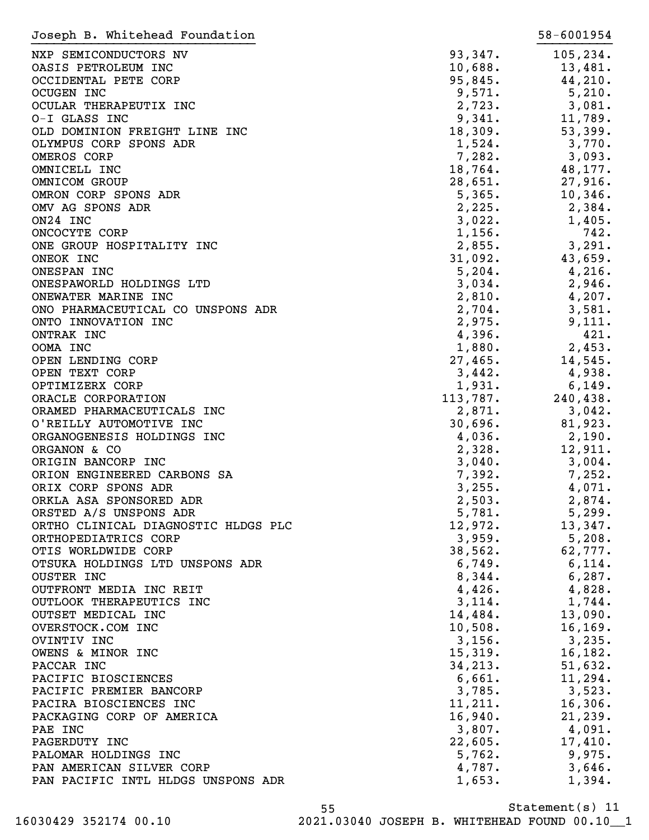| Joseph B. Whitehead Foundation      |          | 58-6001954        |
|-------------------------------------|----------|-------------------|
| NXP SEMICONDUCTORS NV               | 93,347.  | 105, 234.         |
| OASIS PETROLEUM INC                 | 10,688.  | 13,481.           |
| OCCIDENTAL PETE CORP                | 95,845.  | 44,210.           |
| <b>OCUGEN INC</b>                   | 9,571.   | 5,210.            |
| OCULAR THERAPEUTIX INC              | 2,723.   | 3,081.            |
| O-I GLASS INC                       | 9,341.   | 11,789.           |
| OLD DOMINION FREIGHT LINE INC       | 18,309.  | 53,399.           |
| OLYMPUS CORP SPONS ADR              | 1,524.   | 3,770.            |
| OMEROS CORP                         | 7,282.   | 3,093.            |
| OMNICELL INC                        | 18,764.  | 48,177.           |
| OMNICOM GROUP                       | 28,651.  | 27,916.           |
| OMRON CORP SPONS ADR                | 5,365.   | 10,346.           |
| OMV AG SPONS ADR                    | 2,225.   | 2,384.            |
| ON24 INC                            | 3,022.   | 1,405.            |
| ONCOCYTE CORP                       | 1,156.   | 742.              |
| ONE GROUP HOSPITALITY INC           | 2,855.   | 3,291.            |
| ONEOK INC                           | 31,092.  | 43,659.           |
| ONESPAN INC                         | 5,204.   | 4,216.            |
| ONESPAWORLD HOLDINGS LTD            | 3,034.   | 2,946.            |
| ONEWATER MARINE INC                 | 2,810.   | 4,207.            |
| ONO PHARMACEUTICAL CO UNSPONS ADR   | 2,704.   | 3,581.            |
| ONTO INNOVATION INC                 | 2,975.   | 9,111.            |
| ONTRAK INC                          | 4,396.   | 421.              |
| OOMA INC                            | 1,880.   | 2,453.            |
|                                     |          |                   |
| OPEN LENDING CORP                   | 27,465.  | 14,545.<br>4,938. |
| OPEN TEXT CORP                      | 3,442.   |                   |
| OPTIMIZERX CORP                     | 1,931.   | 6,149.            |
| ORACLE CORPORATION                  | 113,787. | 240,438.          |
| ORAMED PHARMACEUTICALS INC          | 2,871.   | 3,042.            |
| O'REILLY AUTOMOTIVE INC             | 30,696.  | 81,923.           |
| ORGANOGENESIS HOLDINGS INC          | 4,036.   | 2,190.            |
| ORGANON & CO                        | 2,328.   | 12,911.           |
| ORIGIN BANCORP INC                  | 3,040.   | 3,004.            |
| ORION ENGINEERED CARBONS SA         | 7,392.   | 7,252.            |
| ORIX CORP SPONS ADR                 | 3, 255.  | 4,071.            |
| ORKLA ASA SPONSORED ADR             | 2,503.   | 2,874.            |
| ORSTED A/S UNSPONS ADR              | 5,781.   | 5,299.            |
| ORTHO CLINICAL DIAGNOSTIC HLDGS PLC | 12,972.  | 13,347.           |
| ORTHOPEDIATRICS CORP                | 3,959.   | 5,208.            |
| OTIS WORLDWIDE CORP                 | 38,562.  | 62,777.           |
| OTSUKA HOLDINGS LTD UNSPONS ADR     | 6,749.   | 6,114.            |
| OUSTER INC                          | 8,344.   | $6,287$ .         |
| OUTFRONT MEDIA INC REIT             | 4,426.   | $4,828$ .         |
| OUTLOOK THERAPEUTICS INC            | 3,114.   | 1,744.            |
| OUTSET MEDICAL INC                  | 14,484.  | 13,090.           |
| OVERSTOCK.COM INC                   | 10,508.  | 16, 169.          |
| OVINTIV INC                         | 3,156.   | 3,235.            |
| OWENS & MINOR INC                   | 15,319.  | 16, 182.          |
| PACCAR INC                          | 34, 213. | 51,632.           |
| PACIFIC BIOSCIENCES                 | 6,661.   | 11,294.           |
| PACIFIC PREMIER BANCORP             | 3,785.   | 3,523.            |
| PACIRA BIOSCIENCES INC              | 11, 211. | 16,306.           |
| PACKAGING CORP OF AMERICA           | 16,940.  | 21, 239.          |
| PAE INC                             | 3,807.   | 4,091.            |
| PAGERDUTY INC                       | 22,605.  | 17,410.           |
| PALOMAR HOLDINGS INC                | 5,762.   | 9,975.            |
| PAN AMERICAN SILVER CORP            | 4,787.   | 3,646.            |
| PAN PACIFIC INTL HLDGS UNSPONS ADR  | 1,653.   | 1,394.            |

Statement(s) 11 55 16030429 352174 00.10 2021.03040 JOSEPH B. WHITEHEAD FOUND 00.10\_\_1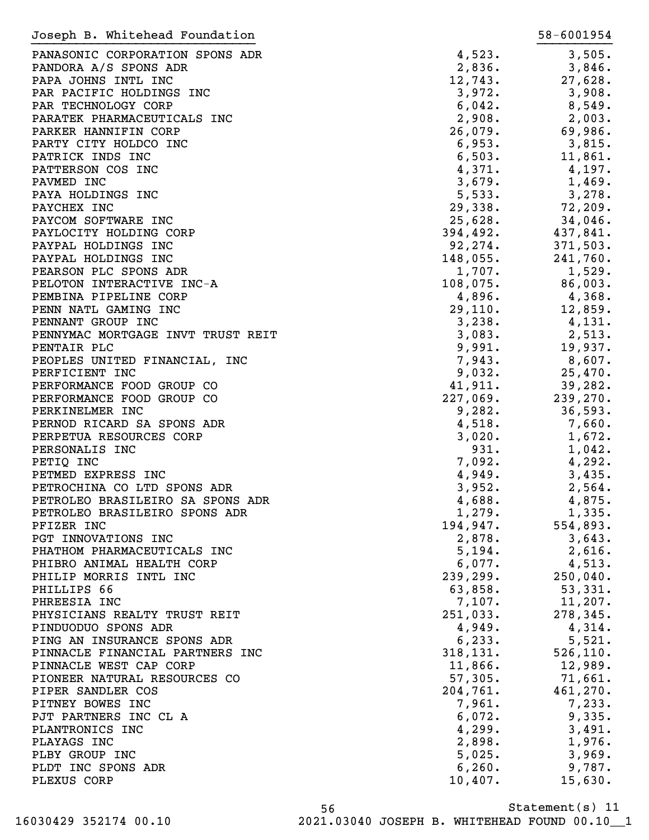| Joseph B. Whitehead Foundation    |             | 58-6001954 |
|-----------------------------------|-------------|------------|
| PANASONIC CORPORATION SPONS ADR   | 4,523.      | 3,505.     |
| PANDORA A/S SPONS ADR             | 2,836.      | 3,846.     |
| PAPA JOHNS INTL INC               | 12,743.     | 27,628.    |
| PAR PACIFIC HOLDINGS INC          | 3,972.      | 3,908.     |
| PAR TECHNOLOGY CORP               | 6,042.      | 8,549.     |
| PARATEK PHARMACEUTICALS INC       | 2,908.      |            |
|                                   |             | 2,003.     |
| PARKER HANNIFIN CORP              | 26,079.     | 69,986.    |
| PARTY CITY HOLDCO INC             | 6,953.      | 3,815.     |
| PATRICK INDS INC                  | 6,503.      | 11,861.    |
| PATTERSON COS INC                 | 4,371.      | 4,197.     |
| PAVMED INC                        | 3,679.      | 1,469.     |
| PAYA HOLDINGS INC                 | 5,533.      | 3,278.     |
| PAYCHEX INC                       | 29,338.     | 72,209.    |
| PAYCOM SOFTWARE INC               | 25,628.     | 34,046.    |
| PAYLOCITY HOLDING CORP            | 394,492.    | 437,841.   |
| PAYPAL HOLDINGS INC               | 92, 274.    | 371,503.   |
| PAYPAL HOLDINGS INC               | $148,055$ . | 241,760.   |
| PEARSON PLC SPONS ADR             | 1,707.      | 1,529.     |
| PELOTON INTERACTIVE INC-A         | 108,075.    | 86,003.    |
| PEMBINA PIPELINE CORP             | 4,896.      | 4,368.     |
| PENN NATL GAMING INC              | 29,110.     | 12,859.    |
| PENNANT GROUP INC                 | 3,238.      | 4,131.     |
| PENNYMAC MORTGAGE INVT TRUST REIT | 3,083.      | 2,513.     |
| PENTAIR PLC                       | 9,991.      | 19,937.    |
| PEOPLES UNITED FINANCIAL, INC     | 7,943.      | $8,607$ .  |
| PERFICIENT INC                    | 9,032.      | 25,470.    |
| PERFORMANCE FOOD GROUP CO         | 41,911.     | 39,282.    |
| PERFORMANCE FOOD GROUP CO         | 227,069.    | 239,270.   |
| PERKINELMER INC                   | 9,282.      | 36,593.    |
| PERNOD RICARD SA SPONS ADR        | 4,518.      | 7,660.     |
| PERPETUA RESOURCES CORP           | 3,020.      | 1,672.     |
| PERSONALIS INC                    | 931.        | 1,042.     |
| PETIQ INC                         | 7,092.      | 4,292.     |
| PETMED EXPRESS INC                | 4,949.      | 3,435.     |
| PETROCHINA CO LTD SPONS ADR       | 3,952.      | 2,564.     |
| PETROLEO BRASILEIRO SA SPONS ADR  | 4,688.      | 4,875.     |
| PETROLEO BRASILEIRO SPONS ADR     | 1,279.      | 1,335.     |
| PFIZER INC                        | 194,947.    | 554,893.   |
| PGT INNOVATIONS INC               | 2,878.      | 3,643.     |
| PHATHOM PHARMACEUTICALS INC       | 5,194.      |            |
|                                   |             | 2,616.     |
| PHIBRO ANIMAL HEALTH CORP         | 6,077.      | 4,513.     |
| PHILIP MORRIS INTL INC            | 239, 299.   | 250,040.   |
| PHILLIPS 66                       | 63,858.     | 53,331.    |
| PHREESIA INC                      | 7,107.      | 11,207.    |
| PHYSICIANS REALTY TRUST REIT      | 251,033.    | 278,345.   |
| PINDUODUO SPONS ADR               | 4,949.      | 4,314.     |
| PING AN INSURANCE SPONS ADR       | 6, 233.     | 5,521.     |
| PINNACLE FINANCIAL PARTNERS INC   | 318, 131.   | 526, 110.  |
| PINNACLE WEST CAP CORP            | 11,866.     | 12,989.    |
| PIONEER NATURAL RESOURCES CO      | 57,305.     | 71,661.    |
| PIPER SANDLER COS                 | 204,761.    | 461, 270.  |
| PITNEY BOWES INC                  | 7,961.      | 7,233.     |
| PJT PARTNERS INC CL A             | 6,072.      | 9,335.     |
| PLANTRONICS INC                   | 4,299.      | 3,491.     |
| PLAYAGS INC                       | 2,898.      | 1,976.     |
| PLBY GROUP INC                    | 5,025.      | 3,969.     |
| PLDT INC SPONS ADR                | 6, 260.     | 9,787.     |
| PLEXUS CORP                       | 10,407.     | 15,630.    |
|                                   |             |            |

Statement(s) 11 56 16030429 352174 00.10 2021.03040 JOSEPH B. WHITEHEAD FOUND 00.10\_\_1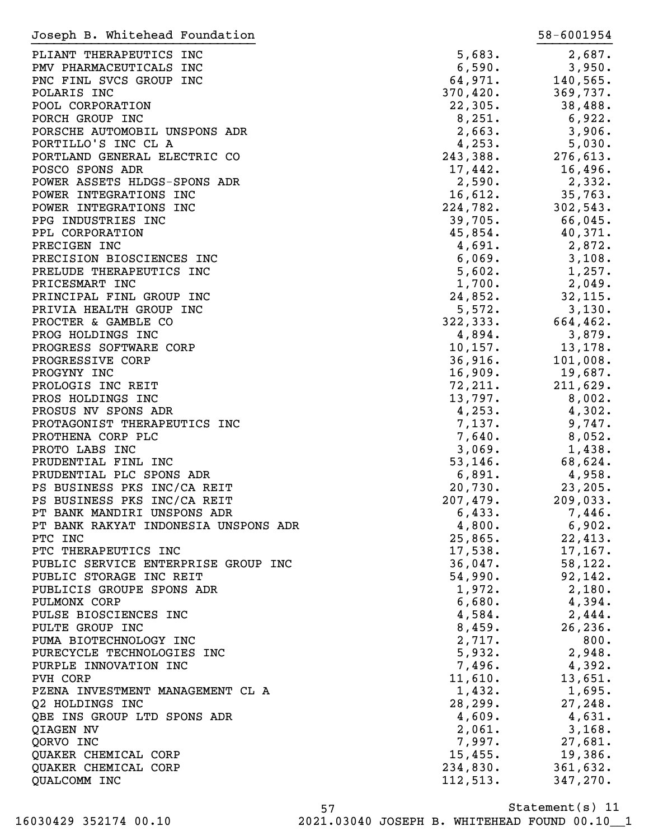| Joseph B. Whitehead Foundation       |             | 58-6001954 |
|--------------------------------------|-------------|------------|
| PLIANT THERAPEUTICS INC              | 5,683.      | 2,687.     |
| PMV PHARMACEUTICALS INC              | 6,590.      | 3,950.     |
| PNC FINL SVCS GROUP INC              | 64,971.     | 140,565.   |
| POLARIS INC                          | 370,420.    | 369,737.   |
| POOL CORPORATION                     | 22,305.     | 38,488.    |
| PORCH GROUP INC                      | 8,251.      | 6,922.     |
| PORSCHE AUTOMOBIL UNSPONS ADR        | 2,663.      | 3,906.     |
| PORTILLO'S INC CL A                  | 4,253.      | 5,030.     |
| PORTLAND GENERAL ELECTRIC CO         | 243,388.    | 276,613.   |
| POSCO SPONS ADR                      |             |            |
|                                      | 17,442.     | 16,496.    |
| POWER ASSETS HLDGS-SPONS ADR         | 2,590.      | 2,332.     |
| POWER INTEGRATIONS INC               | 16,612.     | 35,763.    |
| POWER INTEGRATIONS INC               | 224,782.    | 302,543.   |
| PPG INDUSTRIES INC                   | 39,705.     | 66,045.    |
| PPL CORPORATION                      | 45,854.     | 40,371.    |
| PRECIGEN INC                         | 4,691.      | 2,872.     |
| PRECISION BIOSCIENCES INC            | 6,069.      | 3,108.     |
| PRELUDE THERAPEUTICS INC             | 5,602.      | 1,257.     |
| PRICESMART INC                       | 1,700.      | 2,049.     |
| PRINCIPAL FINL GROUP INC             | 24,852.     | 32, 115.   |
| PRIVIA HEALTH GROUP INC              | 5,572.      | 3,130.     |
| PROCTER & GAMBLE CO                  | 322, 333.   | 664,462.   |
| PROG HOLDINGS INC                    | 4,894.      | 3,879.     |
| PROGRESS SOFTWARE CORP               | $10, 157$ . | 13,178.    |
| PROGRESSIVE CORP                     | 36,916.     | 101,008.   |
| PROGYNY INC                          | 16,909.     | 19,687.    |
| PROLOGIS INC REIT                    | 72, 211.    | 211,629.   |
| PROS HOLDINGS INC                    | 13,797.     | 8,002.     |
| PROSUS NV SPONS ADR                  | 4,253.      | 4,302.     |
| PROTAGONIST THERAPEUTICS INC         | 7,137.      | 9,747.     |
| PROTHENA CORP PLC                    | 7,640.      | 8,052.     |
| PROTO LABS INC                       | 3,069.      | 1,438.     |
| PRUDENTIAL FINL INC                  | 53, 146.    | 68,624.    |
| PRUDENTIAL PLC SPONS ADR             | 6,891.      | 4,958.     |
| PS BUSINESS PKS INC/CA REIT          | 20,730.     | 23, 205.   |
| PS BUSINESS PKS INC/CA REIT          | 207,479.    | 209,033.   |
| PT BANK MANDIRI UNSPONS ADR          | 6,433.      | 7,446.     |
| PT BANK RAKYAT INDONESIA UNSPONS ADR | 4,800.      | 6,902.     |
| PTC INC                              |             |            |
|                                      | 25,865.     | 22,413.    |
| PTC THERAPEUTICS INC                 | 17,538.     | 17, 167.   |
| PUBLIC SERVICE ENTERPRISE GROUP INC  | 36,047.     | 58, 122.   |
| PUBLIC STORAGE INC REIT              | 54,990.     | 92,142.    |
| PUBLICIS GROUPE SPONS ADR            | 1,972.      | 2,180.     |
| PULMONX CORP                         | 6,680.      | 4,394.     |
| PULSE BIOSCIENCES INC                | 4,584.      | 2,444.     |
| PULTE GROUP INC                      | 8,459.      | 26, 236.   |
| PUMA BIOTECHNOLOGY INC               | 2,717.      | 800.       |
| PURECYCLE TECHNOLOGIES INC           | 5,932.      | 2,948.     |
| PURPLE INNOVATION INC                | 7,496.      | 4,392.     |
| PVH CORP                             | 11,610.     | 13,651.    |
| PZENA INVESTMENT MANAGEMENT CL A     | 1,432.      | 1,695.     |
| Q2 HOLDINGS INC                      | 28, 299.    | 27, 248.   |
| QBE INS GROUP LTD SPONS ADR          | 4,609.      | 4,631.     |
| QIAGEN NV                            | 2,061.      | 3,168.     |
| QORVO INC                            | 7,997.      | 27,681.    |
| QUAKER CHEMICAL CORP                 | 15,455.     | 19,386.    |
| QUAKER CHEMICAL CORP                 | 234,830.    | 361,632.   |
| QUALCOMM INC                         | 112, 513.   | 347,270.   |
|                                      |             |            |

Statement(s) 11 57 16030429 352174 00.10 2021.03040 JOSEPH B. WHITEHEAD FOUND 00.10\_\_1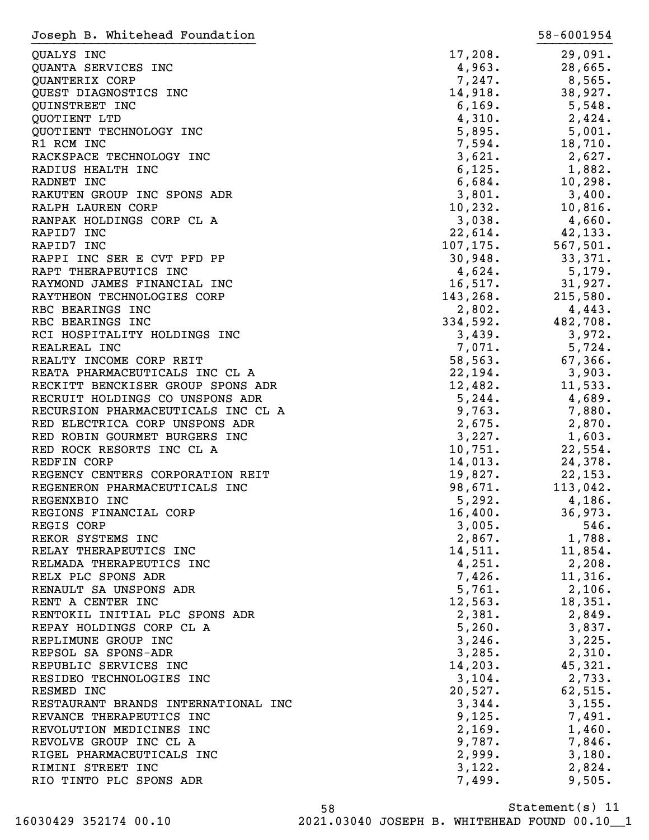| Joseph B. Whitehead Foundation       |                  | 58-6001954      |
|--------------------------------------|------------------|-----------------|
| QUALYS INC                           | 17,208.          | 29,091.         |
| QUANTA SERVICES INC                  | 4,963.           | 28,665.         |
| QUANTERIX CORP                       | 7,247.           | 8,565.          |
| QUEST DIAGNOSTICS INC                | 14,918.          | 38,927.         |
| QUINSTREET INC                       | 6, 169.          | 5,548.          |
| QUOTIENT LTD                         | 4,310.           | 2,424.          |
| QUOTIENT TECHNOLOGY INC              | 5,895.           | 5,001.          |
| R1 RCM INC                           | 7,594.           | 18,710.         |
| RACKSPACE TECHNOLOGY INC             | 3,621.           | 2,627.          |
| RADIUS HEALTH INC                    | 6,125.           | 1,882.          |
| RADNET INC                           | 6,684.           | 10, 298.        |
| RAKUTEN GROUP INC SPONS ADR          | 3,801.           | 3,400.          |
| RALPH LAUREN CORP                    | 10, 232.         | 10,816.         |
| RANPAK HOLDINGS CORP CL A            | 3,038.           | 4,660.          |
| RAPID7 INC                           | 22,614.          | 42,133.         |
| RAPID7 INC                           | 107, 175.        | 567,501.        |
| RAPPI INC SER E CVT PFD PP           | 30,948.          | 33,371.         |
| RAPT THERAPEUTICS INC                | 4,624.           | 5,179.          |
| RAYMOND JAMES FINANCIAL INC          | 16,517.          | 31,927.         |
| RAYTHEON TECHNOLOGIES CORP           | 143,268.         | 215,580.        |
| RBC BEARINGS INC                     | 2,802.           | 4,443.          |
| RBC BEARINGS INC                     | 334,592.         | 482,708.        |
| RCI HOSPITALITY HOLDINGS INC         | 3,439.           | 3,972.          |
| REALREAL INC                         | 7,071.           | 5,724.          |
| REALTY INCOME CORP REIT              | 58, 563.         | 67,366.         |
| REATA PHARMACEUTICALS INC CL A       | 22,194.          | 3,903.          |
| RECKITT BENCKISER GROUP SPONS ADR    | 12,482.          | 11,533.         |
| RECRUIT HOLDINGS CO UNSPONS ADR      | 5,244.           | 4,689.          |
| RECURSION PHARMACEUTICALS INC CL A   | 9,763.           | 7,880.          |
| RED ELECTRICA CORP UNSPONS ADR       | 2,675.           | 2,870.          |
| RED ROBIN GOURMET BURGERS INC        | 3,227.           | 1,603.          |
| RED ROCK RESORTS INC CL A            | 10,751.          | 22,554.         |
| REDFIN CORP                          | 14,013.          | 24,378.         |
| REGENCY CENTERS CORPORATION REIT     | 19,827.          | 22, 153.        |
| REGENERON PHARMACEUTICALS INC        | 98,671.          | 113,042.        |
| REGENXBIO INC                        | 5,292.           | 4,186.          |
| REGIONS FINANCIAL CORP<br>REGIS CORP | 16,400.          | 36,973.<br>546. |
| REKOR SYSTEMS INC                    | 3,005.<br>2,867. | 1,788.          |
| RELAY THERAPEUTICS INC               | 14,511.          | 11,854.         |
| RELMADA THERAPEUTICS INC             | 4,251.           | 2,208.          |
| RELX PLC SPONS ADR                   | 7,426.           | 11,316.         |
| RENAULT SA UNSPONS ADR               | 5,761.           | 2,106.          |
| RENT A CENTER INC                    | 12,563.          | 18,351.         |
| RENTOKIL INITIAL PLC SPONS ADR       | 2,381.           | 2,849.          |
| REPAY HOLDINGS CORP CL A             | 5,260.           | 3,837.          |
| REPLIMUNE GROUP INC                  | 3,246.           | 3,225.          |
| REPSOL SA SPONS-ADR                  | 3,285.           | 2,310.          |
| REPUBLIC SERVICES INC                | 14,203.          | 45,321.         |
| RESIDEO TECHNOLOGIES INC             | 3,104.           | 2,733.          |
| RESMED INC                           | 20,527.          | 62,515.         |
| RESTAURANT BRANDS INTERNATIONAL INC  | 3,344.           | 3,155.          |
| REVANCE THERAPEUTICS INC             | 9,125.           | 7,491.          |
| REVOLUTION MEDICINES INC             | 2,169.           | 1,460.          |
| REVOLVE GROUP INC CL A               | 9,787.           | 7,846.          |
| RIGEL PHARMACEUTICALS INC            | 2,999.           | 3,180.          |
| RIMINI STREET INC                    | 3,122.           | 2,824.          |
| RIO TINTO PLC SPONS ADR              | 7,499.           | 9,505.          |
|                                      |                  |                 |

Statement(s) 11 58 16030429 352174 00.10 2021.03040 JOSEPH B. WHITEHEAD FOUND 00.10\_\_1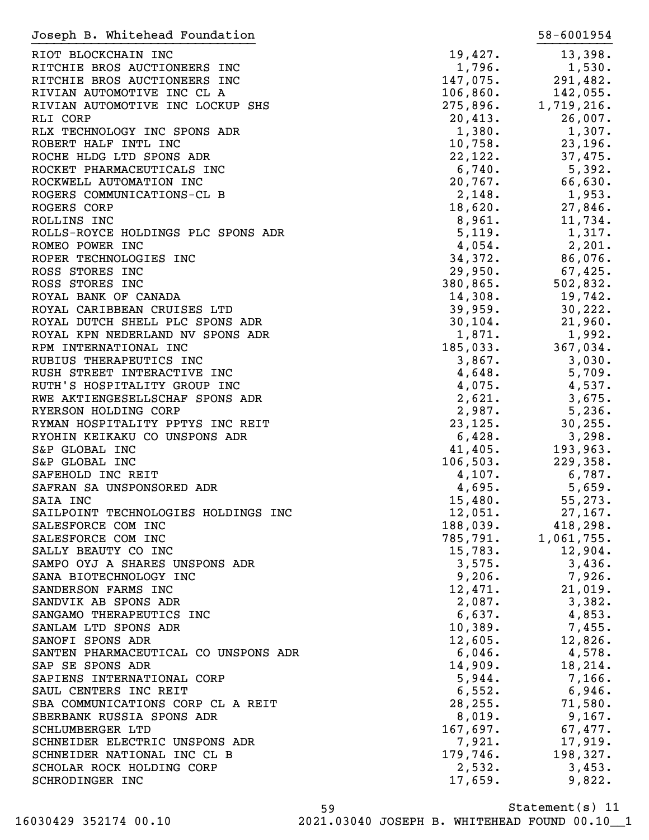| Joseph B. Whitehead Foundation       |                      | 58-6001954 |
|--------------------------------------|----------------------|------------|
| RIOT BLOCKCHAIN INC                  | 19,427.              | 13,398.    |
| RITCHIE BROS AUCTIONEERS INC         | 1,796.               | 1,530.     |
| RITCHIE BROS AUCTIONEERS INC         | 147,075.             | 291,482.   |
| RIVIAN AUTOMOTIVE INC CL A           | 106,860.             | 142,055.   |
|                                      | 106,860.<br>275,896. |            |
| RIVIAN AUTOMOTIVE INC LOCKUP SHS     |                      | 1,719,216. |
| RLI CORP                             | 20,413.              | 26,007.    |
| RLX TECHNOLOGY INC SPONS ADR         | 1,380.               | 1,307.     |
| ROBERT HALF INTL INC                 | 10,758.              | 23,196.    |
| ROCHE HLDG LTD SPONS ADR             | 22,122.              | 37,475.    |
| ROCKET PHARMACEUTICALS INC           | $6,740$ .            | 5,392.     |
| ROCKWELL AUTOMATION INC              | 20,767.              | 66,630.    |
| ROGERS COMMUNICATIONS-CL B           | 2,148.               | 1,953.     |
| ROGERS CORP                          | 18,620.              | 27,846.    |
| ROLLINS INC                          | 8,961.               | 11,734.    |
| ROLLS-ROYCE HOLDINGS PLC SPONS ADR   | 5,119.               | 1,317.     |
| ROMEO POWER INC                      | 4,054.               | 2,201.     |
| ROPER TECHNOLOGIES INC               | 34,372.              | 86,076.    |
| ROSS STORES INC                      | 29,950.              | 67,425.    |
| ROSS STORES INC                      | 380,865.             | 502,832.   |
| ROYAL BANK OF CANADA                 | 14,308.              | 19,742.    |
| ROYAL CARIBBEAN CRUISES LTD          | 39,959.              | 30, 222.   |
| ROYAL DUTCH SHELL PLC SPONS ADR      | 30, 104.             | 21,960.    |
| ROYAL KPN NEDERLAND NV SPONS ADR     | 1,871.               | 1,992.     |
| RPM INTERNATIONAL INC                | 185,033.             | 367,034.   |
| RUBIUS THERAPEUTICS INC              | 3,867.               | 3,030.     |
|                                      |                      |            |
| RUSH STREET INTERACTIVE INC          | 4,648.               | 5,709.     |
| RUTH'S HOSPITALITY GROUP INC         | 4,075.               | 4,537.     |
| RWE AKTIENGESELLSCHAF SPONS ADR      | 2,621.               | 3,675.     |
| RYERSON HOLDING CORP                 | 2,987.               | 5,236.     |
| RYMAN HOSPITALITY PPTYS INC REIT     | 23, 125.             | 30, 255.   |
| RYOHIN KEIKAKU CO UNSPONS ADR        | 6,428.               | 3,298.     |
| S&P GLOBAL INC                       | 41,405.              | 193,963.   |
| S&P GLOBAL INC                       | 106, 503.            | 229,358.   |
| SAFEHOLD INC REIT                    | 4,107.               | 6,787.     |
| SAFRAN SA UNSPONSORED ADR            | 4,695.               | 5,659.     |
| SAIA INC                             | 15,480.              | 55,273.    |
| SAILPOINT TECHNOLOGIES HOLDINGS INC  | 12,051.              | 27, 167.   |
| SALESFORCE COM INC                   | 188,039.             | 418,298.   |
| SALESFORCE COM INC                   | 785,791.             | 1,061,755. |
| SALLY BEAUTY CO INC                  | 15,783.              | 12,904.    |
| SAMPO OYJ A SHARES UNSPONS ADR       | 3,575.               | 3,436.     |
| SANA BIOTECHNOLOGY INC               | 9,206.               | 7,926.     |
| SANDERSON FARMS INC                  | 12,471.              | 21,019.    |
| SANDVIK AB SPONS ADR                 | 2,087.               | 3,382.     |
| SANGAMO THERAPEUTICS INC             | 6,637.               | 4,853.     |
| SANLAM LTD SPONS ADR                 | 10,389.              | 7,455.     |
| SANOFI SPONS ADR                     | 12,605.              | 12,826.    |
| SANTEN PHARMACEUTICAL CO UNSPONS ADR | 6,046.               | 4,578.     |
|                                      |                      | 18,214.    |
| SAP SE SPONS ADR                     | 14,909.              |            |
| SAPIENS INTERNATIONAL CORP           | 5,944.               | 7,166.     |
| SAUL CENTERS INC REIT                | 6,552.               | 6,946.     |
| SBA COMMUNICATIONS CORP CL A REIT    | 28, 255.             | 71,580.    |
| SBERBANK RUSSIA SPONS ADR            | 8,019.               | 9,167.     |
| SCHLUMBERGER LTD                     | 167,697.             | 67,477.    |
| SCHNEIDER ELECTRIC UNSPONS ADR       | 7,921.               | 17,919.    |
| SCHNEIDER NATIONAL INC CL B          | 179,746.             | 198,327.   |
| SCHOLAR ROCK HOLDING CORP            | 2,532.               | 3,453.     |
| SCHRODINGER INC                      | 17,659.              | 9,822.     |

Statement(s) 11 59 16030429 352174 00.10 2021.03040 JOSEPH B. WHITEHEAD FOUND 00.10\_\_1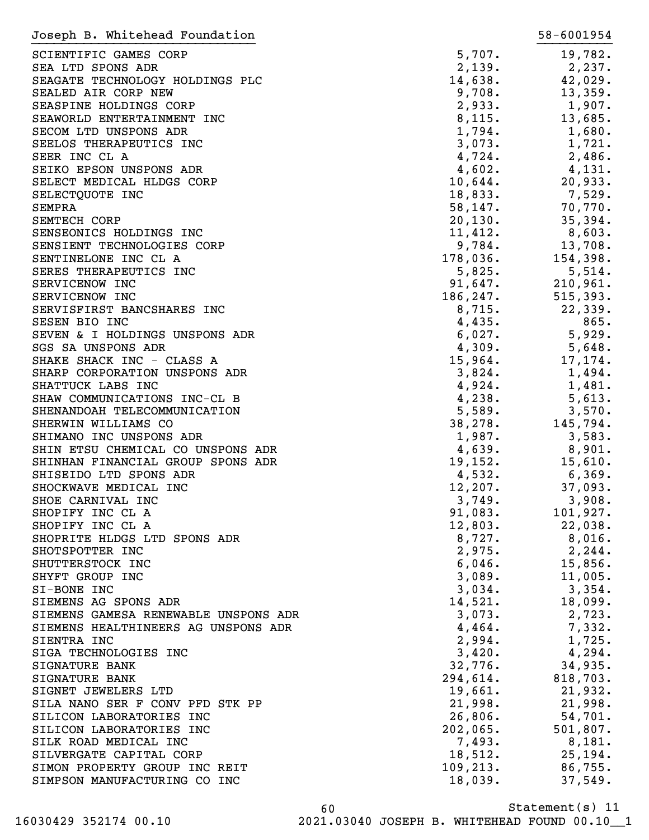| Joseph B. Whitehead Foundation           |           | 58-6001954         |
|------------------------------------------|-----------|--------------------|
| SCIENTIFIC GAMES CORP                    | 5,707.    | 19,782.            |
| SEA LTD SPONS ADR                        | 2,139.    | 2,237.             |
| SEAGATE TECHNOLOGY HOLDINGS PLC          | 14,638.   | 42,029.            |
| SEALED AIR CORP NEW                      | 9,708.    | 13,359.            |
| SEASPINE HOLDINGS CORP                   | 2,933.    | 1,907.             |
| SEAWORLD ENTERTAINMENT INC               | 8,115.    | 13,685.            |
| SECOM LTD UNSPONS ADR                    | 1,794.    | 1,680.             |
|                                          | 3,073.    | 1,721.             |
| SEELOS THERAPEUTICS INC<br>SEER INC CL A |           |                    |
|                                          | 4,724.    | 2,486.             |
| SEIKO EPSON UNSPONS ADR                  | 4,602.    | 4,131.             |
| SELECT MEDICAL HLDGS CORP                | 10,644.   | 20,933.            |
| SELECTQUOTE INC                          | 18,833.   | 7,529.             |
| SEMPRA                                   | 58, 147.  | 70,770.            |
| SEMTECH CORP                             | 20,130.   | 35,394.            |
| SENSEONICS HOLDINGS INC                  | 11,412.   | 8,603.             |
| SENSIENT TECHNOLOGIES CORP               | 9,784.    | 13,708.            |
| SENTINELONE INC CL A                     | 178,036.  | 154,398.           |
| SERES THERAPEUTICS INC                   | 5,825.    | 5,514.             |
| SERVICENOW INC                           |           | $91,647.$ 210,961. |
| SERVICENOW INC                           | 186, 247. | 515, 393.          |
| SERVISFIRST BANCSHARES INC               | 8,715.    | 22, 339.           |
| SESEN BIO INC                            | 4,435.    | 865.               |
| SEVEN & I HOLDINGS UNSPONS ADR           | 6,027.    | 5,929.             |
| SGS SA UNSPONS ADR                       | 4,309.    | 5,648.             |
| SHAKE SHACK INC - CLASS A                | 15,964.   | 17,174.            |
| SHARP CORPORATION UNSPONS ADR            | 3,824.    | 1,494.             |
| SHATTUCK LABS INC                        | 4,924.    | 1,481.             |
| SHAW COMMUNICATIONS INC-CL B             | 4,238.    | 5,613.             |
| SHENANDOAH TELECOMMUNICATION             | 5,589.    | 3,570.             |
| SHERWIN WILLIAMS CO                      | 38, 278.  | 145,794.           |
| SHIMANO INC UNSPONS ADR                  | 1,987.    | 3,583.             |
| SHIN ETSU CHEMICAL CO UNSPONS ADR        | 4,639.    | 8,901.             |
| SHINHAN FINANCIAL GROUP SPONS ADR        | 19,152.   | 15,610.            |
| SHISEIDO LTD SPONS ADR                   | 4,532.    | 6,369.             |
| SHOCKWAVE MEDICAL INC                    | 12, 207.  | 37,093.            |
| SHOE CARNIVAL INC                        | 3,749.    | 3,908.             |
| SHOPIFY INC CL A                         | 91,083.   | 101,927.           |
| SHOPIFY INC CL A                         | 12,803.   | 22,038.            |
| SHOPRITE HLDGS LTD SPONS ADR             | 8,727.    | $8,016$ .          |
| SHOTSPOTTER INC                          | 2,975.    | 2, 244.            |
| SHUTTERSTOCK INC                         | 6,046.    | 15,856.            |
| SHYFT GROUP INC                          | 3,089.    | 11,005.            |
| SI-BONE INC                              | 3,034.    | 3,354.             |
|                                          |           |                    |
| SIEMENS AG SPONS ADR                     | 14,521.   | 18,099.            |
| SIEMENS GAMESA RENEWABLE UNSPONS ADR     | 3,073.    | 2,723.             |
| SIEMENS HEALTHINEERS AG UNSPONS ADR      | 4,464.    | 7,332.             |
| SIENTRA INC                              | 2,994.    | 1,725.             |
| SIGA TECHNOLOGIES INC                    | 3,420.    | 4,294.             |
| SIGNATURE BANK                           | 32,776.   | 34,935.            |
| SIGNATURE BANK                           | 294,614.  | 818,703.           |
| SIGNET JEWELERS LTD                      | 19,661.   | 21,932.            |
| SILA NANO SER F CONV PFD STK PP          | 21,998.   | 21,998.            |
| SILICON LABORATORIES INC                 | 26,806.   | 54,701.            |
| SILICON LABORATORIES INC                 | 202,065.  | 501,807.           |
| SILK ROAD MEDICAL INC                    | 7,493.    | 8,181.             |
| SILVERGATE CAPITAL CORP                  | 18,512.   | 25, 194.           |
| SIMON PROPERTY GROUP INC REIT            | 109, 213. | 86,755.            |
| SIMPSON MANUFACTURING CO INC             | 18,039.   | 37,549.            |
|                                          |           |                    |

Statement(s) 11 60 16030429 352174 00.10 2021.03040 JOSEPH B. WHITEHEAD FOUND 00.10\_\_1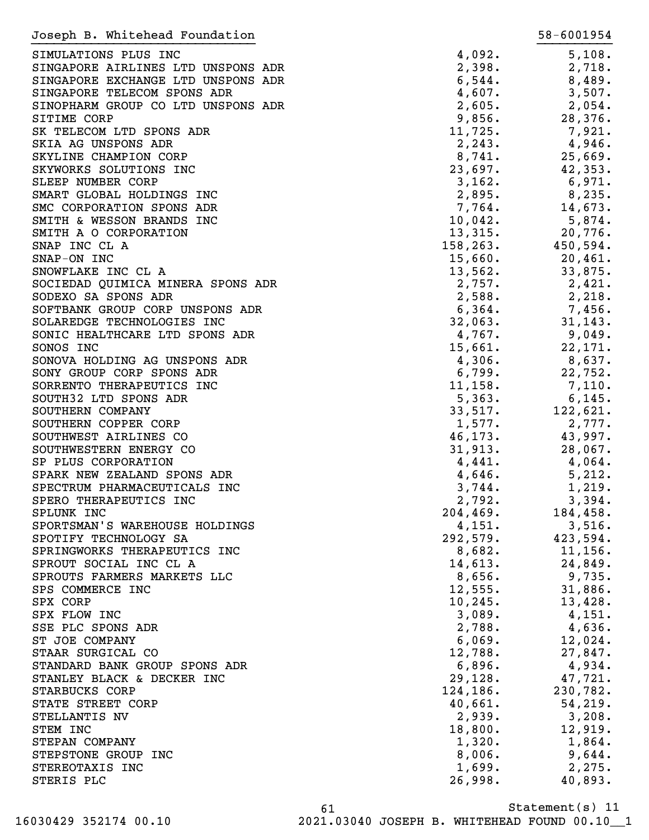| Joseph B. Whitehead Foundation     |           | 58-6001954 |
|------------------------------------|-----------|------------|
| SIMULATIONS PLUS INC               | 4,092.    | 5,108.     |
| SINGAPORE AIRLINES LTD UNSPONS ADR | 2,398.    | 2,718.     |
| SINGAPORE EXCHANGE LTD UNSPONS ADR | 6,544.    | 8,489.     |
| SINGAPORE TELECOM SPONS ADR        | 4,607.    | 3,507.     |
| SINOPHARM GROUP CO LTD UNSPONS ADR | 2,605.    | 2,054.     |
| SITIME CORP                        | 9,856.    | 28,376.    |
| SK TELECOM LTD SPONS ADR           | 11,725.   | 7,921.     |
| SKIA AG UNSPONS ADR                | 2, 243.   | 4,946.     |
| SKYLINE CHAMPION CORP              | 8,741.    | 25,669.    |
| SKYWORKS SOLUTIONS INC             | 23,697.   | 42,353.    |
| SLEEP NUMBER CORP                  | 3,162.    | 6,971.     |
| SMART GLOBAL HOLDINGS INC          | 2,895.    | 8,235.     |
| SMC CORPORATION SPONS ADR          | 7,764.    | 14,673.    |
| SMITH & WESSON BRANDS INC          | 10,042.   | 5,874.     |
| SMITH A O CORPORATION              | 13,315.   | 20,776.    |
| SNAP INC CL A                      | 158, 263. | 450,594.   |
| SNAP-ON INC                        | 15,660.   | 20,461.    |
| SNOWFLAKE INC CL A                 | 13,562.   | 33,875.    |
| SOCIEDAD QUIMICA MINERA SPONS ADR  | 2,757.    | 2,421.     |
| SODEXO SA SPONS ADR                | 2,588.    | 2,218.     |
| SOFTBANK GROUP CORP UNSPONS ADR    | 6,364.    | $7,456$ .  |
| SOLAREDGE TECHNOLOGIES INC         | 32,063.   | 31, 143.   |
| SONIC HEALTHCARE LTD SPONS ADR     | 4,767.    | 9,049.     |
| SONOS INC                          | 15,661.   | 22,171.    |
| SONOVA HOLDING AG UNSPONS ADR      | 4,306.    | 8,637.     |
| SONY GROUP CORP SPONS ADR          | 6,799.    | 22,752.    |
| SORRENTO THERAPEUTICS INC          | 11,158.   | 7,110.     |
| SOUTH32 LTD SPONS ADR              | 5,363.    | 6, 145.    |
| SOUTHERN COMPANY                   | 33,517.   | 122,621.   |
| SOUTHERN COPPER CORP               | 1,577.    | 2,777.     |
| SOUTHWEST AIRLINES CO              | 46,173.   | 43,997.    |
| SOUTHWESTERN ENERGY CO             | 31,913.   | 28,067.    |
| SP PLUS CORPORATION                | 4,441.    | 4,064.     |
| SPARK NEW ZEALAND SPONS ADR        | 4,646.    | 5,212.     |
| SPECTRUM PHARMACEUTICALS INC       | 3,744.    | 1,219.     |
| SPERO THERAPEUTICS INC             | 2,792.    | 3,394.     |
| SPLUNK INC                         | 204, 469. | 184,458.   |
| SPORTSMAN'S WAREHOUSE HOLDINGS     | 4,151.    | 3,516.     |
| SPOTIFY TECHNOLOGY SA              | 292,579.  | 423,594.   |
| SPRINGWORKS THERAPEUTICS INC       | 8,682.    | 11, 156.   |
| SPROUT SOCIAL INC CL A             | 14,613.   | 24,849.    |
| SPROUTS FARMERS MARKETS LLC        | 8,656.    | 9,735.     |
| SPS COMMERCE INC                   | 12,555.   | 31,886.    |
| SPX CORP                           | 10, 245.  | 13,428.    |
| SPX FLOW INC                       | 3,089.    | 4,151.     |
| SSE PLC SPONS ADR                  | 2,788.    | 4,636.     |
| ST JOE COMPANY                     | 6,069.    | 12,024.    |
| STAAR SURGICAL CO                  | 12,788.   | 27,847.    |
| STANDARD BANK GROUP SPONS ADR      | 6,896.    | 4,934.     |
| STANLEY BLACK & DECKER INC         | 29,128.   | 47,721.    |
| STARBUCKS CORP                     | 124,186.  | 230,782.   |
| STATE STREET CORP                  | 40,661.   | 54, 219.   |
| STELLANTIS NV                      | 2,939.    | 3,208.     |
| STEM INC                           | 18,800.   | 12,919.    |
| STEPAN COMPANY                     | 1,320.    | 1,864.     |
| STEPSTONE GROUP INC                | 8,006.    | 9,644.     |
| STEREOTAXIS INC                    | 1,699.    | 2,275.     |
| STERIS PLC                         | 26,998.   | 40,893.    |

Statement(s) 11 61 16030429 352174 00.10 2021.03040 JOSEPH B. WHITEHEAD FOUND 00.10\_\_1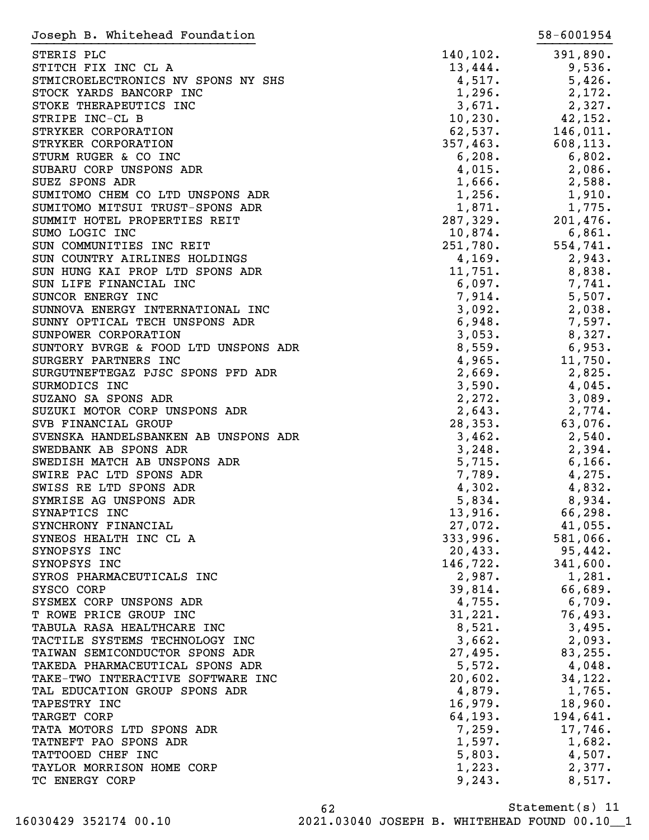| Joseph B. Whitehead Foundation       |          | 58-6001954                                                                   |
|--------------------------------------|----------|------------------------------------------------------------------------------|
| STERIS PLC                           | 140,102. | 391,890.                                                                     |
| STITCH FIX INC CL A                  | 13,444.  | 9,536.                                                                       |
| STMICROELECTRONICS NV SPONS NY SHS   | 4,517.   | 5,426.                                                                       |
| STOCK YARDS BANCORP INC              | 1,296.   | 2,172.                                                                       |
| STOKE THERAPEUTICS INC               | 3,671.   | 2,327.                                                                       |
| STRIPE INC-CL B                      | 10, 230. | 42,152.                                                                      |
| STRYKER CORPORATION                  | 62,537.  | 146,011.                                                                     |
| STRYKER CORPORATION                  | 357,463. | 608, 113.                                                                    |
| STURM RUGER & CO INC                 | 6,208.   | 6,802.                                                                       |
| SUBARU CORP UNSPONS ADR              | 4,015.   | 2,086.<br>2,588.<br>1,910.                                                   |
| SUEZ SPONS ADR                       | 1,666.   |                                                                              |
| SUMITOMO CHEM CO LTD UNSPONS ADR     | 1,256.   |                                                                              |
| SUMITOMO MITSUI TRUST-SPONS ADR      | 1,871.   | 1,775.                                                                       |
| SUMMIT HOTEL PROPERTIES REIT         | 287,329. | 201,476.                                                                     |
| SUMO LOGIC INC                       | 10,874.  | 6,861.                                                                       |
| SUN COMMUNITIES INC REIT             | 251,780. | 554,741.                                                                     |
| SUN COUNTRY AIRLINES HOLDINGS        | 4,169.   | 2,943.                                                                       |
| SUN HUNG KAI PROP LTD SPONS ADR      | 11,751.  | 8,838.                                                                       |
| SUN LIFE FINANCIAL INC               | 6,097.   |                                                                              |
| SUNCOR ENERGY INC                    | 7,914.   |                                                                              |
| SUNNOVA ENERGY INTERNATIONAL INC     | 3,092.   | $\begin{array}{r} 7,741. \\ 5,507. \\ 2,038. \\ 7,597. \\ 8,327 \end{array}$ |
| SUNNY OPTICAL TECH UNSPONS ADR       | 6,948.   |                                                                              |
| SUNPOWER CORPORATION                 | 3,053.   | 8,327.                                                                       |
| SUNTORY BVRGE & FOOD LTD UNSPONS ADR | 8,559.   | 6,953.                                                                       |
| SURGERY PARTNERS INC                 | 4,965.   | 11,750.                                                                      |
| SURGUTNEFTEGAZ PJSC SPONS PFD ADR    | 2,669.   | 2,825.                                                                       |
| SURMODICS INC                        | 3,590.   | 4,045.                                                                       |
| SUZANO SA SPONS ADR                  | 2,272.   | 3,089.                                                                       |
| SUZUKI MOTOR CORP UNSPONS ADR        | 2,643.   | 2,774.                                                                       |
| SVB FINANCIAL GROUP                  | 28, 353. | 63,076.                                                                      |
| SVENSKA HANDELSBANKEN AB UNSPONS ADR | 3,462.   | 2,540.                                                                       |
| SWEDBANK AB SPONS ADR                | 3,248.   | 2,394.                                                                       |
| SWEDISH MATCH AB UNSPONS ADR         | 5,715.   | 6, 166.                                                                      |
| SWIRE PAC LTD SPONS ADR              | 7,789.   | 4,275.                                                                       |
| SWISS RE LTD SPONS ADR               | 4,302.   | 4,832.                                                                       |
| SYMRISE AG UNSPONS ADR               | 5,834.   | 8,934.                                                                       |
| SYNAPTICS INC                        | 13,916.  | 66,298.                                                                      |
| SYNCHRONY FINANCIAL                  | 27,072.  | 41,055.                                                                      |
| SYNEOS HEALTH INC CL A               | 333,996. | 581,066.                                                                     |
| SYNOPSYS INC                         | 20,433.  | 95,442.                                                                      |
| SYNOPSYS INC                         | 146,722. | 341,600.                                                                     |
| SYROS PHARMACEUTICALS INC            | 2,987.   | 1,281.                                                                       |
| SYSCO CORP                           | 39,814.  | 66,689.                                                                      |
| SYSMEX CORP UNSPONS ADR              | 4,755.   | 6,709.                                                                       |
| T ROWE PRICE GROUP INC               | 31,221.  | 76,493.                                                                      |
| TABULA RASA HEALTHCARE INC           | 8,521.   | 3,495.                                                                       |
| TACTILE SYSTEMS TECHNOLOGY INC       | 3,662.   | 2,093.                                                                       |
| TAIWAN SEMICONDUCTOR SPONS ADR       | 27,495.  | 83,255.                                                                      |
| TAKEDA PHARMACEUTICAL SPONS ADR      | 5,572.   | 4,048.                                                                       |
| TAKE-TWO INTERACTIVE SOFTWARE INC    | 20,602.  | 34,122.                                                                      |
| TAL EDUCATION GROUP SPONS ADR        | 4,879.   | 1,765.                                                                       |
| TAPESTRY INC                         | 16,979.  | 18,960.                                                                      |
| TARGET CORP                          | 64, 193. | 194,641.                                                                     |
| TATA MOTORS LTD SPONS ADR            | 7,259.   | 17,746.                                                                      |
| TATNEFT PAO SPONS ADR                | 1,597.   | 1,682.                                                                       |
| TATTOOED CHEF INC                    | 5,803.   | 4,507.                                                                       |
| TAYLOR MORRISON HOME CORP            | 1,223.   | 2,377.                                                                       |
| TC ENERGY CORP                       | 9,243.   | 8,517.                                                                       |
|                                      |          |                                                                              |

Statement(s) 11 62 16030429 352174 00.10 2021.03040 JOSEPH B. WHITEHEAD FOUND 00.10\_\_1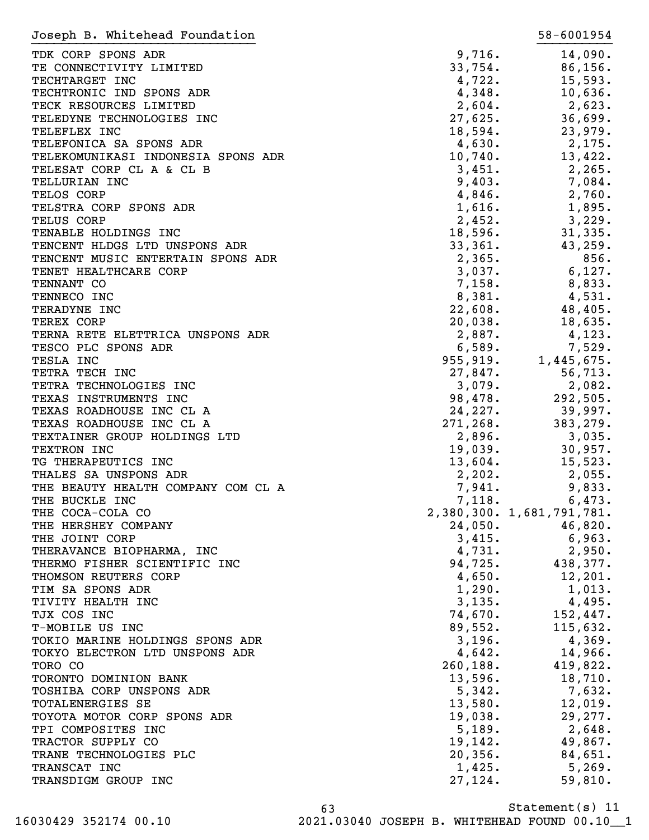| Joseph B. Whitehead Foundation     |           | 58-6001954                |
|------------------------------------|-----------|---------------------------|
| TDK CORP SPONS ADR                 | 9,716.    | 14,090.                   |
| TE CONNECTIVITY LIMITED            | 33,754.   | 86, 156.                  |
| TECHTARGET INC                     | 4,722.    | 15,593.                   |
| TECHTRONIC IND SPONS ADR           | 4,348.    | 10,636.                   |
| TECK RESOURCES LIMITED             | 2,604.    | 2,623.                    |
| TELEDYNE TECHNOLOGIES INC          | 27,625.   | 36,699.                   |
| TELEFLEX INC                       | 18,594.   | 23,979.                   |
| TELEFONICA SA SPONS ADR            | 4,630.    | 2,175.                    |
| TELEKOMUNIKASI INDONESIA SPONS ADR | 10,740.   | 13,422.                   |
| TELESAT CORP CL A & CL B           | 3,451.    | 2, 265.                   |
| TELLURIAN INC                      | 9,403.    | 7,084.                    |
| TELOS CORP                         | 4,846.    | 2,760.                    |
| TELSTRA CORP SPONS ADR             | 1,616.    | 1,895.                    |
| TELUS CORP                         | 2,452.    | 3,229.                    |
| TENABLE HOLDINGS INC               | 18,596.   | 31,335.                   |
| TENCENT HLDGS LTD UNSPONS ADR      | 33,361.   | 43,259.                   |
| TENCENT MUSIC ENTERTAIN SPONS ADR  | 2,365.    | 856.                      |
| TENET HEALTHCARE CORP              | 3,037.    | 6,127.                    |
| TENNANT CO                         | 7,158.    | 8,833.                    |
| TENNECO INC                        | 8,381.    | 4,531.                    |
| TERADYNE INC                       | 22,608.   | 48,405.                   |
| TEREX CORP                         | 20,038.   | 18,635.                   |
| TERNA RETE ELETTRICA UNSPONS ADR   | 2,887.    | 4,123.                    |
| TESCO PLC SPONS ADR                | 6,589.    | 7,529.                    |
| TESLA INC                          | 955,919.  | 1,445,675.                |
| TETRA TECH INC                     | 27,847.   | 56, 713.                  |
| TETRA TECHNOLOGIES INC             | 3,079.    | 2,082.                    |
| TEXAS INSTRUMENTS INC              | 98,478.   | 292,505.                  |
| TEXAS ROADHOUSE INC CL A           | 24,227.   | 39,997.                   |
| TEXAS ROADHOUSE INC CL A           | 271, 268. | 383,279.                  |
| TEXTAINER GROUP HOLDINGS LTD       | 2,896.    | 3,035.                    |
| TEXTRON INC                        | 19,039.   | 30,957.                   |
| TG THERAPEUTICS INC                | 13,604.   | 15,523.                   |
| THALES SA UNSPONS ADR              | 2,202.    | $2,055$ .                 |
| THE BEAUTY HEALTH COMPANY COM CL A | 7,941.    | 9,833.                    |
| THE BUCKLE INC                     | 7,118.    | 6,473.                    |
| THE COCA-COLA CO                   |           | 2,380,300. 1,681,791,781. |
| THE HERSHEY COMPANY                | 24,050.   | 46,820.                   |
| THE JOINT CORP                     | 3,415.    | 6,963.                    |
| THERAVANCE BIOPHARMA, INC          | 4,731.    | 2,950.                    |
| THERMO FISHER SCIENTIFIC INC       | 94,725.   | 438,377.                  |
| THOMSON REUTERS CORP               | 4,650.    | 12, 201.                  |
| TIM SA SPONS ADR                   | 1,290.    | 1,013.                    |
| TIVITY HEALTH INC                  | 3,135.    | 4,495.                    |
| TJX COS INC                        | 74,670.   | 152,447.                  |
| T-MOBILE US INC                    | 89,552.   | 115,632.                  |
| TOKIO MARINE HOLDINGS SPONS ADR    | 3,196.    | 4,369.                    |
| TOKYO ELECTRON LTD UNSPONS ADR     | 4,642.    | 14,966.                   |
| TORO CO                            | 260, 188. | 419,822.                  |
| TORONTO DOMINION BANK              | 13,596.   | 18,710.                   |
| TOSHIBA CORP UNSPONS ADR           | 5,342.    | 7,632.                    |
| TOTALENERGIES SE                   | 13,580.   | 12,019.                   |
| TOYOTA MOTOR CORP SPONS ADR        | 19,038.   | 29, 277.                  |
| TPI COMPOSITES INC                 | 5,189.    | $2,648$ .                 |
| TRACTOR SUPPLY CO                  | 19, 142.  | 49,867.                   |
| TRANE TECHNOLOGIES PLC             | 20, 356.  | 84,651.                   |
| TRANSCAT INC                       | 1,425.    | 5,269.                    |
| TRANSDIGM GROUP INC                | 27,124.   | 59,810.                   |
|                                    |           |                           |

Statement(s) 11 63 16030429 352174 00.10 2021.03040 JOSEPH B. WHITEHEAD FOUND 00.10\_\_1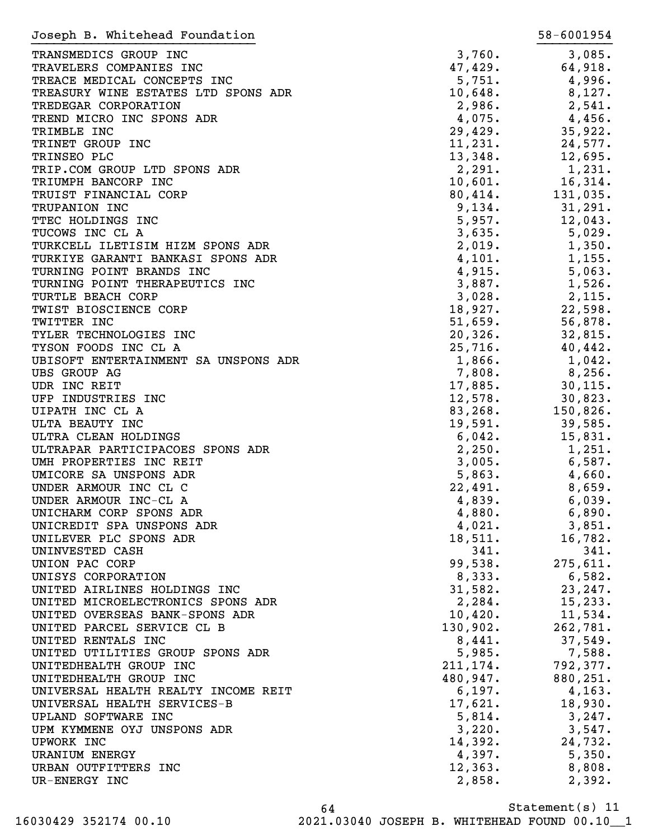| Joseph B. Whitehead Foundation       |          | 58-6001954 |
|--------------------------------------|----------|------------|
| TRANSMEDICS GROUP INC                | 3,760.   | 3,085.     |
| TRAVELERS COMPANIES INC              | 47,429.  | 64,918.    |
| TREACE MEDICAL CONCEPTS INC          | 5,751.   | 4,996.     |
| TREASURY WINE ESTATES LTD SPONS ADR  | 10,648.  | 8,127.     |
| TREDEGAR CORPORATION                 | 2,986.   | 2,541.     |
| TREND MICRO INC SPONS ADR            | 4,075.   | $4,456$ .  |
| TRIMBLE INC                          | 29,429.  | 35,922.    |
| TRINET GROUP INC                     | 11,231.  |            |
|                                      |          | 24,577.    |
| TRINSEO PLC                          | 13,348.  | 12,695.    |
| TRIP.COM GROUP LTD SPONS ADR         | 2,291.   | 1,231.     |
| TRIUMPH BANCORP INC                  | 10,601.  | 16,314.    |
| TRUIST FINANCIAL CORP                | 80,414.  | 131,035.   |
| TRUPANION INC                        | 9,134.   | 31,291.    |
| TTEC HOLDINGS INC                    | 5,957.   | 12,043.    |
| TUCOWS INC CL A                      | 3,635.   | 5,029.     |
| TURKCELL ILETISIM HIZM SPONS ADR     | 2,019.   | 1,350.     |
| TURKIYE GARANTI BANKASI SPONS ADR    | 4,101.   | 1,155.     |
| TURNING POINT BRANDS INC             | 4,915.   | 5,063.     |
| TURNING POINT THERAPEUTICS INC       | 3,887.   | 1,526.     |
| TURTLE BEACH CORP                    | 3,028.   | 2,115.     |
| TWIST BIOSCIENCE CORP                | 18,927.  | 22,598.    |
| TWITTER INC                          | 51,659.  | 56,878.    |
| TYLER TECHNOLOGIES INC               | 20,326.  | 32,815.    |
| TYSON FOODS INC CL A                 | 25,716.  | 40,442.    |
| UBISOFT ENTERTAINMENT SA UNSPONS ADR | 1,866.   | $1,042$ .  |
| <b>UBS GROUP AG</b>                  | 7,808.   | $8,256$ .  |
| UDR INC REIT                         | 17,885.  | 30, 115.   |
| UFP INDUSTRIES INC                   | 12,578.  | 30,823.    |
| UIPATH INC CL A                      | 83, 268. | 150,826.   |
| ULTA BEAUTY INC                      | 19,591.  | 39,585.    |
| ULTRA CLEAN HOLDINGS                 | 6,042.   | 15,831.    |
| ULTRAPAR PARTICIPACOES SPONS ADR     | 2,250.   | 1,251.     |
| UMH PROPERTIES INC REIT              | 3,005.   | 6,587.     |
| UMICORE SA UNSPONS ADR               | 5,863.   | 4,660.     |
| UNDER ARMOUR INC CL C                | 22,491.  | 8,659.     |
| UNDER ARMOUR INC-CL A                | 4,839.   | 6,039.     |
| UNICHARM CORP SPONS ADR              | 4,880.   | 6,890.     |
| UNICREDIT SPA UNSPONS ADR            | 4,021.   | 3,851.     |
| UNILEVER PLC SPONS ADR               | 18,511.  | 16,782.    |
| UNINVESTED CASH                      | 341.     | 341.       |
| UNION PAC CORP                       | 99,538.  | 275,611.   |
| UNISYS CORPORATION                   | 8,333.   | 6,582.     |
| UNITED AIRLINES HOLDINGS INC         | 31,582.  | 23,247.    |
| UNITED MICROELECTRONICS SPONS ADR    | 2,284.   | 15, 233.   |
| UNITED OVERSEAS BANK-SPONS ADR       | 10,420.  | 11,534.    |
| UNITED PARCEL SERVICE CL B           | 130,902. | 262,781.   |
| UNITED RENTALS INC                   | 8,441.   | 37,549.    |
| UNITED UTILITIES GROUP SPONS ADR     | 5,985.   | 7,588.     |
| UNITEDHEALTH GROUP INC               | 211,174. | 792,377.   |
| UNITEDHEALTH GROUP INC               | 480,947. | 880,251.   |
| UNIVERSAL HEALTH REALTY INCOME REIT  | 6, 197.  | 4, 163.    |
| UNIVERSAL HEALTH SERVICES-B          | 17,621.  | 18,930.    |
| UPLAND SOFTWARE INC                  | 5,814.   | 3,247.     |
| UPM KYMMENE OYJ UNSPONS ADR          | 3,220.   | 3,547.     |
| UPWORK INC                           | 14,392.  | 24,732.    |
| <b>URANIUM ENERGY</b>                | 4,397.   | 5,350.     |
| URBAN OUTFITTERS INC                 | 12,363.  | 8,808.     |
| UR-ENERGY INC                        | 2,858.   | 2,392.     |
|                                      |          |            |

Statement(s) 11 64 16030429 352174 00.10 2021.03040 JOSEPH B. WHITEHEAD FOUND 00.10\_\_1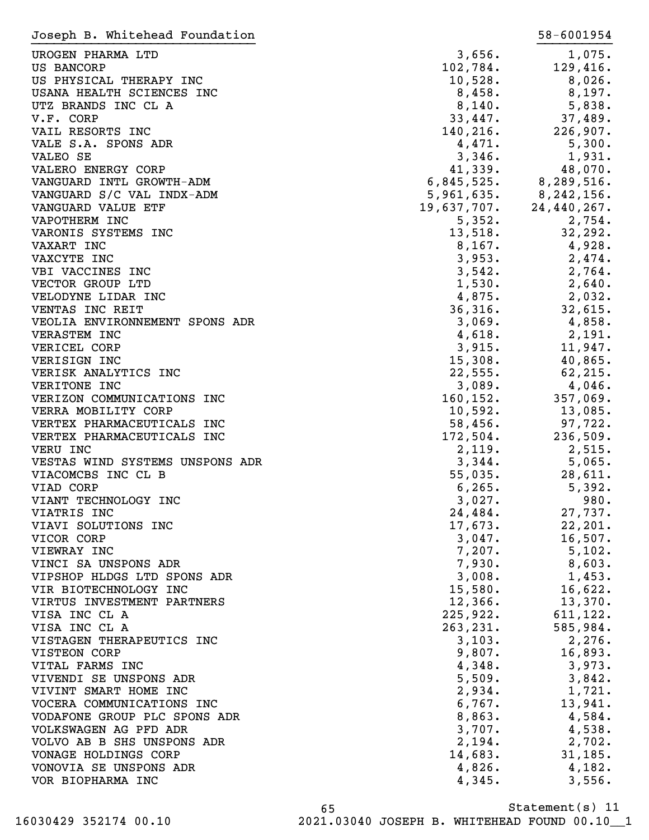| Joseph B. Whitehead Foundation            |                   | 58-6001954              |
|-------------------------------------------|-------------------|-------------------------|
| UROGEN PHARMA LTD                         | 3,656.            | 1,075.                  |
| US BANCORP                                | 102,784.          | 129,416.                |
| US PHYSICAL THERAPY INC                   | 10,528.           | 8,026.                  |
| USANA HEALTH SCIENCES INC                 | 8,458.            | 8,197.                  |
| UTZ BRANDS INC CL A                       | 8,140.            | 5,838.                  |
| V.F. CORP                                 | 33,447.           | 37,489.                 |
| VAIL RESORTS INC                          | 140, 216.         | 226,907.                |
| VALE S.A. SPONS ADR                       | 4,471.            | 5,300.                  |
| VALEO SE                                  | 3,346.            | 1,931.                  |
| VALERO ENERGY CORP                        | 41,339.           | 48,070.                 |
| VANGUARD INTL GROWTH-ADM                  |                   | $6,845,525.$ 8,289,516. |
| VANGUARD S/C VAL INDX-ADM                 | 5,961,635.        | 8,242,156.              |
| VANGUARD VALUE ETF                        | 19,637,707.       | 24,440,267.             |
| VAPOTHERM INC                             | 5,352.            | 2,754.                  |
| VARONIS SYSTEMS INC                       | 5,352.<br>13,518. | 32, 292.                |
| VAXART INC                                | 8,167.            | 4,928.                  |
| VAXCYTE INC                               | 3,953.            | 2,474.                  |
| VBI VACCINES INC                          | 3,542.            | 2,764.                  |
| VECTOR GROUP LTD                          | 1,530.            | 2,640.                  |
| VELODYNE LIDAR INC                        | 4,875.            | 2,032.                  |
| VENTAS INC REIT                           | 36,316.           | 32,615.                 |
| VEOLIA ENVIRONNEMENT SPONS ADR            | 3,069.            | 4,858.                  |
| <b>VERASTEM INC</b>                       | 4,618.            | 2,191.                  |
| VERICEL CORP                              | 3,915.            | 11,947.                 |
| VERISIGN INC                              | 15,308.           | 40,865.                 |
| VERISK ANALYTICS INC                      | 22,555.           | 62, 215.                |
| VERITONE INC                              | 3,089.            | 4,046.                  |
| VERIZON COMMUNICATIONS INC                | 160, 152.         | 357,069.                |
| VERRA MOBILITY CORP                       | 10,592.           | 13,085.                 |
| VERTEX PHARMACEUTICALS INC                | 58,456.           | 97,722.                 |
| VERTEX PHARMACEUTICALS INC                | 172,504.          | 236,509.                |
| VERU INC                                  | 2,119.            | 2,515.                  |
| VESTAS WIND SYSTEMS UNSPONS ADR           | 3,344.            | 5,065.                  |
| VIACOMCBS INC CL B                        | 55,035.           | 28,611.                 |
| VIAD CORP                                 | 6, 265.           | 5,392.                  |
| VIANT TECHNOLOGY INC                      | 3,027.            | 980.                    |
| VIATRIS INC                               | 24,484.           | 27,737.                 |
| VIAVI SOLUTIONS INC                       | 17,673.           | 22, 201.                |
| VICOR CORP                                | 3,047.            | 16,507.                 |
| VIEWRAY INC                               | 7,207.            | 5,102.                  |
| VINCI SA UNSPONS ADR                      | 7,930.            | 8,603.                  |
| VIPSHOP HLDGS LTD SPONS ADR               | 3,008.            | 1,453.                  |
| VIR BIOTECHNOLOGY INC                     | 15,580.           | 16,622.                 |
| VIRTUS INVESTMENT PARTNERS                | 12,366.           | 13,370.                 |
| VISA INC CL A                             | 225,922.          | 611, 122.               |
| VISA INC CL A                             | 263, 231.         | 585,984.                |
| VISTAGEN THERAPEUTICS INC                 | 3,103.            | 2,276.                  |
| VISTEON CORP                              | 9,807.            | 16,893.                 |
| VITAL FARMS INC<br>VIVENDI SE UNSPONS ADR | 4,348.<br>5,509.  | 3,973.<br>3,842.        |
| VIVINT SMART HOME INC                     | 2,934.            | 1,721.                  |
| VOCERA COMMUNICATIONS INC                 | 6,767.            | 13,941.                 |
| VODAFONE GROUP PLC SPONS ADR              | 8,863.            | 4,584.                  |
| VOLKSWAGEN AG PFD ADR                     | 3,707.            | 4,538.                  |
| VOLVO AB B SHS UNSPONS ADR                | 2,194.            | 2,702.                  |
| VONAGE HOLDINGS CORP                      | 14,683.           | 31,185.                 |
| VONOVIA SE UNSPONS ADR                    | 4,826.            | 4,182.                  |
| VOR BIOPHARMA INC                         | 4,345.            | 3,556.                  |
|                                           |                   |                         |

Statement(s) 11 65 16030429 352174 00.10 2021.03040 JOSEPH B. WHITEHEAD FOUND 00.10\_\_1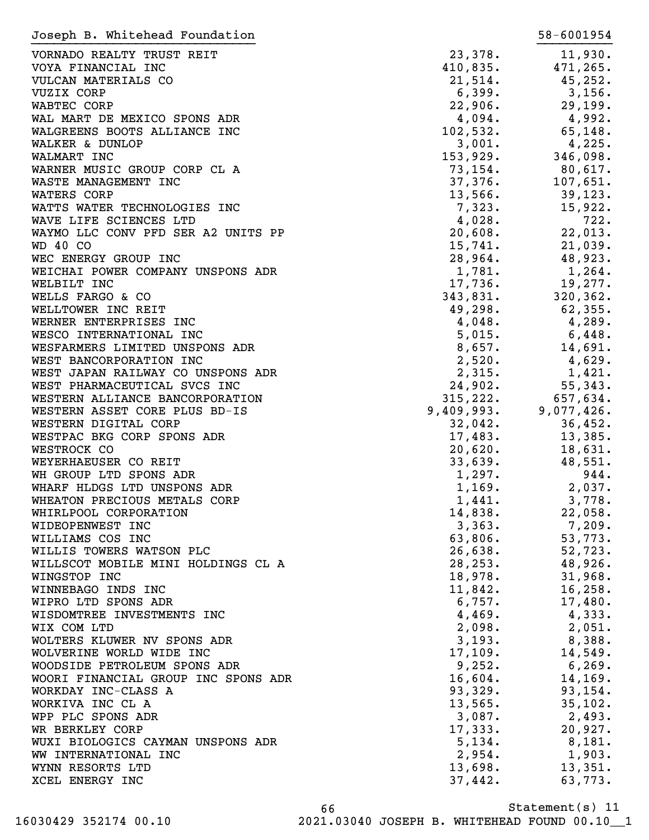| Joseph B. Whitehead Foundation      |            | 58-6001954 |
|-------------------------------------|------------|------------|
| VORNADO REALTY TRUST REIT           | 23,378.    | 11,930.    |
| VOYA FINANCIAL INC                  | 410,835.   | 471,265.   |
| VULCAN MATERIALS CO                 | 21,514.    | 45,252.    |
| VUZIX CORP                          | 6,399.     | 3,156.     |
| WABTEC CORP                         | 22,906.    | 29,199.    |
| WAL MART DE MEXICO SPONS ADR        | 4,094.     | 4,992.     |
| WALGREENS BOOTS ALLIANCE INC        | 102,532.   | 65, 148.   |
| WALKER & DUNLOP                     | 3,001.     | 4,225.     |
| WALMART INC                         | 153,929.   | 346,098.   |
| WARNER MUSIC GROUP CORP CL A        | 73, 154.   | $80,617$ . |
| WASTE MANAGEMENT INC                | 37,376.    | 107,651.   |
| WATERS CORP                         | 13,566.    | 39, 123.   |
| WATTS WATER TECHNOLOGIES INC        | 7,323.     | 15,922.    |
| WAVE LIFE SCIENCES LTD              | 4,028.     | 722.       |
| WAYMO LLC CONV PFD SER A2 UNITS PP  | 20,608.    | 22,013.    |
| WD 40 CO                            | 15,741.    | 21,039.    |
| WEC ENERGY GROUP INC                | 28,964.    | 48,923.    |
| WEICHAI POWER COMPANY UNSPONS ADR   | 1,781.     | 1,264.     |
| WELBILT INC                         | 17,736.    | 19,277.    |
| WELLS FARGO & CO                    | 343,831.   | 320, 362.  |
| WELLTOWER INC REIT                  | 49,298.    | 62, 355.   |
| WERNER ENTERPRISES INC              |            |            |
|                                     | 4,048.     | 4,289.     |
| WESCO INTERNATIONAL INC             | 5,015.     | $6,448$ .  |
| WESFARMERS LIMITED UNSPONS ADR      | 8,657.     | 14,691.    |
| WEST BANCORPORATION INC             | 2,520.     | 4,629.     |
| WEST JAPAN RAILWAY CO UNSPONS ADR   | 2,315.     | 1,421.     |
| WEST PHARMACEUTICAL SVCS INC        | 24,902.    | 55,343.    |
| WESTERN ALLIANCE BANCORPORATION     | 315, 222.  | 657,634.   |
| WESTERN ASSET CORE PLUS BD-IS       | 9,409,993. | 9,077,426. |
| WESTERN DIGITAL CORP                | 32,042.    | 36,452.    |
| WESTPAC BKG CORP SPONS ADR          | 17,483.    | 13,385.    |
| WESTROCK CO                         | 20,620.    | 18,631.    |
| WEYERHAEUSER CO REIT                | 33,639.    | 48,551.    |
| WH GROUP LTD SPONS ADR              | 1,297.     | 944.       |
| WHARF HLDGS LTD UNSPONS ADR         | 1,169.     | 2,037.     |
| WHEATON PRECIOUS METALS CORP        | 1,441.     | 3,778.     |
| WHIRLPOOL CORPORATION               | 14,838.    | 22,058.    |
| WIDEOPENWEST INC                    | 3,363.     | 7,209.     |
| WILLIAMS COS INC                    | 63,806.    | 53,773.    |
| WILLIS TOWERS WATSON PLC            | 26,638.    | 52,723.    |
| WILLSCOT MOBILE MINI HOLDINGS CL A  | 28, 253.   | 48,926.    |
| WINGSTOP INC                        | 18,978.    | 31,968.    |
| WINNEBAGO INDS INC                  | 11,842.    | 16, 258.   |
| WIPRO LTD SPONS ADR                 | 6,757.     | 17,480.    |
| WISDOMTREE INVESTMENTS INC          | 4,469.     | 4,333.     |
| WIX COM LTD                         | 2,098.     | 2,051.     |
| WOLTERS KLUWER NV SPONS ADR         | 3,193.     | 8,388.     |
| WOLVERINE WORLD WIDE INC            | 17,109.    | 14,549.    |
| WOODSIDE PETROLEUM SPONS ADR        | 9,252.     | 6, 269.    |
| WOORI FINANCIAL GROUP INC SPONS ADR | 16,604.    | 14,169.    |
| WORKDAY INC-CLASS A                 | 93,329.    | 93, 154.   |
| WORKIVA INC CL A                    | 13,565.    | 35,102.    |
| WPP PLC SPONS ADR                   | 3,087.     | 2,493.     |
| WR BERKLEY CORP                     | 17,333.    | 20,927.    |
| WUXI BIOLOGICS CAYMAN UNSPONS ADR   | 5,134.     | 8,181.     |
| WW INTERNATIONAL INC                | 2,954.     | 1,903.     |
| WYNN RESORTS LTD                    | 13,698.    | 13,351.    |
| XCEL ENERGY INC                     | 37,442.    | 63,773.    |
|                                     |            |            |

Statement(s) 11 66 16030429 352174 00.10 2021.03040 JOSEPH B. WHITEHEAD FOUND 00.10\_\_1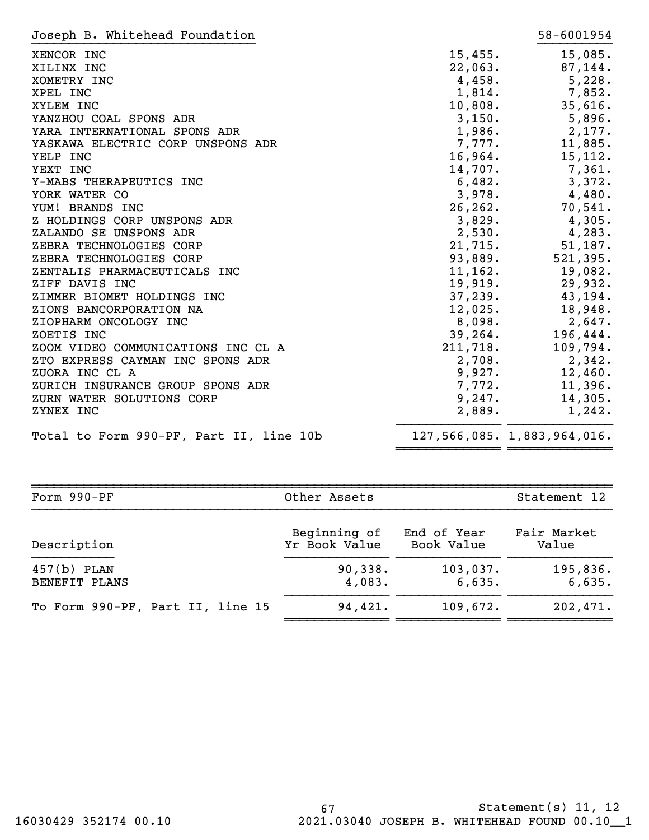| Joseph B. Whitehead Foundation          |          | 58-6001954                  |
|-----------------------------------------|----------|-----------------------------|
| XENCOR INC                              | 15,455.  | 15,085.                     |
| XILINX INC                              | 22,063.  | 87,144.                     |
| XOMETRY INC                             | 4,458.   | 5,228.                      |
| XPEL INC                                | 1,814.   | 7,852.                      |
| XYLEM INC                               | 10,808.  | 35,616.                     |
| YANZHOU COAL SPONS ADR                  | 3,150.   | 5,896.                      |
| YARA INTERNATIONAL SPONS ADR            | 1,986.   | 2,177.                      |
| YASKAWA ELECTRIC CORP UNSPONS ADR       | 7,777.   | 11,885.                     |
| YELP INC                                | 16,964.  | 15,112.                     |
| YEXT INC                                | 14,707.  | 7,361.                      |
| Y-MABS THERAPEUTICS INC                 | 6,482.   | 3,372.                      |
| YORK WATER CO                           | 3,978.   | $4,480$ .                   |
| YUM! BRANDS INC                         | 26, 262. | 70,541.                     |
| Z HOLDINGS CORP UNSPONS ADR             | 3,829.   | 4,305.                      |
| ZALANDO SE UNSPONS ADR                  | 2,530.   | 4,283.                      |
| ZEBRA TECHNOLOGIES CORP                 | 21,715.  | 51,187.                     |
| ZEBRA TECHNOLOGIES CORP                 | 93,889.  | 521,395.                    |
| ZENTALIS PHARMACEUTICALS INC            | 11, 162. | 19,082.                     |
| ZIFF DAVIS INC                          | 19,919.  | 29,932.                     |
| ZIMMER BIOMET HOLDINGS INC              | 37,239.  | 43,194.                     |
| ZIONS BANCORPORATION NA                 | 12,025.  | 18,948.                     |
| ZIOPHARM ONCOLOGY INC                   | 8,098.   | 2,647.                      |
| ZOETIS INC                              | 39, 264. | 196,444.                    |
| ZOOM VIDEO COMMUNICATIONS INC CL A      | 211,718. | 109,794.                    |
| ZTO EXPRESS CAYMAN INC SPONS ADR        | 2,708.   | 2,342.                      |
| ZUORA INC CL A                          | 9,927.   | 12,460.                     |
| ZURICH INSURANCE GROUP SPONS ADR        | 7,772.   | 11,396.                     |
| ZURN WATER SOLUTIONS CORP               | 9,247.   | 14,305.                     |
| ZYNEX INC                               | 2,889.   | 1,242.                      |
| Total to Form 990-PF, Part II, line 10b |          | 127,566,085. 1,883,964,016. |

| Form 990-PF                      | Other Assets  |             |             |  |
|----------------------------------|---------------|-------------|-------------|--|
| Description                      | Beginning of  | End of Year | Fair Market |  |
|                                  | Yr Book Value | Book Value  | Value       |  |
| $457(b)$ PLAN                    | 90,338.       | 103,037.    | 195,836.    |  |
| BENEFIT PLANS                    | 4,083.        | 6,635.      | 6,635.      |  |
| To Form 990-PF, Part II, line 15 | 94,421.       | 109,672.    | 202,471.    |  |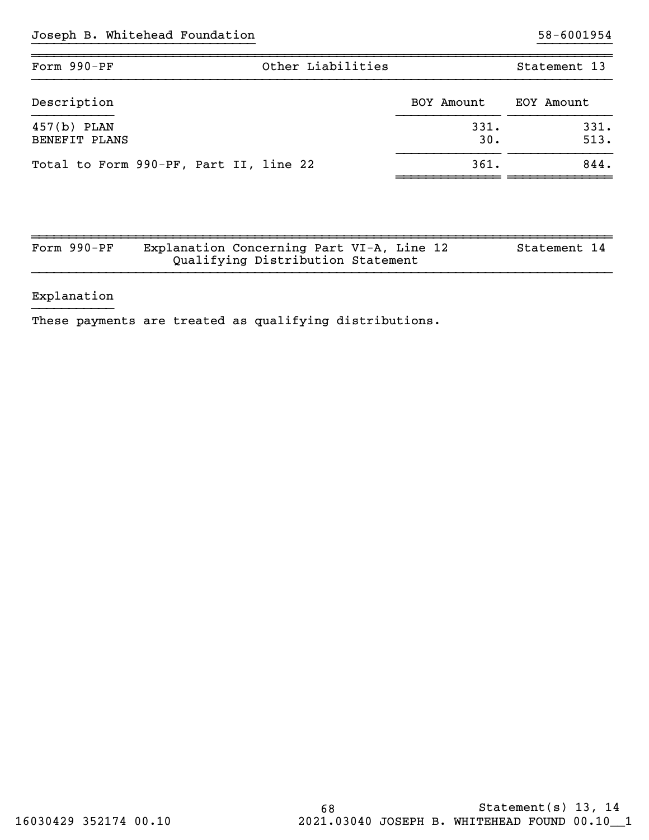| Other Liabilities<br>Form 990-PF       |             | Statement 13 |  |
|----------------------------------------|-------------|--------------|--|
| Description                            | BOY Amount  | EOY Amount   |  |
| $457(b)$ PLAN<br>BENEFIT PLANS         | 331.<br>30. | 331.<br>513. |  |
| Total to Form 990-PF, Part II, line 22 | 361.        | 844.         |  |

| Form $990-PF$ | Explanation Concerning Part VI-A, Line 12 |                                   |  | Statement 14 |  |
|---------------|-------------------------------------------|-----------------------------------|--|--------------|--|
|               |                                           | Qualifying Distribution Statement |  |              |  |

## Explanation

These payments are treated as qualifying distributions.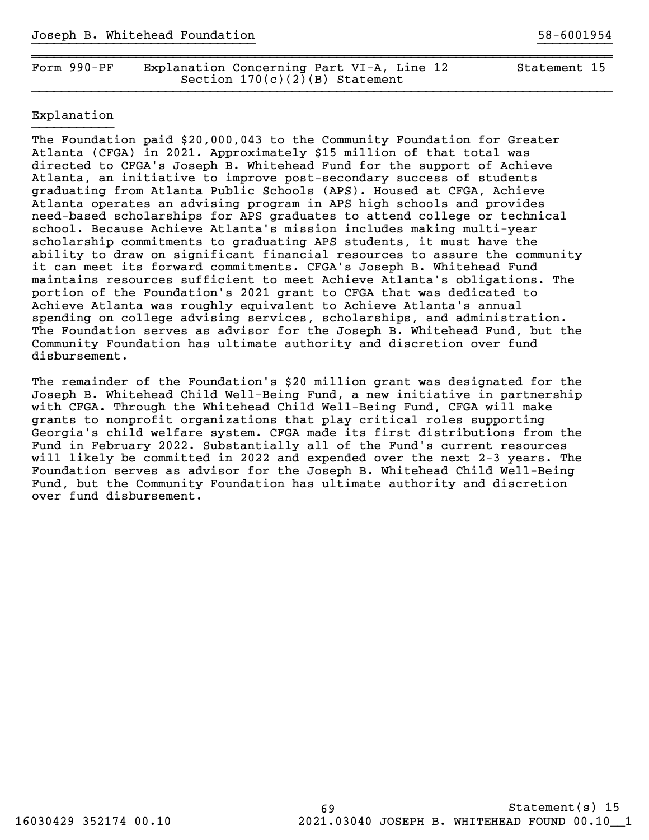| Form $990-PF$ | Explanation Concerning Part VI-A, Line 12 | Statement 15 |
|---------------|-------------------------------------------|--------------|
|               | Section $170(c)(2)(B)$ Statement          |              |

~~~~~~~~~~~~~~~~~~~~~~~~~~~~~~~~~~~~~~~~~~~~~~~~~~~~~~~~~~~~~~~~~~~~~~~~~~~~~~

## Explanation

The Foundation paid \$20,000,043 to the Community Foundation for Greater Atlanta (CFGA) in 2021. Approximately \$15 million of that total was directed to CFGA's Joseph B. Whitehead Fund for the support of Achieve Atlanta, an initiative to improve post-secondary success of students graduating from Atlanta Public Schools (APS). Housed at CFGA, Achieve Atlanta operates an advising program in APS high schools and provides need-based scholarships for APS graduates to attend college or technical school. Because Achieve Atlanta's mission includes making multi-year scholarship commitments to graduating APS students, it must have the ability to draw on significant financial resources to assure the community it can meet its forward commitments. CFGA's Joseph B. Whitehead Fund maintains resources sufficient to meet Achieve Atlanta's obligations. The portion of the Foundation's 2021 grant to CFGA that was dedicated to Achieve Atlanta was roughly equivalent to Achieve Atlanta's annual spending on college advising services, scholarships, and administration. The Foundation serves as advisor for the Joseph B. Whitehead Fund, but the Community Foundation has ultimate authority and discretion over fund disbursement.

The remainder of the Foundation's \$20 million grant was designated for the Joseph B. Whitehead Child Well-Being Fund, a new initiative in partnership with CFGA. Through the Whitehead Child Well-Being Fund, CFGA will make grants to nonprofit organizations that play critical roles supporting Georgia's child welfare system. CFGA made its first distributions from the Fund in February 2022. Substantially all of the Fund's current resources will likely be committed in 2022 and expended over the next 2-3 years. The Foundation serves as advisor for the Joseph B. Whitehead Child Well-Being Fund, but the Community Foundation has ultimate authority and discretion over fund disbursement.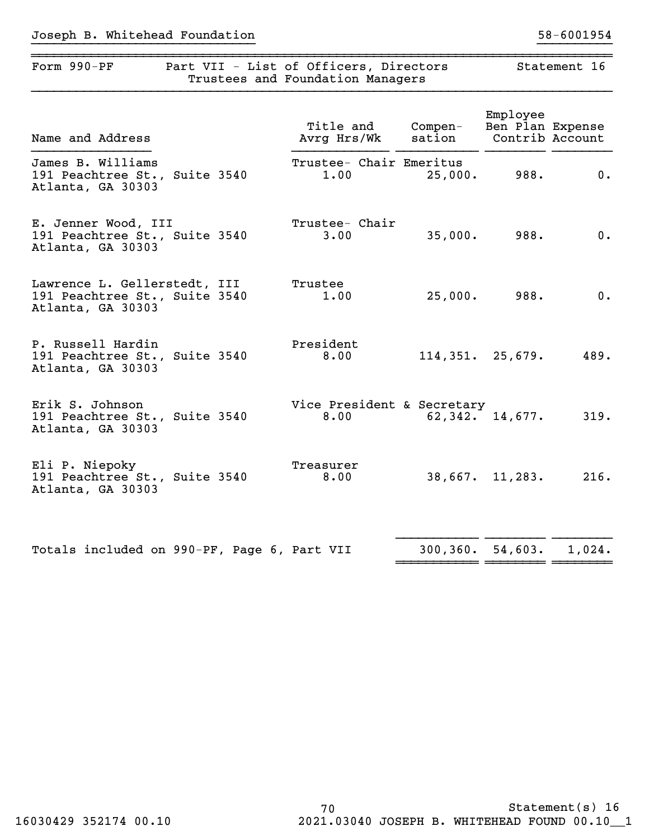|                                                                                    | Trustees and Foundation Managers   |                    |                              |                 |
|------------------------------------------------------------------------------------|------------------------------------|--------------------|------------------------------|-----------------|
| Name and Address                                                                   | Title and<br>Avrg Hrs/Wk           | Compen-<br>sation  | Employee<br>Ben Plan Expense | Contrib Account |
| James B. Williams<br>191 Peachtree St., Suite 3540<br>Atlanta, GA 30303            | Trustee- Chair Emeritus<br>1.00    | 25,000.            | 988.                         | 0.              |
| E. Jenner Wood, III<br>191 Peachtree St., Suite 3540<br>Atlanta, GA 30303          | Trustee- Chair<br>3.00             | 35,000.            | 988.                         | 0.              |
| Lawrence L. Gellerstedt, III<br>191 Peachtree St., Suite 3540<br>Atlanta, GA 30303 | Trustee<br>1.00                    | 25,000.            | 988.                         | 0.              |
| P. Russell Hardin<br>191 Peachtree St., Suite 3540<br>Atlanta, GA 30303            | President<br>8.00                  | 114, 351. 25, 679. |                              | 489.            |
| Erik S. Johnson<br>191 Peachtree St., Suite 3540<br>Atlanta, GA 30303              | Vice President & Secretary<br>8.00 |                    | 62,342. 14,677.              | 319.            |
| Eli P. Niepoky<br>191 Peachtree St., Suite 3540<br>Atlanta, GA 30303               | Treasurer<br>8.00                  |                    | $38,667.$ 11,283.            | 216.            |
| Totals included on 990-PF, Page 6, Part VII                                        |                                    |                    | $300, 360.$ 54,603.          | 1,024.          |

~~~~~~~~~~~~~~~~~~~~~~~~~~~~~~~~~~~~~~~~~~~~~~~~~~~~~~~~~~~~~~~~~~~~~~~~~~~~~~Form 990-PF Part VII - List of Officers, Directors Statement 16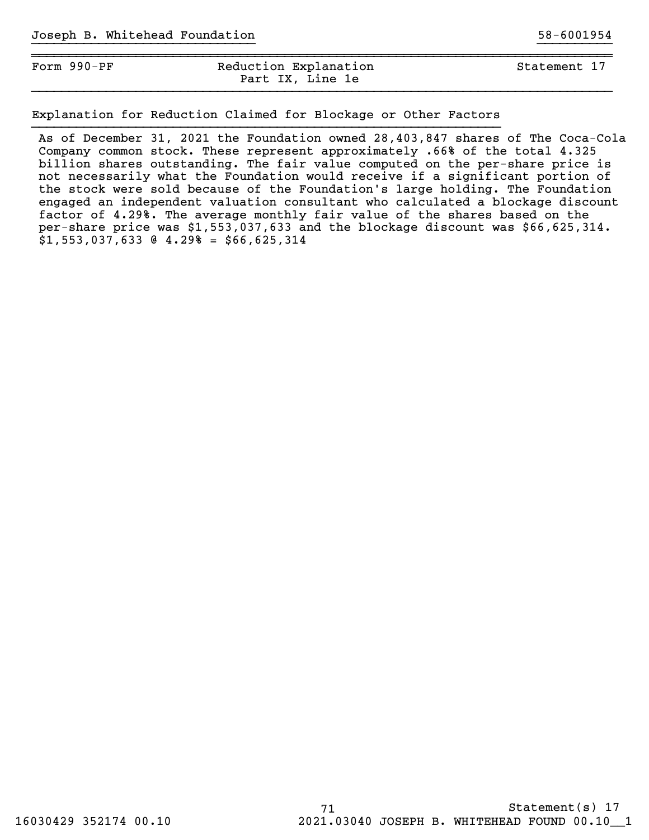| Form 990-PF | Reduction Explanation<br>Part IX, Line 1e | Statement 17 |  |
|-------------|-------------------------------------------|--------------|--|
|             |                                           |              |  |

Explanation for Reduction Claimed for Blockage or Other Factors

As of December 31, 2021 the Foundation owned 28,403,847 shares of The Coca-Cola Company common stock. These represent approximately .66% of the total 4.325 billion shares outstanding. The fair value computed on the per-share price is not necessarily what the Foundation would receive if a significant portion of the stock were sold because of the Foundation's large holding. The Foundation engaged an independent valuation consultant who calculated a blockage discount factor of 4.29%. The average monthly fair value of the shares based on the per-share price was \$1,553,037,633 and the blockage discount was \$66,625,314. \$1,553,037,633 @ 4.29% = \$66,625,314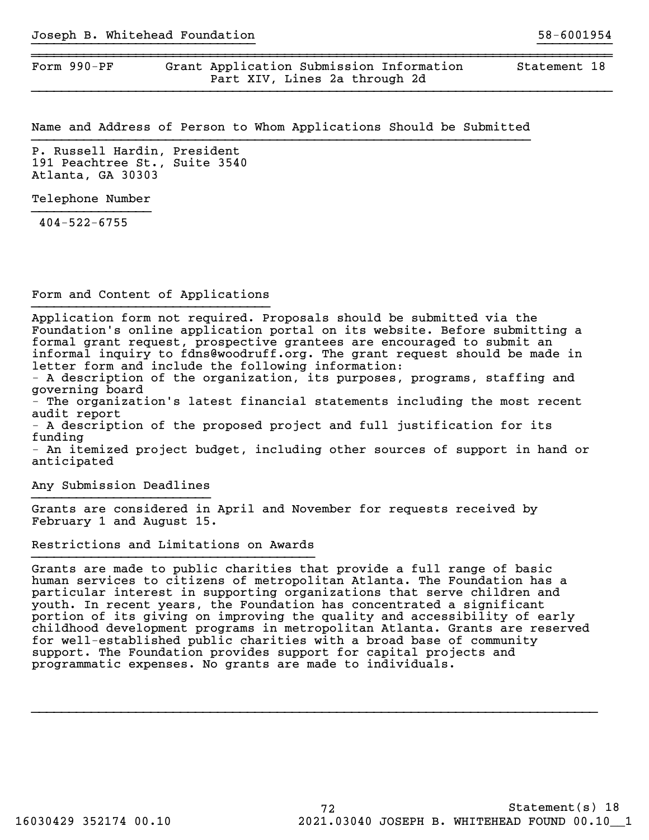Form 990-PF Grant Application Submission Information Statement 18 Part XIV, Lines 2a through 2d

Name and Address of Person to Whom Applications Should be Submitted

}}}}}}}}}}}}}}}}}}}}}}}}}}}}}} }}}}}}}}}}

~~~~~~~~~~~~~~~~~~~~~~~~~~~~~~~~~~~~~~~~~~~~~~~~~~~~~~~~~~~~~~~~~~~~~~~~~~~~~~

P. Russell Hardin, President 191 Peachtree St., Suite 3540 Atlanta, GA 30303

Telephone Number

404-522-6755

Form and Content of Applications }}}}}}}}}}}}}}}}}}}}}}}}}}}}}}}}

Application form not required. Proposals should be submitted via the Foundation's online application portal on its website. Before submitting a formal grant request, prospective grantees are encouraged to submit an informal inquiry to fdns@woodruff.org. The grant request should be made in letter form and include the following information:

- A description of the organization, its purposes, programs, staffing and governing board

- The organization's latest financial statements including the most recent audit report

- A description of the proposed project and full justification for its funding

- An itemized project budget, including other sources of support in hand or anticipated

Any Submission Deadlines }}}}}}}}}}}}}}}}}}}}}}}}

Grants are considered in April and November for requests received by February 1 and August 15.

Restrictions and Limitations on Awards

Grants are made to public charities that provide a full range of basic human services to citizens of metropolitan Atlanta. The Foundation has a particular interest in supporting organizations that serve children and youth. In recent years, the Foundation has concentrated a significant portion of its giving on improving the quality and accessibility of early childhood development programs in metropolitan Atlanta. Grants are reserved for well-established public charities with a broad base of community support. The Foundation provides support for capital projects and programmatic expenses. No grants are made to individuals.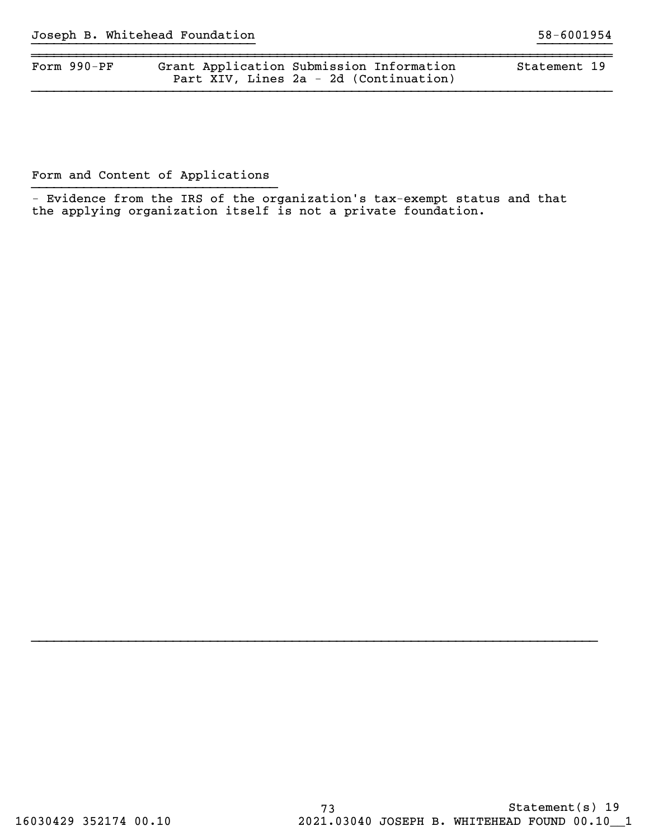| Form $990-PF$ | Grant Application Submission Information | Statement 19 |  |
|---------------|------------------------------------------|--------------|--|
|               | Part XIV, Lines 2a - 2d (Continuation)   |              |  |

}}}}}}}}}}}}}}}}}}}}}}}}}}}}}} }}}}}}}}}}

Form and Content of Applications

 - Evidence from the IRS of the organization's tax-exempt status and that the applying organization itself is not a private foundation.